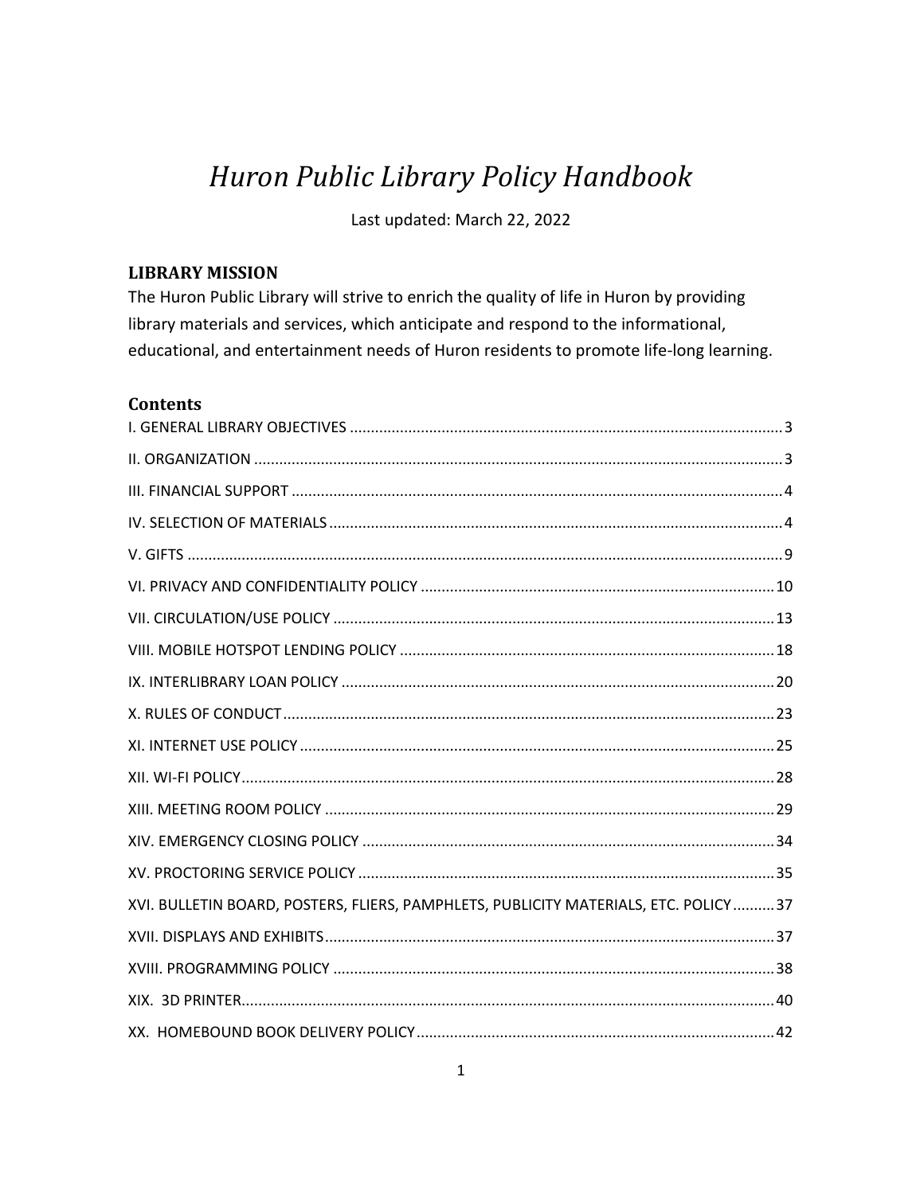# Huron Public Library Policy Handbook

Last updated: March 22, 2022

### **LIBRARY MISSION**

The Huron Public Library will strive to enrich the quality of life in Huron by providing library materials and services, which anticipate and respond to the informational, educational, and entertainment needs of Huron residents to promote life-long learning.

### **Contents**

| XVI. BULLETIN BOARD, POSTERS, FLIERS, PAMPHLETS, PUBLICITY MATERIALS, ETC. POLICY37 |
|-------------------------------------------------------------------------------------|
|                                                                                     |
|                                                                                     |
|                                                                                     |
|                                                                                     |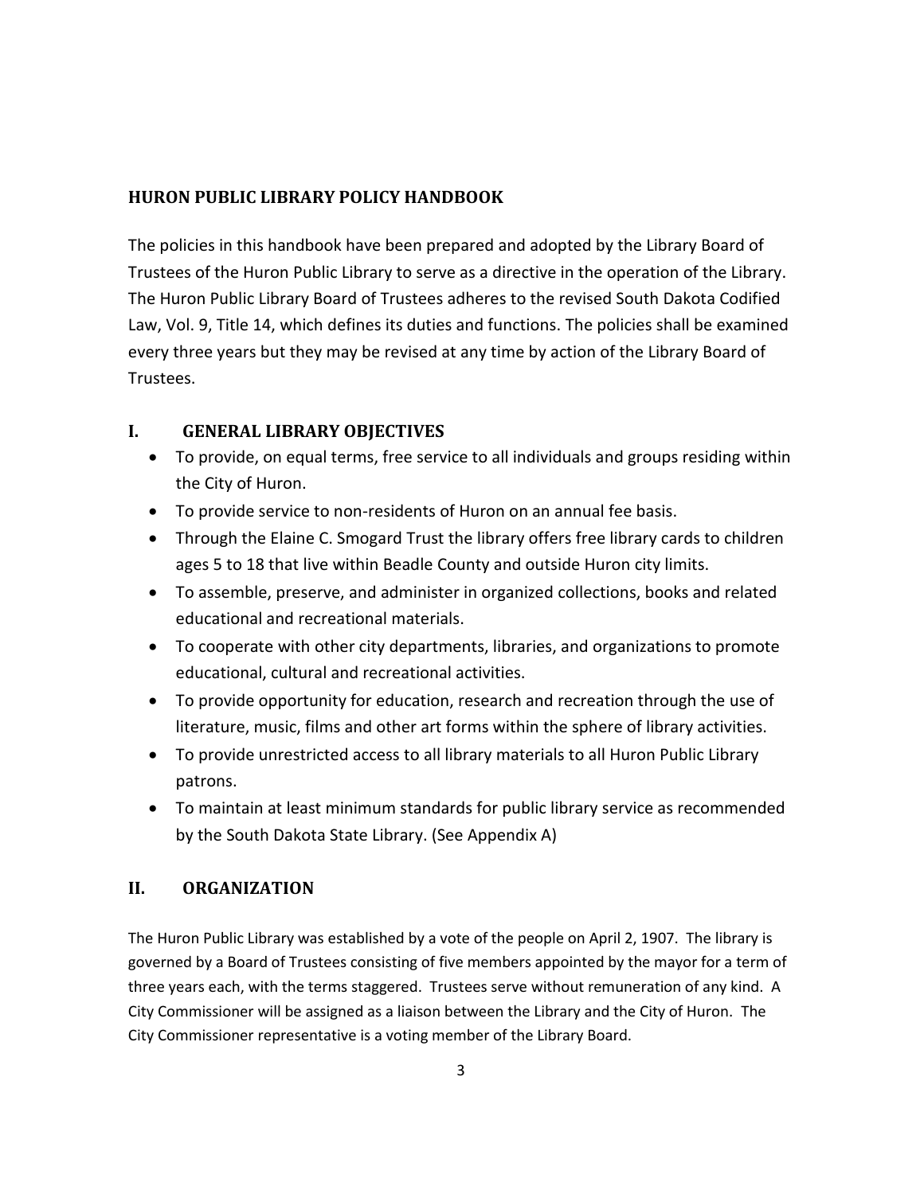### **HURON PUBLIC LIBRARY POLICY HANDBOOK**

The policies in this handbook have been prepared and adopted by the Library Board of Trustees of the Huron Public Library to serve as a directive in the operation of the Library. The Huron Public Library Board of Trustees adheres to the revised South Dakota Codified Law, Vol. 9, Title 14, which defines its duties and functions. The policies shall be examined every three years but they may be revised at any time by action of the Library Board of Trustees.

# <span id="page-2-0"></span>**I. GENERAL LIBRARY OBJECTIVES**

- To provide, on equal terms, free service to all individuals and groups residing within the City of Huron.
- To provide service to non-residents of Huron on an annual fee basis.
- Through the Elaine C. Smogard Trust the library offers free library cards to children ages 5 to 18 that live within Beadle County and outside Huron city limits.
- To assemble, preserve, and administer in organized collections, books and related educational and recreational materials.
- To cooperate with other city departments, libraries, and organizations to promote educational, cultural and recreational activities.
- To provide opportunity for education, research and recreation through the use of literature, music, films and other art forms within the sphere of library activities.
- To provide unrestricted access to all library materials to all Huron Public Library patrons.
- To maintain at least minimum standards for public library service as recommended by the South Dakota State Library. (See Appendix A)

### <span id="page-2-1"></span>**II. ORGANIZATION**

The Huron Public Library was established by a vote of the people on April 2, 1907. The library is governed by a Board of Trustees consisting of five members appointed by the mayor for a term of three years each, with the terms staggered. Trustees serve without remuneration of any kind. A City Commissioner will be assigned as a liaison between the Library and the City of Huron. The City Commissioner representative is a voting member of the Library Board.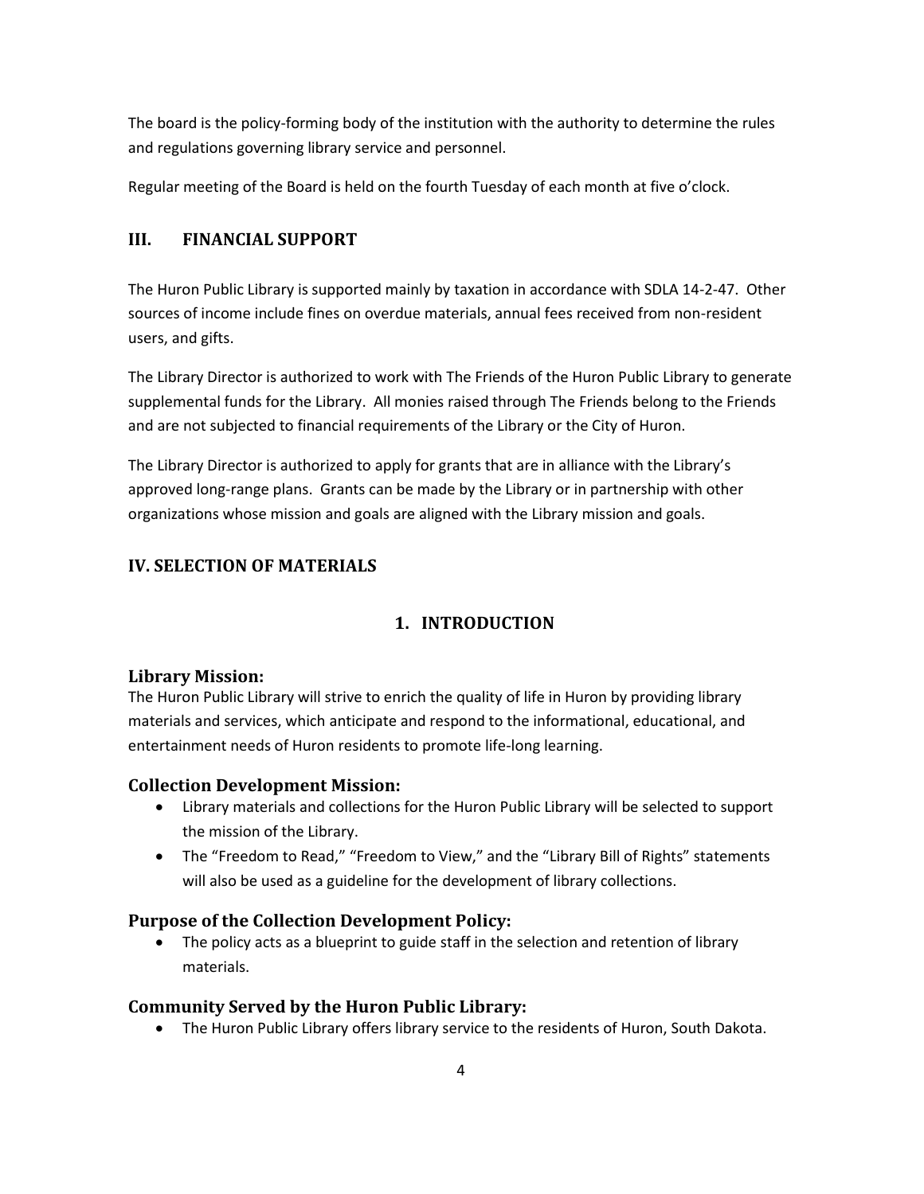The board is the policy-forming body of the institution with the authority to determine the rules and regulations governing library service and personnel.

Regular meeting of the Board is held on the fourth Tuesday of each month at five o'clock.

# <span id="page-3-0"></span>**III. FINANCIAL SUPPORT**

The Huron Public Library is supported mainly by taxation in accordance with SDLA 14-2-47. Other sources of income include fines on overdue materials, annual fees received from non-resident users, and gifts.

The Library Director is authorized to work with The Friends of the Huron Public Library to generate supplemental funds for the Library. All monies raised through The Friends belong to the Friends and are not subjected to financial requirements of the Library or the City of Huron.

The Library Director is authorized to apply for grants that are in alliance with the Library's approved long-range plans. Grants can be made by the Library or in partnership with other organizations whose mission and goals are aligned with the Library mission and goals.

# <span id="page-3-1"></span>**IV. SELECTION OF MATERIALS**

# **1. INTRODUCTION**

### **Library Mission:**

The Huron Public Library will strive to enrich the quality of life in Huron by providing library materials and services, which anticipate and respond to the informational, educational, and entertainment needs of Huron residents to promote life-long learning.

### **Collection Development Mission:**

- Library materials and collections for the Huron Public Library will be selected to support the mission of the Library.
- The "Freedom to Read," "Freedom to View," and the "Library Bill of Rights" statements will also be used as a guideline for the development of library collections.

### **Purpose of the Collection Development Policy:**

The policy acts as a blueprint to guide staff in the selection and retention of library materials.

### **Community Served by the Huron Public Library:**

• The Huron Public Library offers library service to the residents of Huron, South Dakota.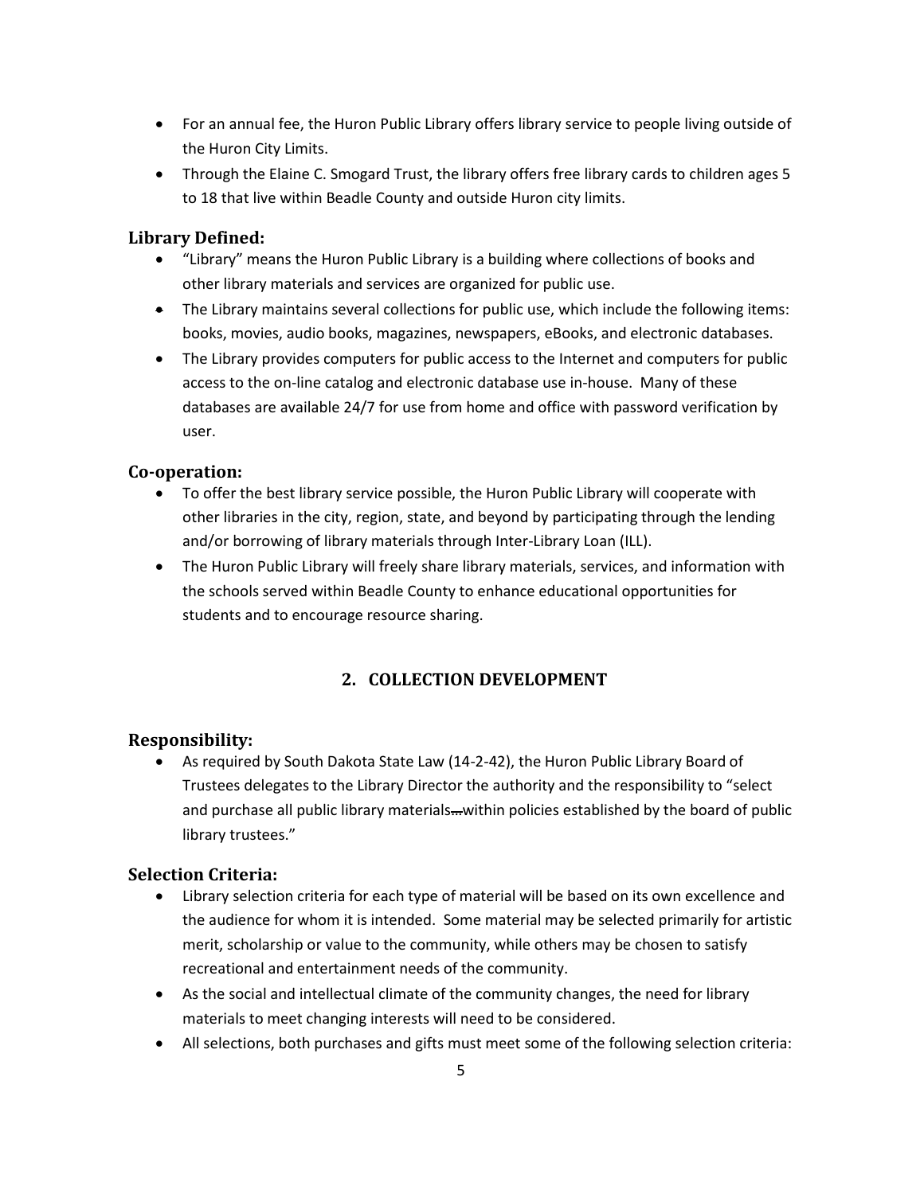- For an annual fee, the Huron Public Library offers library service to people living outside of the Huron City Limits.
- Through the Elaine C. Smogard Trust, the library offers free library cards to children ages 5 to 18 that live within Beadle County and outside Huron city limits.

### **Library Defined:**

- "Library" means the Huron Public Library is a building where collections of books and other library materials and services are organized for public use.
- The Library maintains several collections for public use, which include the following items: books, movies, audio books, magazines, newspapers, eBooks, and electronic databases.
- The Library provides computers for public access to the Internet and computers for public access to the on-line catalog and electronic database use in-house. Many of these databases are available 24/7 for use from home and office with password verification by user.

### **Co-operation:**

- To offer the best library service possible, the Huron Public Library will cooperate with other libraries in the city, region, state, and beyond by participating through the lending and/or borrowing of library materials through Inter-Library Loan (ILL).
- The Huron Public Library will freely share library materials, services, and information with the schools served within Beadle County to enhance educational opportunities for students and to encourage resource sharing.

# **2. COLLECTION DEVELOPMENT**

### **Responsibility:**

• As required by South Dakota State Law (14-2-42), the Huron Public Library Board of Trustees delegates to the Library Director the authority and the responsibility to "select and purchase all public library materials…within policies established by the board of public library trustees."

### **Selection Criteria:**

- Library selection criteria for each type of material will be based on its own excellence and the audience for whom it is intended. Some material may be selected primarily for artistic merit, scholarship or value to the community, while others may be chosen to satisfy recreational and entertainment needs of the community.
- As the social and intellectual climate of the community changes, the need for library materials to meet changing interests will need to be considered.
- All selections, both purchases and gifts must meet some of the following selection criteria: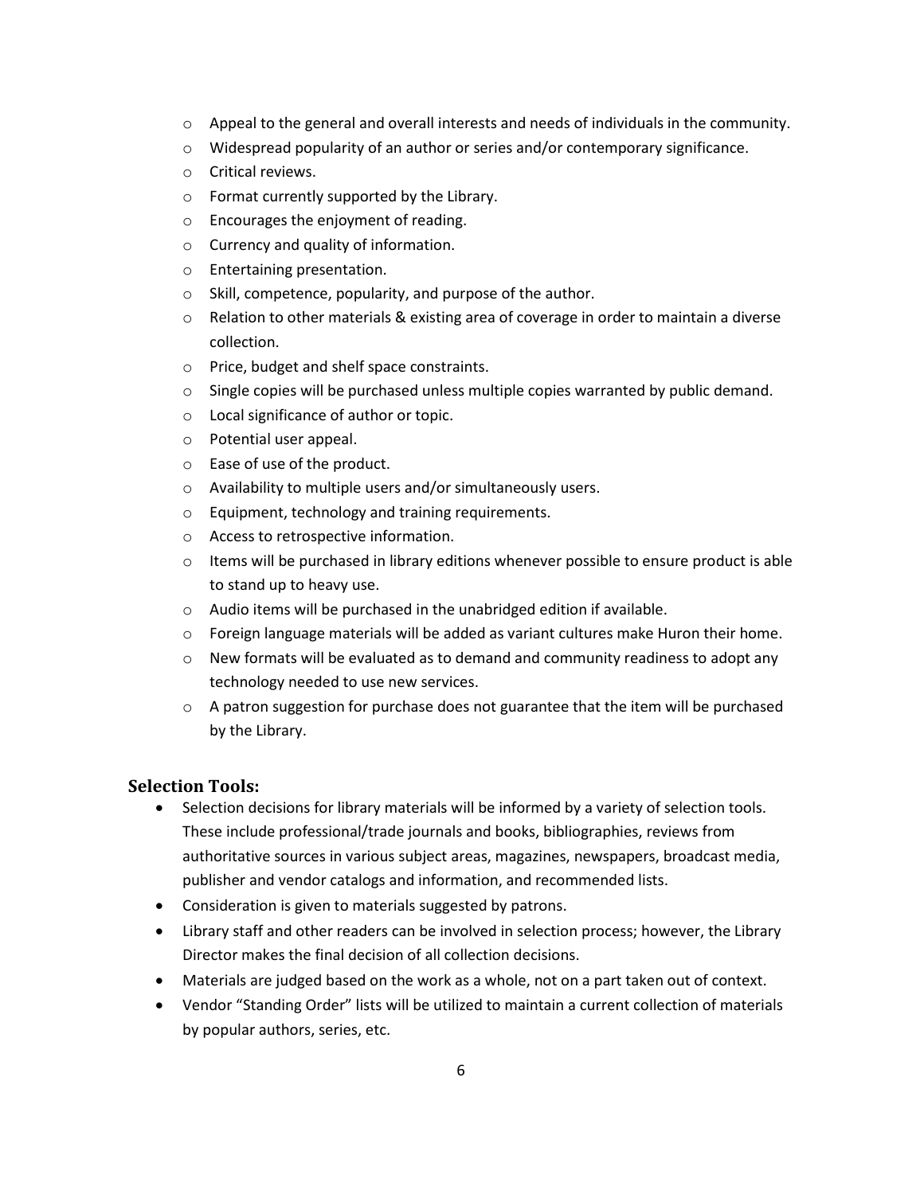- o Appeal to the general and overall interests and needs of individuals in the community.
- o Widespread popularity of an author or series and/or contemporary significance.
- o Critical reviews.
- o Format currently supported by the Library.
- o Encourages the enjoyment of reading.
- o Currency and quality of information.
- o Entertaining presentation.
- o Skill, competence, popularity, and purpose of the author.
- $\circ$  Relation to other materials & existing area of coverage in order to maintain a diverse collection.
- o Price, budget and shelf space constraints.
- $\circ$  Single copies will be purchased unless multiple copies warranted by public demand.
- o Local significance of author or topic.
- o Potential user appeal.
- o Ease of use of the product.
- o Availability to multiple users and/or simultaneously users.
- o Equipment, technology and training requirements.
- o Access to retrospective information.
- $\circ$  Items will be purchased in library editions whenever possible to ensure product is able to stand up to heavy use.
- o Audio items will be purchased in the unabridged edition if available.
- $\circ$  Foreign language materials will be added as variant cultures make Huron their home.
- o New formats will be evaluated as to demand and community readiness to adopt any technology needed to use new services.
- $\circ$  A patron suggestion for purchase does not guarantee that the item will be purchased by the Library.

#### **Selection Tools:**

- Selection decisions for library materials will be informed by a variety of selection tools. These include professional/trade journals and books, bibliographies, reviews from authoritative sources in various subject areas, magazines, newspapers, broadcast media, publisher and vendor catalogs and information, and recommended lists.
- Consideration is given to materials suggested by patrons.
- Library staff and other readers can be involved in selection process; however, the Library Director makes the final decision of all collection decisions.
- Materials are judged based on the work as a whole, not on a part taken out of context.
- Vendor "Standing Order" lists will be utilized to maintain a current collection of materials by popular authors, series, etc.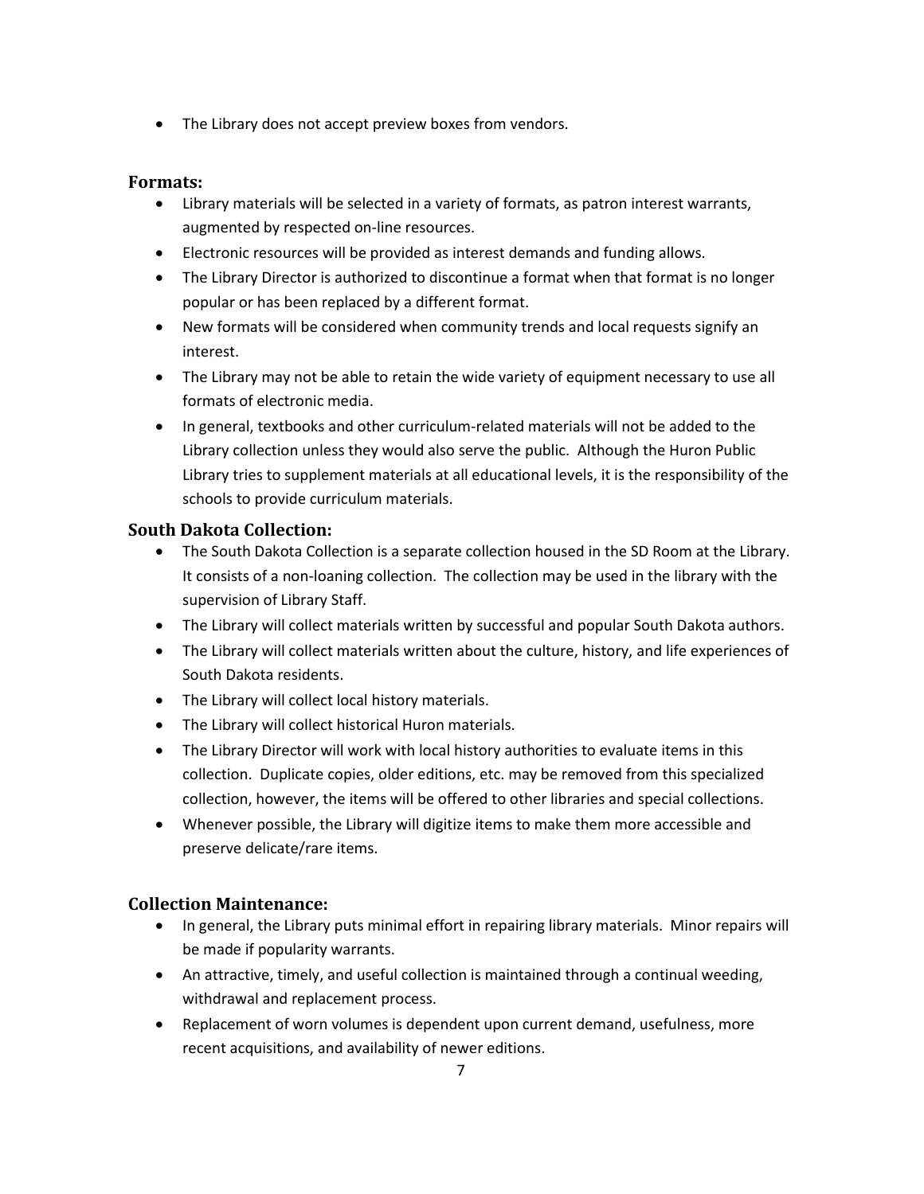• The Library does not accept preview boxes from vendors.

### **Formats:**

- Library materials will be selected in a variety of formats, as patron interest warrants, augmented by respected on-line resources.
- Electronic resources will be provided as interest demands and funding allows.
- The Library Director is authorized to discontinue a format when that format is no longer popular or has been replaced by a different format.
- New formats will be considered when community trends and local requests signify an interest.
- The Library may not be able to retain the wide variety of equipment necessary to use all formats of electronic media.
- In general, textbooks and other curriculum-related materials will not be added to the Library collection unless they would also serve the public. Although the Huron Public Library tries to supplement materials at all educational levels, it is the responsibility of the schools to provide curriculum materials.

### **South Dakota Collection:**

- The South Dakota Collection is a separate collection housed in the SD Room at the Library. It consists of a non-loaning collection. The collection may be used in the library with the supervision of Library Staff.
- The Library will collect materials written by successful and popular South Dakota authors.
- The Library will collect materials written about the culture, history, and life experiences of South Dakota residents.
- The Library will collect local history materials.
- The Library will collect historical Huron materials.
- The Library Director will work with local history authorities to evaluate items in this collection. Duplicate copies, older editions, etc. may be removed from this specialized collection, however, the items will be offered to other libraries and special collections.
- Whenever possible, the Library will digitize items to make them more accessible and preserve delicate/rare items.

#### **Collection Maintenance:**

- In general, the Library puts minimal effort in repairing library materials. Minor repairs will be made if popularity warrants.
- An attractive, timely, and useful collection is maintained through a continual weeding, withdrawal and replacement process.
- Replacement of worn volumes is dependent upon current demand, usefulness, more recent acquisitions, and availability of newer editions.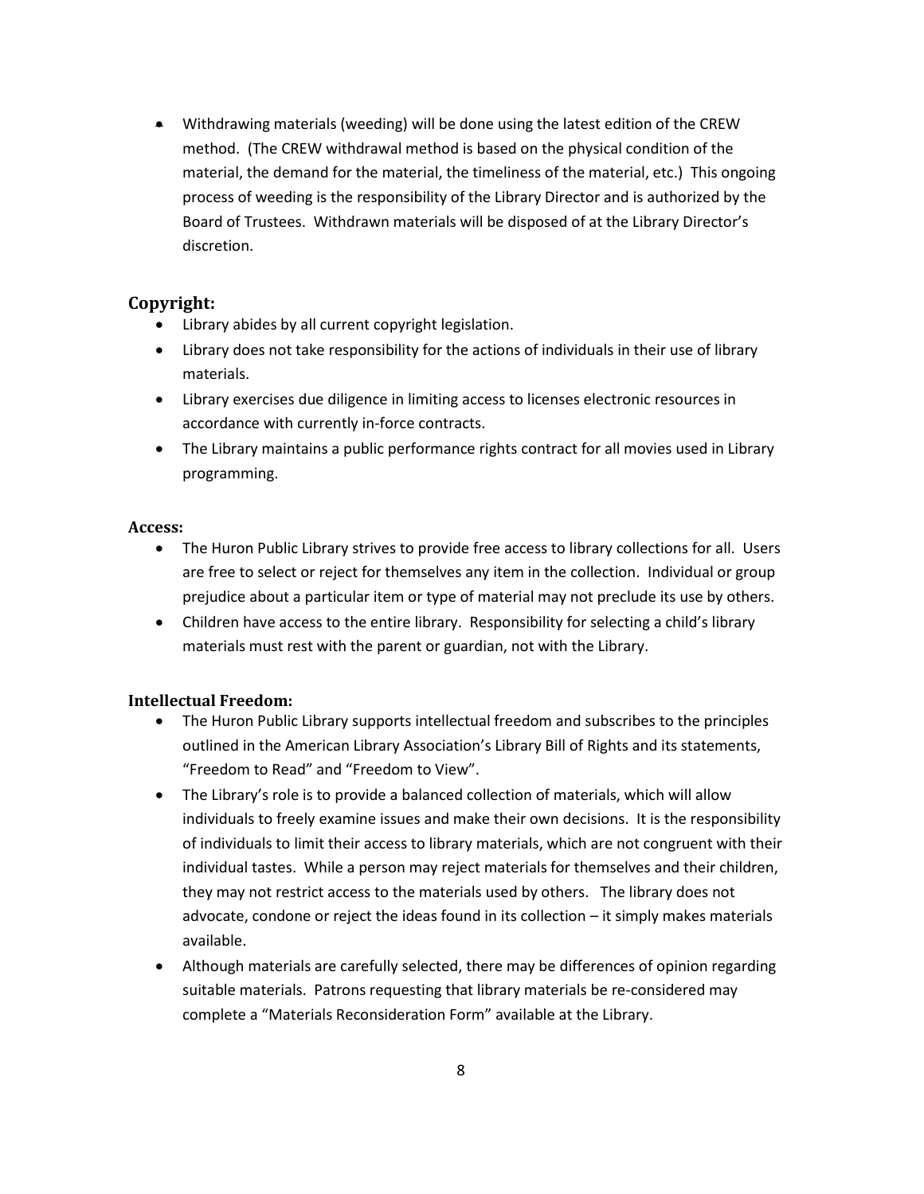• Withdrawing materials (weeding) will be done using the latest edition of the CREW method. (The CREW withdrawal method is based on the physical condition of the material, the demand for the material, the timeliness of the material, etc.) This ongoing process of weeding is the responsibility of the Library Director and is authorized by the Board of Trustees. Withdrawn materials will be disposed of at the Library Director's discretion.

#### **Copyright:**

- Library abides by all current copyright legislation.
- Library does not take responsibility for the actions of individuals in their use of library materials.
- Library exercises due diligence in limiting access to licenses electronic resources in accordance with currently in-force contracts.
- The Library maintains a public performance rights contract for all movies used in Library programming.

#### **Access:**

- The Huron Public Library strives to provide free access to library collections for all. Users are free to select or reject for themselves any item in the collection. Individual or group prejudice about a particular item or type of material may not preclude its use by others.
- Children have access to the entire library. Responsibility for selecting a child's library materials must rest with the parent or guardian, not with the Library.

#### **Intellectual Freedom:**

- The Huron Public Library supports intellectual freedom and subscribes to the principles outlined in the American Library Association's Library Bill of Rights and its statements, "Freedom to Read" and "Freedom to View".
- The Library's role is to provide a balanced collection of materials, which will allow individuals to freely examine issues and make their own decisions. It is the responsibility of individuals to limit their access to library materials, which are not congruent with their individual tastes. While a person may reject materials for themselves and their children, they may not restrict access to the materials used by others. The library does not advocate, condone or reject the ideas found in its collection – it simply makes materials available.
- Although materials are carefully selected, there may be differences of opinion regarding suitable materials. Patrons requesting that library materials be re-considered may complete a "Materials Reconsideration Form" available at the Library.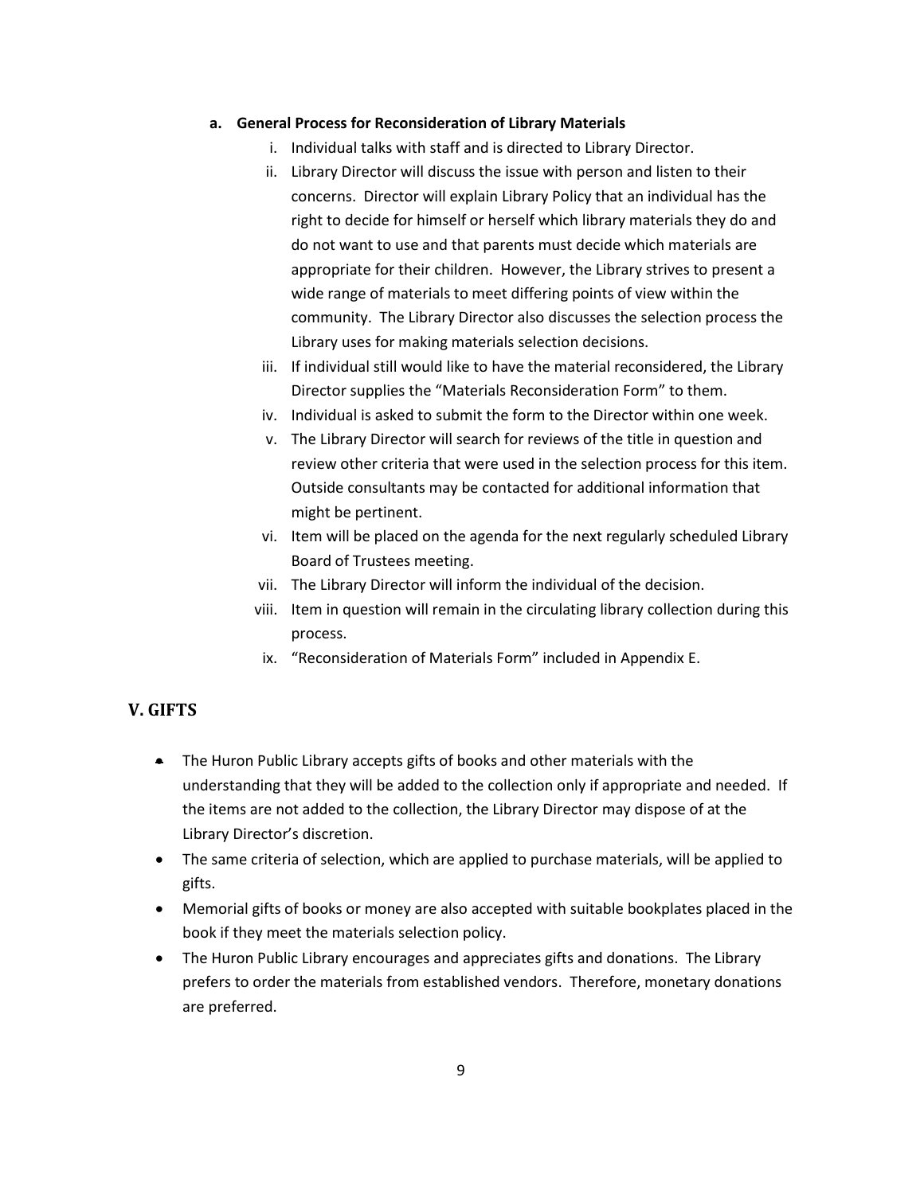#### **a. General Process for Reconsideration of Library Materials**

- i. Individual talks with staff and is directed to Library Director.
- ii. Library Director will discuss the issue with person and listen to their concerns. Director will explain Library Policy that an individual has the right to decide for himself or herself which library materials they do and do not want to use and that parents must decide which materials are appropriate for their children. However, the Library strives to present a wide range of materials to meet differing points of view within the community. The Library Director also discusses the selection process the Library uses for making materials selection decisions.
- iii. If individual still would like to have the material reconsidered, the Library Director supplies the "Materials Reconsideration Form" to them.
- iv. Individual is asked to submit the form to the Director within one week.
- v. The Library Director will search for reviews of the title in question and review other criteria that were used in the selection process for this item. Outside consultants may be contacted for additional information that might be pertinent.
- vi. Item will be placed on the agenda for the next regularly scheduled Library Board of Trustees meeting.
- vii. The Library Director will inform the individual of the decision.
- viii. Item in question will remain in the circulating library collection during this process.
- ix. "Reconsideration of Materials Form" included in Appendix E.

#### <span id="page-8-0"></span>**V. GIFTS**

- The Huron Public Library accepts gifts of books and other materials with the understanding that they will be added to the collection only if appropriate and needed. If the items are not added to the collection, the Library Director may dispose of at the Library Director's discretion.
- The same criteria of selection, which are applied to purchase materials, will be applied to gifts.
- Memorial gifts of books or money are also accepted with suitable bookplates placed in the book if they meet the materials selection policy.
- The Huron Public Library encourages and appreciates gifts and donations. The Library prefers to order the materials from established vendors. Therefore, monetary donations are preferred.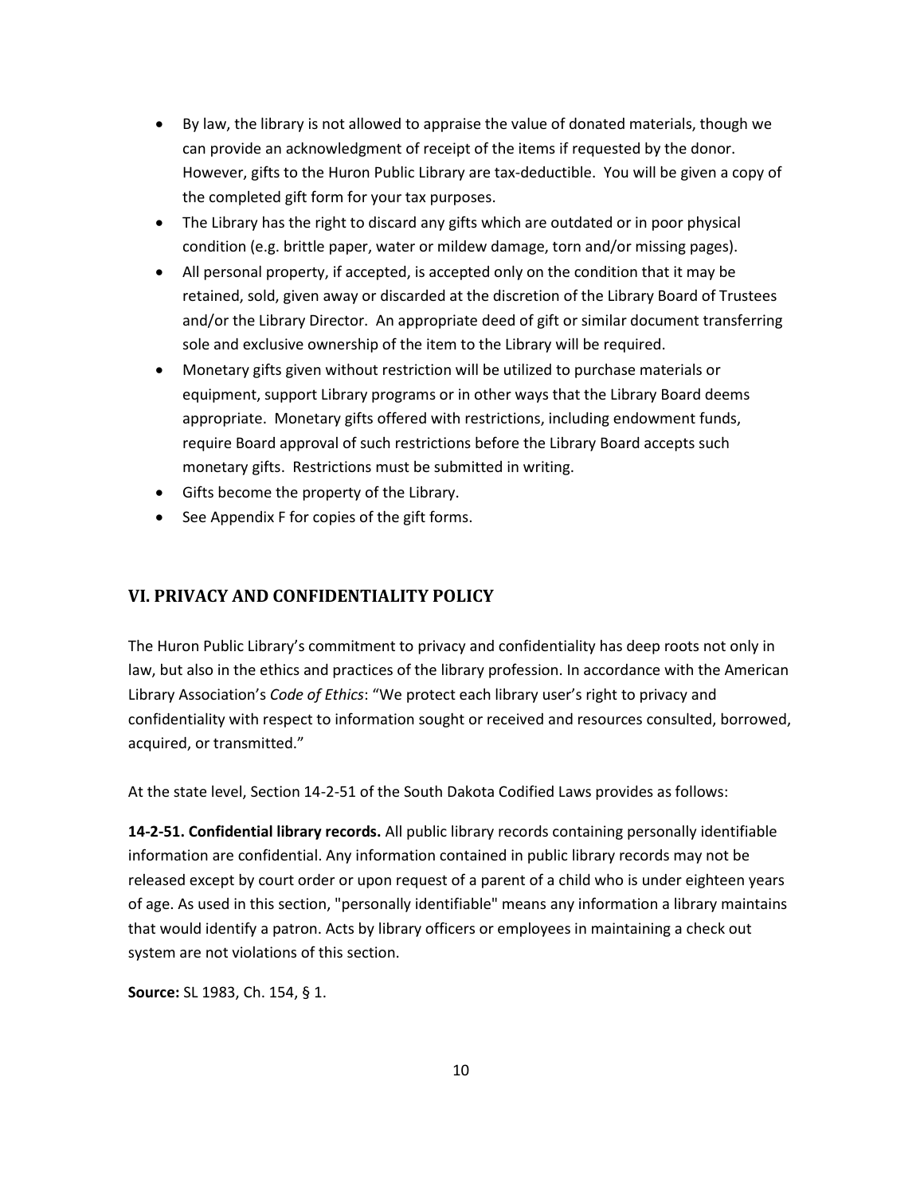- By law, the library is not allowed to appraise the value of donated materials, though we can provide an acknowledgment of receipt of the items if requested by the donor. However, gifts to the Huron Public Library are tax-deductible. You will be given a copy of the completed gift form for your tax purposes.
- The Library has the right to discard any gifts which are outdated or in poor physical condition (e.g. brittle paper, water or mildew damage, torn and/or missing pages).
- All personal property, if accepted, is accepted only on the condition that it may be retained, sold, given away or discarded at the discretion of the Library Board of Trustees and/or the Library Director. An appropriate deed of gift or similar document transferring sole and exclusive ownership of the item to the Library will be required.
- Monetary gifts given without restriction will be utilized to purchase materials or equipment, support Library programs or in other ways that the Library Board deems appropriate. Monetary gifts offered with restrictions, including endowment funds, require Board approval of such restrictions before the Library Board accepts such monetary gifts. Restrictions must be submitted in writing.
- Gifts become the property of the Library.
- See Appendix F for copies of the gift forms.

### <span id="page-9-0"></span>**VI. PRIVACY AND CONFIDENTIALITY POLICY**

The Huron Public Library's commitment to privacy and confidentiality has deep roots not only in law, but also in the ethics and practices of the library profession. In accordance with the American Library Association's *Code of Ethics*: "We protect each library user's right to privacy and confidentiality with respect to information sought or received and resources consulted, borrowed, acquired, or transmitted."

At the state level, Section 14-2-51 of the South Dakota Codified Laws provides as follows:

**14-2-51. Confidential library records.** All public library records containing personally identifiable information are confidential. Any information contained in public library records may not be released except by court order or upon request of a parent of a child who is under eighteen years of age. As used in this section, "personally identifiable" means any information a library maintains that would identify a patron. Acts by library officers or employees in maintaining a check out system are not violations of this section.

**Source:** SL 1983, Ch. 154, § 1.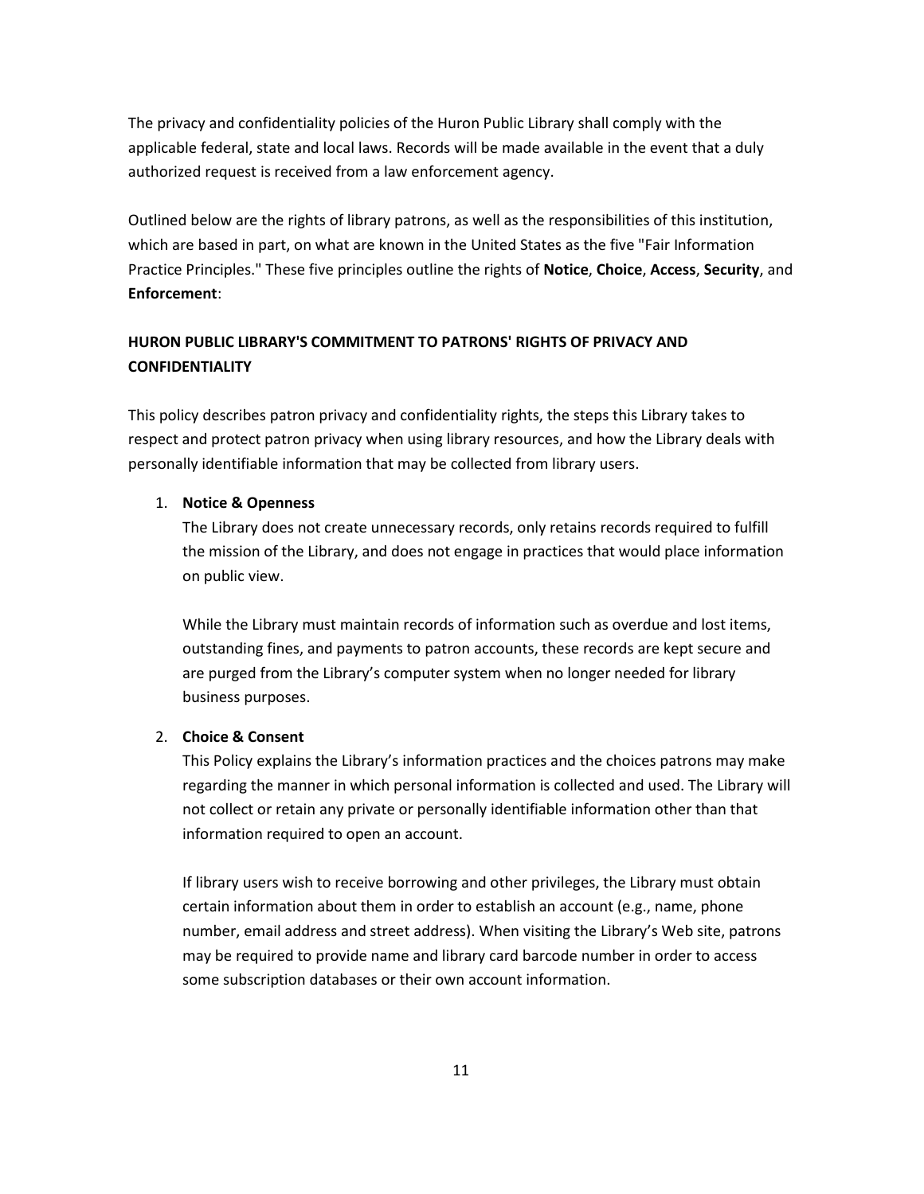The privacy and confidentiality policies of the Huron Public Library shall comply with the applicable federal, state and local laws. Records will be made available in the event that a duly authorized request is received from a law enforcement agency.

Outlined below are the rights of library patrons, as well as the responsibilities of this institution, which are based in part, on what are known in the United States as the five "Fair Information Practice Principles." These five principles outline the rights of **Notice**, **Choice**, **Access**, **Security**, and **Enforcement**:

# **HURON PUBLIC LIBRARY'S COMMITMENT TO PATRONS' RIGHTS OF PRIVACY AND CONFIDENTIALITY**

This policy describes patron privacy and confidentiality rights, the steps this Library takes to respect and protect patron privacy when using library resources, and how the Library deals with personally identifiable information that may be collected from library users.

#### 1. **Notice & Openness**

The Library does not create unnecessary records, only retains records required to fulfill the mission of the Library, and does not engage in practices that would place information on public view.

While the Library must maintain records of information such as overdue and lost items, outstanding fines, and payments to patron accounts, these records are kept secure and are purged from the Library's computer system when no longer needed for library business purposes.

#### 2. **Choice & Consent**

This Policy explains the Library's information practices and the choices patrons may make regarding the manner in which personal information is collected and used. The Library will not collect or retain any private or personally identifiable information other than that information required to open an account.

If library users wish to receive borrowing and other privileges, the Library must obtain certain information about them in order to establish an account (e.g., name, phone number, email address and street address). When visiting the Library's Web site, patrons may be required to provide name and library card barcode number in order to access some subscription databases or their own account information.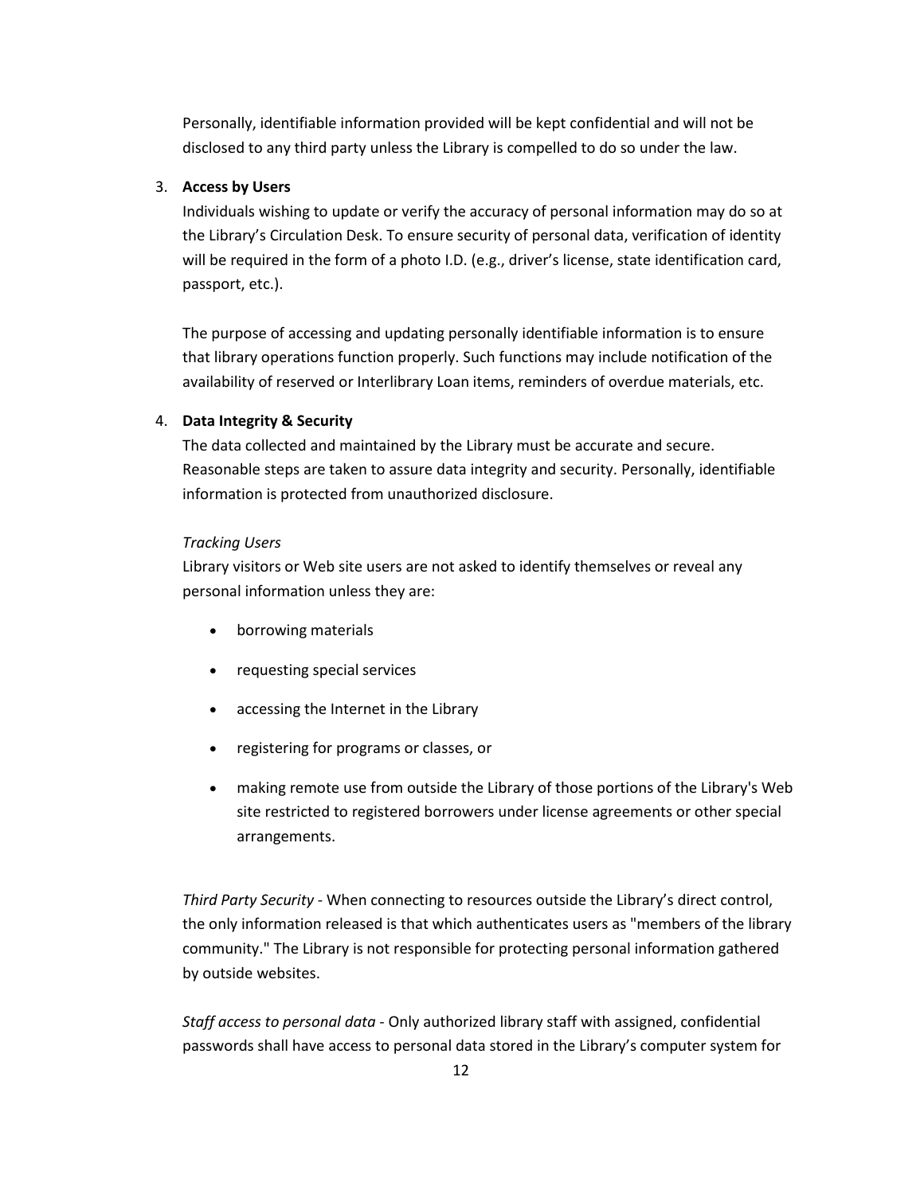Personally, identifiable information provided will be kept confidential and will not be disclosed to any third party unless the Library is compelled to do so under the law.

#### 3. **Access by Users**

Individuals wishing to update or verify the accuracy of personal information may do so at the Library's Circulation Desk. To ensure security of personal data, verification of identity will be required in the form of a photo I.D. (e.g., driver's license, state identification card, passport, etc.).

The purpose of accessing and updating personally identifiable information is to ensure that library operations function properly. Such functions may include notification of the availability of reserved or Interlibrary Loan items, reminders of overdue materials, etc.

#### 4. **Data Integrity & Security**

The data collected and maintained by the Library must be accurate and secure. Reasonable steps are taken to assure data integrity and security. Personally, identifiable information is protected from unauthorized disclosure.

#### *Tracking Users*

Library visitors or Web site users are not asked to identify themselves or reveal any personal information unless they are:

- borrowing materials
- requesting special services
- accessing the Internet in the Library
- registering for programs or classes, or
- making remote use from outside the Library of those portions of the Library's Web site restricted to registered borrowers under license agreements or other special arrangements.

*Third Party Security* - When connecting to resources outside the Library's direct control, the only information released is that which authenticates users as "members of the library community." The Library is not responsible for protecting personal information gathered by outside websites.

*Staff access to personal data* - Only authorized library staff with assigned, confidential passwords shall have access to personal data stored in the Library's computer system for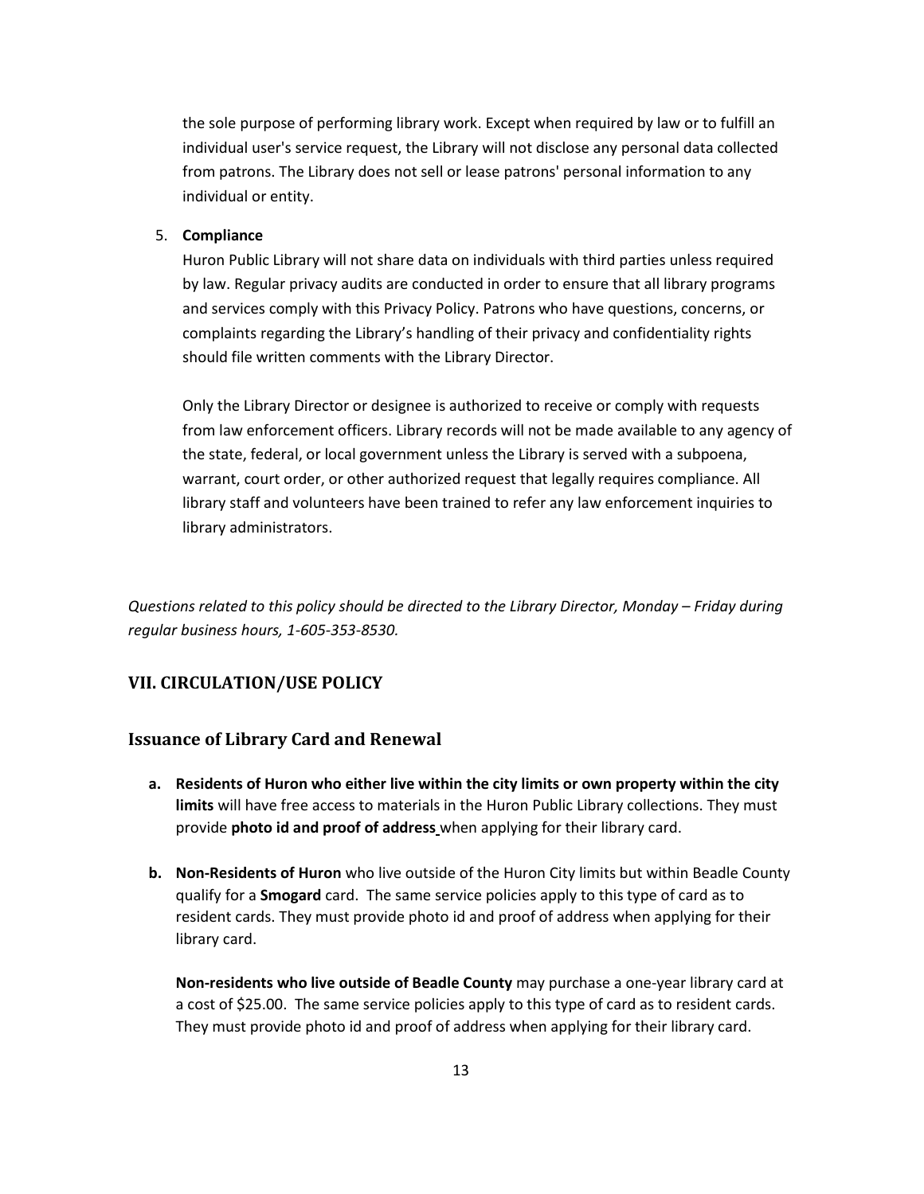the sole purpose of performing library work. Except when required by law or to fulfill an individual user's service request, the Library will not disclose any personal data collected from patrons. The Library does not sell or lease patrons' personal information to any individual or entity.

#### 5. **Compliance**

Huron Public Library will not share data on individuals with third parties unless required by law. Regular privacy audits are conducted in order to ensure that all library programs and services comply with this Privacy Policy. Patrons who have questions, concerns, or complaints regarding the Library's handling of their privacy and confidentiality rights should file written comments with the Library Director.

Only the Library Director or designee is authorized to receive or comply with requests from law enforcement officers. Library records will not be made available to any agency of the state, federal, or local government unless the Library is served with a subpoena, warrant, court order, or other authorized request that legally requires compliance. All library staff and volunteers have been trained to refer any law enforcement inquiries to library administrators.

*Questions related to this policy should be directed to the Library Director, Monday – Friday during regular business hours, 1-605-353-8530.*

#### <span id="page-12-0"></span>**VII. CIRCULATION/USE POLICY**

#### **Issuance of Library Card and Renewal**

- **a. Residents of Huron who either live within the city limits or own property within the city limits** will have free access to materials in the Huron Public Library collections. They must provide **photo id and proof of address** when applying for their library card.
- **b. Non-Residents of Huron** who live outside of the Huron City limits but within Beadle County qualify for a **Smogard** card. The same service policies apply to this type of card as to resident cards. They must provide photo id and proof of address when applying for their library card.

**Non-residents who live outside of Beadle County** may purchase a one-year library card at a cost of \$25.00. The same service policies apply to this type of card as to resident cards. They must provide photo id and proof of address when applying for their library card.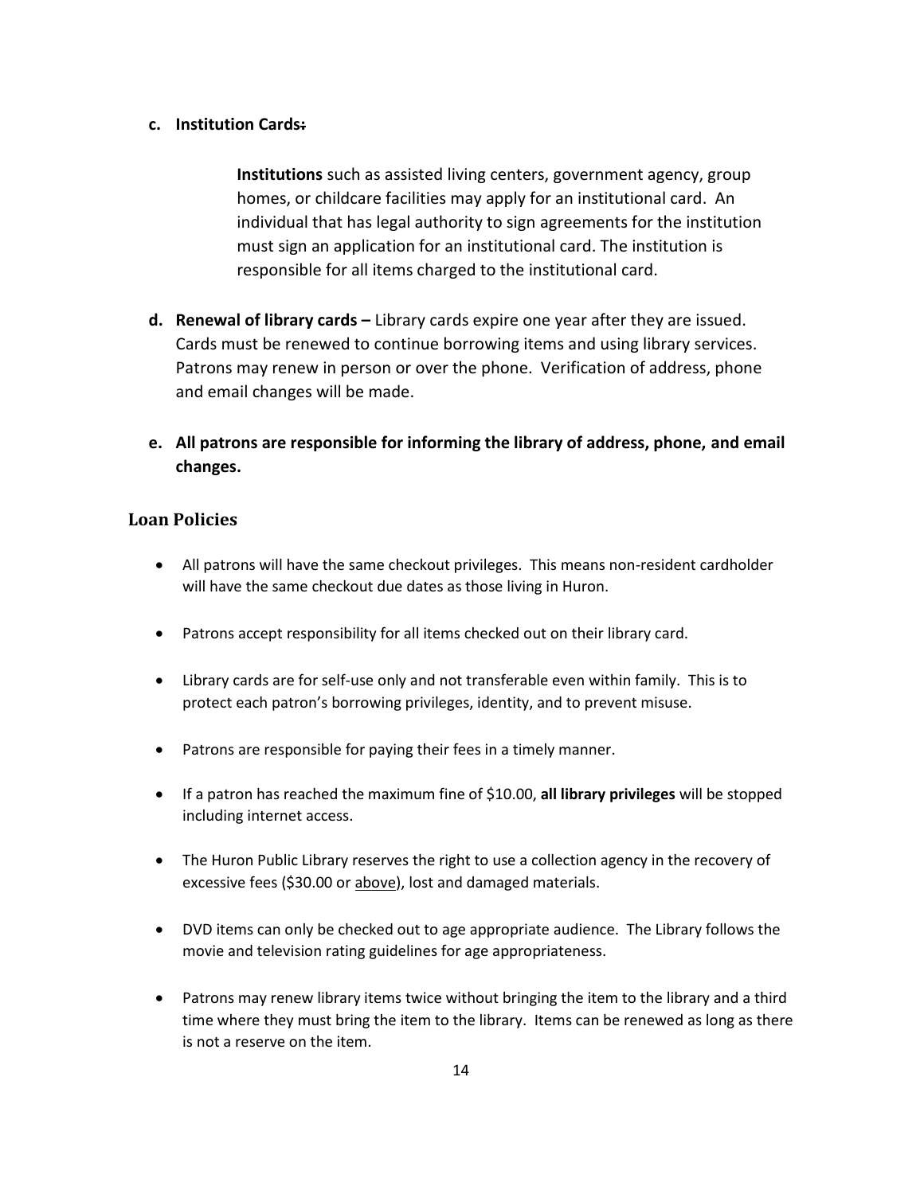### **c. Institution Cards:**

**Institutions** such as assisted living centers, government agency, group homes, or childcare facilities may apply for an institutional card. An individual that has legal authority to sign agreements for the institution must sign an application for an institutional card. The institution is responsible for all items charged to the institutional card.

- **d. Renewal of library cards –** Library cards expire one year after they are issued. Cards must be renewed to continue borrowing items and using library services. Patrons may renew in person or over the phone. Verification of address, phone and email changes will be made.
- **e. All patrons are responsible for informing the library of address, phone, and email changes.**

### **Loan Policies**

- All patrons will have the same checkout privileges. This means non-resident cardholder will have the same checkout due dates as those living in Huron.
- Patrons accept responsibility for all items checked out on their library card.
- Library cards are for self-use only and not transferable even within family. This is to protect each patron's borrowing privileges, identity, and to prevent misuse.
- Patrons are responsible for paying their fees in a timely manner.
- If a patron has reached the maximum fine of \$10.00, **all library privileges** will be stopped including internet access.
- The Huron Public Library reserves the right to use a collection agency in the recovery of excessive fees (\$30.00 or above), lost and damaged materials.
- DVD items can only be checked out to age appropriate audience. The Library follows the movie and television rating guidelines for age appropriateness.
- Patrons may renew library items twice without bringing the item to the library and a third time where they must bring the item to the library. Items can be renewed as long as there is not a reserve on the item.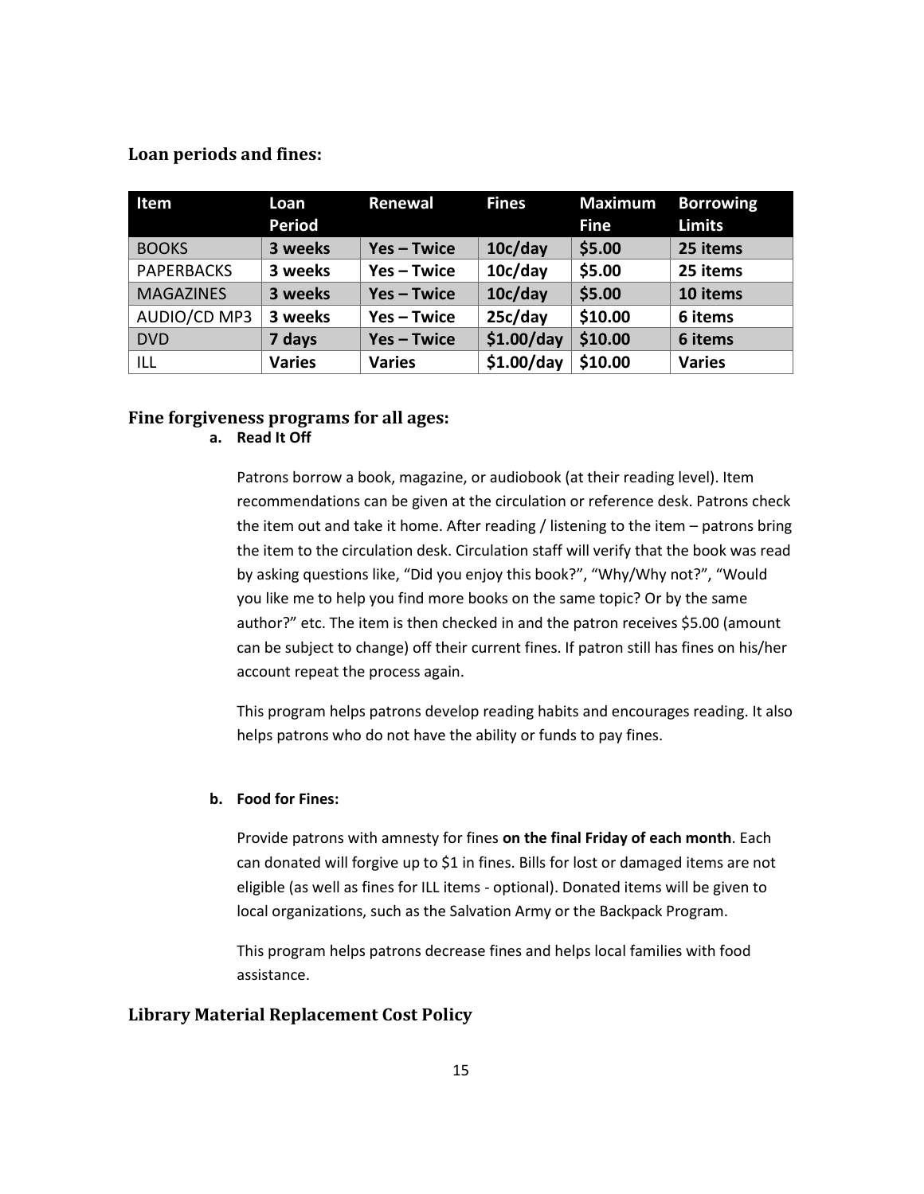### **Loan periods and fines:**

| Item              | Loan          | Renewal       | <b>Fines</b> | <b>Maximum</b> | <b>Borrowing</b> |
|-------------------|---------------|---------------|--------------|----------------|------------------|
|                   | <b>Period</b> |               |              | <b>Fine</b>    | <b>Limits</b>    |
| <b>BOOKS</b>      | 3 weeks       | $Yes - Twice$ | 10c/day      | \$5.00         | 25 items         |
| <b>PAPERBACKS</b> | 3 weeks       | $Yes - Twice$ | 10c/day      | \$5.00         | 25 items         |
| <b>MAGAZINES</b>  | 3 weeks       | $Yes - Twice$ | 10c/day      | \$5.00         | 10 items         |
| AUDIO/CD MP3      | 3 weeks       | $Yes - Twice$ | 25c/day      | \$10.00        | 6 items          |
| <b>DVD</b>        | 7 days        | $Yes - Twice$ | \$1.00/day   | \$10.00        | 6 items          |
| ILL               | <b>Varies</b> | <b>Varies</b> | \$1.00/day   | \$10.00        | <b>Varies</b>    |

# **Fine forgiveness programs for all ages:**

### **a. Read It Off**

Patrons borrow a book, magazine, or audiobook (at their reading level). Item recommendations can be given at the circulation or reference desk. Patrons check the item out and take it home. After reading / listening to the item – patrons bring the item to the circulation desk. Circulation staff will verify that the book was read by asking questions like, "Did you enjoy this book?", "Why/Why not?", "Would you like me to help you find more books on the same topic? Or by the same author?" etc. The item is then checked in and the patron receives \$5.00 (amount can be subject to change) off their current fines. If patron still has fines on his/her account repeat the process again.

This program helps patrons develop reading habits and encourages reading. It also helps patrons who do not have the ability or funds to pay fines.

#### **b. Food for Fines:**

Provide patrons with amnesty for fines **on the final Friday of each month**. Each can donated will forgive up to \$1 in fines. Bills for lost or damaged items are not eligible (as well as fines for ILL items - optional). Donated items will be given to local organizations, such as the Salvation Army or the Backpack Program.

This program helps patrons decrease fines and helps local families with food assistance.

#### **Library Material Replacement Cost Policy**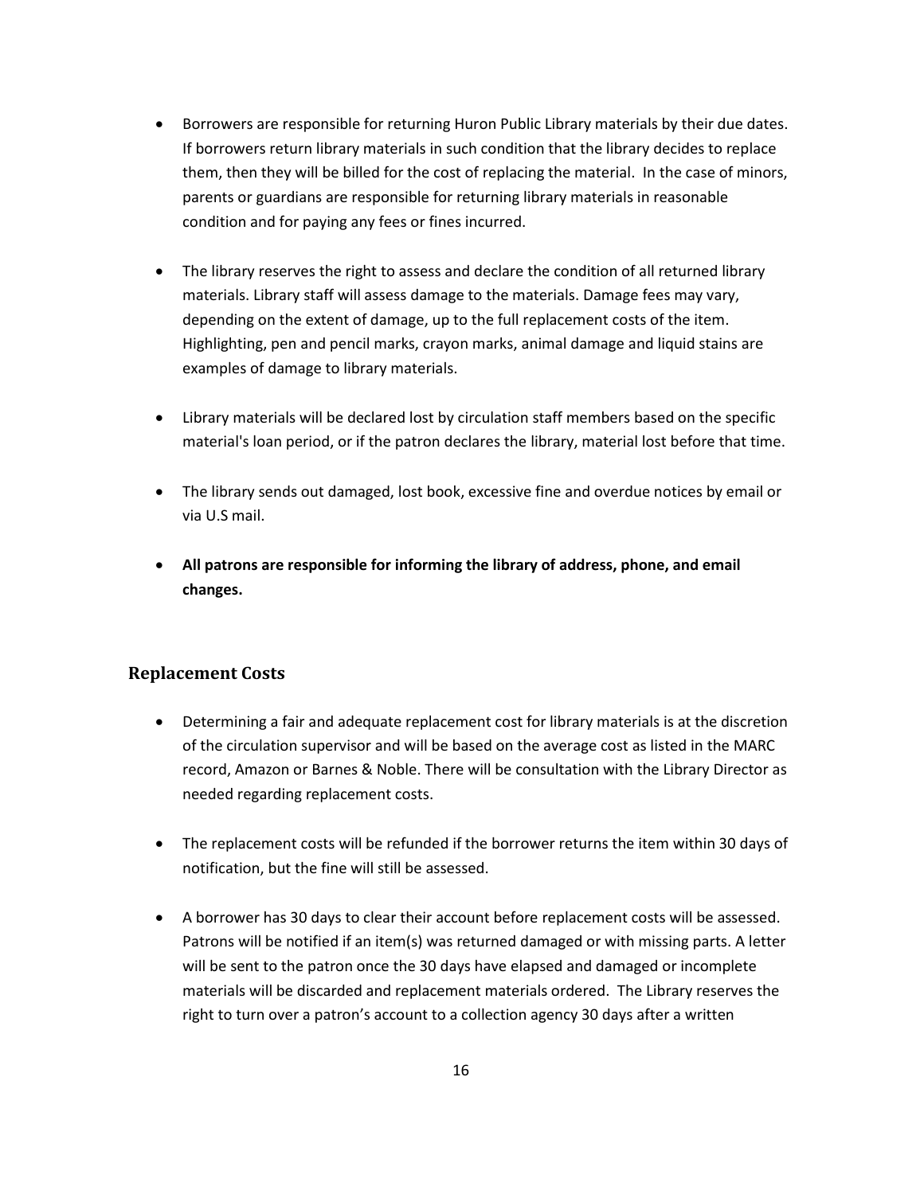- Borrowers are responsible for returning Huron Public Library materials by their due dates. If borrowers return library materials in such condition that the library decides to replace them, then they will be billed for the cost of replacing the material. In the case of minors, parents or guardians are responsible for returning library materials in reasonable condition and for paying any fees or fines incurred.
- The library reserves the right to assess and declare the condition of all returned library materials. Library staff will assess damage to the materials. Damage fees may vary, depending on the extent of damage, up to the full replacement costs of the item. Highlighting, pen and pencil marks, crayon marks, animal damage and liquid stains are examples of damage to library materials.
- Library materials will be declared lost by circulation staff members based on the specific material's loan period, or if the patron declares the library, material lost before that time.
- The library sends out damaged, lost book, excessive fine and overdue notices by email or via U.S mail.
- **All patrons are responsible for informing the library of address, phone, and email changes.**

#### **Replacement Costs**

- Determining a fair and adequate replacement cost for library materials is at the discretion of the circulation supervisor and will be based on the average cost as listed in the MARC record, Amazon or Barnes & Noble. There will be consultation with the Library Director as needed regarding replacement costs.
- The replacement costs will be refunded if the borrower returns the item within 30 days of notification, but the fine will still be assessed.
- A borrower has 30 days to clear their account before replacement costs will be assessed. Patrons will be notified if an item(s) was returned damaged or with missing parts. A letter will be sent to the patron once the 30 days have elapsed and damaged or incomplete materials will be discarded and replacement materials ordered. The Library reserves the right to turn over a patron's account to a collection agency 30 days after a written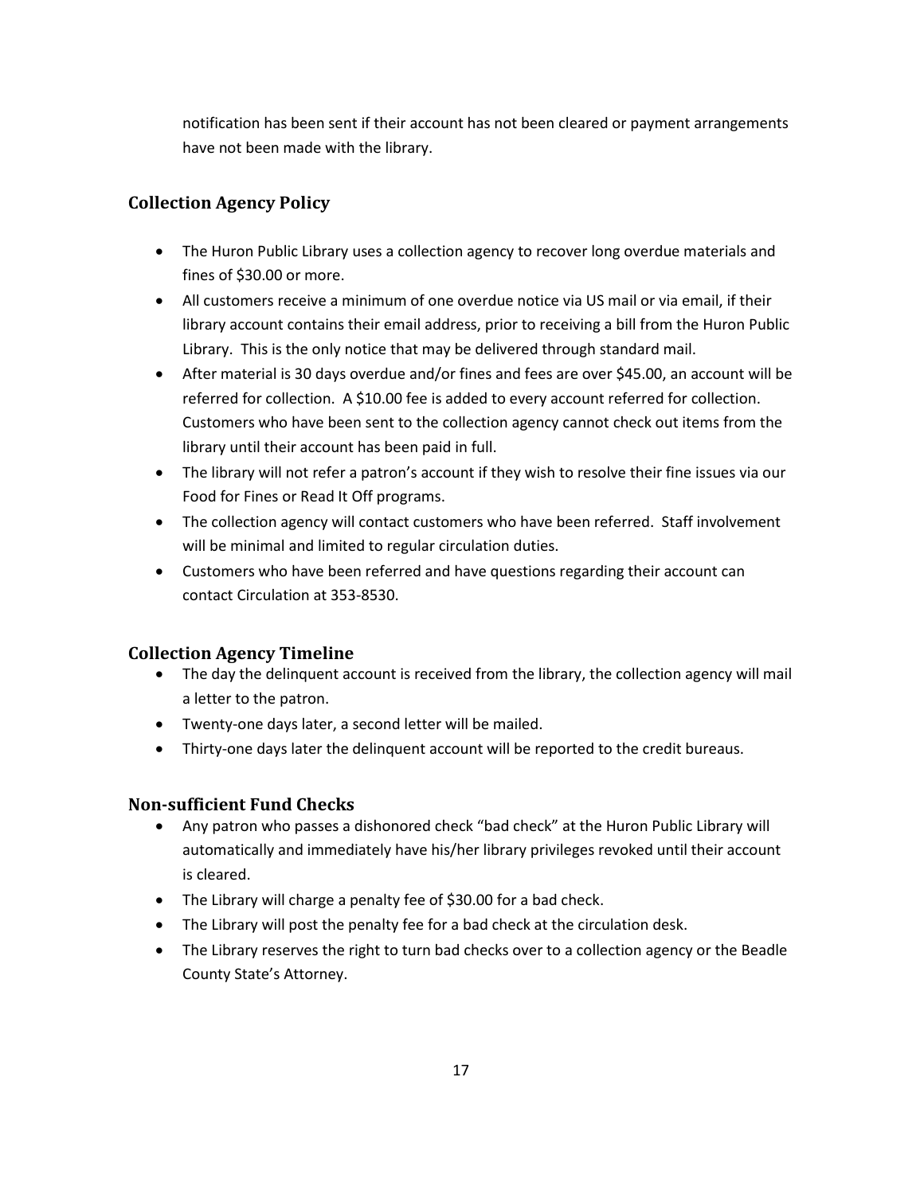notification has been sent if their account has not been cleared or payment arrangements have not been made with the library.

# **Collection Agency Policy**

- The Huron Public Library uses a collection agency to recover long overdue materials and fines of \$30.00 or more.
- All customers receive a minimum of one overdue notice via US mail or via email, if their library account contains their email address, prior to receiving a bill from the Huron Public Library. This is the only notice that may be delivered through standard mail.
- After material is 30 days overdue and/or fines and fees are over \$45.00, an account will be referred for collection. A \$10.00 fee is added to every account referred for collection. Customers who have been sent to the collection agency cannot check out items from the library until their account has been paid in full.
- The library will not refer a patron's account if they wish to resolve their fine issues via our Food for Fines or Read It Off programs.
- The collection agency will contact customers who have been referred. Staff involvement will be minimal and limited to regular circulation duties.
- Customers who have been referred and have questions regarding their account can contact Circulation at 353-8530.

# **Collection Agency Timeline**

- The day the delinguent account is received from the library, the collection agency will mail a letter to the patron.
- Twenty-one days later, a second letter will be mailed.
- Thirty-one days later the delinquent account will be reported to the credit bureaus.

# **Non-sufficient Fund Checks**

- Any patron who passes a dishonored check "bad check" at the Huron Public Library will automatically and immediately have his/her library privileges revoked until their account is cleared.
- The Library will charge a penalty fee of \$30.00 for a bad check.
- The Library will post the penalty fee for a bad check at the circulation desk.
- The Library reserves the right to turn bad checks over to a collection agency or the Beadle County State's Attorney.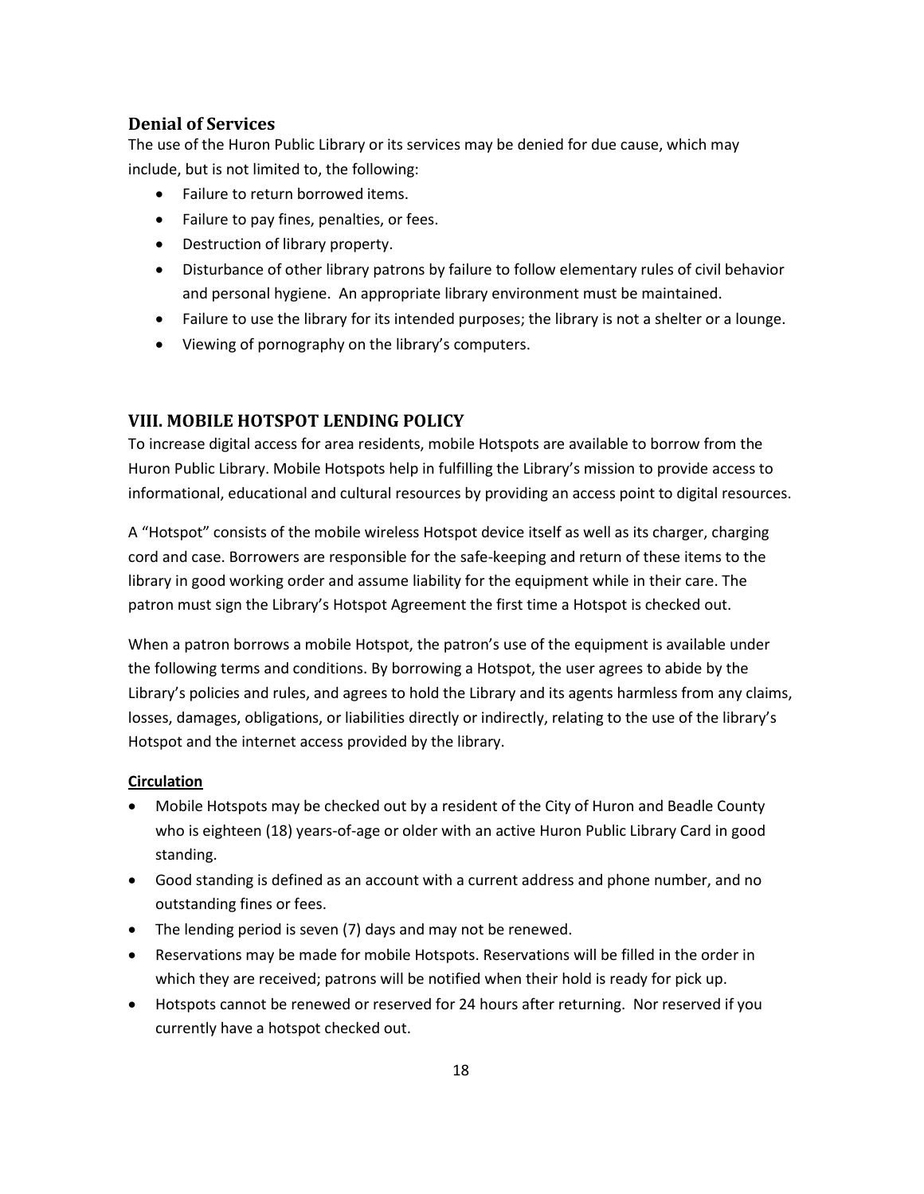### **Denial of Services**

The use of the Huron Public Library or its services may be denied for due cause, which may include, but is not limited to, the following:

- Failure to return borrowed items.
- Failure to pay fines, penalties, or fees.
- Destruction of library property.
- Disturbance of other library patrons by failure to follow elementary rules of civil behavior and personal hygiene. An appropriate library environment must be maintained.
- Failure to use the library for its intended purposes; the library is not a shelter or a lounge.
- Viewing of pornography on the library's computers.

### <span id="page-17-0"></span>**VIII. MOBILE HOTSPOT LENDING POLICY**

To increase digital access for area residents, mobile Hotspots are available to borrow from the Huron Public Library. Mobile Hotspots help in fulfilling the Library's mission to provide access to informational, educational and cultural resources by providing an access point to digital resources.

A "Hotspot" consists of the mobile wireless Hotspot device itself as well as its charger, charging cord and case. Borrowers are responsible for the safe-keeping and return of these items to the library in good working order and assume liability for the equipment while in their care. The patron must sign the Library's Hotspot Agreement the first time a Hotspot is checked out.

When a patron borrows a mobile Hotspot, the patron's use of the equipment is available under the following terms and conditions. By borrowing a Hotspot, the user agrees to abide by the Library's policies and rules, and agrees to hold the Library and its agents harmless from any claims, losses, damages, obligations, or liabilities directly or indirectly, relating to the use of the library's Hotspot and the internet access provided by the library.

#### **Circulation**

- Mobile Hotspots may be checked out by a resident of the City of Huron and Beadle County who is eighteen (18) years-of-age or older with an active Huron Public Library Card in good standing.
- Good standing is defined as an account with a current address and phone number, and no outstanding fines or fees.
- The lending period is seven (7) days and may not be renewed.
- Reservations may be made for mobile Hotspots. Reservations will be filled in the order in which they are received; patrons will be notified when their hold is ready for pick up.
- Hotspots cannot be renewed or reserved for 24 hours after returning. Nor reserved if you currently have a hotspot checked out.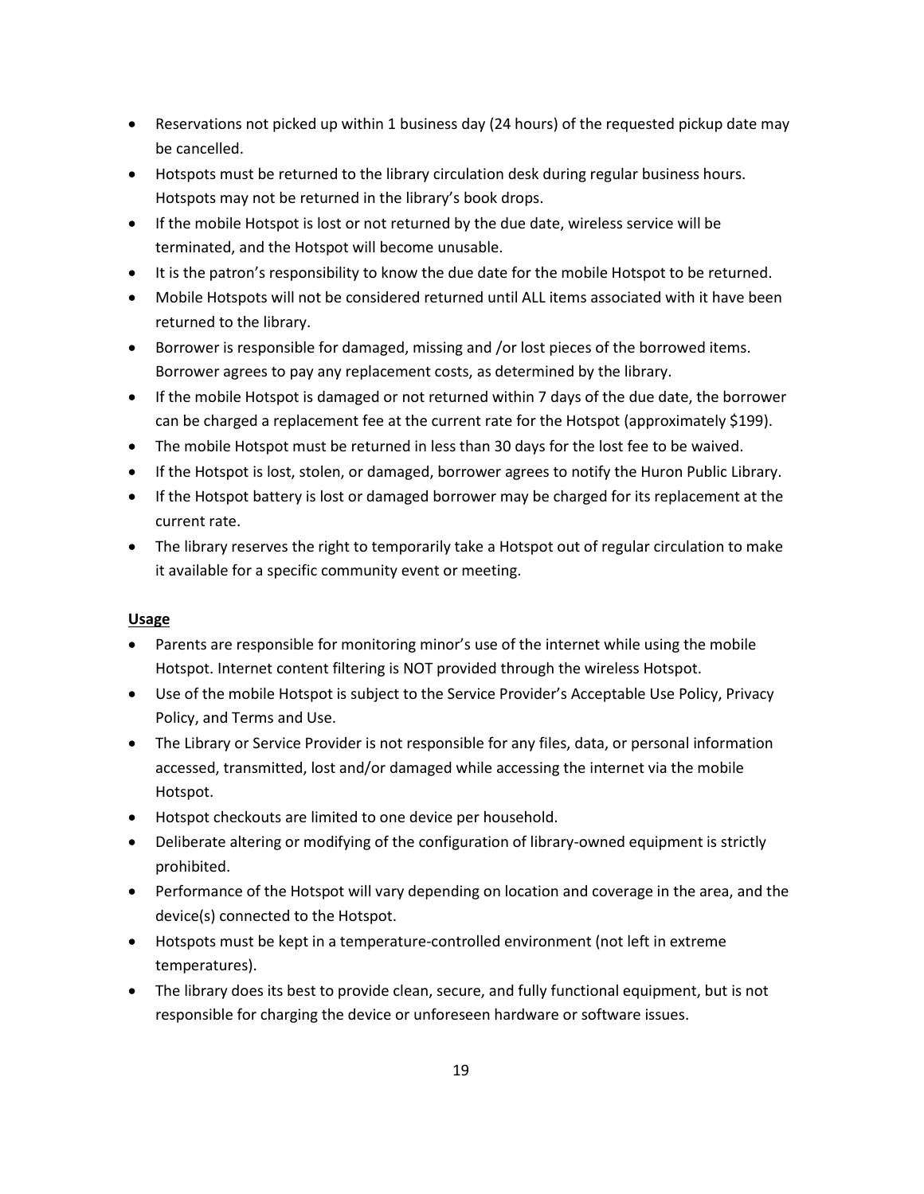- Reservations not picked up within 1 business day (24 hours) of the requested pickup date may be cancelled.
- Hotspots must be returned to the library circulation desk during regular business hours. Hotspots may not be returned in the library's book drops.
- If the mobile Hotspot is lost or not returned by the due date, wireless service will be terminated, and the Hotspot will become unusable.
- It is the patron's responsibility to know the due date for the mobile Hotspot to be returned.
- Mobile Hotspots will not be considered returned until ALL items associated with it have been returned to the library.
- Borrower is responsible for damaged, missing and /or lost pieces of the borrowed items. Borrower agrees to pay any replacement costs, as determined by the library.
- If the mobile Hotspot is damaged or not returned within 7 days of the due date, the borrower can be charged a replacement fee at the current rate for the Hotspot (approximately \$199).
- The mobile Hotspot must be returned in less than 30 days for the lost fee to be waived.
- If the Hotspot is lost, stolen, or damaged, borrower agrees to notify the Huron Public Library.
- If the Hotspot battery is lost or damaged borrower may be charged for its replacement at the current rate.
- The library reserves the right to temporarily take a Hotspot out of regular circulation to make it available for a specific community event or meeting.

#### **Usage**

- Parents are responsible for monitoring minor's use of the internet while using the mobile Hotspot. Internet content filtering is NOT provided through the wireless Hotspot.
- Use of the mobile Hotspot is subject to the Service Provider's Acceptable Use Policy, Privacy Policy, and Terms and Use.
- The Library or Service Provider is not responsible for any files, data, or personal information accessed, transmitted, lost and/or damaged while accessing the internet via the mobile Hotspot.
- Hotspot checkouts are limited to one device per household.
- Deliberate altering or modifying of the configuration of library-owned equipment is strictly prohibited.
- Performance of the Hotspot will vary depending on location and coverage in the area, and the device(s) connected to the Hotspot.
- Hotspots must be kept in a temperature-controlled environment (not left in extreme temperatures).
- The library does its best to provide clean, secure, and fully functional equipment, but is not responsible for charging the device or unforeseen hardware or software issues.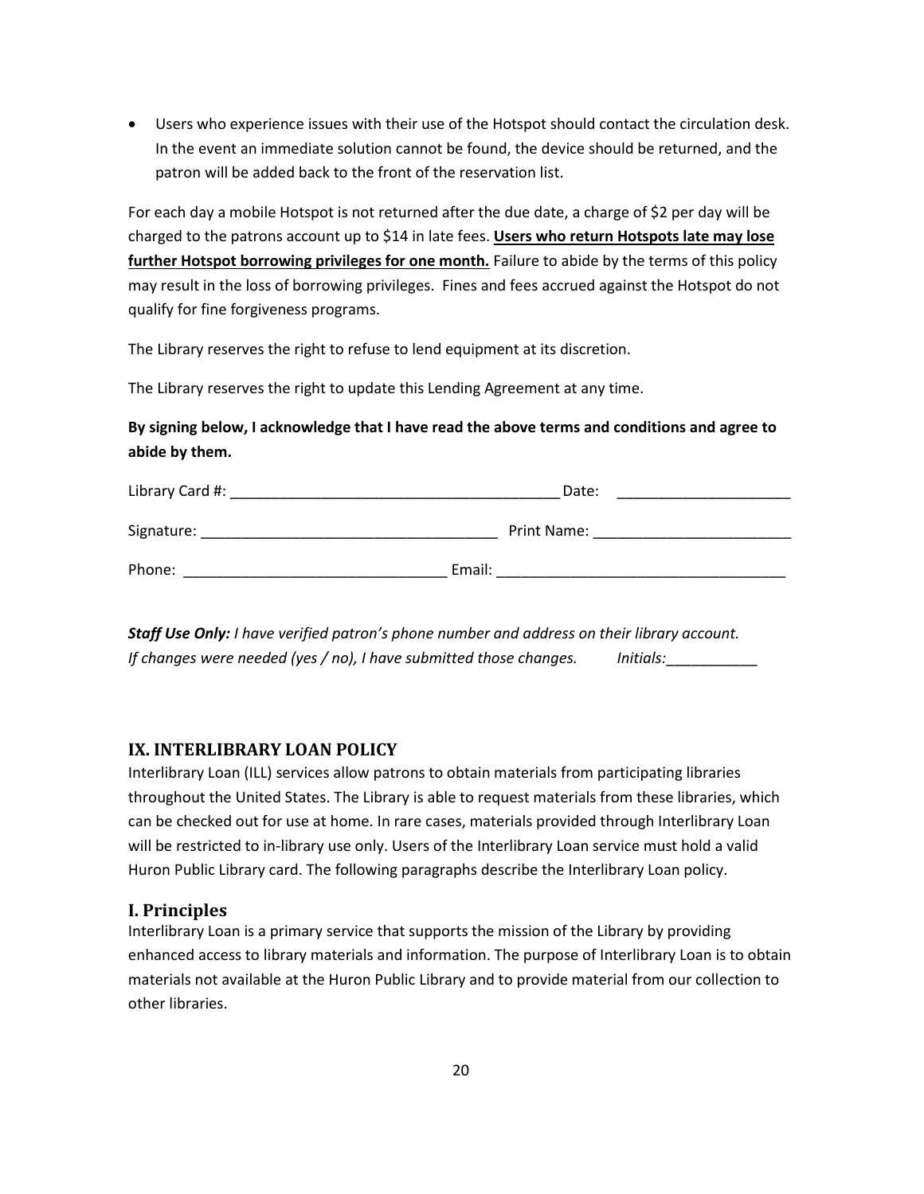• Users who experience issues with their use of the Hotspot should contact the circulation desk. In the event an immediate solution cannot be found, the device should be returned, and the patron will be added back to the front of the reservation list.

For each day a mobile Hotspot is not returned after the due date, a charge of \$2 per day will be charged to the patrons account up to \$14 in late fees. **Users who return Hotspots late may lose further Hotspot borrowing privileges for one month.** Failure to abide by the terms of this policy may result in the loss of borrowing privileges. Fines and fees accrued against the Hotspot do not qualify for fine forgiveness programs.

The Library reserves the right to refuse to lend equipment at its discretion.

The Library reserves the right to update this Lending Agreement at any time.

### **By signing below, I acknowledge that I have read the above terms and conditions and agree to abide by them.**

| Library Card #: | Date:       |  |  |  |
|-----------------|-------------|--|--|--|
| Signature:      | Print Name: |  |  |  |
| Phone:          | Email:      |  |  |  |

*Staff Use Only: I have verified patron's phone number and address on their library account. If changes were needed (yes / no), I have submitted those changes. Initials:*\_\_\_\_\_\_\_\_\_\_\_

#### <span id="page-19-0"></span>**IX. INTERLIBRARY LOAN POLICY**

Interlibrary Loan (ILL) services allow patrons to obtain materials from participating libraries throughout the United States. The Library is able to request materials from these libraries, which can be checked out for use at home. In rare cases, materials provided through Interlibrary Loan will be restricted to in-library use only. Users of the Interlibrary Loan service must hold a valid Huron Public Library card. The following paragraphs describe the Interlibrary Loan policy.

#### **I. Principles**

Interlibrary Loan is a primary service that supports the mission of the Library by providing enhanced access to library materials and information. The purpose of Interlibrary Loan is to obtain materials not available at the Huron Public Library and to provide material from our collection to other libraries.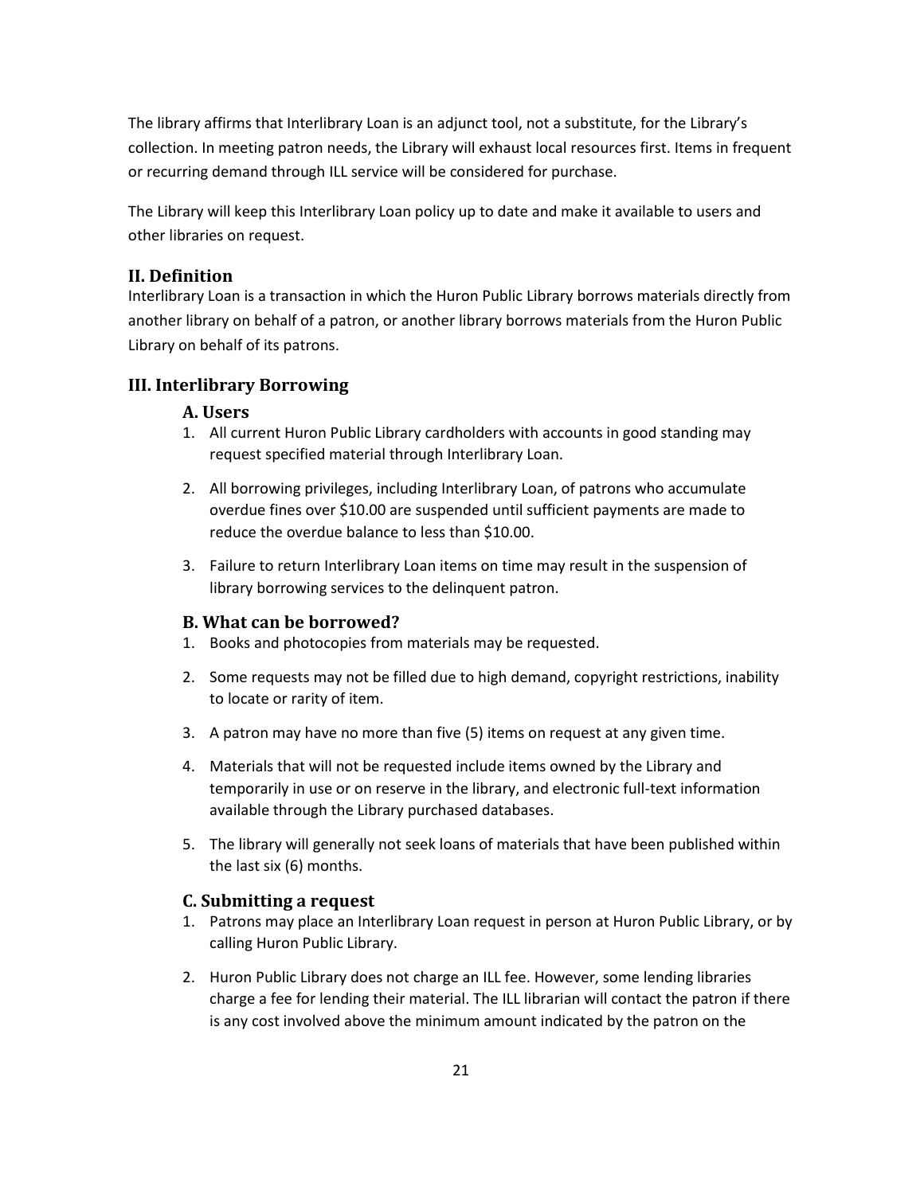The library affirms that Interlibrary Loan is an adjunct tool, not a substitute, for the Library's collection. In meeting patron needs, the Library will exhaust local resources first. Items in frequent or recurring demand through ILL service will be considered for purchase.

The Library will keep this Interlibrary Loan policy up to date and make it available to users and other libraries on request.

### **II. Definition**

Interlibrary Loan is a transaction in which the Huron Public Library borrows materials directly from another library on behalf of a patron, or another library borrows materials from the Huron Public Library on behalf of its patrons.

### **III. Interlibrary Borrowing**

#### **A. Users**

- 1. All current Huron Public Library cardholders with accounts in good standing may request specified material through Interlibrary Loan.
- 2. All borrowing privileges, including Interlibrary Loan, of patrons who accumulate overdue fines over \$10.00 are suspended until sufficient payments are made to reduce the overdue balance to less than \$10.00.
- 3. Failure to return Interlibrary Loan items on time may result in the suspension of library borrowing services to the delinquent patron.

#### **B. What can be borrowed?**

- 1. Books and photocopies from materials may be requested.
- 2. Some requests may not be filled due to high demand, copyright restrictions, inability to locate or rarity of item.
- 3. A patron may have no more than five (5) items on request at any given time.
- 4. Materials that will not be requested include items owned by the Library and temporarily in use or on reserve in the library, and electronic full-text information available through the Library purchased databases.
- 5. The library will generally not seek loans of materials that have been published within the last six (6) months.

#### **C. Submitting a request**

- 1. Patrons may place an Interlibrary Loan request in person at Huron Public Library, or by calling Huron Public Library.
- 2. Huron Public Library does not charge an ILL fee. However, some lending libraries charge a fee for lending their material. The ILL librarian will contact the patron if there is any cost involved above the minimum amount indicated by the patron on the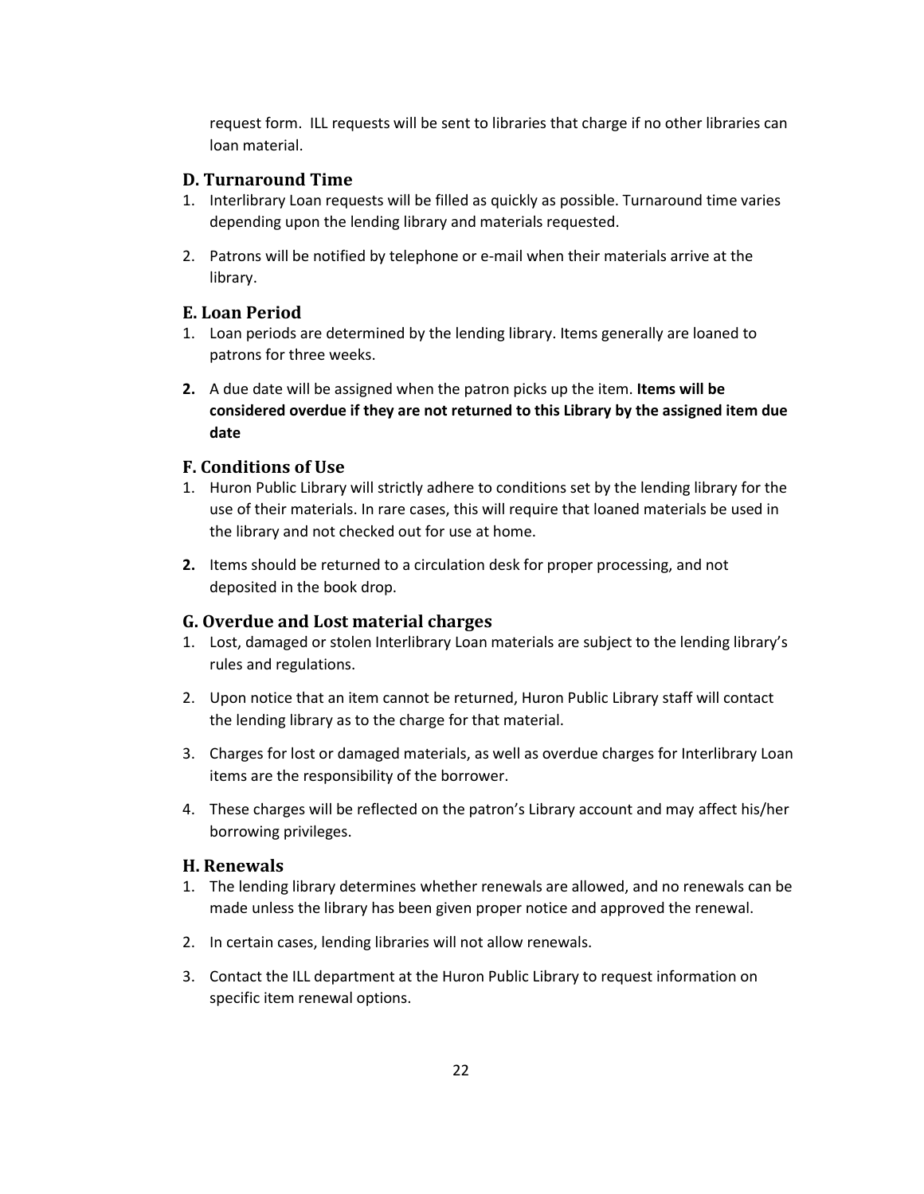request form. ILL requests will be sent to libraries that charge if no other libraries can loan material.

#### **D. Turnaround Time**

- 1. Interlibrary Loan requests will be filled as quickly as possible. Turnaround time varies depending upon the lending library and materials requested.
- 2. Patrons will be notified by telephone or e-mail when their materials arrive at the library.

#### **E. Loan Period**

- 1. Loan periods are determined by the lending library. Items generally are loaned to patrons for three weeks.
- **2.** A due date will be assigned when the patron picks up the item. **Items will be considered overdue if they are not returned to this Library by the assigned item due date**

#### **F. Conditions of Use**

- 1. Huron Public Library will strictly adhere to conditions set by the lending library for the use of their materials. In rare cases, this will require that loaned materials be used in the library and not checked out for use at home.
- **2.** Items should be returned to a circulation desk for proper processing, and not deposited in the book drop.

#### **G. Overdue and Lost material charges**

- 1. Lost, damaged or stolen Interlibrary Loan materials are subject to the lending library's rules and regulations.
- 2. Upon notice that an item cannot be returned, Huron Public Library staff will contact the lending library as to the charge for that material.
- 3. Charges for lost or damaged materials, as well as overdue charges for Interlibrary Loan items are the responsibility of the borrower.
- 4. These charges will be reflected on the patron's Library account and may affect his/her borrowing privileges.

#### **H. Renewals**

- 1. The lending library determines whether renewals are allowed, and no renewals can be made unless the library has been given proper notice and approved the renewal.
- 2. In certain cases, lending libraries will not allow renewals.
- 3. Contact the ILL department at the Huron Public Library to request information on specific item renewal options.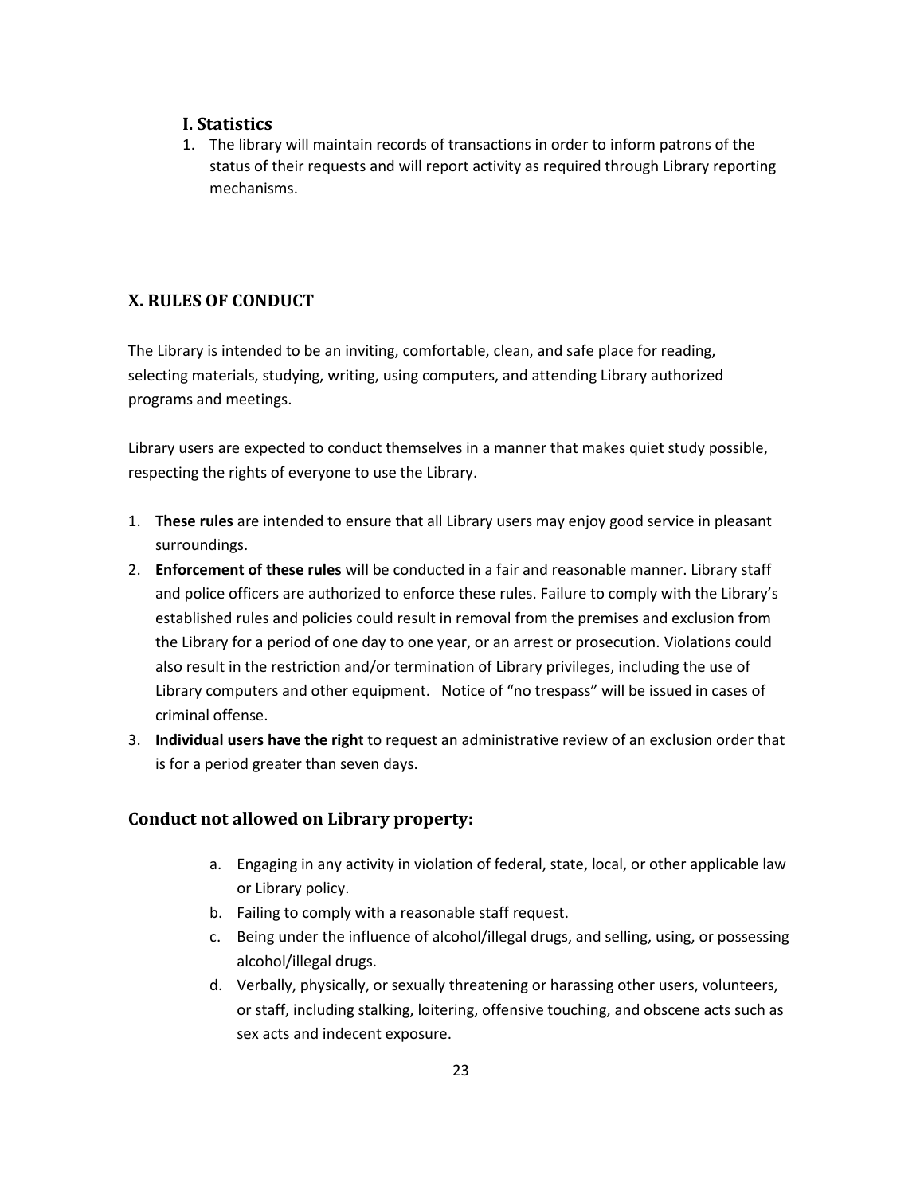#### **I. Statistics**

1. The library will maintain records of transactions in order to inform patrons of the status of their requests and will report activity as required through Library reporting mechanisms.

# <span id="page-22-0"></span>**X. RULES OF CONDUCT**

The Library is intended to be an inviting, comfortable, clean, and safe place for reading, selecting materials, studying, writing, using computers, and attending Library authorized programs and meetings.

Library users are expected to conduct themselves in a manner that makes quiet study possible, respecting the rights of everyone to use the Library.

- 1. **These rules** are intended to ensure that all Library users may enjoy good service in pleasant surroundings.
- 2. **Enforcement of these rules** will be conducted in a fair and reasonable manner. Library staff and police officers are authorized to enforce these rules. Failure to comply with the Library's established rules and policies could result in removal from the premises and exclusion from the Library for a period of one day to one year, or an arrest or prosecution. Violations could also result in the restriction and/or termination of Library privileges, including the use of Library computers and other equipment. Notice of "no trespass" will be issued in cases of criminal offense.
- 3. **Individual users have the righ**t to request an administrative review of an exclusion order that is for a period greater than seven days.

### **Conduct not allowed on Library property:**

- a. Engaging in any activity in violation of federal, state, local, or other applicable law or Library policy.
- b. Failing to comply with a reasonable staff request.
- c. Being under the influence of alcohol/illegal drugs, and selling, using, or possessing alcohol/illegal drugs.
- d. Verbally, physically, or sexually threatening or harassing other users, volunteers, or staff, including stalking, loitering, offensive touching, and obscene acts such as sex acts and indecent exposure.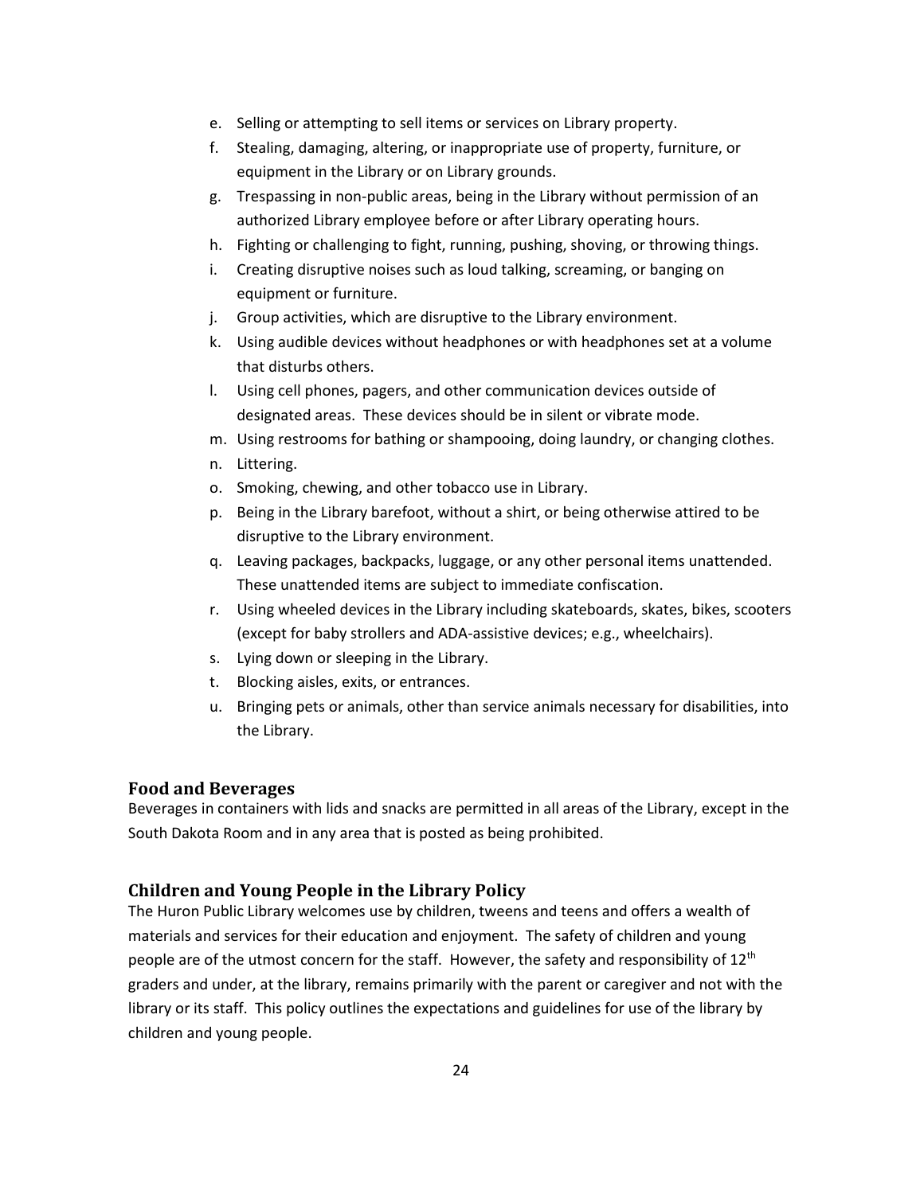- e. Selling or attempting to sell items or services on Library property.
- f. Stealing, damaging, altering, or inappropriate use of property, furniture, or equipment in the Library or on Library grounds.
- g. Trespassing in non-public areas, being in the Library without permission of an authorized Library employee before or after Library operating hours.
- h. Fighting or challenging to fight, running, pushing, shoving, or throwing things.
- i. Creating disruptive noises such as loud talking, screaming, or banging on equipment or furniture.
- j. Group activities, which are disruptive to the Library environment.
- k. Using audible devices without headphones or with headphones set at a volume that disturbs others.
- l. Using cell phones, pagers, and other communication devices outside of designated areas. These devices should be in silent or vibrate mode.
- m. Using restrooms for bathing or shampooing, doing laundry, or changing clothes.
- n. Littering.
- o. Smoking, chewing, and other tobacco use in Library.
- p. Being in the Library barefoot, without a shirt, or being otherwise attired to be disruptive to the Library environment.
- q. Leaving packages, backpacks, luggage, or any other personal items unattended. These unattended items are subject to immediate confiscation.
- r. Using wheeled devices in the Library including skateboards, skates, bikes, scooters (except for baby strollers and ADA-assistive devices; e.g., wheelchairs).
- s. Lying down or sleeping in the Library.
- t. Blocking aisles, exits, or entrances.
- u. Bringing pets or animals, other than service animals necessary for disabilities, into the Library.

#### **Food and Beverages**

Beverages in containers with lids and snacks are permitted in all areas of the Library, except in the South Dakota Room and in any area that is posted as being prohibited.

#### **Children and Young People in the Library Policy**

The Huron Public Library welcomes use by children, tweens and teens and offers a wealth of materials and services for their education and enjoyment. The safety of children and young people are of the utmost concern for the staff. However, the safety and responsibility of 12<sup>th</sup> graders and under, at the library, remains primarily with the parent or caregiver and not with the library or its staff. This policy outlines the expectations and guidelines for use of the library by children and young people.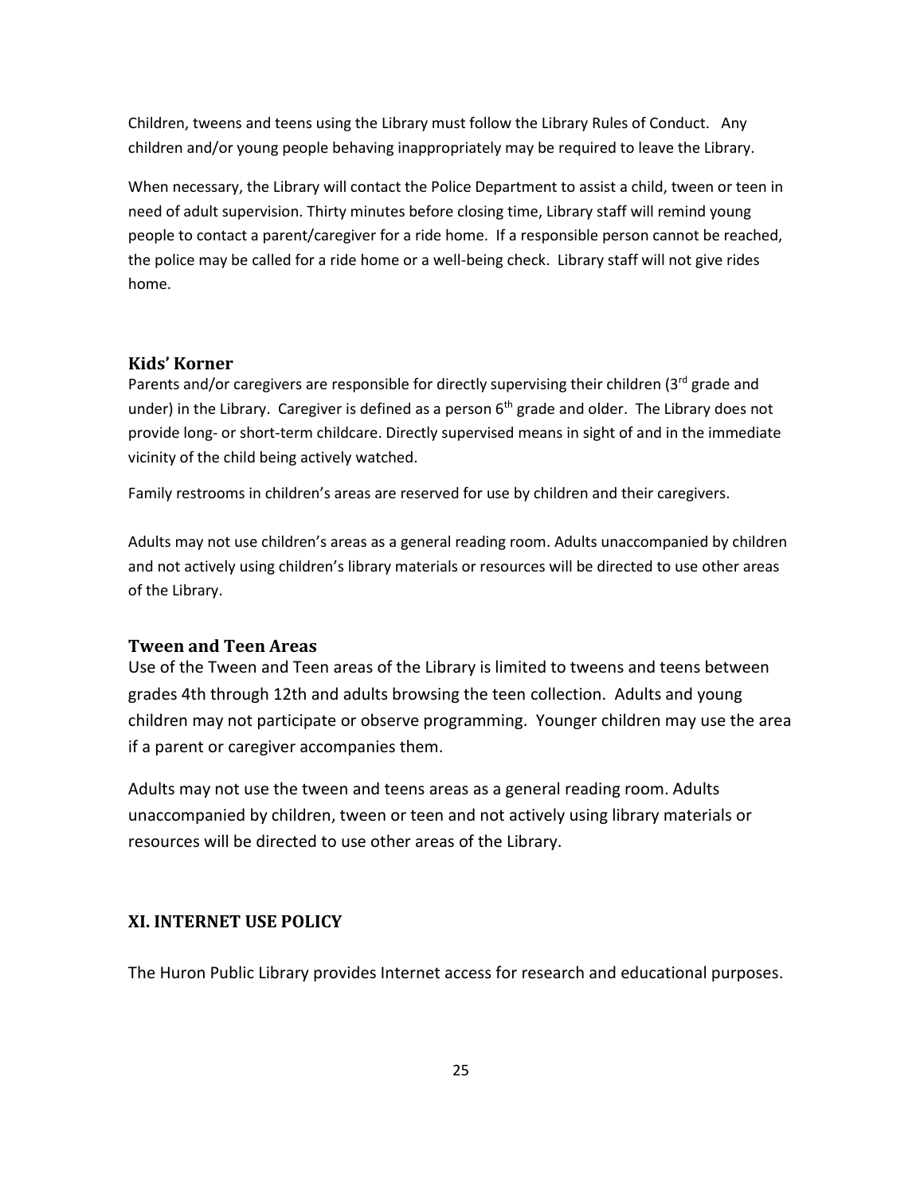Children, tweens and teens using the Library must follow the Library Rules of Conduct. Any children and/or young people behaving inappropriately may be required to leave the Library.

When necessary, the Library will contact the Police Department to assist a child, tween or teen in need of adult supervision. Thirty minutes before closing time, Library staff will remind young people to contact a parent/caregiver for a ride home. If a responsible person cannot be reached, the police may be called for a ride home or a well-being check. Library staff will not give rides home.

#### **Kids' Korner**

Parents and/or caregivers are responsible for directly supervising their children ( $3^{rd}$  grade and under) in the Library. Caregiver is defined as a person  $6<sup>th</sup>$  grade and older. The Library does not provide long- or short-term childcare. Directly supervised means in sight of and in the immediate vicinity of the child being actively watched.

Family restrooms in children's areas are reserved for use by children and their caregivers.

Adults may not use children's areas as a general reading room. Adults unaccompanied by children and not actively using children's library materials or resources will be directed to use other areas of the Library.

### **Tween and Teen Areas**

Use of the Tween and Teen areas of the Library is limited to tweens and teens between grades 4th through 12th and adults browsing the teen collection. Adults and young children may not participate or observe programming. Younger children may use the area if a parent or caregiver accompanies them.

Adults may not use the tween and teens areas as a general reading room. Adults unaccompanied by children, tween or teen and not actively using library materials or resources will be directed to use other areas of the Library.

### <span id="page-24-0"></span>**XI. INTERNET USE POLICY**

The Huron Public Library provides Internet access for research and educational purposes.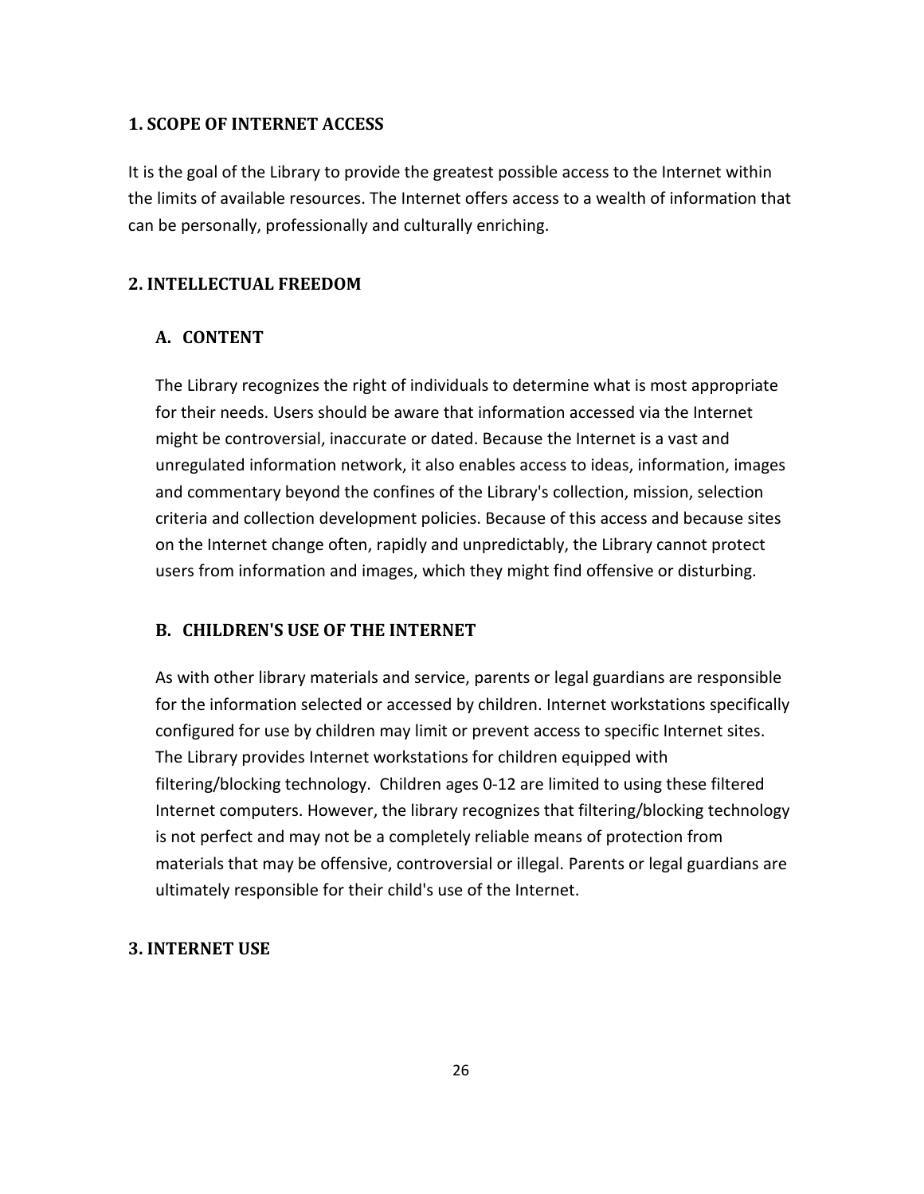#### **1. SCOPE OF INTERNET ACCESS**

It is the goal of the Library to provide the greatest possible access to the Internet within the limits of available resources. The Internet offers access to a wealth of information that can be personally, professionally and culturally enriching.

### **2. INTELLECTUAL FREEDOM**

#### **A. CONTENT**

The Library recognizes the right of individuals to determine what is most appropriate for their needs. Users should be aware that information accessed via the Internet might be controversial, inaccurate or dated. Because the Internet is a vast and unregulated information network, it also enables access to ideas, information, images and commentary beyond the confines of the Library's collection, mission, selection criteria and collection development policies. Because of this access and because sites on the Internet change often, rapidly and unpredictably, the Library cannot protect users from information and images, which they might find offensive or disturbing.

# **B. CHILDREN'S USE OF THE INTERNET**

As with other library materials and service, parents or legal guardians are responsible for the information selected or accessed by children. Internet workstations specifically configured for use by children may limit or prevent access to specific Internet sites. The Library provides Internet workstations for children equipped with filtering/blocking technology. Children ages 0-12 are limited to using these filtered Internet computers. However, the library recognizes that filtering/blocking technology is not perfect and may not be a completely reliable means of protection from materials that may be offensive, controversial or illegal. Parents or legal guardians are ultimately responsible for their child's use of the Internet.

### **3. INTERNET USE**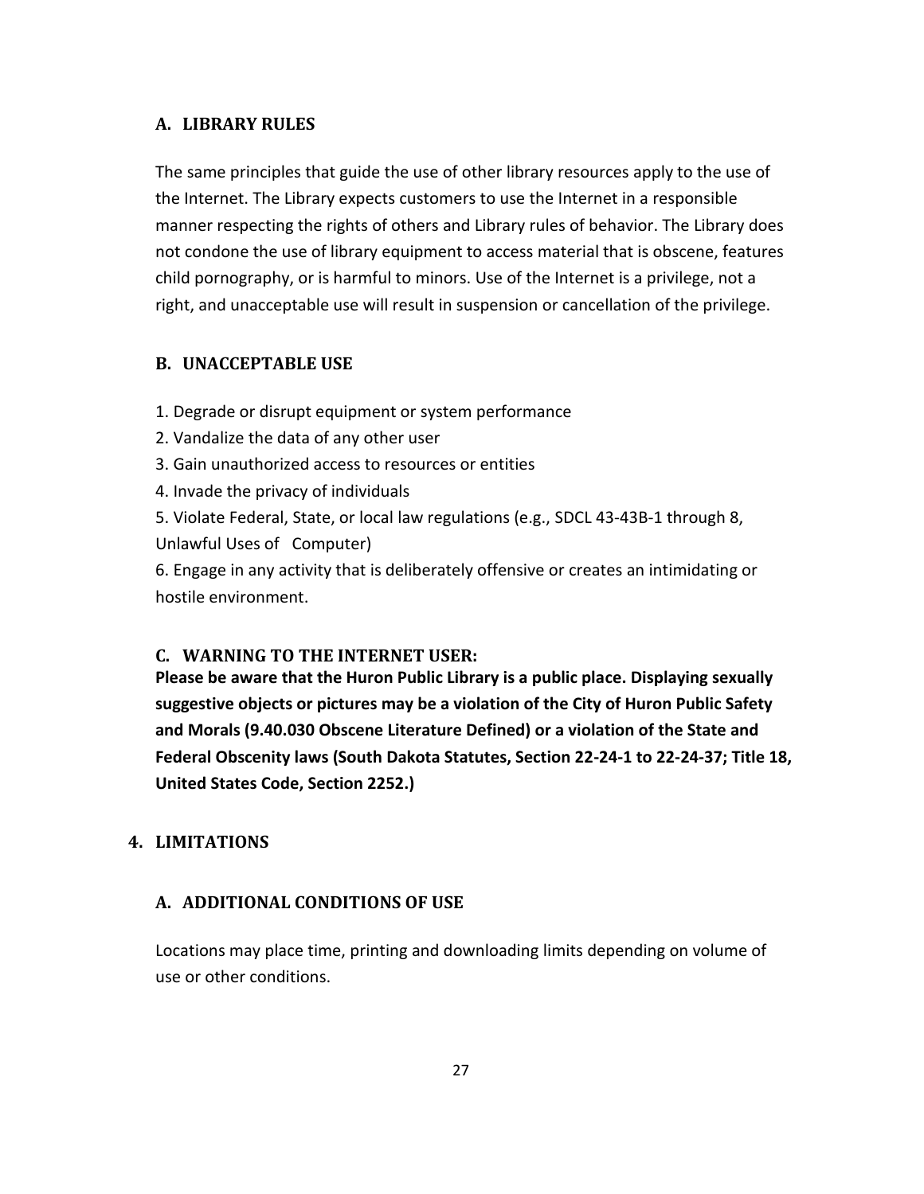### **A. LIBRARY RULES**

The same principles that guide the use of other library resources apply to the use of the Internet. The Library expects customers to use the Internet in a responsible manner respecting the rights of others and Library rules of behavior. The Library does not condone the use of library equipment to access material that is obscene, features child pornography, or is harmful to minors. Use of the Internet is a privilege, not a right, and unacceptable use will result in suspension or cancellation of the privilege.

### **B. UNACCEPTABLE USE**

- 1. Degrade or disrupt equipment or system performance
- 2. Vandalize the data of any other user
- 3. Gain unauthorized access to resources or entities
- 4. Invade the privacy of individuals
- 5. Violate Federal, State, or local law regulations (e.g., SDCL 43-43B-1 through 8, Unlawful Uses of Computer)

6. Engage in any activity that is deliberately offensive or creates an intimidating or hostile environment.

### **C. WARNING TO THE INTERNET USER:**

**Please be aware that the Huron Public Library is a public place. Displaying sexually suggestive objects or pictures may be a violation of the City of Huron Public Safety and Morals (9.40.030 Obscene Literature Defined) or a violation of the State and Federal Obscenity laws (South Dakota Statutes, Section 22-24-1 to 22-24-37; Title 18, United States Code, Section 2252.)**

### **4. LIMITATIONS**

### **A. ADDITIONAL CONDITIONS OF USE**

Locations may place time, printing and downloading limits depending on volume of use or other conditions.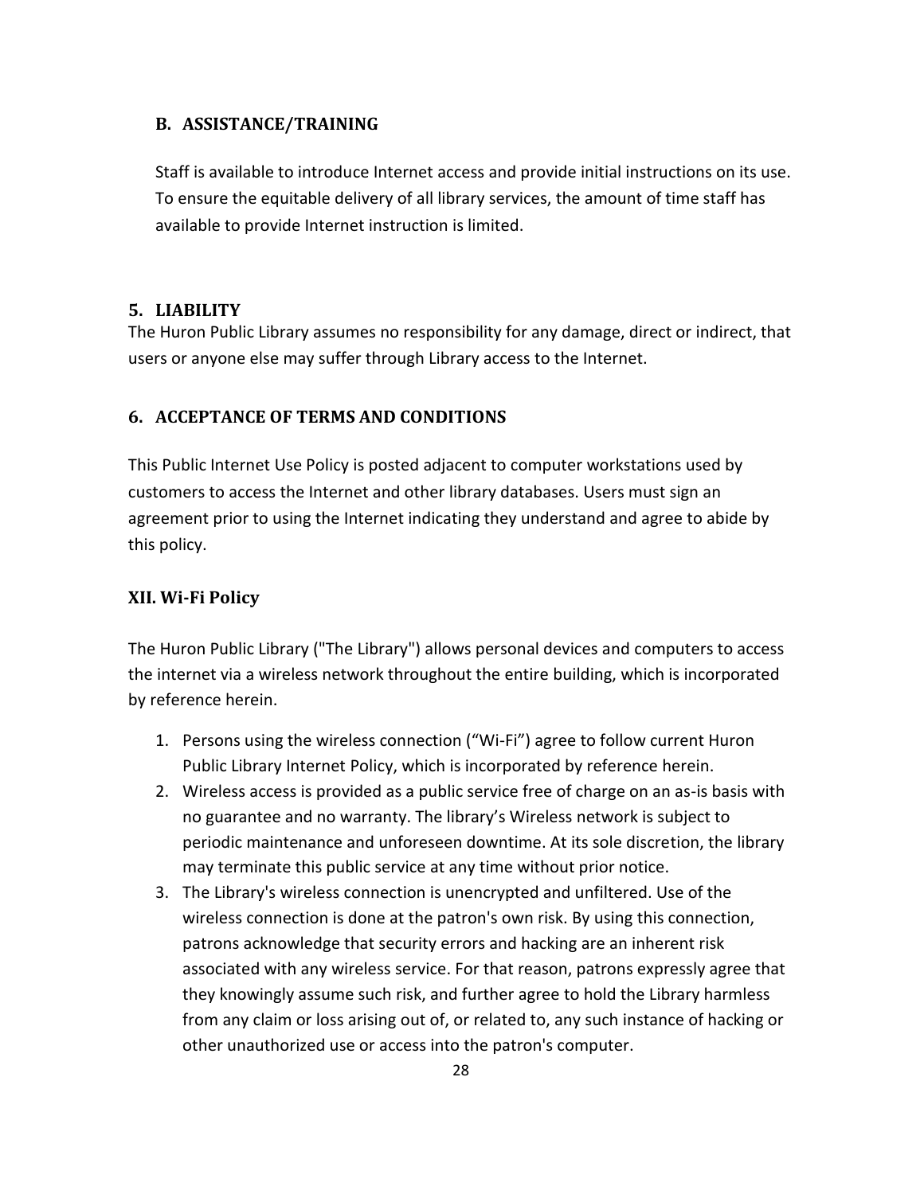### **B. ASSISTANCE/TRAINING**

Staff is available to introduce Internet access and provide initial instructions on its use. To ensure the equitable delivery of all library services, the amount of time staff has available to provide Internet instruction is limited.

### **5. LIABILITY**

The Huron Public Library assumes no responsibility for any damage, direct or indirect, that users or anyone else may suffer through Library access to the Internet.

### **6. ACCEPTANCE OF TERMS AND CONDITIONS**

This Public Internet Use Policy is posted adjacent to computer workstations used by customers to access the Internet and other library databases. Users must sign an agreement prior to using the Internet indicating they understand and agree to abide by this policy.

### <span id="page-27-0"></span>**XII. Wi-Fi Policy**

The Huron Public Library ("The Library") allows personal devices and computers to access the internet via a wireless network throughout the entire building, which is incorporated by reference herein.

- 1. Persons using the wireless connection ("Wi-Fi") agree to follow current Huron Public Library Internet Policy, which is incorporated by reference herein.
- 2. Wireless access is provided as a public service free of charge on an as-is basis with no guarantee and no warranty. The library's Wireless network is subject to periodic maintenance and unforeseen downtime. At its sole discretion, the library may terminate this public service at any time without prior notice.
- 3. The Library's wireless connection is unencrypted and unfiltered. Use of the wireless connection is done at the patron's own risk. By using this connection, patrons acknowledge that security errors and hacking are an inherent risk associated with any wireless service. For that reason, patrons expressly agree that they knowingly assume such risk, and further agree to hold the Library harmless from any claim or loss arising out of, or related to, any such instance of hacking or other unauthorized use or access into the patron's computer.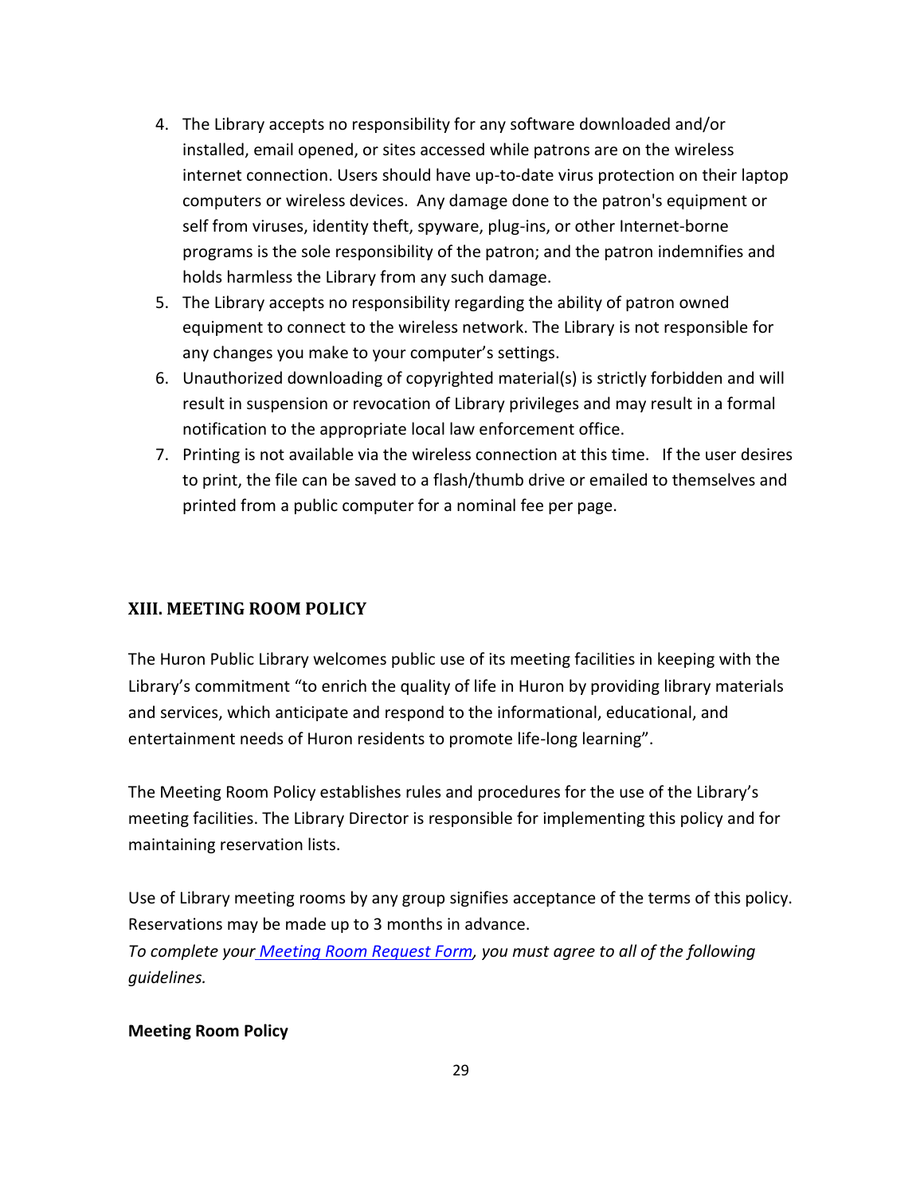- 4. The Library accepts no responsibility for any software downloaded and/or installed, email opened, or sites accessed while patrons are on the wireless internet connection. Users should have up-to-date virus protection on their laptop computers or wireless devices. Any damage done to the patron's equipment or self from viruses, identity theft, spyware, plug-ins, or other Internet-borne programs is the sole responsibility of the patron; and the patron indemnifies and holds harmless the Library from any such damage.
- 5. The Library accepts no responsibility regarding the ability of patron owned equipment to connect to the wireless network. The Library is not responsible for any changes you make to your computer's settings.
- 6. Unauthorized downloading of copyrighted material(s) is strictly forbidden and will result in suspension or revocation of Library privileges and may result in a formal notification to the appropriate local law enforcement office.
- 7. Printing is not available via the wireless connection at this time. If the user desires to print, the file can be saved to a flash/thumb drive or emailed to themselves and printed from a public computer for a nominal fee per page.

# <span id="page-28-0"></span>**XIII. MEETING ROOM POLICY**

The Huron Public Library welcomes public use of its meeting facilities in keeping with the Library's commitment "to enrich the quality of life in Huron by providing library materials and services, which anticipate and respond to the informational, educational, and entertainment needs of Huron residents to promote life-long learning".

The Meeting Room Policy establishes rules and procedures for the use of the Library's meeting facilities. The Library Director is responsible for implementing this policy and for maintaining reservation lists.

Use of Library meeting rooms by any group signifies acceptance of the terms of this policy. Reservations may be made up to 3 months in advance. *To complete your [Meeting Room Request Form,](https://library.austintexas.gov/sites/default/files/APL_MeetingRoom_form_0315.pdf) you must agree to all of the following guidelines.*

#### **Meeting Room Policy**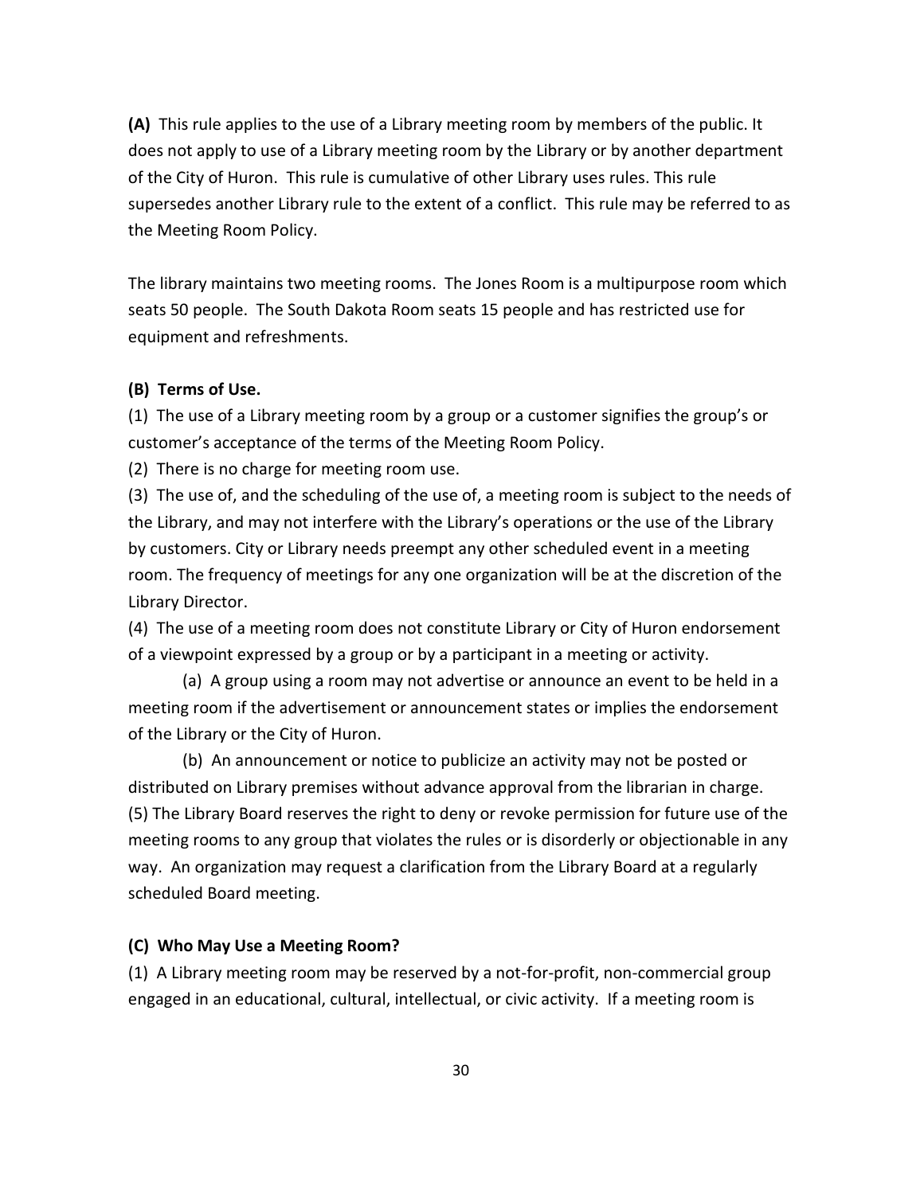**(A)** This rule applies to the use of a Library meeting room by members of the public. It does not apply to use of a Library meeting room by the Library or by another department of the City of Huron. This rule is cumulative of other Library uses rules. This rule supersedes another Library rule to the extent of a conflict. This rule may be referred to as the Meeting Room Policy.

The library maintains two meeting rooms. The Jones Room is a multipurpose room which seats 50 people. The South Dakota Room seats 15 people and has restricted use for equipment and refreshments.

#### **(B) Terms of Use.**

(1) The use of a Library meeting room by a group or a customer signifies the group's or customer's acceptance of the terms of the Meeting Room Policy.

(2) There is no charge for meeting room use.

(3) The use of, and the scheduling of the use of, a meeting room is subject to the needs of the Library, and may not interfere with the Library's operations or the use of the Library by customers. City or Library needs preempt any other scheduled event in a meeting room. The frequency of meetings for any one organization will be at the discretion of the Library Director.

(4) The use of a meeting room does not constitute Library or City of Huron endorsement of a viewpoint expressed by a group or by a participant in a meeting or activity.

(a) A group using a room may not advertise or announce an event to be held in a meeting room if the advertisement or announcement states or implies the endorsement of the Library or the City of Huron.

(b) An announcement or notice to publicize an activity may not be posted or distributed on Library premises without advance approval from the librarian in charge. (5) The Library Board reserves the right to deny or revoke permission for future use of the meeting rooms to any group that violates the rules or is disorderly or objectionable in any way. An organization may request a clarification from the Library Board at a regularly scheduled Board meeting.

### **(C) Who May Use a Meeting Room?**

(1) A Library meeting room may be reserved by a not-for-profit, non-commercial group engaged in an educational, cultural, intellectual, or civic activity. If a meeting room is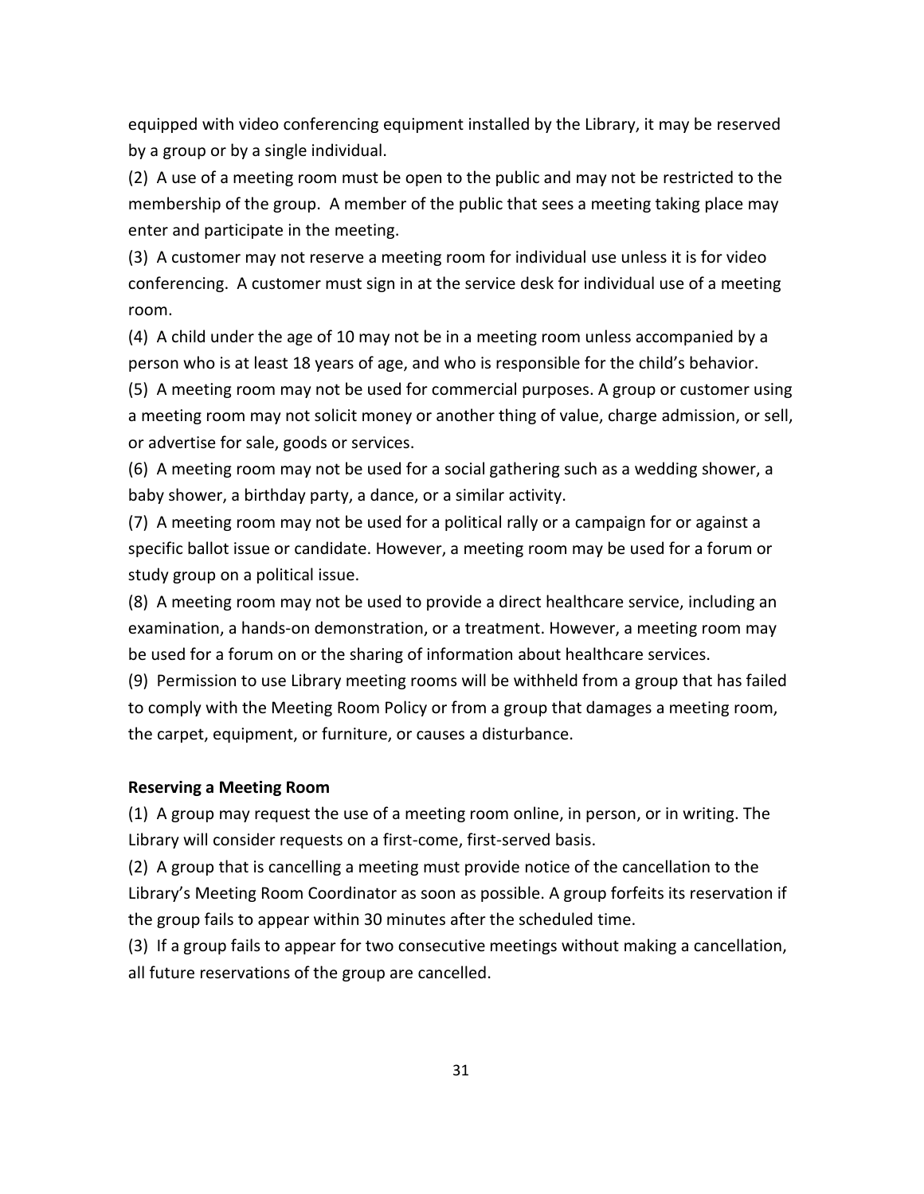equipped with video conferencing equipment installed by the Library, it may be reserved by a group or by a single individual.

(2) A use of a meeting room must be open to the public and may not be restricted to the membership of the group. A member of the public that sees a meeting taking place may enter and participate in the meeting.

(3) A customer may not reserve a meeting room for individual use unless it is for video conferencing. A customer must sign in at the service desk for individual use of a meeting room.

(4) A child under the age of 10 may not be in a meeting room unless accompanied by a person who is at least 18 years of age, and who is responsible for the child's behavior.

(5) A meeting room may not be used for commercial purposes. A group or customer using a meeting room may not solicit money or another thing of value, charge admission, or sell, or advertise for sale, goods or services.

(6) A meeting room may not be used for a social gathering such as a wedding shower, a baby shower, a birthday party, a dance, or a similar activity.

(7) A meeting room may not be used for a political rally or a campaign for or against a specific ballot issue or candidate. However, a meeting room may be used for a forum or study group on a political issue.

(8) A meeting room may not be used to provide a direct healthcare service, including an examination, a hands-on demonstration, or a treatment. However, a meeting room may be used for a forum on or the sharing of information about healthcare services.

(9) Permission to use Library meeting rooms will be withheld from a group that has failed to comply with the Meeting Room Policy or from a group that damages a meeting room, the carpet, equipment, or furniture, or causes a disturbance.

#### **Reserving a Meeting Room**

(1) A group may request the use of a meeting room online, in person, or in writing. The Library will consider requests on a first-come, first-served basis.

(2) A group that is cancelling a meeting must provide notice of the cancellation to the Library's Meeting Room Coordinator as soon as possible. A group forfeits its reservation if the group fails to appear within 30 minutes after the scheduled time.

(3) If a group fails to appear for two consecutive meetings without making a cancellation, all future reservations of the group are cancelled.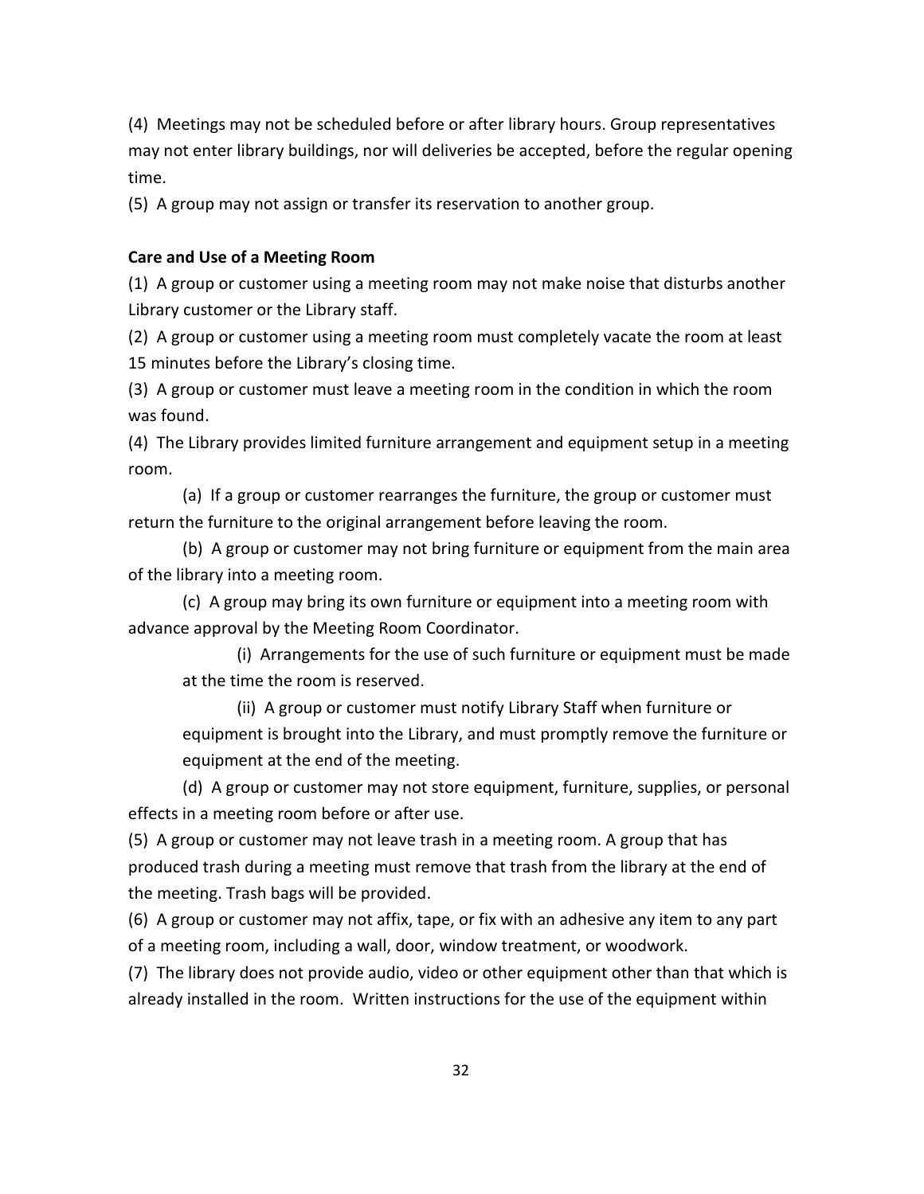(4) Meetings may not be scheduled before or after library hours. Group representatives may not enter library buildings, nor will deliveries be accepted, before the regular opening time.

(5) A group may not assign or transfer its reservation to another group.

### **Care and Use of a Meeting Room**

(1) A group or customer using a meeting room may not make noise that disturbs another Library customer or the Library staff.

(2) A group or customer using a meeting room must completely vacate the room at least 15 minutes before the Library's closing time.

(3) A group or customer must leave a meeting room in the condition in which the room was found.

(4) The Library provides limited furniture arrangement and equipment setup in a meeting room.

(a) If a group or customer rearranges the furniture, the group or customer must return the furniture to the original arrangement before leaving the room.

(b) A group or customer may not bring furniture or equipment from the main area of the library into a meeting room.

(c) A group may bring its own furniture or equipment into a meeting room with advance approval by the Meeting Room Coordinator.

(i) Arrangements for the use of such furniture or equipment must be made at the time the room is reserved.

(ii) A group or customer must notify Library Staff when furniture or equipment is brought into the Library, and must promptly remove the furniture or equipment at the end of the meeting.

(d) A group or customer may not store equipment, furniture, supplies, or personal effects in a meeting room before or after use.

(5) A group or customer may not leave trash in a meeting room. A group that has produced trash during a meeting must remove that trash from the library at the end of the meeting. Trash bags will be provided.

(6) A group or customer may not affix, tape, or fix with an adhesive any item to any part of a meeting room, including a wall, door, window treatment, or woodwork.

(7) The library does not provide audio, video or other equipment other than that which is already installed in the room. Written instructions for the use of the equipment within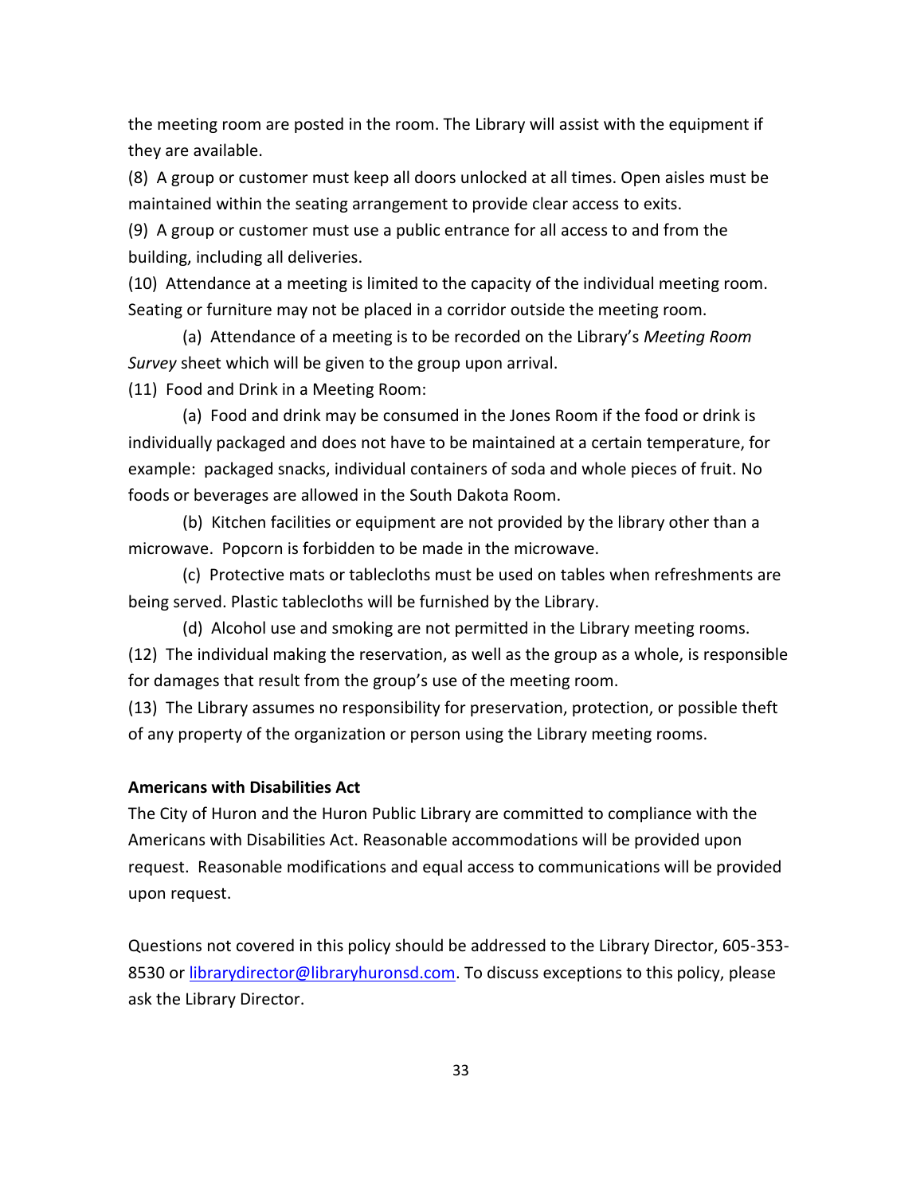the meeting room are posted in the room. The Library will assist with the equipment if they are available.

(8) A group or customer must keep all doors unlocked at all times. Open aisles must be maintained within the seating arrangement to provide clear access to exits.

(9) A group or customer must use a public entrance for all access to and from the building, including all deliveries.

(10) Attendance at a meeting is limited to the capacity of the individual meeting room. Seating or furniture may not be placed in a corridor outside the meeting room.

(a) Attendance of a meeting is to be recorded on the Library's *Meeting Room Survey* sheet which will be given to the group upon arrival.

(11) Food and Drink in a Meeting Room:

(a) Food and drink may be consumed in the Jones Room if the food or drink is individually packaged and does not have to be maintained at a certain temperature, for example: packaged snacks, individual containers of soda and whole pieces of fruit. No foods or beverages are allowed in the South Dakota Room.

(b) Kitchen facilities or equipment are not provided by the library other than a microwave. Popcorn is forbidden to be made in the microwave.

(c) Protective mats or tablecloths must be used on tables when refreshments are being served. Plastic tablecloths will be furnished by the Library.

(d) Alcohol use and smoking are not permitted in the Library meeting rooms. (12) The individual making the reservation, as well as the group as a whole, is responsible for damages that result from the group's use of the meeting room.

(13) The Library assumes no responsibility for preservation, protection, or possible theft of any property of the organization or person using the Library meeting rooms.

### **Americans with Disabilities Act**

The City of Huron and the Huron Public Library are committed to compliance with the Americans with Disabilities Act. Reasonable accommodations will be provided upon request. Reasonable modifications and equal access to communications will be provided upon request.

Questions not covered in this policy should be addressed to the Library Director, 605-353 8530 or [librarydirector@libraryhuronsd.com.](mailto:librarydirector@libraryhuronsd.com) To discuss exceptions to this policy, please ask the Library Director.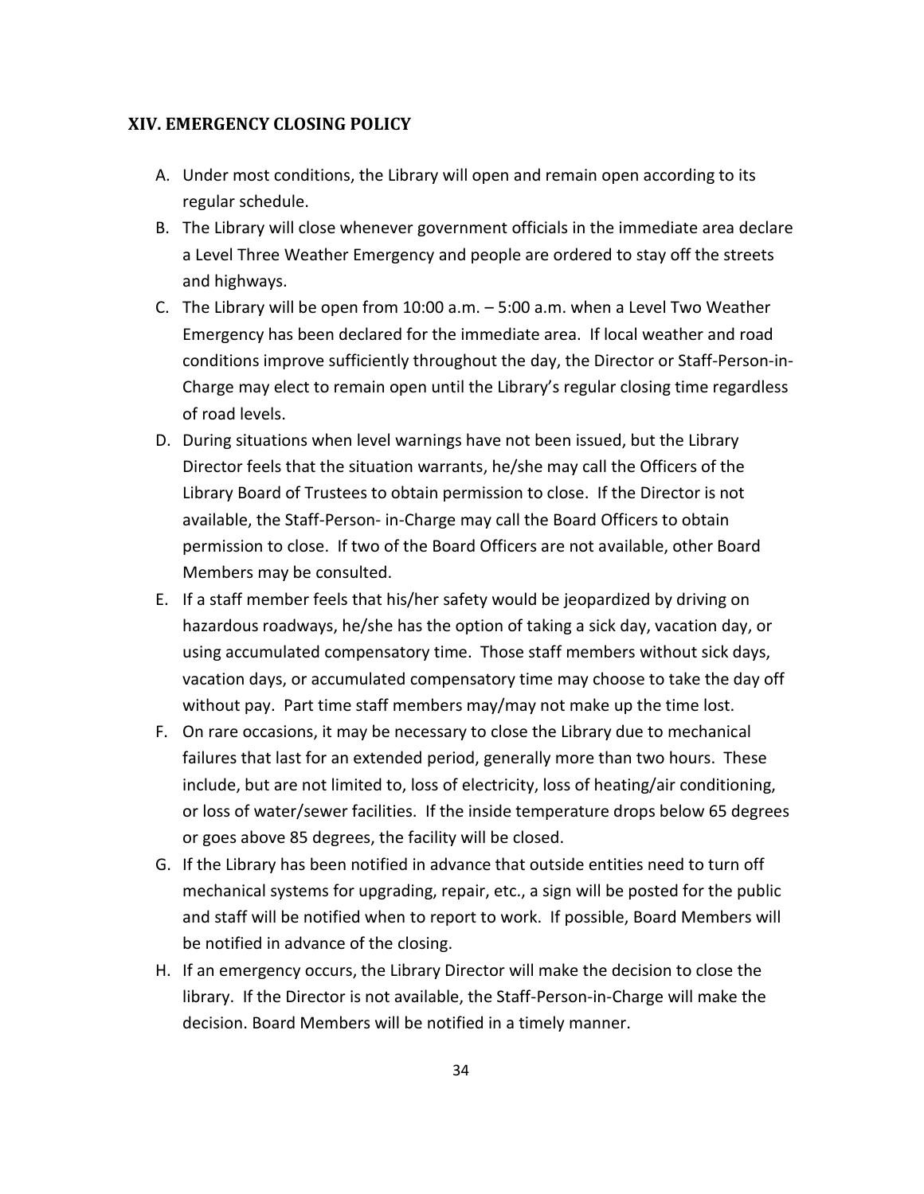#### <span id="page-33-0"></span>**XIV. EMERGENCY CLOSING POLICY**

- A. Under most conditions, the Library will open and remain open according to its regular schedule.
- B. The Library will close whenever government officials in the immediate area declare a Level Three Weather Emergency and people are ordered to stay off the streets and highways.
- C. The Library will be open from 10:00 a.m. 5:00 a.m. when a Level Two Weather Emergency has been declared for the immediate area. If local weather and road conditions improve sufficiently throughout the day, the Director or Staff-Person-in-Charge may elect to remain open until the Library's regular closing time regardless of road levels.
- D. During situations when level warnings have not been issued, but the Library Director feels that the situation warrants, he/she may call the Officers of the Library Board of Trustees to obtain permission to close. If the Director is not available, the Staff-Person- in-Charge may call the Board Officers to obtain permission to close. If two of the Board Officers are not available, other Board Members may be consulted.
- E. If a staff member feels that his/her safety would be jeopardized by driving on hazardous roadways, he/she has the option of taking a sick day, vacation day, or using accumulated compensatory time. Those staff members without sick days, vacation days, or accumulated compensatory time may choose to take the day off without pay. Part time staff members may/may not make up the time lost.
- F. On rare occasions, it may be necessary to close the Library due to mechanical failures that last for an extended period, generally more than two hours. These include, but are not limited to, loss of electricity, loss of heating/air conditioning, or loss of water/sewer facilities. If the inside temperature drops below 65 degrees or goes above 85 degrees, the facility will be closed.
- G. If the Library has been notified in advance that outside entities need to turn off mechanical systems for upgrading, repair, etc., a sign will be posted for the public and staff will be notified when to report to work. If possible, Board Members will be notified in advance of the closing.
- H. If an emergency occurs, the Library Director will make the decision to close the library. If the Director is not available, the Staff-Person-in-Charge will make the decision. Board Members will be notified in a timely manner.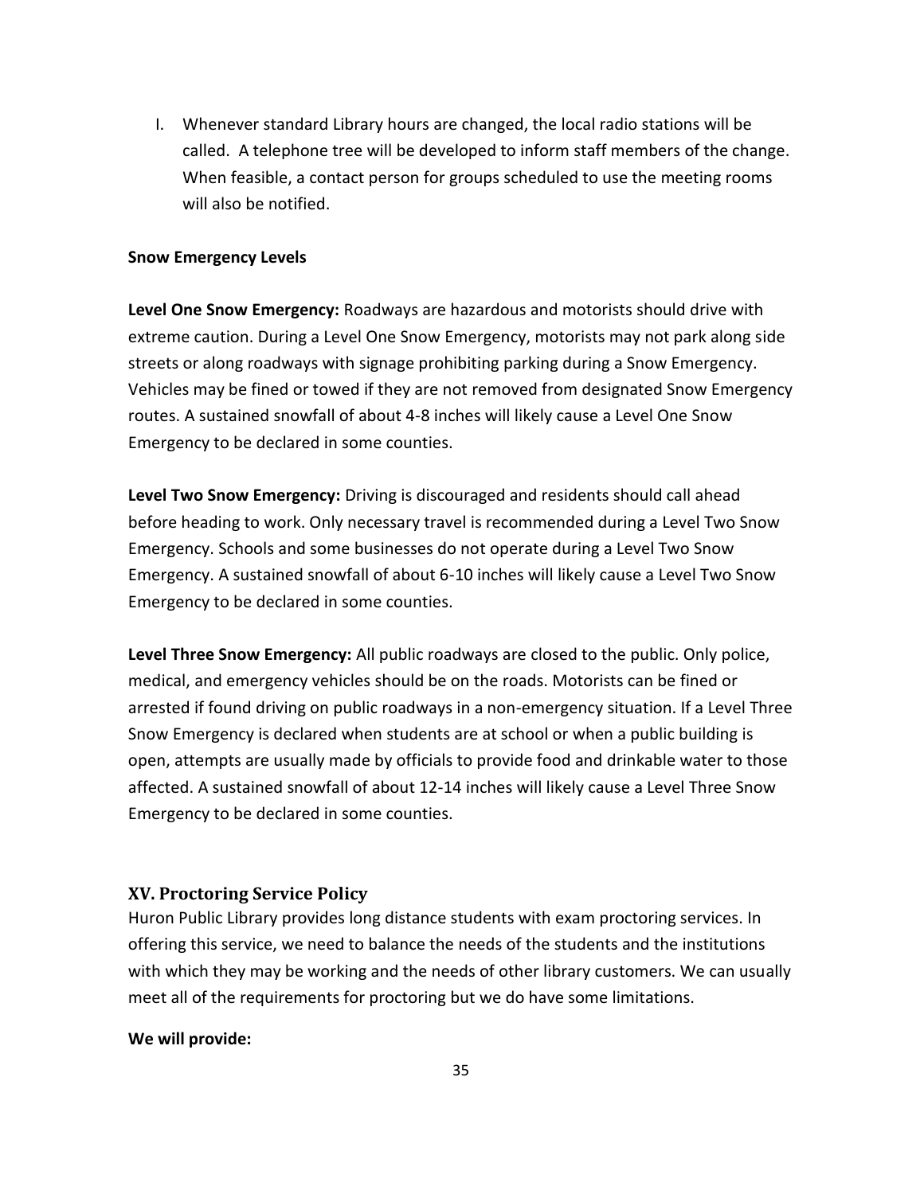I. Whenever standard Library hours are changed, the local radio stations will be called. A telephone tree will be developed to inform staff members of the change. When feasible, a contact person for groups scheduled to use the meeting rooms will also be notified.

#### **Snow Emergency Levels**

**Level One Snow Emergency:** Roadways are hazardous and motorists should drive with extreme caution. During a Level One Snow Emergency, motorists may not park along side streets or along roadways with signage prohibiting parking during a Snow Emergency. Vehicles may be fined or towed if they are not removed from designated Snow Emergency routes. A sustained snowfall of about 4-8 inches will likely cause a Level One Snow Emergency to be declared in some counties.

**Level Two Snow Emergency:** Driving is discouraged and residents should call ahead before heading to work. Only necessary travel is recommended during a Level Two Snow Emergency. Schools and some businesses do not operate during a Level Two Snow Emergency. A sustained snowfall of about 6-10 inches will likely cause a Level Two Snow Emergency to be declared in some counties.

**Level Three Snow Emergency:** All public roadways are closed to the public. Only police, medical, and emergency vehicles should be on the roads. Motorists can be fined or arrested if found driving on public roadways in a non-emergency situation. If a Level Three Snow Emergency is declared when students are at school or when a public building is open, attempts are usually made by officials to provide food and drinkable water to those affected. A sustained snowfall of about 12-14 inches will likely cause a Level Three Snow Emergency to be declared in some counties.

#### <span id="page-34-0"></span>**XV. Proctoring Service Policy**

Huron Public Library provides long distance students with exam proctoring services. In offering this service, we need to balance the needs of the students and the institutions with which they may be working and the needs of other library customers. We can usually meet all of the requirements for proctoring but we do have some limitations.

#### **We will provide:**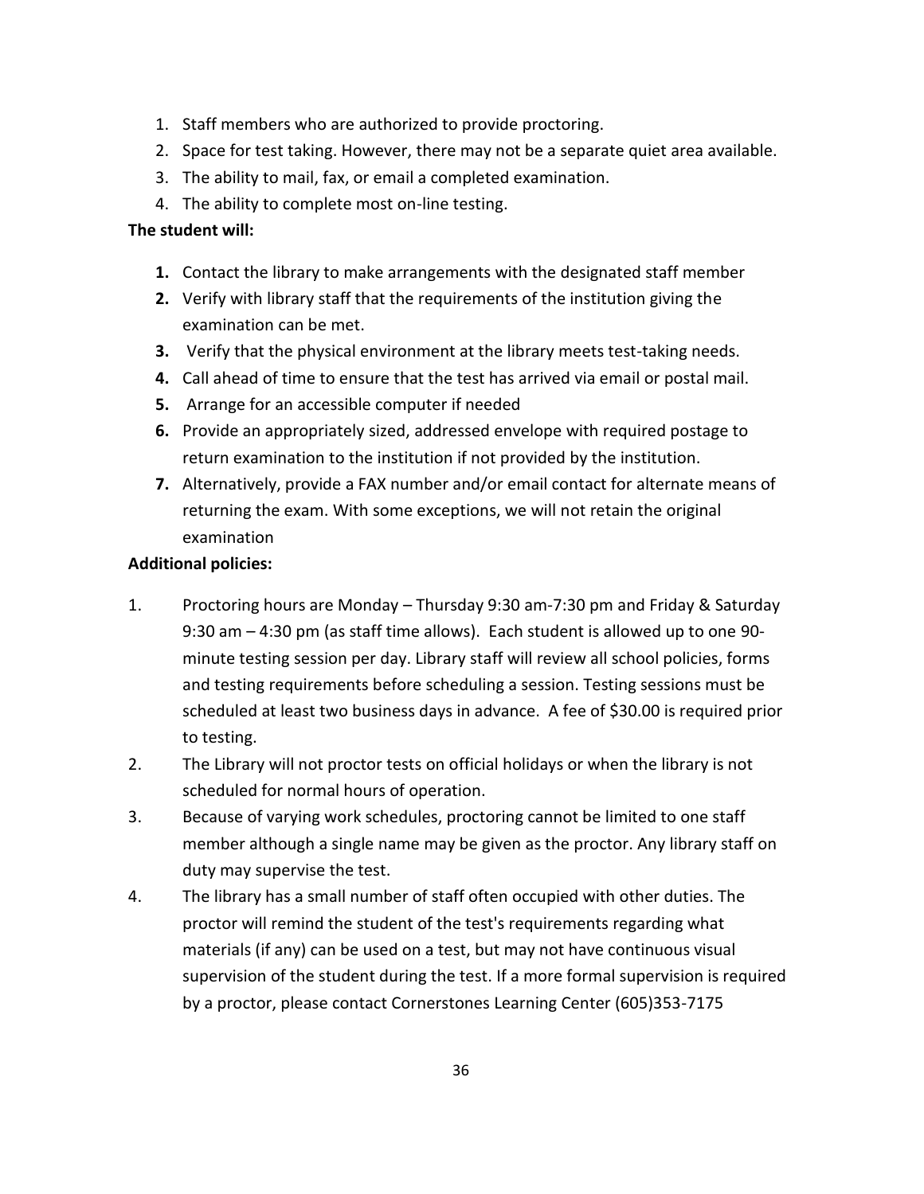- 1. Staff members who are authorized to provide proctoring.
- 2. Space for test taking. However, there may not be a separate quiet area available.
- 3. The ability to mail, fax, or email a completed examination.
- 4. The ability to complete most on-line testing.

### **The student will:**

- **1.** Contact the library to make arrangements with the designated staff member
- **2.** Verify with library staff that the requirements of the institution giving the examination can be met.
- **3.** Verify that the physical environment at the library meets test-taking needs.
- **4.** Call ahead of time to ensure that the test has arrived via email or postal mail.
- **5.** Arrange for an accessible computer if needed
- **6.** Provide an appropriately sized, addressed envelope with required postage to return examination to the institution if not provided by the institution.
- **7.** Alternatively, provide a FAX number and/or email contact for alternate means of returning the exam. With some exceptions, we will not retain the original examination

### **Additional policies:**

- 1. Proctoring hours are Monday Thursday 9:30 am-7:30 pm and Friday & Saturday 9:30 am – 4:30 pm (as staff time allows). Each student is allowed up to one 90 minute testing session per day. Library staff will review all school policies, forms and testing requirements before scheduling a session. Testing sessions must be scheduled at least two business days in advance. A fee of \$30.00 is required prior to testing.
- 2. The Library will not proctor tests on official holidays or when the library is not scheduled for normal hours of operation.
- 3. Because of varying work schedules, proctoring cannot be limited to one staff member although a single name may be given as the proctor. Any library staff on duty may supervise the test.
- 4. The library has a small number of staff often occupied with other duties. The proctor will remind the student of the test's requirements regarding what materials (if any) can be used on a test, but may not have continuous visual supervision of the student during the test. If a more formal supervision is required by a proctor, please contact Cornerstones Learning Center (605)353-7175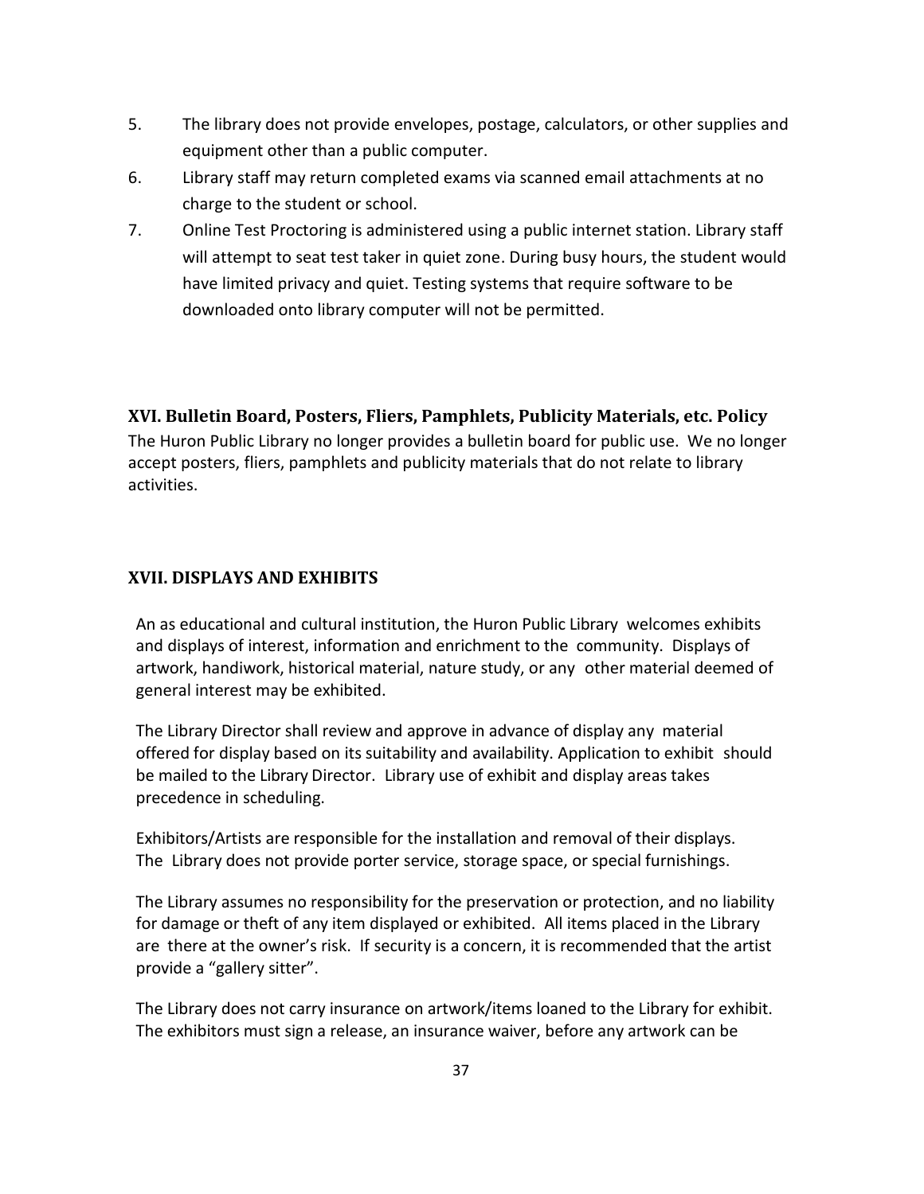- 5. The library does not provide envelopes, postage, calculators, or other supplies and equipment other than a public computer.
- 6. Library staff may return completed exams via scanned email attachments at no charge to the student or school.
- 7. Online Test Proctoring is administered using a public internet station. Library staff will attempt to seat test taker in quiet zone. During busy hours, the student would have limited privacy and quiet. Testing systems that require software to be downloaded onto library computer will not be permitted.

**XVI. Bulletin Board, Posters, Fliers, Pamphlets, Publicity Materials, etc. Policy** The Huron Public Library no longer provides a bulletin board for public use. We no longer accept posters, fliers, pamphlets and publicity materials that do not relate to library activities.

# **XVII. DISPLAYS AND EXHIBITS**

An as educational and cultural institution, the Huron Public Library welcomes exhibits and displays of interest, information and enrichment to the community. Displays of artwork, handiwork, historical material, nature study, or any other material deemed of general interest may be exhibited.

The Library Director shall review and approve in advance of display any material offered for display based on its suitability and availability. Application to exhibit should be mailed to the Library Director. Library use of exhibit and display areas takes precedence in scheduling.

Exhibitors/Artists are responsible for the installation and removal of their displays. The Library does not provide porter service, storage space, or special furnishings.

The Library assumes no responsibility for the preservation or protection, and no liability for damage or theft of any item displayed or exhibited. All items placed in the Library are there at the owner's risk. If security is a concern, it is recommended that the artist provide a "gallery sitter".

The Library does not carry insurance on artwork/items loaned to the Library for exhibit. The exhibitors must sign a release, an insurance waiver, before any artwork can be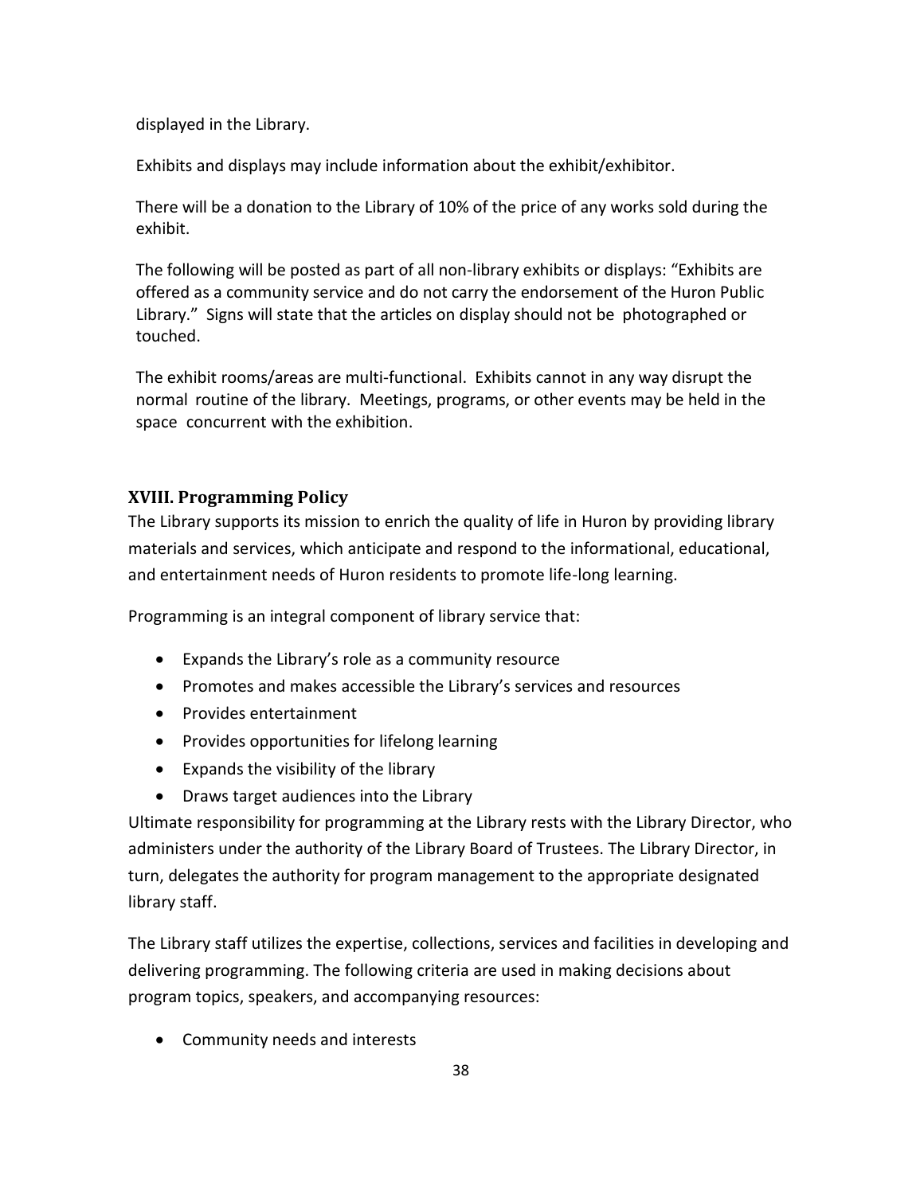displayed in the Library.

Exhibits and displays may include information about the exhibit/exhibitor.

There will be a donation to the Library of 10% of the price of any works sold during the exhibit.

The following will be posted as part of all non-library exhibits or displays: "Exhibits are offered as a community service and do not carry the endorsement of the Huron Public Library." Signs will state that the articles on display should not be photographed or touched.

The exhibit rooms/areas are multi-functional. Exhibits cannot in any way disrupt the normal routine of the library. Meetings, programs, or other events may be held in the space concurrent with the exhibition.

## **XVIII. Programming Policy**

The Library supports its mission to enrich the quality of life in Huron by providing library materials and services, which anticipate and respond to the informational, educational, and entertainment needs of Huron residents to promote life-long learning.

Programming is an integral component of library service that:

- Expands the Library's role as a community resource
- Promotes and makes accessible the Library's services and resources
- Provides entertainment
- Provides opportunities for lifelong learning
- Expands the visibility of the library
- Draws target audiences into the Library

Ultimate responsibility for programming at the Library rests with the Library Director, who administers under the authority of the Library Board of Trustees. The Library Director, in turn, delegates the authority for program management to the appropriate designated library staff.

The Library staff utilizes the expertise, collections, services and facilities in developing and delivering programming. The following criteria are used in making decisions about program topics, speakers, and accompanying resources:

• Community needs and interests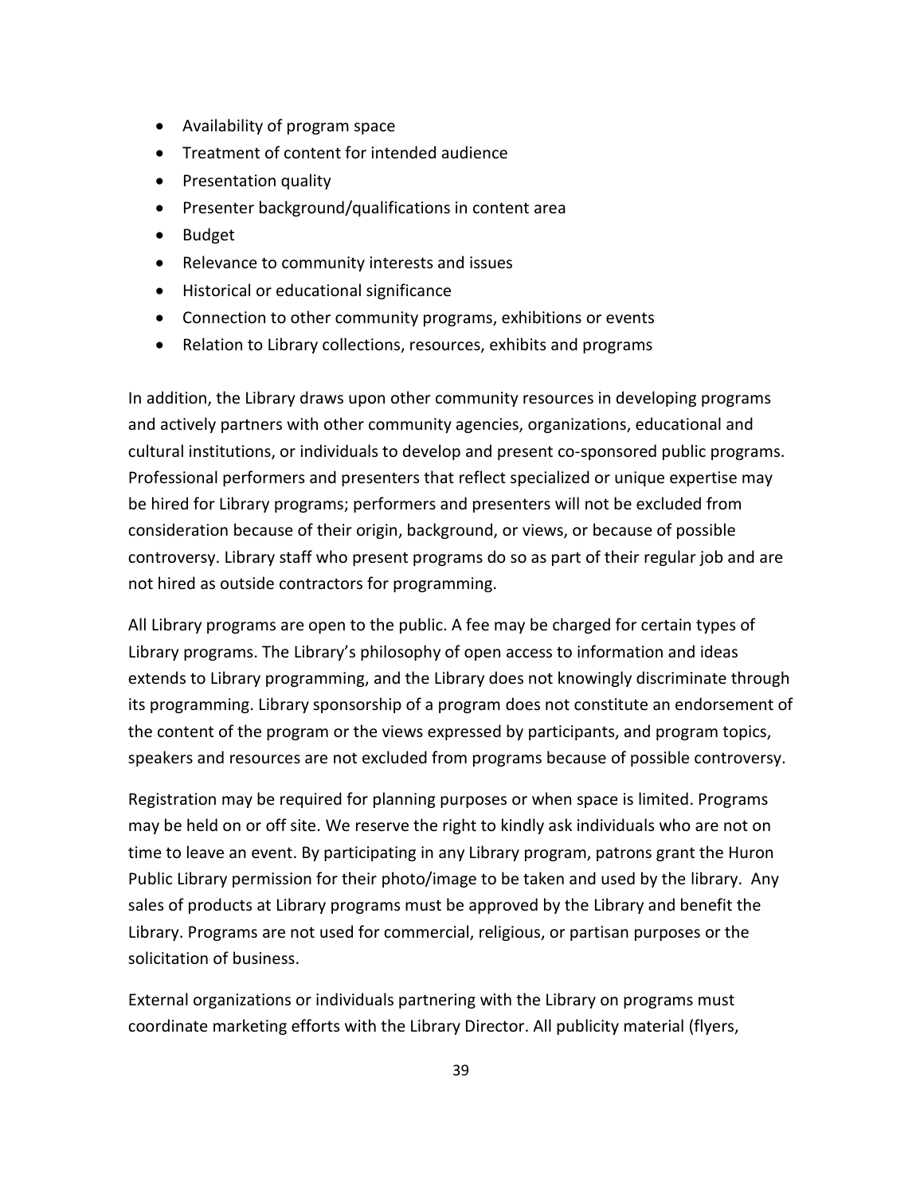- Availability of program space
- Treatment of content for intended audience
- Presentation quality
- Presenter background/qualifications in content area
- Budget
- Relevance to community interests and issues
- Historical or educational significance
- Connection to other community programs, exhibitions or events
- Relation to Library collections, resources, exhibits and programs

In addition, the Library draws upon other community resources in developing programs and actively partners with other community agencies, organizations, educational and cultural institutions, or individuals to develop and present co-sponsored public programs. Professional performers and presenters that reflect specialized or unique expertise may be hired for Library programs; performers and presenters will not be excluded from consideration because of their origin, background, or views, or because of possible controversy. Library staff who present programs do so as part of their regular job and are not hired as outside contractors for programming.

All Library programs are open to the public. A fee may be charged for certain types of Library programs. The Library's philosophy of open access to information and ideas extends to Library programming, and the Library does not knowingly discriminate through its programming. Library sponsorship of a program does not constitute an endorsement of the content of the program or the views expressed by participants, and program topics, speakers and resources are not excluded from programs because of possible controversy.

Registration may be required for planning purposes or when space is limited. Programs may be held on or off site. We reserve the right to kindly ask individuals who are not on time to leave an event. By participating in any Library program, patrons grant the Huron Public Library permission for their photo/image to be taken and used by the library. Any sales of products at Library programs must be approved by the Library and benefit the Library. Programs are not used for commercial, religious, or partisan purposes or the solicitation of business.

External organizations or individuals partnering with the Library on programs must coordinate marketing efforts with the Library Director. All publicity material (flyers,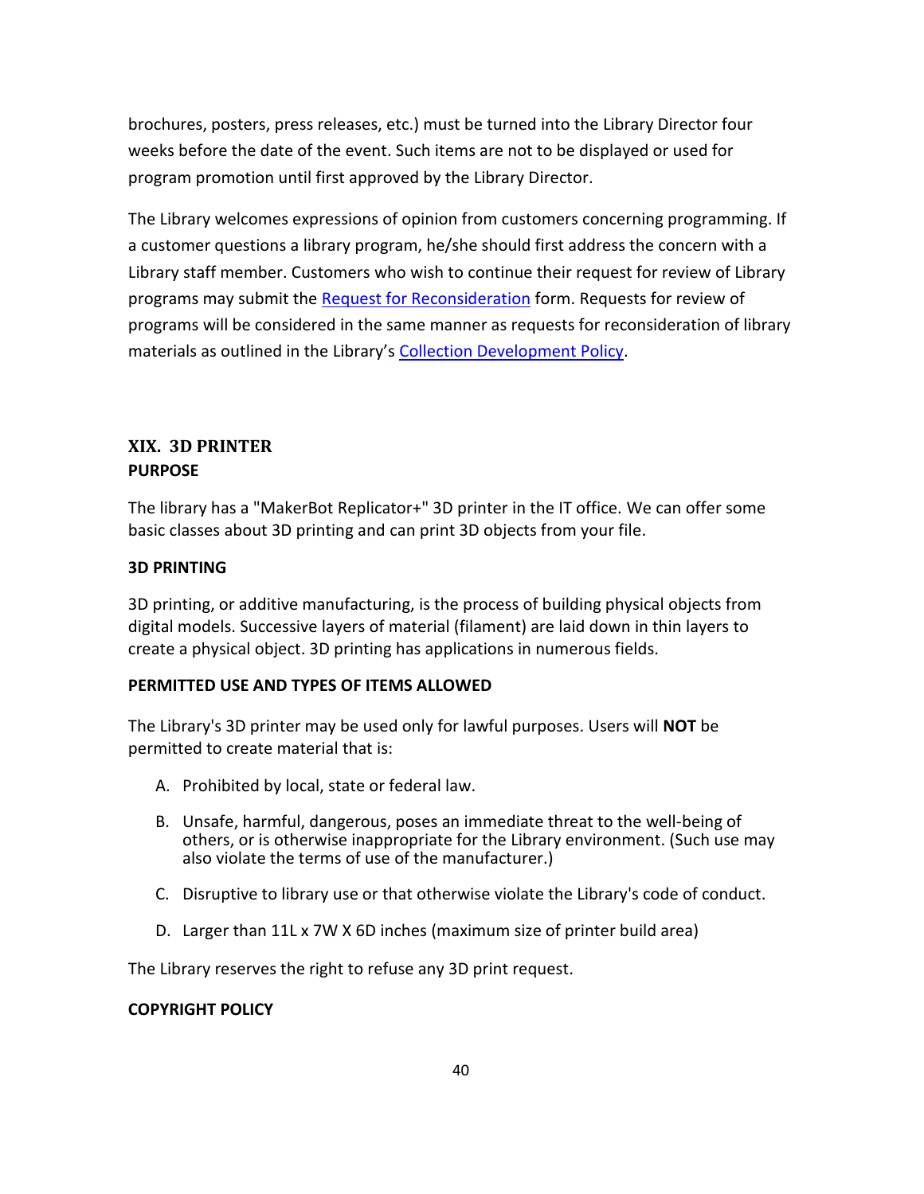brochures, posters, press releases, etc.) must be turned into the Library Director four weeks before the date of the event. Such items are not to be displayed or used for program promotion until first approved by the Library Director.

The Library welcomes expressions of opinion from customers concerning programming. If a customer questions a library program, he/she should first address the concern with a Library staff member. Customers who wish to continue their request for review of Library programs may submit the [Request for Reconsideration](http://www.cincinnatilibrary.org/policies/librequestforreconsideration.pdf) form. Requests for review of programs will be considered in the same manner as requests for reconsideration of library materials as outlined in the Library's [Collection Development Policy.](http://www.cincinnatilibrary.org/policies/collectiondevelopment.html)

## **XIX. 3D PRINTER PURPOSE**

The library has a "MakerBot Replicator+" 3D printer in the IT office. We can offer some basic classes about 3D printing and can print 3D objects from your file.

## **3D PRINTING**

3D printing, or additive manufacturing, is the process of building physical objects from digital models. Successive layers of material (filament) are laid down in thin layers to create a physical object. 3D printing has applications in numerous fields.

## **PERMITTED USE AND TYPES OF ITEMS ALLOWED**

The Library's 3D printer may be used only for lawful purposes. Users will **NOT** be permitted to create material that is:

- A. Prohibited by local, state or federal law.
- B. Unsafe, harmful, dangerous, poses an immediate threat to the well-being of others, or is otherwise inappropriate for the Library environment. (Such use may also violate the terms of use of the manufacturer.)
- C. Disruptive to library use or that otherwise violate the Library's code of conduct.
- D. Larger than 11L x 7W X 6D inches (maximum size of printer build area)

The Library reserves the right to refuse any 3D print request.

## **COPYRIGHT POLICY**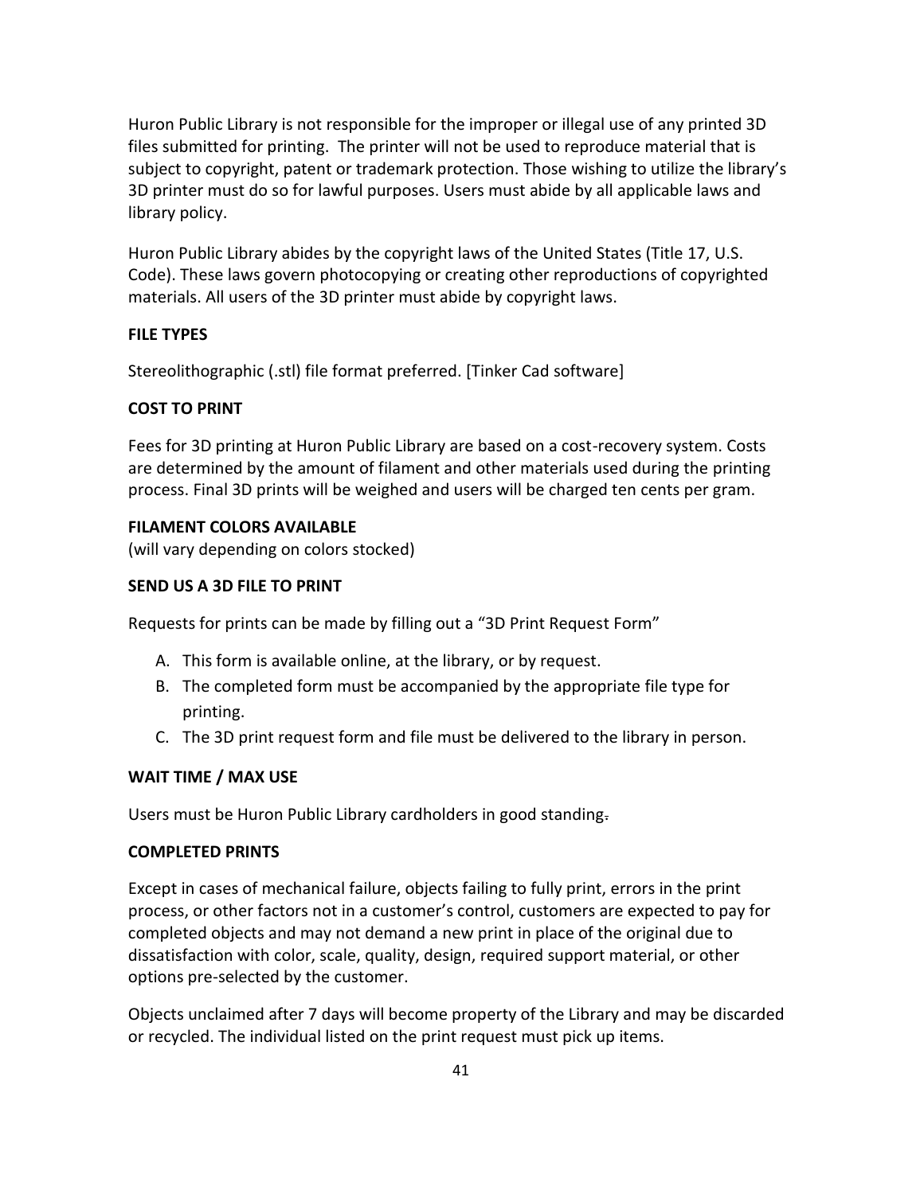Huron Public Library is not responsible for the improper or illegal use of any printed 3D files submitted for printing. The printer will not be used to reproduce material that is subject to copyright, patent or trademark protection. Those wishing to utilize the library's 3D printer must do so for lawful purposes. Users must abide by all applicable laws and library policy.

Huron Public Library abides by the copyright laws of the United States (Title 17, U.S. Code). These laws govern photocopying or creating other reproductions of copyrighted materials. All users of the 3D printer must abide by copyright laws.

## **FILE TYPES**

Stereolithographic (.stl) file format preferred. [Tinker Cad software]

## **COST TO PRINT**

Fees for 3D printing at Huron Public Library are based on a cost-recovery system. Costs are determined by the amount of filament and other materials used during the printing process. Final 3D prints will be weighed and users will be charged ten cents per gram.

#### **FILAMENT COLORS AVAILABLE**

(will vary depending on colors stocked)

#### **SEND US A 3D FILE TO PRINT**

Requests for prints can be made by filling out a "3D Print Request Form"

- A. This form is available online, at the library, or by request.
- B. The completed form must be accompanied by the appropriate file type for printing.
- C. The 3D print request form and file must be delivered to the library in person.

## **WAIT TIME / MAX USE**

Users must be Huron Public Library cardholders in good standing.

#### **COMPLETED PRINTS**

Except in cases of mechanical failure, objects failing to fully print, errors in the print process, or other factors not in a customer's control, customers are expected to pay for completed objects and may not demand a new print in place of the original due to dissatisfaction with color, scale, quality, design, required support material, or other options pre-selected by the customer.

Objects unclaimed after 7 days will become property of the Library and may be discarded or recycled. The individual listed on the print request must pick up items.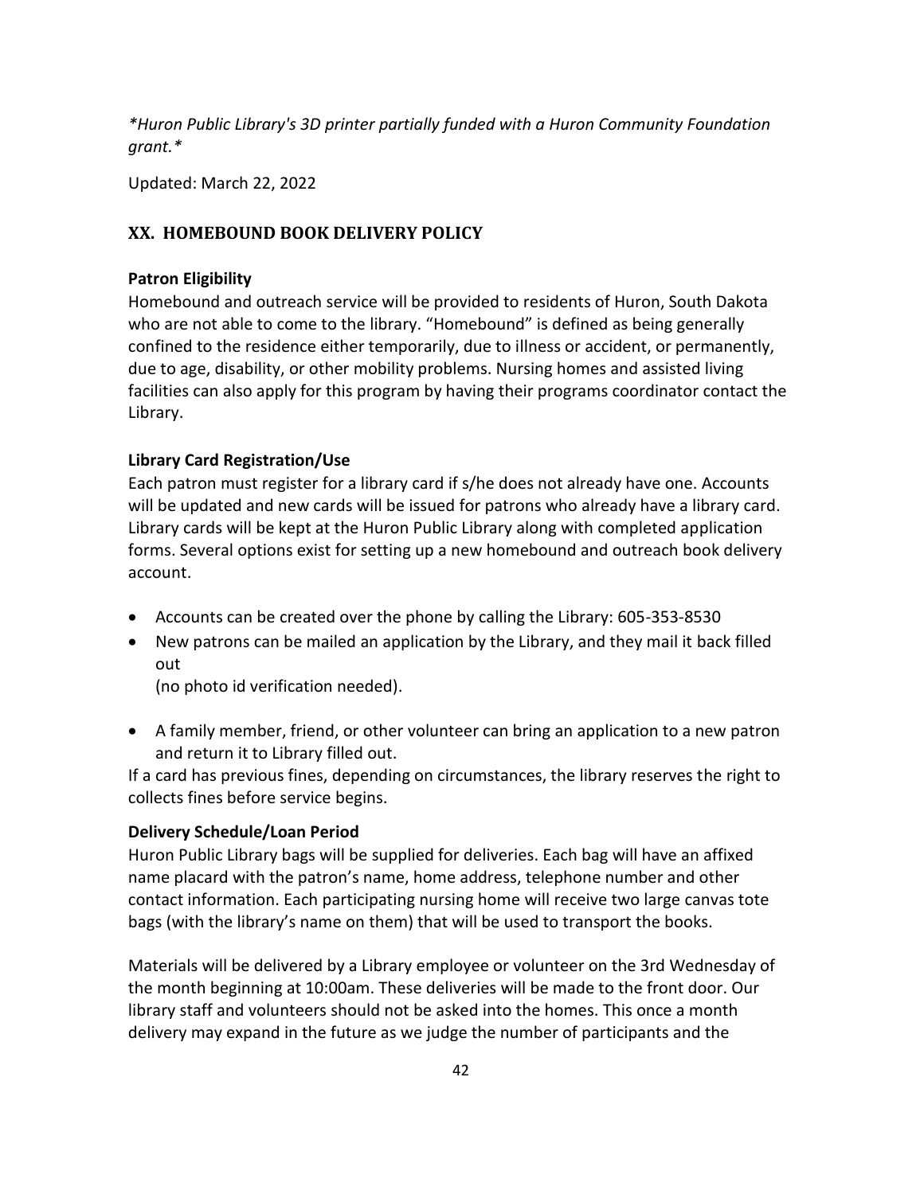*\*Huron Public Library's 3D printer partially funded with a Huron Community Foundation grant.\**

Updated: March 22, 2022

### **XX. HOMEBOUND BOOK DELIVERY POLICY**

#### **Patron Eligibility**

Homebound and outreach service will be provided to residents of Huron, South Dakota who are not able to come to the library. "Homebound" is defined as being generally confined to the residence either temporarily, due to illness or accident, or permanently, due to age, disability, or other mobility problems. Nursing homes and assisted living facilities can also apply for this program by having their programs coordinator contact the Library.

#### **Library Card Registration/Use**

Each patron must register for a library card if s/he does not already have one. Accounts will be updated and new cards will be issued for patrons who already have a library card. Library cards will be kept at the Huron Public Library along with completed application forms. Several options exist for setting up a new homebound and outreach book delivery account.

- Accounts can be created over the phone by calling the Library: 605-353-8530
- New patrons can be mailed an application by the Library, and they mail it back filled out

(no photo id verification needed).

• A family member, friend, or other volunteer can bring an application to a new patron and return it to Library filled out.

If a card has previous fines, depending on circumstances, the library reserves the right to collects fines before service begins.

#### **Delivery Schedule/Loan Period**

Huron Public Library bags will be supplied for deliveries. Each bag will have an affixed name placard with the patron's name, home address, telephone number and other contact information. Each participating nursing home will receive two large canvas tote bags (with the library's name on them) that will be used to transport the books.

Materials will be delivered by a Library employee or volunteer on the 3rd Wednesday of the month beginning at 10:00am. These deliveries will be made to the front door. Our library staff and volunteers should not be asked into the homes. This once a month delivery may expand in the future as we judge the number of participants and the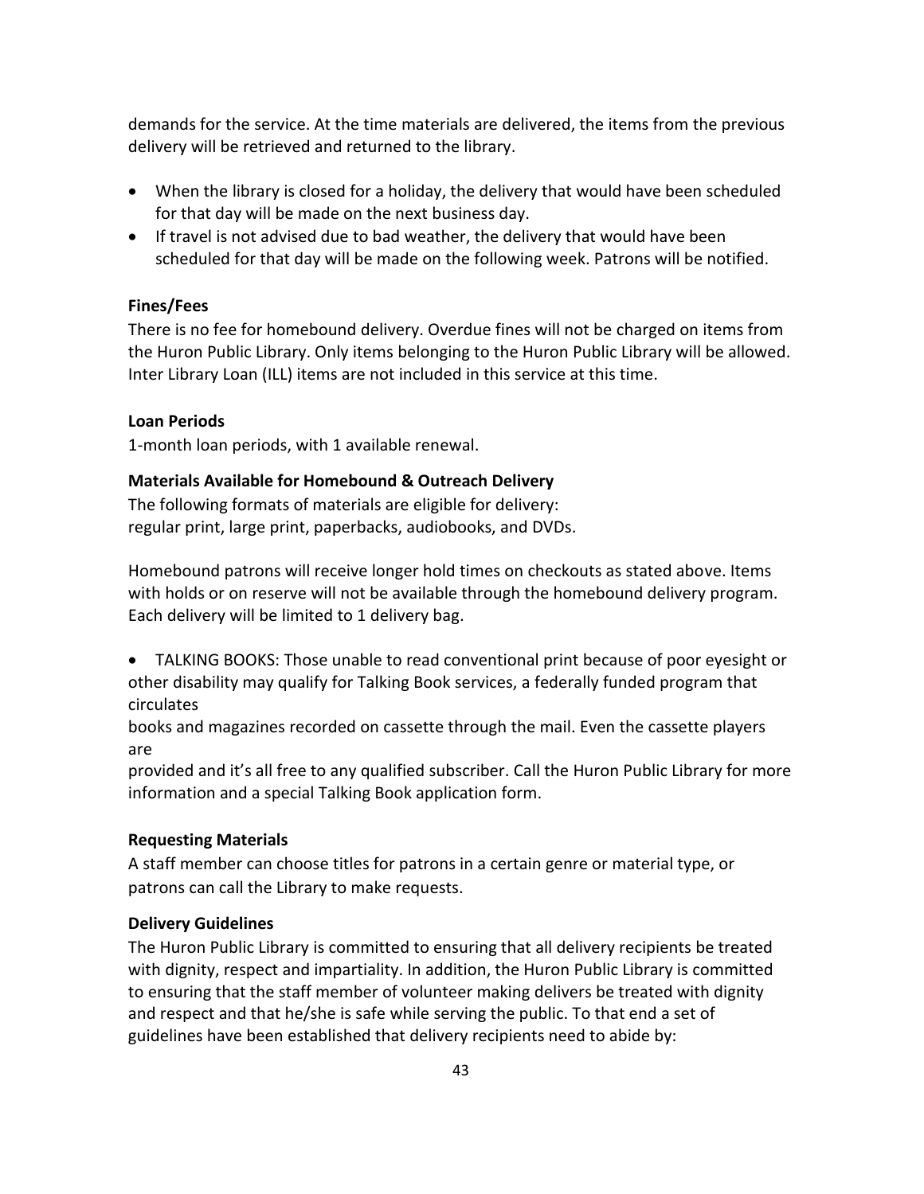demands for the service. At the time materials are delivered, the items from the previous delivery will be retrieved and returned to the library.

- When the library is closed for a holiday, the delivery that would have been scheduled for that day will be made on the next business day.
- If travel is not advised due to bad weather, the delivery that would have been scheduled for that day will be made on the following week. Patrons will be notified.

## **Fines/Fees**

There is no fee for homebound delivery. Overdue fines will not be charged on items from the Huron Public Library. Only items belonging to the Huron Public Library will be allowed. Inter Library Loan (ILL) items are not included in this service at this time.

#### **Loan Periods**

1-month loan periods, with 1 available renewal.

#### **Materials Available for Homebound & Outreach Delivery**

The following formats of materials are eligible for delivery: regular print, large print, paperbacks, audiobooks, and DVDs.

Homebound patrons will receive longer hold times on checkouts as stated above. Items with holds or on reserve will not be available through the homebound delivery program. Each delivery will be limited to 1 delivery bag.

• TALKING BOOKS: Those unable to read conventional print because of poor eyesight or other disability may qualify for Talking Book services, a federally funded program that circulates

books and magazines recorded on cassette through the mail. Even the cassette players are

provided and it's all free to any qualified subscriber. Call the Huron Public Library for more information and a special Talking Book application form.

#### **Requesting Materials**

A staff member can choose titles for patrons in a certain genre or material type, or patrons can call the Library to make requests.

#### **Delivery Guidelines**

The Huron Public Library is committed to ensuring that all delivery recipients be treated with dignity, respect and impartiality. In addition, the Huron Public Library is committed to ensuring that the staff member of volunteer making delivers be treated with dignity and respect and that he/she is safe while serving the public. To that end a set of guidelines have been established that delivery recipients need to abide by: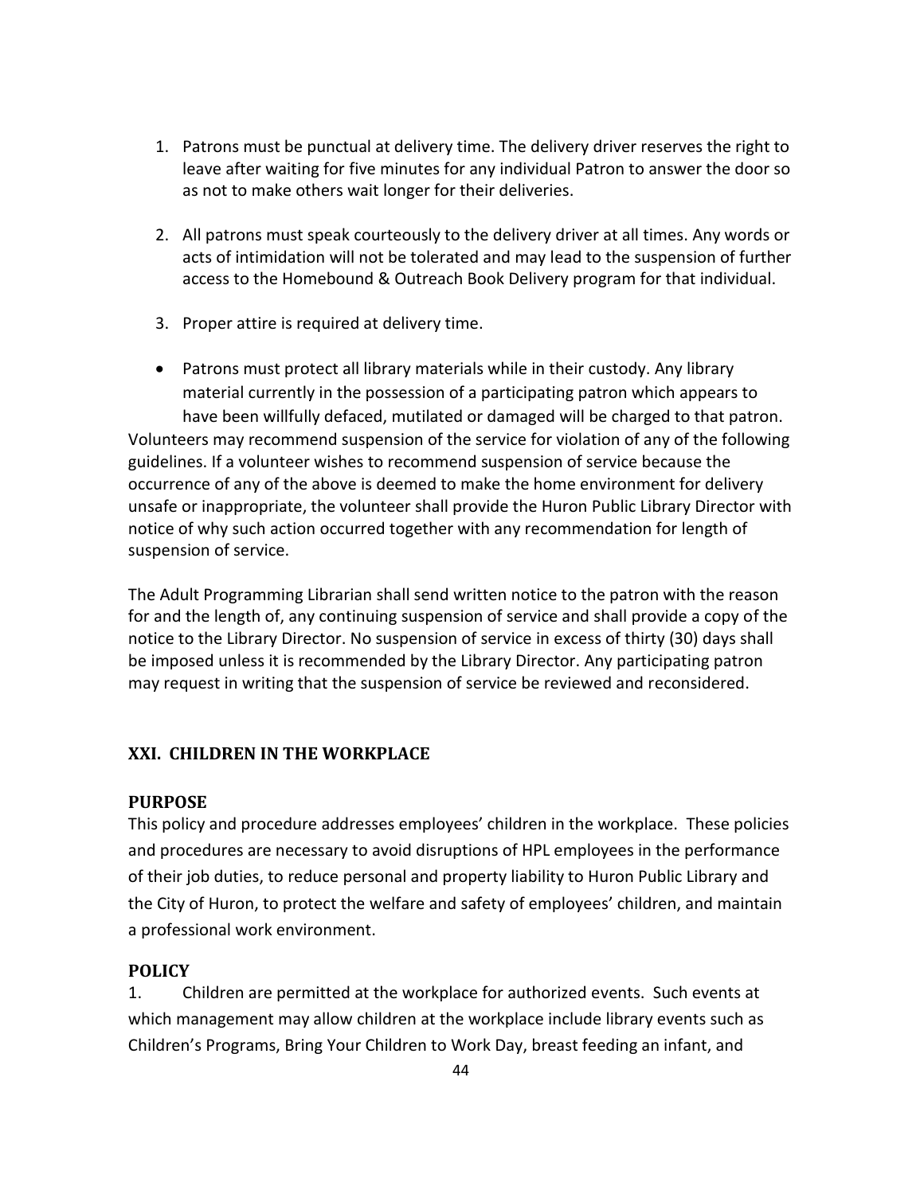- 1. Patrons must be punctual at delivery time. The delivery driver reserves the right to leave after waiting for five minutes for any individual Patron to answer the door so as not to make others wait longer for their deliveries.
- 2. All patrons must speak courteously to the delivery driver at all times. Any words or acts of intimidation will not be tolerated and may lead to the suspension of further access to the Homebound & Outreach Book Delivery program for that individual.
- 3. Proper attire is required at delivery time.
- Patrons must protect all library materials while in their custody. Any library material currently in the possession of a participating patron which appears to have been willfully defaced, mutilated or damaged will be charged to that patron. Volunteers may recommend suspension of the service for violation of any of the following guidelines. If a volunteer wishes to recommend suspension of service because the occurrence of any of the above is deemed to make the home environment for delivery unsafe or inappropriate, the volunteer shall provide the Huron Public Library Director with

The Adult Programming Librarian shall send written notice to the patron with the reason for and the length of, any continuing suspension of service and shall provide a copy of the notice to the Library Director. No suspension of service in excess of thirty (30) days shall be imposed unless it is recommended by the Library Director. Any participating patron may request in writing that the suspension of service be reviewed and reconsidered.

notice of why such action occurred together with any recommendation for length of

# **XXI. CHILDREN IN THE WORKPLACE**

## **PURPOSE**

suspension of service.

This policy and procedure addresses employees' children in the workplace. These policies and procedures are necessary to avoid disruptions of HPL employees in the performance of their job duties, to reduce personal and property liability to Huron Public Library and the City of Huron, to protect the welfare and safety of employees' children, and maintain a professional work environment.

## **POLICY**

1. Children are permitted at the workplace for authorized events. Such events at which management may allow children at the workplace include library events such as Children's Programs, Bring Your Children to Work Day, breast feeding an infant, and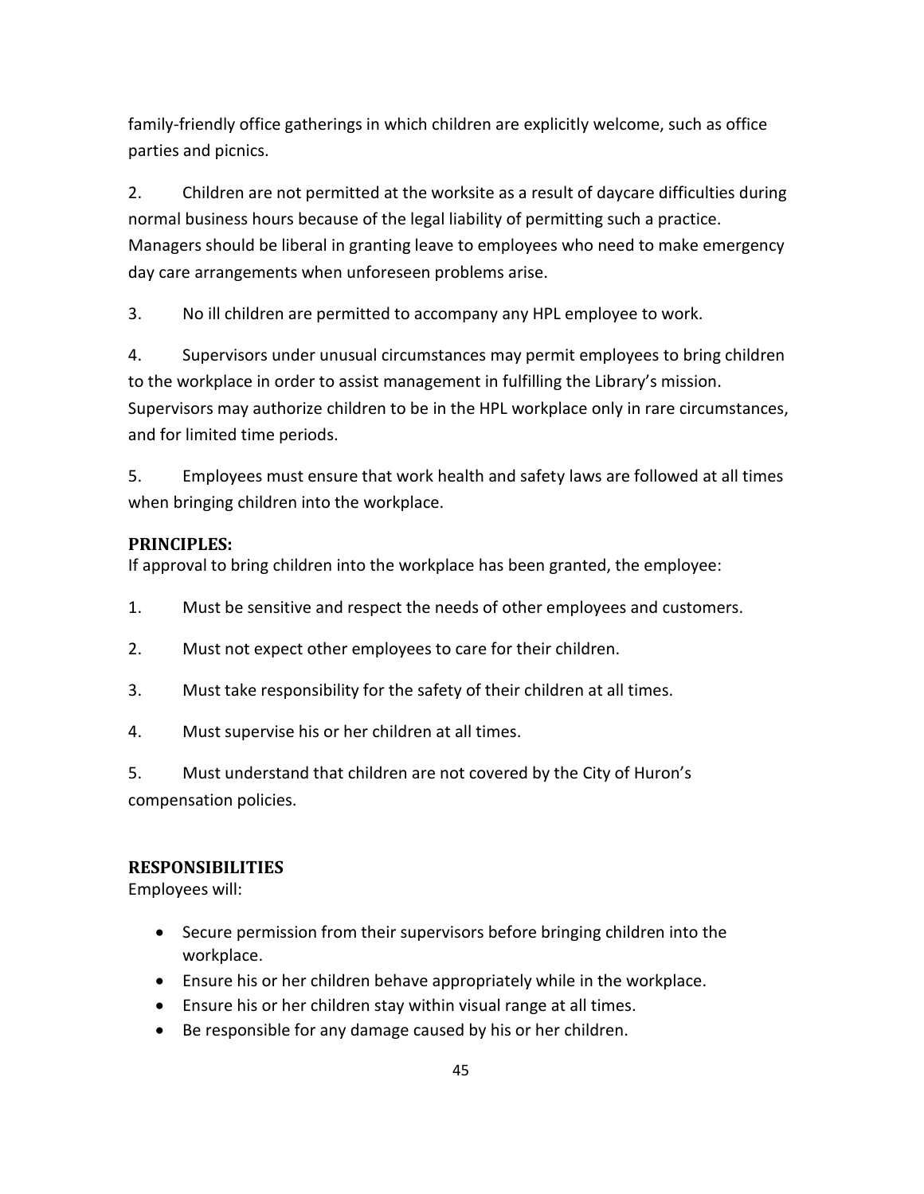family-friendly office gatherings in which children are explicitly welcome, such as office parties and picnics.

2. Children are not permitted at the worksite as a result of daycare difficulties during normal business hours because of the legal liability of permitting such a practice. Managers should be liberal in granting leave to employees who need to make emergency day care arrangements when unforeseen problems arise.

3. No ill children are permitted to accompany any HPL employee to work.

4. Supervisors under unusual circumstances may permit employees to bring children to the workplace in order to assist management in fulfilling the Library's mission. Supervisors may authorize children to be in the HPL workplace only in rare circumstances, and for limited time periods.

5. Employees must ensure that work health and safety laws are followed at all times when bringing children into the workplace.

#### **PRINCIPLES:**

If approval to bring children into the workplace has been granted, the employee:

- 1. Must be sensitive and respect the needs of other employees and customers.
- 2. Must not expect other employees to care for their children.
- 3. Must take responsibility for the safety of their children at all times.
- 4. Must supervise his or her children at all times.

5. Must understand that children are not covered by the City of Huron's compensation policies.

#### **RESPONSIBILITIES**

Employees will:

- Secure permission from their supervisors before bringing children into the workplace.
- Ensure his or her children behave appropriately while in the workplace.
- Ensure his or her children stay within visual range at all times.
- Be responsible for any damage caused by his or her children.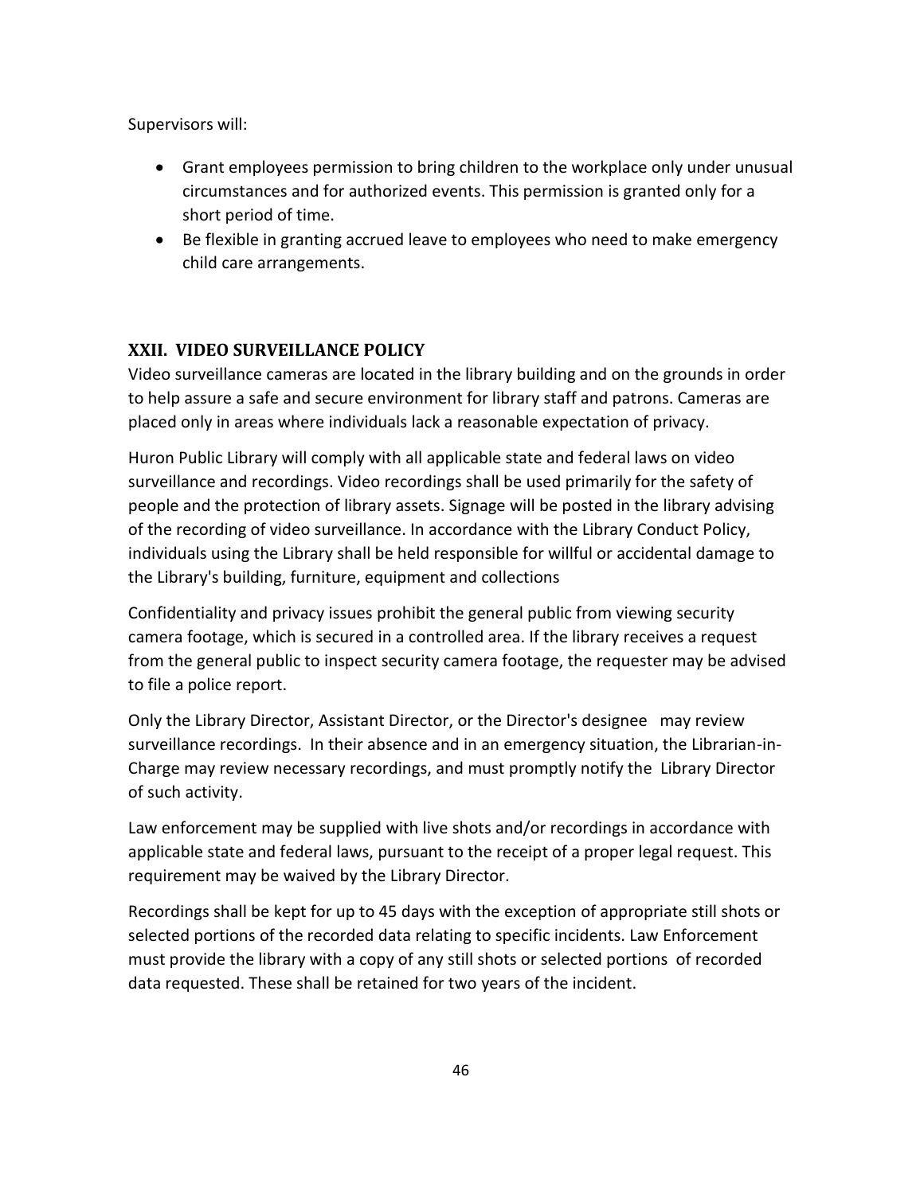Supervisors will:

- Grant employees permission to bring children to the workplace only under unusual circumstances and for authorized events. This permission is granted only for a short period of time.
- Be flexible in granting accrued leave to employees who need to make emergency child care arrangements.

# **XXII. VIDEO SURVEILLANCE POLICY**

Video surveillance cameras are located in the library building and on the grounds in order to help assure a safe and secure environment for library staff and patrons. Cameras are placed only in areas where individuals lack a reasonable expectation of privacy.

Huron Public Library will comply with all applicable state and federal laws on video surveillance and recordings. Video recordings shall be used primarily for the safety of people and the protection of library assets. Signage will be posted in the library advising of the recording of video surveillance. In accordance with the Library Conduct Policy, individuals using the Library shall be held responsible for willful or accidental damage to the Library's building, furniture, equipment and collections

Confidentiality and privacy issues prohibit the general public from viewing security camera footage, which is secured in a controlled area. If the library receives a request from the general public to inspect security camera footage, the requester may be advised to file a police report.

Only the Library Director, Assistant Director, or the Director's designee may review surveillance recordings. In their absence and in an emergency situation, the Librarian-in-Charge may review necessary recordings, and must promptly notify the Library Director of such activity.

Law enforcement may be supplied with live shots and/or recordings in accordance with applicable state and federal laws, pursuant to the receipt of a proper legal request. This requirement may be waived by the Library Director.

Recordings shall be kept for up to 45 days with the exception of appropriate still shots or selected portions of the recorded data relating to specific incidents. Law Enforcement must provide the library with a copy of any still shots or selected portions of recorded data requested. These shall be retained for two years of the incident.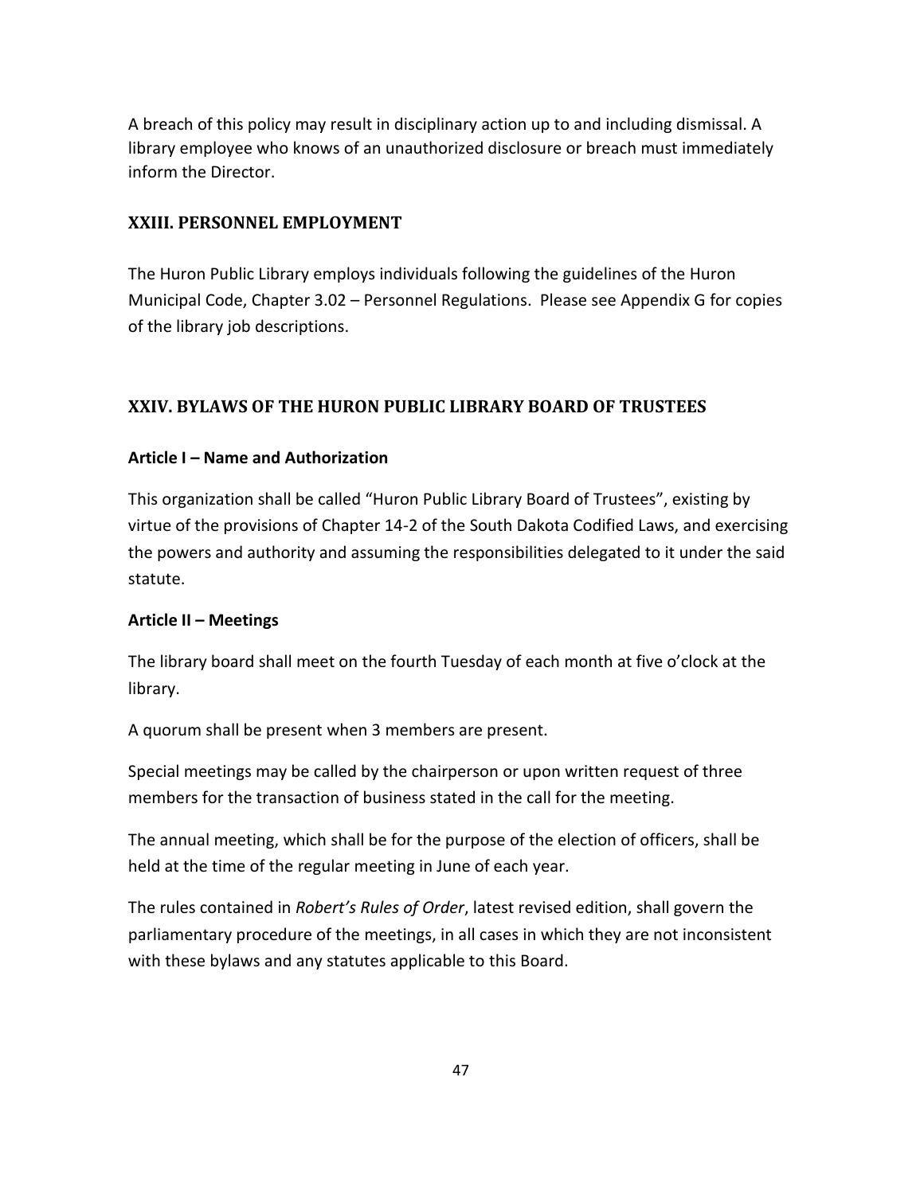A breach of this policy may result in disciplinary action up to and including dismissal. A library employee who knows of an unauthorized disclosure or breach must immediately inform the Director.

#### **XXIII. PERSONNEL EMPLOYMENT**

The Huron Public Library employs individuals following the guidelines of the Huron Municipal Code, Chapter 3.02 – Personnel Regulations. Please see Appendix G for copies of the library job descriptions.

## **XXIV. BYLAWS OF THE HURON PUBLIC LIBRARY BOARD OF TRUSTEES**

#### **Article I – Name and Authorization**

This organization shall be called "Huron Public Library Board of Trustees", existing by virtue of the provisions of Chapter 14-2 of the South Dakota Codified Laws, and exercising the powers and authority and assuming the responsibilities delegated to it under the said statute.

## **Article II – Meetings**

The library board shall meet on the fourth Tuesday of each month at five o'clock at the library.

A quorum shall be present when 3 members are present.

Special meetings may be called by the chairperson or upon written request of three members for the transaction of business stated in the call for the meeting.

The annual meeting, which shall be for the purpose of the election of officers, shall be held at the time of the regular meeting in June of each year.

The rules contained in *Robert's Rules of Order*, latest revised edition, shall govern the parliamentary procedure of the meetings, in all cases in which they are not inconsistent with these bylaws and any statutes applicable to this Board.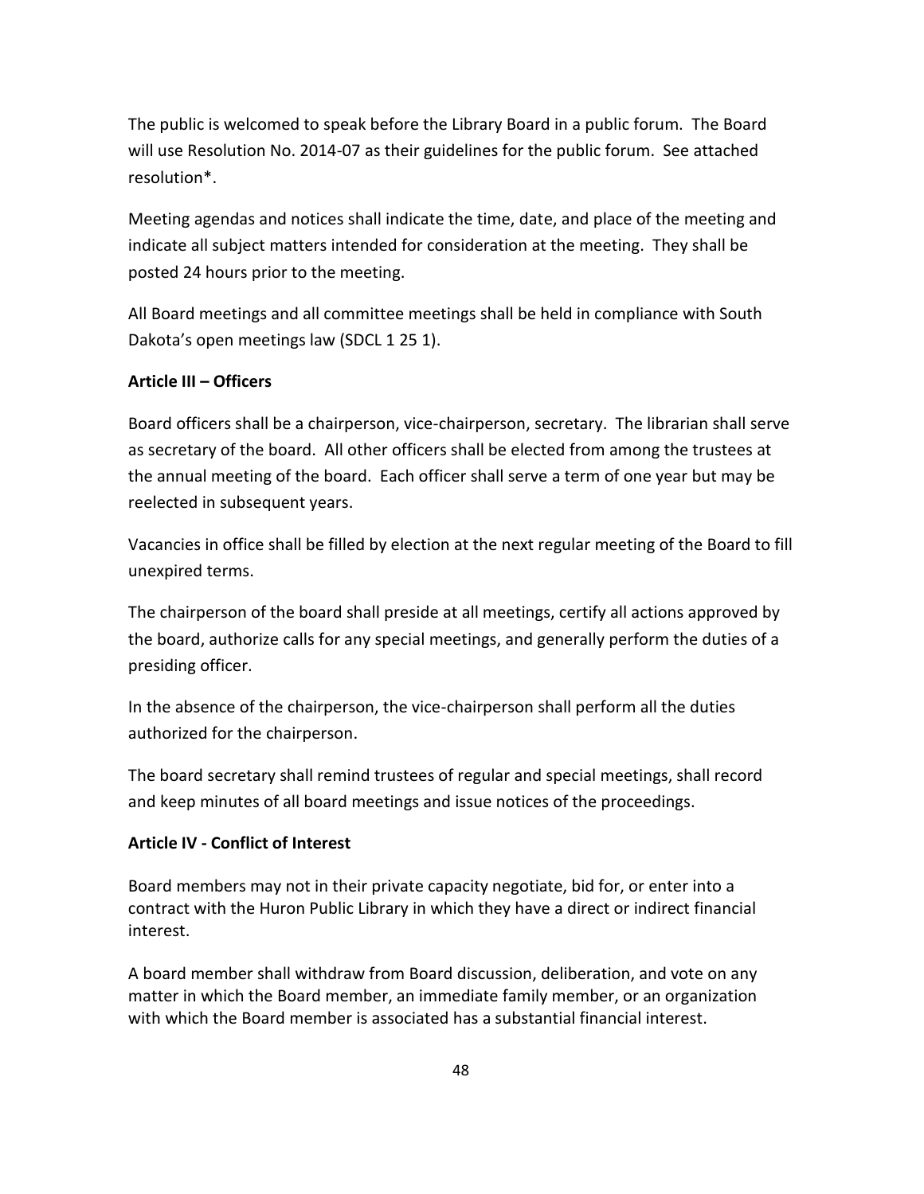The public is welcomed to speak before the Library Board in a public forum. The Board will use Resolution No. 2014-07 as their guidelines for the public forum. See attached resolution\*.

Meeting agendas and notices shall indicate the time, date, and place of the meeting and indicate all subject matters intended for consideration at the meeting. They shall be posted 24 hours prior to the meeting.

All Board meetings and all committee meetings shall be held in compliance with South Dakota's open meetings law (SDCL 1 25 1).

## **Article III – Officers**

Board officers shall be a chairperson, vice-chairperson, secretary. The librarian shall serve as secretary of the board. All other officers shall be elected from among the trustees at the annual meeting of the board. Each officer shall serve a term of one year but may be reelected in subsequent years.

Vacancies in office shall be filled by election at the next regular meeting of the Board to fill unexpired terms.

The chairperson of the board shall preside at all meetings, certify all actions approved by the board, authorize calls for any special meetings, and generally perform the duties of a presiding officer.

In the absence of the chairperson, the vice-chairperson shall perform all the duties authorized for the chairperson.

The board secretary shall remind trustees of regular and special meetings, shall record and keep minutes of all board meetings and issue notices of the proceedings.

## **Article IV - Conflict of Interest**

Board members may not in their private capacity negotiate, bid for, or enter into a contract with the Huron Public Library in which they have a direct or indirect financial interest.

A board member shall withdraw from Board discussion, deliberation, and vote on any matter in which the Board member, an immediate family member, or an organization with which the Board member is associated has a substantial financial interest.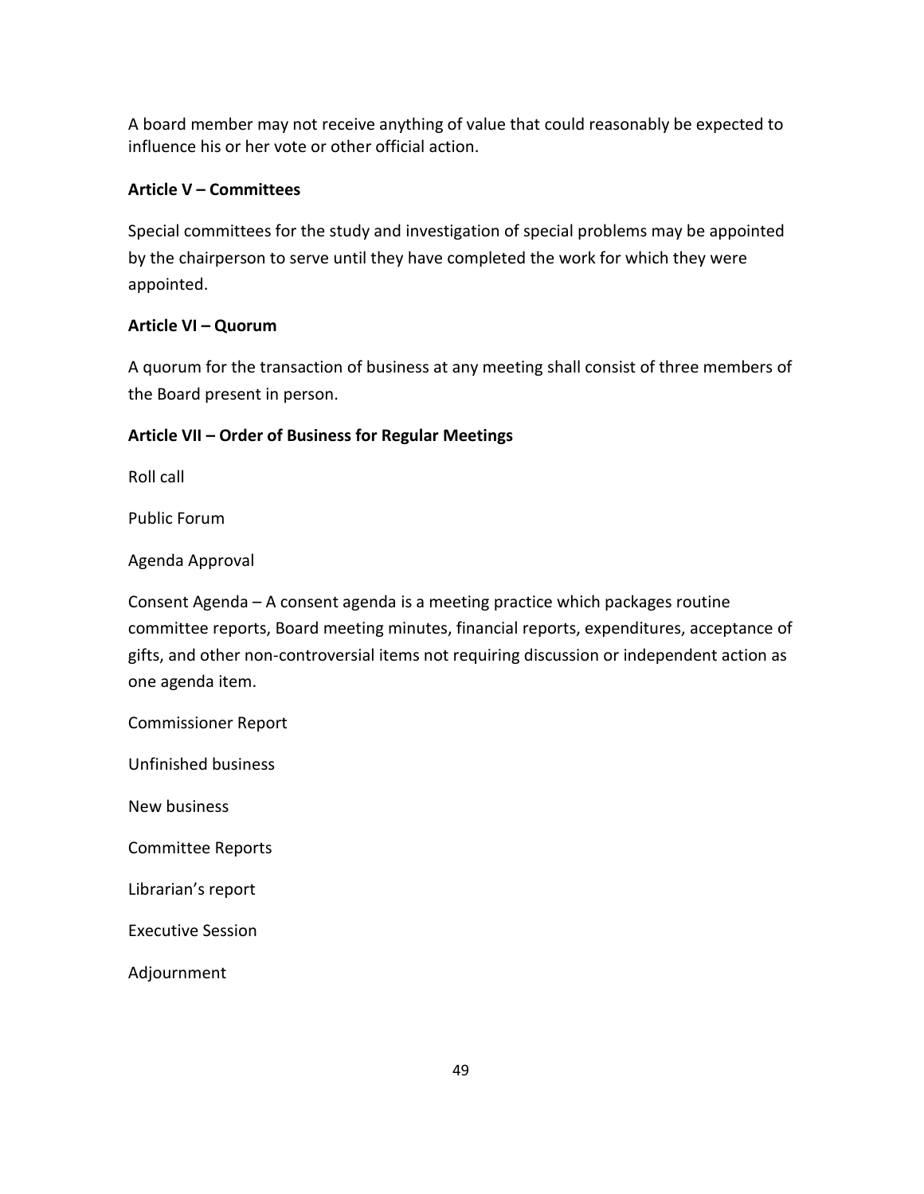A board member may not receive anything of value that could reasonably be expected to influence his or her vote or other official action.

## **Article V – Committees**

Special committees for the study and investigation of special problems may be appointed by the chairperson to serve until they have completed the work for which they were appointed.

## **Article VI – Quorum**

A quorum for the transaction of business at any meeting shall consist of three members of the Board present in person.

## **Article VII – Order of Business for Regular Meetings**

Roll call

Public Forum

## Agenda Approval

Consent Agenda – A consent agenda is a meeting practice which packages routine committee reports, Board meeting minutes, financial reports, expenditures, acceptance of gifts, and other non-controversial items not requiring discussion or independent action as one agenda item.

Commissioner Report

Unfinished business

New business

Committee Reports

Librarian's report

Executive Session

Adjournment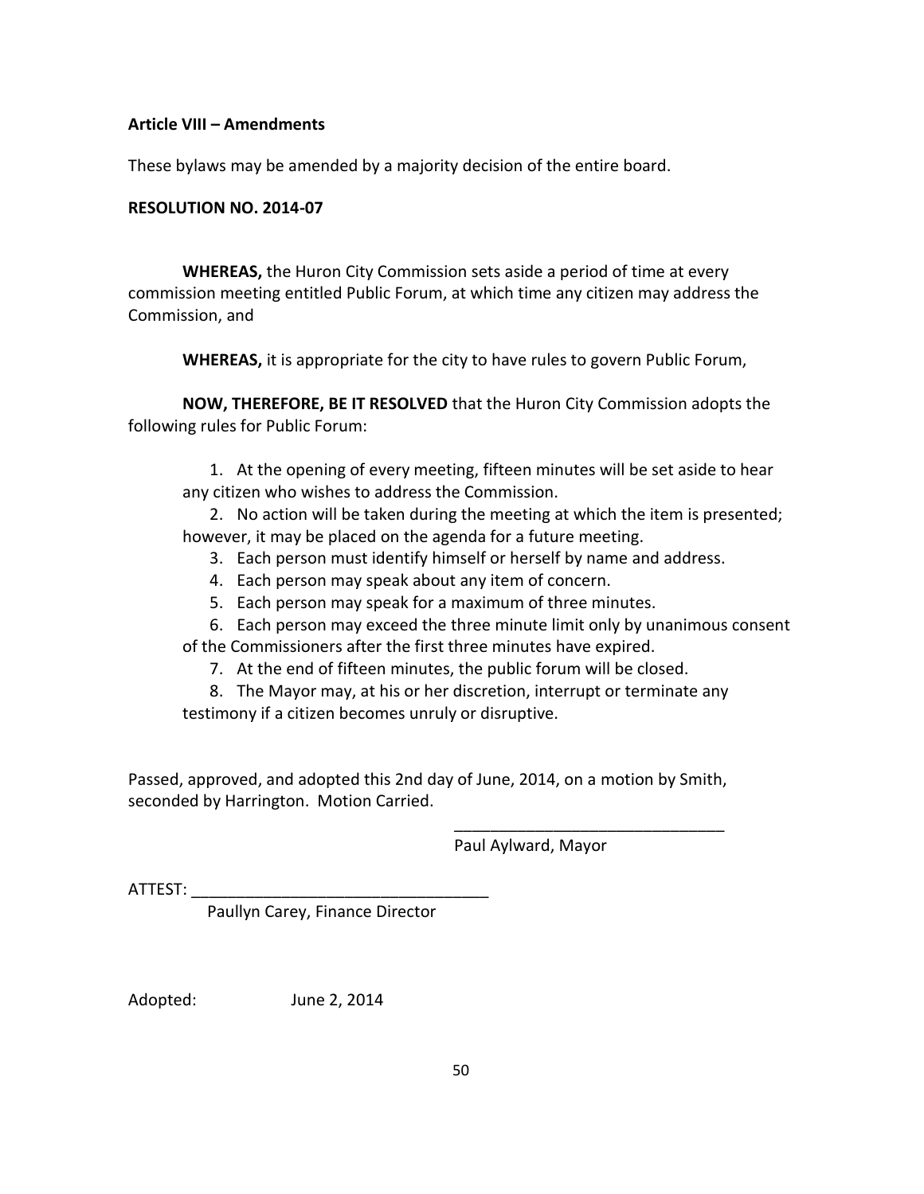## **Article VIII – Amendments**

These bylaws may be amended by a majority decision of the entire board.

#### **RESOLUTION NO. 2014-07**

**WHEREAS,** the Huron City Commission sets aside a period of time at every commission meeting entitled Public Forum, at which time any citizen may address the Commission, and

**WHEREAS,** it is appropriate for the city to have rules to govern Public Forum,

**NOW, THEREFORE, BE IT RESOLVED** that the Huron City Commission adopts the following rules for Public Forum:

1. At the opening of every meeting, fifteen minutes will be set aside to hear any citizen who wishes to address the Commission.

2. No action will be taken during the meeting at which the item is presented; however, it may be placed on the agenda for a future meeting.

- 3. Each person must identify himself or herself by name and address.
- 4. Each person may speak about any item of concern.
- 5. Each person may speak for a maximum of three minutes.
- 6. Each person may exceed the three minute limit only by unanimous consent of the Commissioners after the first three minutes have expired.
	- 7. At the end of fifteen minutes, the public forum will be closed.
	- 8. The Mayor may, at his or her discretion, interrupt or terminate any

testimony if a citizen becomes unruly or disruptive.

Passed, approved, and adopted this 2nd day of June, 2014, on a motion by Smith, seconded by Harrington. Motion Carried.

Paul Aylward, Mayor

\_\_\_\_\_\_\_\_\_\_\_\_\_\_\_\_\_\_\_\_\_\_\_\_\_\_\_\_\_\_

ATTEST: \_\_\_\_\_\_\_\_\_\_\_\_\_\_\_\_\_\_\_\_\_\_\_\_\_\_\_\_\_\_\_\_\_

Paullyn Carey, Finance Director

Adopted: June 2, 2014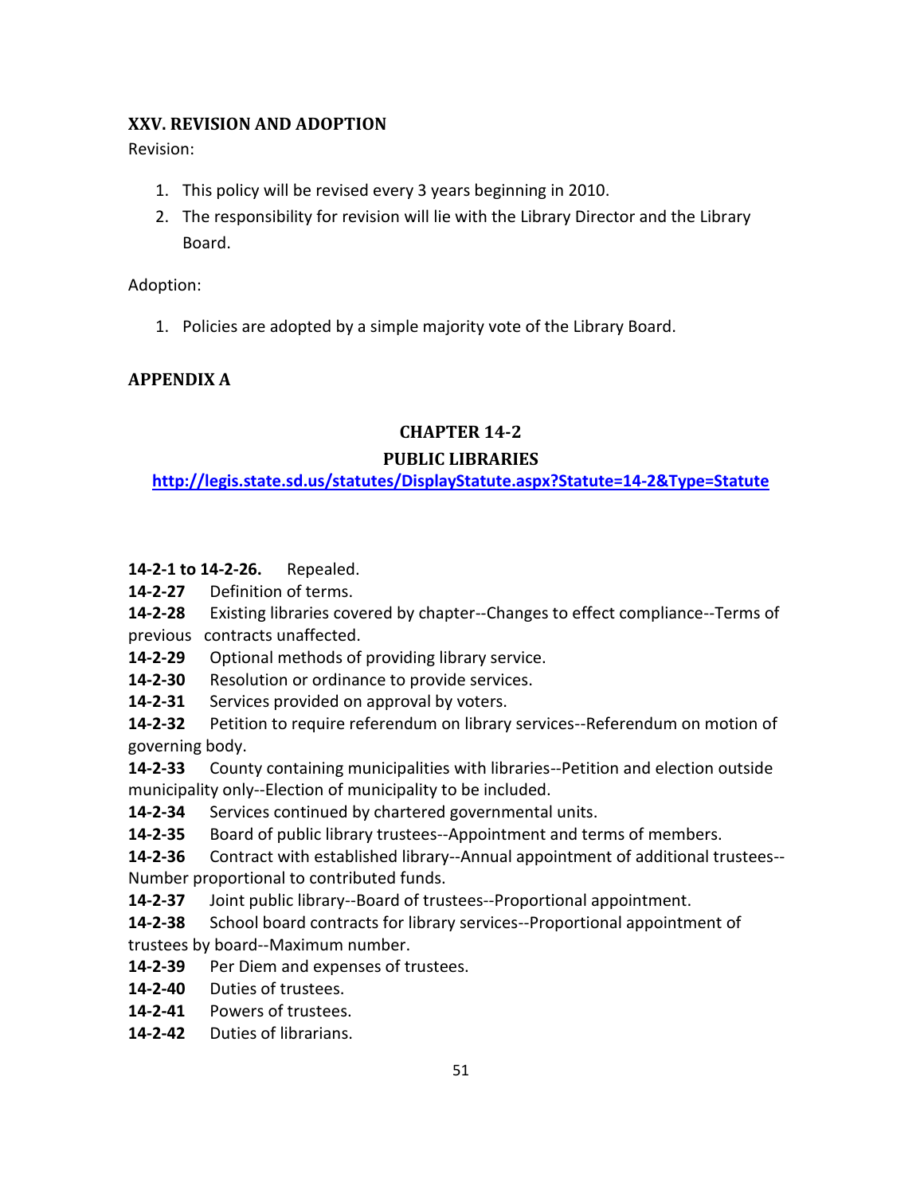# **XXV. REVISION AND ADOPTION**

Revision:

- 1. This policy will be revised every 3 years beginning in 2010.
- 2. The responsibility for revision will lie with the Library Director and the Library Board.

Adoption:

1. Policies are adopted by a simple majority vote of the Library Board.

# **APPENDIX A**

# **CHAPTER 14-2**

# **PUBLIC LIBRARIES**

# **<http://legis.state.sd.us/statutes/DisplayStatute.aspx?Statute=14-2&Type=Statute>**

# **14-2-1 to 14-2-26.** Repealed.

**14-2-27** Definition of terms.

**14-2-28** Existing libraries covered by chapter--Changes to effect compliance--Terms of previous contracts unaffected.

**14-2-29** Optional methods of providing library service.

**14-2-30** Resolution or ordinance to provide services.

**14-2-31** Services provided on approval by voters.

**14-2-32** Petition to require referendum on library services--Referendum on motion of governing body.

**14-2-33** County containing municipalities with libraries--Petition and election outside municipality only--Election of municipality to be included.

**14-2-34** Services continued by chartered governmental units.

**14-2-35** Board of public library trustees--Appointment and terms of members.

**14-2-36** Contract with established library--Annual appointment of additional trustees-- Number proportional to contributed funds.

**14-2-37** Joint public library--Board of trustees--Proportional appointment.

**14-2-38** School board contracts for library services--Proportional appointment of trustees by board--Maximum number.

**14-2-39** Per Diem and expenses of trustees.

**14-2-40** Duties of trustees.

**14-2-41** Powers of trustees.

**14-2-42** Duties of librarians.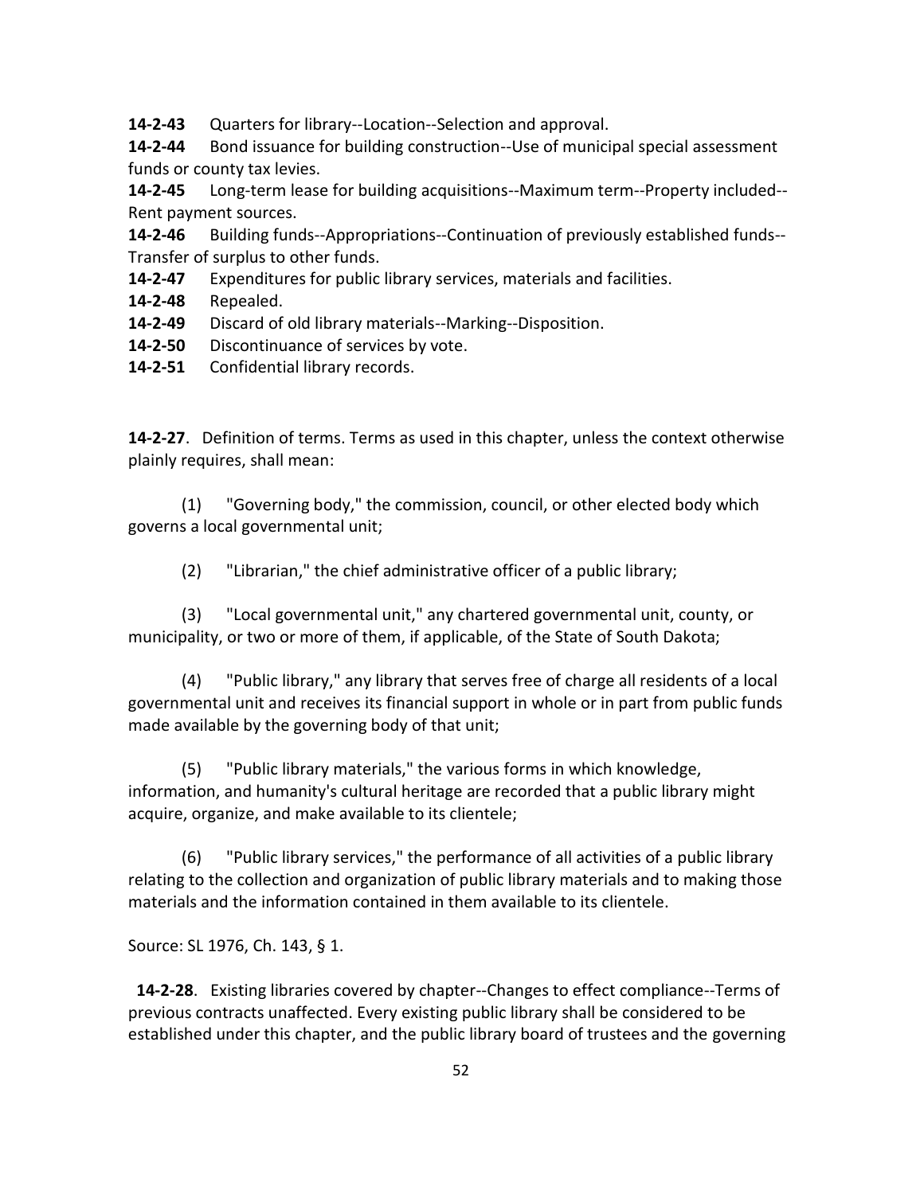**14-2-43** Quarters for library--Location--Selection and approval.

**14-2-44** Bond issuance for building construction--Use of municipal special assessment funds or county tax levies.

**14-2-45** Long-term lease for building acquisitions--Maximum term--Property included-- Rent payment sources.

**14-2-46** Building funds--Appropriations--Continuation of previously established funds-- Transfer of surplus to other funds.

- **14-2-47** Expenditures for public library services, materials and facilities.
- **14-2-48** Repealed.
- **14-2-49** Discard of old library materials--Marking--Disposition.
- **14-2-50** Discontinuance of services by vote.
- **14-2-51** Confidential library records.

**14-2-27**. Definition of terms. Terms as used in this chapter, unless the context otherwise plainly requires, shall mean:

 (1) "Governing body," the commission, council, or other elected body which governs a local governmental unit;

(2) "Librarian," the chief administrative officer of a public library;

 (3) "Local governmental unit," any chartered governmental unit, county, or municipality, or two or more of them, if applicable, of the State of South Dakota;

 (4) "Public library," any library that serves free of charge all residents of a local governmental unit and receives its financial support in whole or in part from public funds made available by the governing body of that unit;

 (5) "Public library materials," the various forms in which knowledge, information, and humanity's cultural heritage are recorded that a public library might acquire, organize, and make available to its clientele;

 (6) "Public library services," the performance of all activities of a public library relating to the collection and organization of public library materials and to making those materials and the information contained in them available to its clientele.

Source: SL 1976, Ch. 143, § 1.

 **14-2-28**. Existing libraries covered by chapter--Changes to effect compliance--Terms of previous contracts unaffected. Every existing public library shall be considered to be established under this chapter, and the public library board of trustees and the governing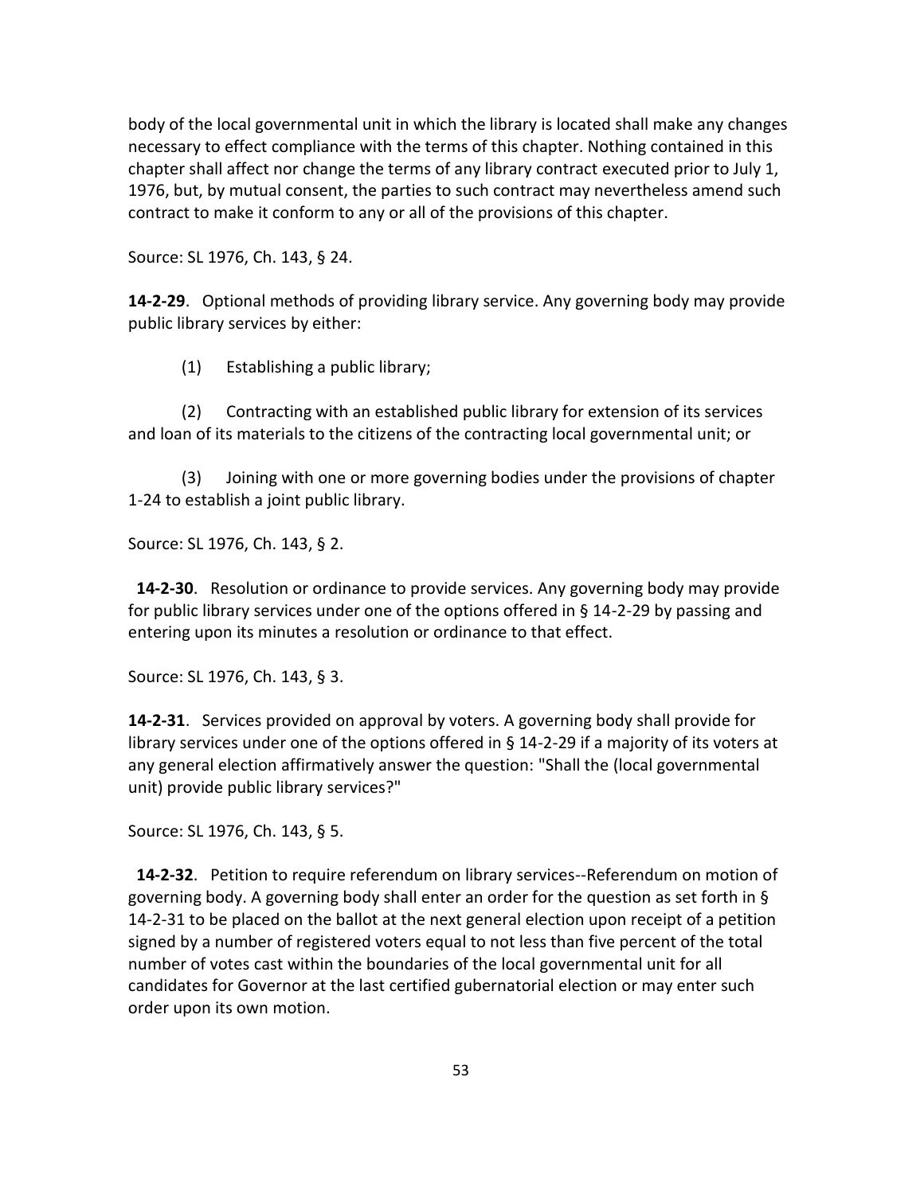body of the local governmental unit in which the library is located shall make any changes necessary to effect compliance with the terms of this chapter. Nothing contained in this chapter shall affect nor change the terms of any library contract executed prior to July 1, 1976, but, by mutual consent, the parties to such contract may nevertheless amend such contract to make it conform to any or all of the provisions of this chapter.

Source: SL 1976, Ch. 143, § 24.

**14-2-29**. Optional methods of providing library service. Any governing body may provide public library services by either:

(1) Establishing a public library;

 (2) Contracting with an established public library for extension of its services and loan of its materials to the citizens of the contracting local governmental unit; or

 (3) Joining with one or more governing bodies under the provisions of chapter 1-24 to establish a joint public library.

Source: SL 1976, Ch. 143, § 2.

 **14-2-30**. Resolution or ordinance to provide services. Any governing body may provide for public library services under one of the options offered in § 14-2-29 by passing and entering upon its minutes a resolution or ordinance to that effect.

Source: SL 1976, Ch. 143, § 3.

**14-2-31**. Services provided on approval by voters. A governing body shall provide for library services under one of the options offered in § 14-2-29 if a majority of its voters at any general election affirmatively answer the question: "Shall the (local governmental unit) provide public library services?"

Source: SL 1976, Ch. 143, § 5.

 **14-2-32**. Petition to require referendum on library services--Referendum on motion of governing body. A governing body shall enter an order for the question as set forth in § 14-2-31 to be placed on the ballot at the next general election upon receipt of a petition signed by a number of registered voters equal to not less than five percent of the total number of votes cast within the boundaries of the local governmental unit for all candidates for Governor at the last certified gubernatorial election or may enter such order upon its own motion.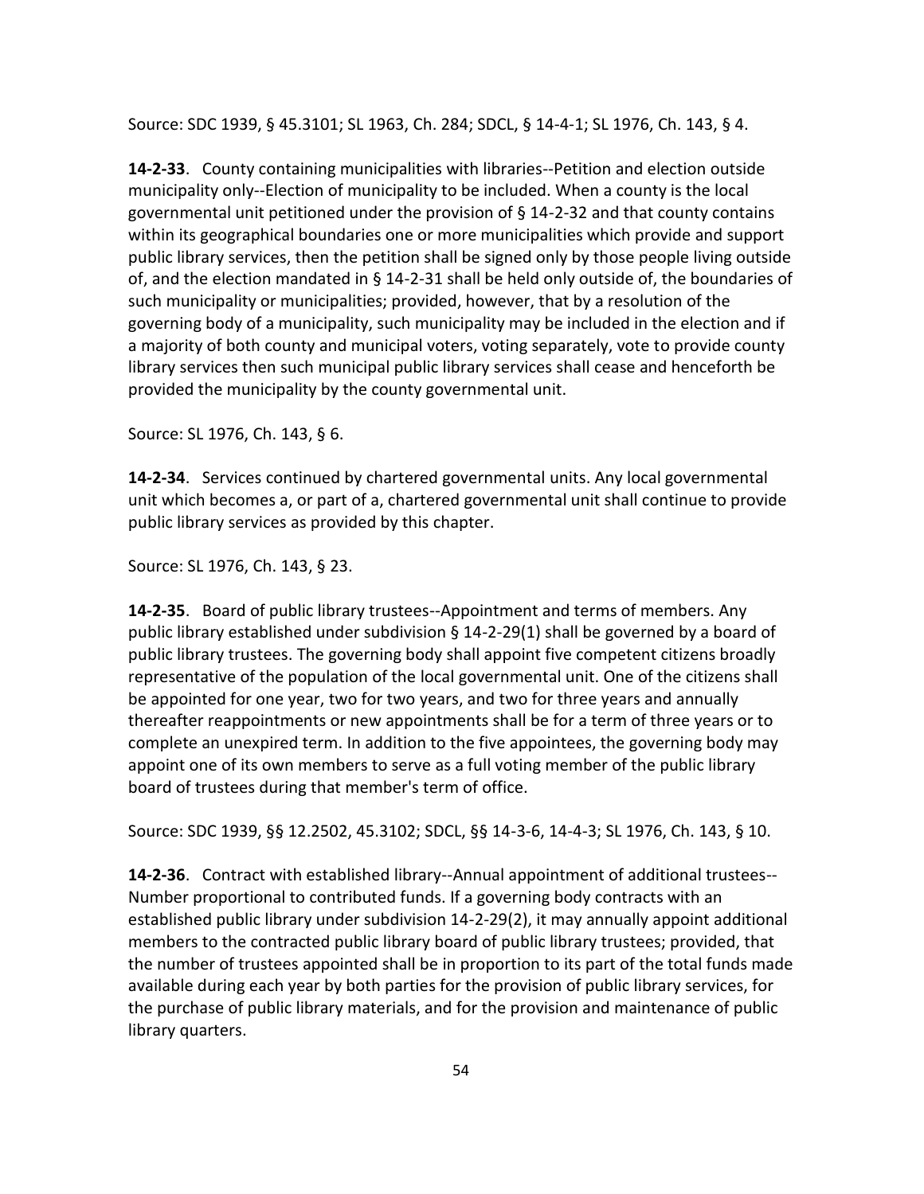Source: SDC 1939, § 45.3101; SL 1963, Ch. 284; SDCL, § 14-4-1; SL 1976, Ch. 143, § 4.

**14-2-33**. County containing municipalities with libraries--Petition and election outside municipality only--Election of municipality to be included. When a county is the local governmental unit petitioned under the provision of § 14-2-32 and that county contains within its geographical boundaries one or more municipalities which provide and support public library services, then the petition shall be signed only by those people living outside of, and the election mandated in § 14-2-31 shall be held only outside of, the boundaries of such municipality or municipalities; provided, however, that by a resolution of the governing body of a municipality, such municipality may be included in the election and if a majority of both county and municipal voters, voting separately, vote to provide county library services then such municipal public library services shall cease and henceforth be provided the municipality by the county governmental unit.

Source: SL 1976, Ch. 143, § 6.

**14-2-34**. Services continued by chartered governmental units. Any local governmental unit which becomes a, or part of a, chartered governmental unit shall continue to provide public library services as provided by this chapter.

Source: SL 1976, Ch. 143, § 23.

**14-2-35**. Board of public library trustees--Appointment and terms of members. Any public library established under subdivision § 14-2-29(1) shall be governed by a board of public library trustees. The governing body shall appoint five competent citizens broadly representative of the population of the local governmental unit. One of the citizens shall be appointed for one year, two for two years, and two for three years and annually thereafter reappointments or new appointments shall be for a term of three years or to complete an unexpired term. In addition to the five appointees, the governing body may appoint one of its own members to serve as a full voting member of the public library board of trustees during that member's term of office.

Source: SDC 1939, §§ 12.2502, 45.3102; SDCL, §§ 14-3-6, 14-4-3; SL 1976, Ch. 143, § 10.

**14-2-36**. Contract with established library--Annual appointment of additional trustees-- Number proportional to contributed funds. If a governing body contracts with an established public library under subdivision 14-2-29(2), it may annually appoint additional members to the contracted public library board of public library trustees; provided, that the number of trustees appointed shall be in proportion to its part of the total funds made available during each year by both parties for the provision of public library services, for the purchase of public library materials, and for the provision and maintenance of public library quarters.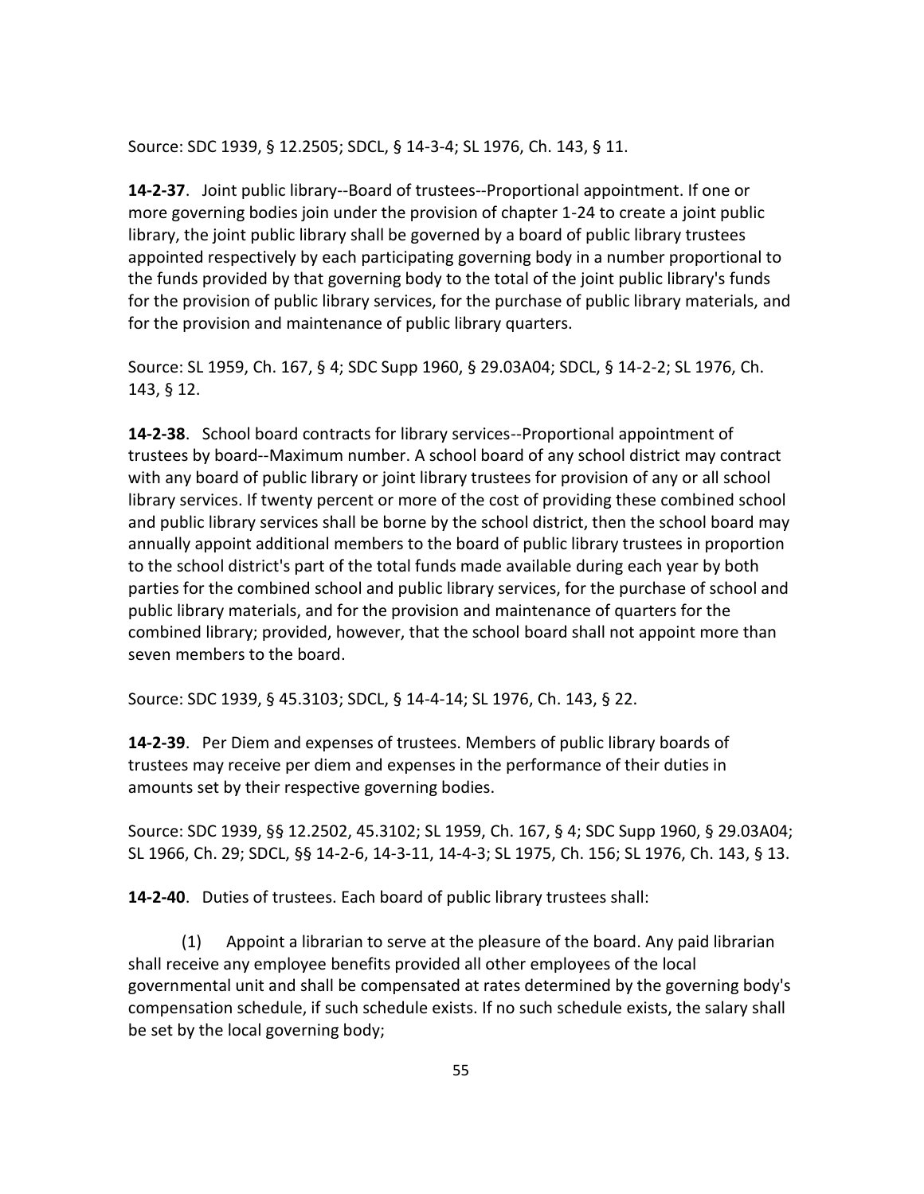Source: SDC 1939, § 12.2505; SDCL, § 14-3-4; SL 1976, Ch. 143, § 11.

**14-2-37**. Joint public library--Board of trustees--Proportional appointment. If one or more governing bodies join under the provision of chapter 1-24 to create a joint public library, the joint public library shall be governed by a board of public library trustees appointed respectively by each participating governing body in a number proportional to the funds provided by that governing body to the total of the joint public library's funds for the provision of public library services, for the purchase of public library materials, and for the provision and maintenance of public library quarters.

Source: SL 1959, Ch. 167, § 4; SDC Supp 1960, § 29.03A04; SDCL, § 14-2-2; SL 1976, Ch. 143, § 12.

**14-2-38**. School board contracts for library services--Proportional appointment of trustees by board--Maximum number. A school board of any school district may contract with any board of public library or joint library trustees for provision of any or all school library services. If twenty percent or more of the cost of providing these combined school and public library services shall be borne by the school district, then the school board may annually appoint additional members to the board of public library trustees in proportion to the school district's part of the total funds made available during each year by both parties for the combined school and public library services, for the purchase of school and public library materials, and for the provision and maintenance of quarters for the combined library; provided, however, that the school board shall not appoint more than seven members to the board.

Source: SDC 1939, § 45.3103; SDCL, § 14-4-14; SL 1976, Ch. 143, § 22.

**14-2-39**. Per Diem and expenses of trustees. Members of public library boards of trustees may receive per diem and expenses in the performance of their duties in amounts set by their respective governing bodies.

Source: SDC 1939, §§ 12.2502, 45.3102; SL 1959, Ch. 167, § 4; SDC Supp 1960, § 29.03A04; SL 1966, Ch. 29; SDCL, §§ 14-2-6, 14-3-11, 14-4-3; SL 1975, Ch. 156; SL 1976, Ch. 143, § 13.

**14-2-40**. Duties of trustees. Each board of public library trustees shall:

 (1) Appoint a librarian to serve at the pleasure of the board. Any paid librarian shall receive any employee benefits provided all other employees of the local governmental unit and shall be compensated at rates determined by the governing body's compensation schedule, if such schedule exists. If no such schedule exists, the salary shall be set by the local governing body;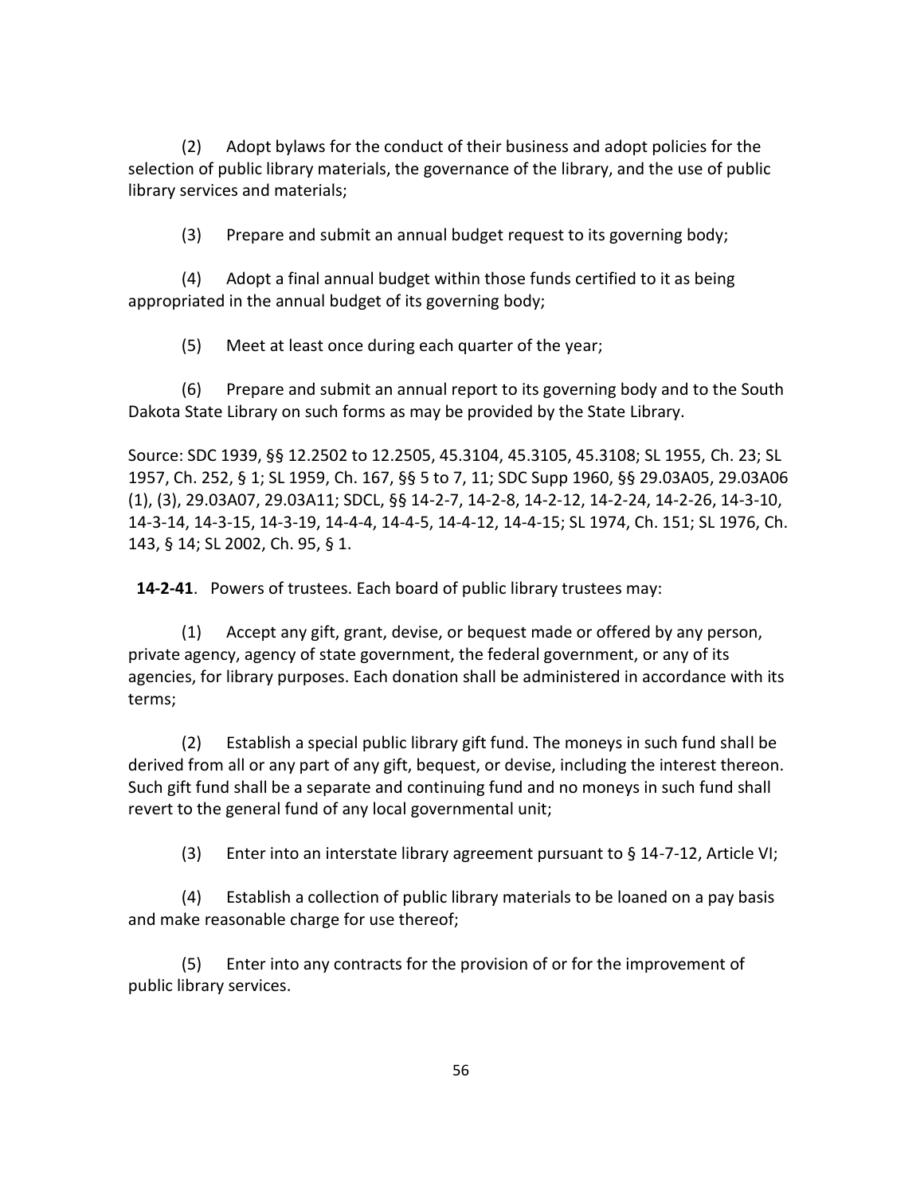(2) Adopt bylaws for the conduct of their business and adopt policies for the selection of public library materials, the governance of the library, and the use of public library services and materials;

(3) Prepare and submit an annual budget request to its governing body;

 (4) Adopt a final annual budget within those funds certified to it as being appropriated in the annual budget of its governing body;

(5) Meet at least once during each quarter of the year;

 (6) Prepare and submit an annual report to its governing body and to the South Dakota State Library on such forms as may be provided by the State Library.

Source: SDC 1939, §§ 12.2502 to 12.2505, 45.3104, 45.3105, 45.3108; SL 1955, Ch. 23; SL 1957, Ch. 252, § 1; SL 1959, Ch. 167, §§ 5 to 7, 11; SDC Supp 1960, §§ 29.03A05, 29.03A06 (1), (3), 29.03A07, 29.03A11; SDCL, §§ 14-2-7, 14-2-8, 14-2-12, 14-2-24, 14-2-26, 14-3-10, 14-3-14, 14-3-15, 14-3-19, 14-4-4, 14-4-5, 14-4-12, 14-4-15; SL 1974, Ch. 151; SL 1976, Ch. 143, § 14; SL 2002, Ch. 95, § 1.

**14-2-41**. Powers of trustees. Each board of public library trustees may:

 (1) Accept any gift, grant, devise, or bequest made or offered by any person, private agency, agency of state government, the federal government, or any of its agencies, for library purposes. Each donation shall be administered in accordance with its terms;

 (2) Establish a special public library gift fund. The moneys in such fund shall be derived from all or any part of any gift, bequest, or devise, including the interest thereon. Such gift fund shall be a separate and continuing fund and no moneys in such fund shall revert to the general fund of any local governmental unit;

(3) Enter into an interstate library agreement pursuant to § 14-7-12, Article VI;

 (4) Establish a collection of public library materials to be loaned on a pay basis and make reasonable charge for use thereof;

 (5) Enter into any contracts for the provision of or for the improvement of public library services.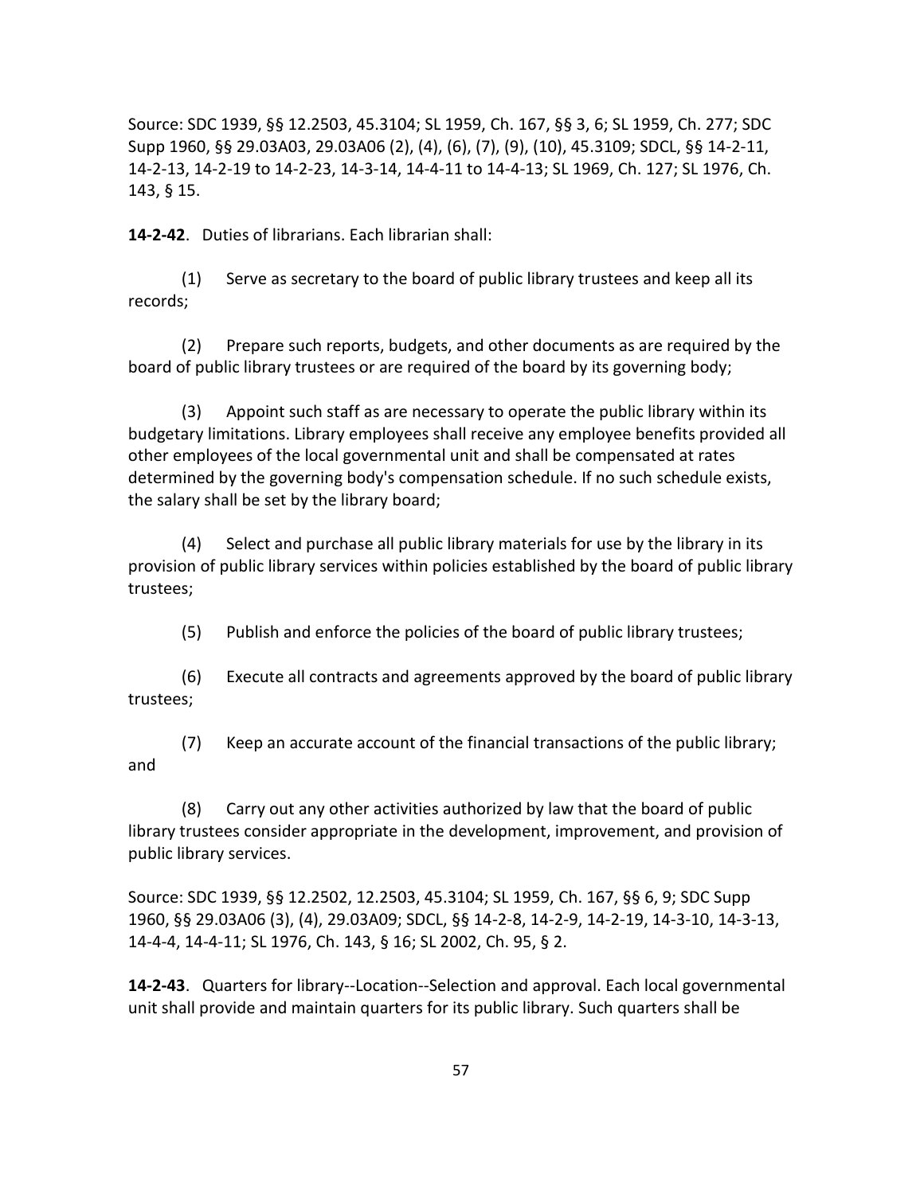Source: SDC 1939, §§ 12.2503, 45.3104; SL 1959, Ch. 167, §§ 3, 6; SL 1959, Ch. 277; SDC Supp 1960, §§ 29.03A03, 29.03A06 (2), (4), (6), (7), (9), (10), 45.3109; SDCL, §§ 14-2-11, 14-2-13, 14-2-19 to 14-2-23, 14-3-14, 14-4-11 to 14-4-13; SL 1969, Ch. 127; SL 1976, Ch. 143, § 15.

**14-2-42**. Duties of librarians. Each librarian shall:

 (1) Serve as secretary to the board of public library trustees and keep all its records;

 (2) Prepare such reports, budgets, and other documents as are required by the board of public library trustees or are required of the board by its governing body;

 (3) Appoint such staff as are necessary to operate the public library within its budgetary limitations. Library employees shall receive any employee benefits provided all other employees of the local governmental unit and shall be compensated at rates determined by the governing body's compensation schedule. If no such schedule exists, the salary shall be set by the library board;

 (4) Select and purchase all public library materials for use by the library in its provision of public library services within policies established by the board of public library trustees;

(5) Publish and enforce the policies of the board of public library trustees;

 (6) Execute all contracts and agreements approved by the board of public library trustees;

 (7) Keep an accurate account of the financial transactions of the public library; and

 (8) Carry out any other activities authorized by law that the board of public library trustees consider appropriate in the development, improvement, and provision of public library services.

Source: SDC 1939, §§ 12.2502, 12.2503, 45.3104; SL 1959, Ch. 167, §§ 6, 9; SDC Supp 1960, §§ 29.03A06 (3), (4), 29.03A09; SDCL, §§ 14-2-8, 14-2-9, 14-2-19, 14-3-10, 14-3-13, 14-4-4, 14-4-11; SL 1976, Ch. 143, § 16; SL 2002, Ch. 95, § 2.

**14-2-43**. Quarters for library--Location--Selection and approval. Each local governmental unit shall provide and maintain quarters for its public library. Such quarters shall be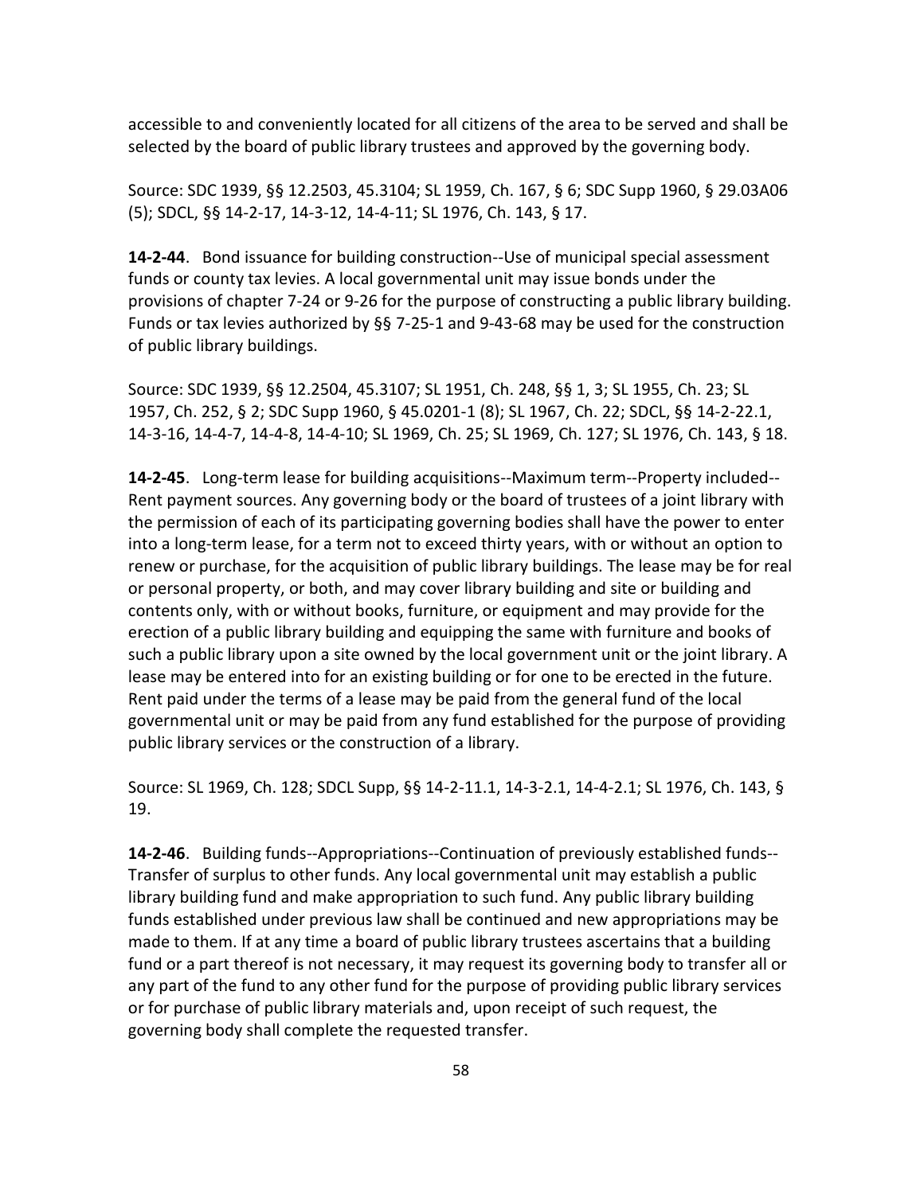accessible to and conveniently located for all citizens of the area to be served and shall be selected by the board of public library trustees and approved by the governing body.

Source: SDC 1939, §§ 12.2503, 45.3104; SL 1959, Ch. 167, § 6; SDC Supp 1960, § 29.03A06 (5); SDCL, §§ 14-2-17, 14-3-12, 14-4-11; SL 1976, Ch. 143, § 17.

**14-2-44**. Bond issuance for building construction--Use of municipal special assessment funds or county tax levies. A local governmental unit may issue bonds under the provisions of chapter 7-24 or 9-26 for the purpose of constructing a public library building. Funds or tax levies authorized by §§ 7-25-1 and 9-43-68 may be used for the construction of public library buildings.

Source: SDC 1939, §§ 12.2504, 45.3107; SL 1951, Ch. 248, §§ 1, 3; SL 1955, Ch. 23; SL 1957, Ch. 252, § 2; SDC Supp 1960, § 45.0201-1 (8); SL 1967, Ch. 22; SDCL, §§ 14-2-22.1, 14-3-16, 14-4-7, 14-4-8, 14-4-10; SL 1969, Ch. 25; SL 1969, Ch. 127; SL 1976, Ch. 143, § 18.

**14-2-45**. Long-term lease for building acquisitions--Maximum term--Property included-- Rent payment sources. Any governing body or the board of trustees of a joint library with the permission of each of its participating governing bodies shall have the power to enter into a long-term lease, for a term not to exceed thirty years, with or without an option to renew or purchase, for the acquisition of public library buildings. The lease may be for real or personal property, or both, and may cover library building and site or building and contents only, with or without books, furniture, or equipment and may provide for the erection of a public library building and equipping the same with furniture and books of such a public library upon a site owned by the local government unit or the joint library. A lease may be entered into for an existing building or for one to be erected in the future. Rent paid under the terms of a lease may be paid from the general fund of the local governmental unit or may be paid from any fund established for the purpose of providing public library services or the construction of a library.

Source: SL 1969, Ch. 128; SDCL Supp, §§ 14-2-11.1, 14-3-2.1, 14-4-2.1; SL 1976, Ch. 143, § 19.

**14-2-46**. Building funds--Appropriations--Continuation of previously established funds-- Transfer of surplus to other funds. Any local governmental unit may establish a public library building fund and make appropriation to such fund. Any public library building funds established under previous law shall be continued and new appropriations may be made to them. If at any time a board of public library trustees ascertains that a building fund or a part thereof is not necessary, it may request its governing body to transfer all or any part of the fund to any other fund for the purpose of providing public library services or for purchase of public library materials and, upon receipt of such request, the governing body shall complete the requested transfer.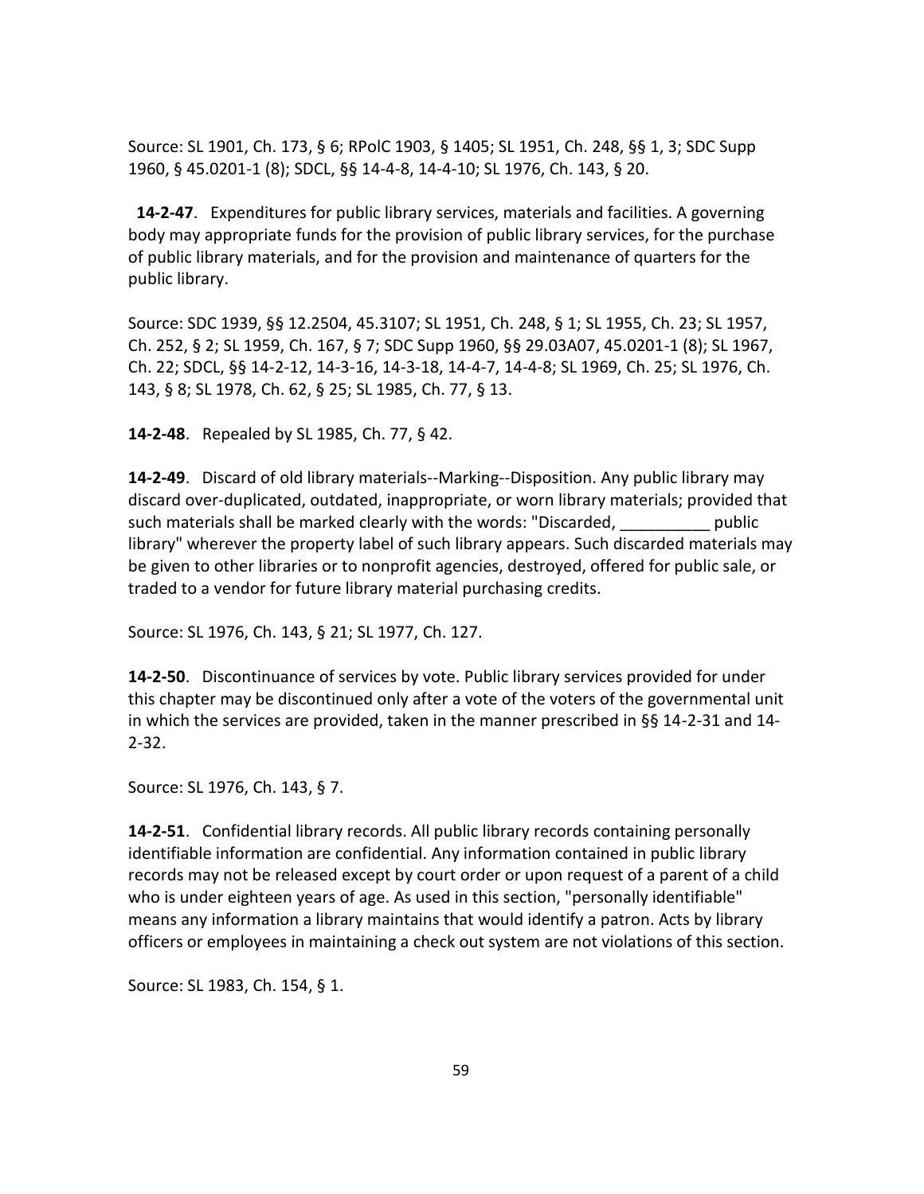Source: SL 1901, Ch. 173, § 6; RPolC 1903, § 1405; SL 1951, Ch. 248, §§ 1, 3; SDC Supp 1960, § 45.0201-1 (8); SDCL, §§ 14-4-8, 14-4-10; SL 1976, Ch. 143, § 20.

 **14-2-47**. Expenditures for public library services, materials and facilities. A governing body may appropriate funds for the provision of public library services, for the purchase of public library materials, and for the provision and maintenance of quarters for the public library.

Source: SDC 1939, §§ 12.2504, 45.3107; SL 1951, Ch. 248, § 1; SL 1955, Ch. 23; SL 1957, Ch. 252, § 2; SL 1959, Ch. 167, § 7; SDC Supp 1960, §§ 29.03A07, 45.0201-1 (8); SL 1967, Ch. 22; SDCL, §§ 14-2-12, 14-3-16, 14-3-18, 14-4-7, 14-4-8; SL 1969, Ch. 25; SL 1976, Ch. 143, § 8; SL 1978, Ch. 62, § 25; SL 1985, Ch. 77, § 13.

**14-2-48**. Repealed by SL 1985, Ch. 77, § 42.

**14-2-49**. Discard of old library materials--Marking--Disposition. Any public library may discard over-duplicated, outdated, inappropriate, or worn library materials; provided that such materials shall be marked clearly with the words: "Discarded, entity public library" wherever the property label of such library appears. Such discarded materials may be given to other libraries or to nonprofit agencies, destroyed, offered for public sale, or traded to a vendor for future library material purchasing credits.

Source: SL 1976, Ch. 143, § 21; SL 1977, Ch. 127.

**14-2-50**. Discontinuance of services by vote. Public library services provided for under this chapter may be discontinued only after a vote of the voters of the governmental unit in which the services are provided, taken in the manner prescribed in §§ 14-2-31 and 14- 2-32.

Source: SL 1976, Ch. 143, § 7.

**14-2-51**. Confidential library records. All public library records containing personally identifiable information are confidential. Any information contained in public library records may not be released except by court order or upon request of a parent of a child who is under eighteen years of age. As used in this section, "personally identifiable" means any information a library maintains that would identify a patron. Acts by library officers or employees in maintaining a check out system are not violations of this section.

Source: SL 1983, Ch. 154, § 1.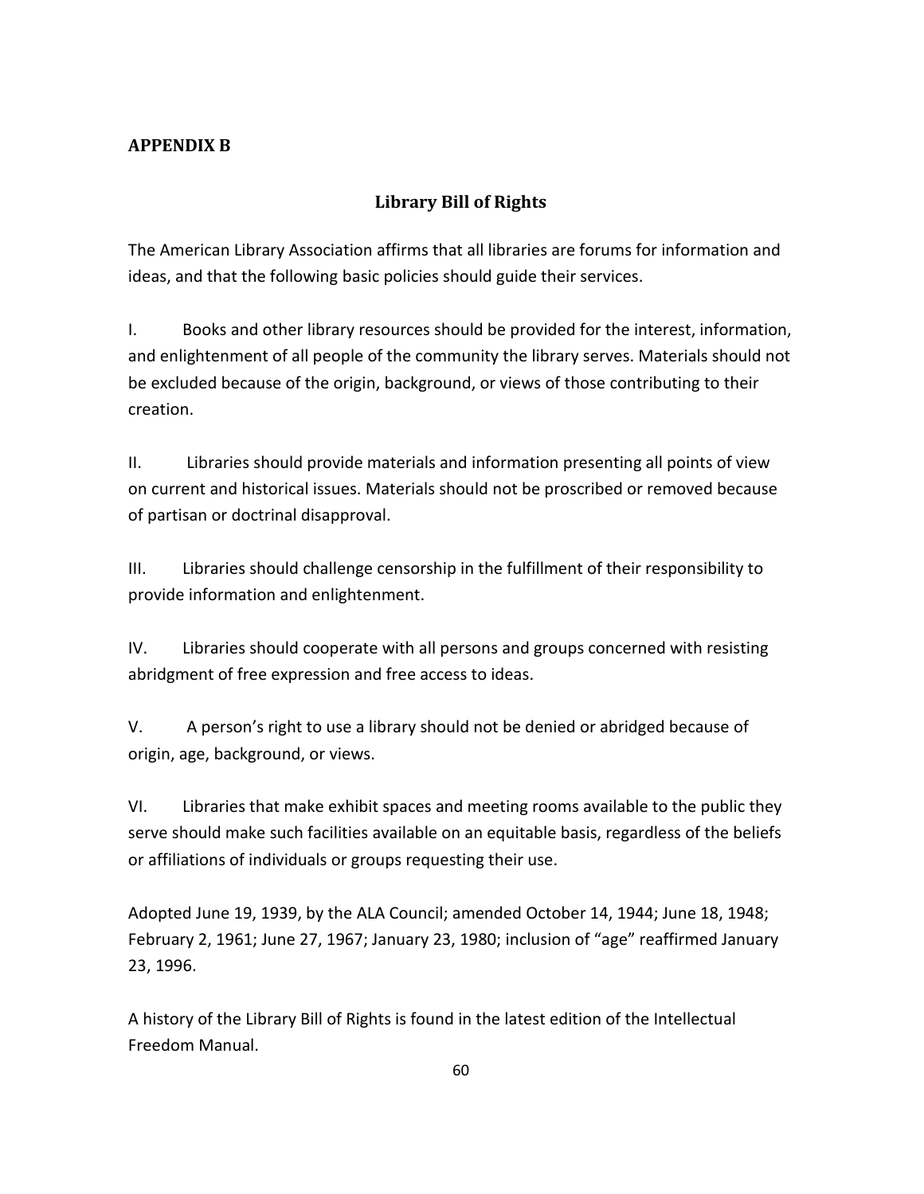# **APPENDIX B**

# **Library Bill of Rights**

The American Library Association affirms that all libraries are forums for information and ideas, and that the following basic policies should guide their services.

I. Books and other library resources should be provided for the interest, information, and enlightenment of all people of the community the library serves. Materials should not be excluded because of the origin, background, or views of those contributing to their creation.

II. Libraries should provide materials and information presenting all points of view on current and historical issues. Materials should not be proscribed or removed because of partisan or doctrinal disapproval.

III. Libraries should challenge censorship in the fulfillment of their responsibility to provide information and enlightenment.

IV. Libraries should cooperate with all persons and groups concerned with resisting abridgment of free expression and free access to ideas.

V. A person's right to use a library should not be denied or abridged because of origin, age, background, or views.

VI. Libraries that make exhibit spaces and meeting rooms available to the public they serve should make such facilities available on an equitable basis, regardless of the beliefs or affiliations of individuals or groups requesting their use.

Adopted June 19, 1939, by the ALA Council; amended October 14, 1944; June 18, 1948; February 2, 1961; June 27, 1967; January 23, 1980; inclusion of "age" reaffirmed January 23, 1996.

A history of the Library Bill of Rights is found in the latest edition of the Intellectual Freedom Manual.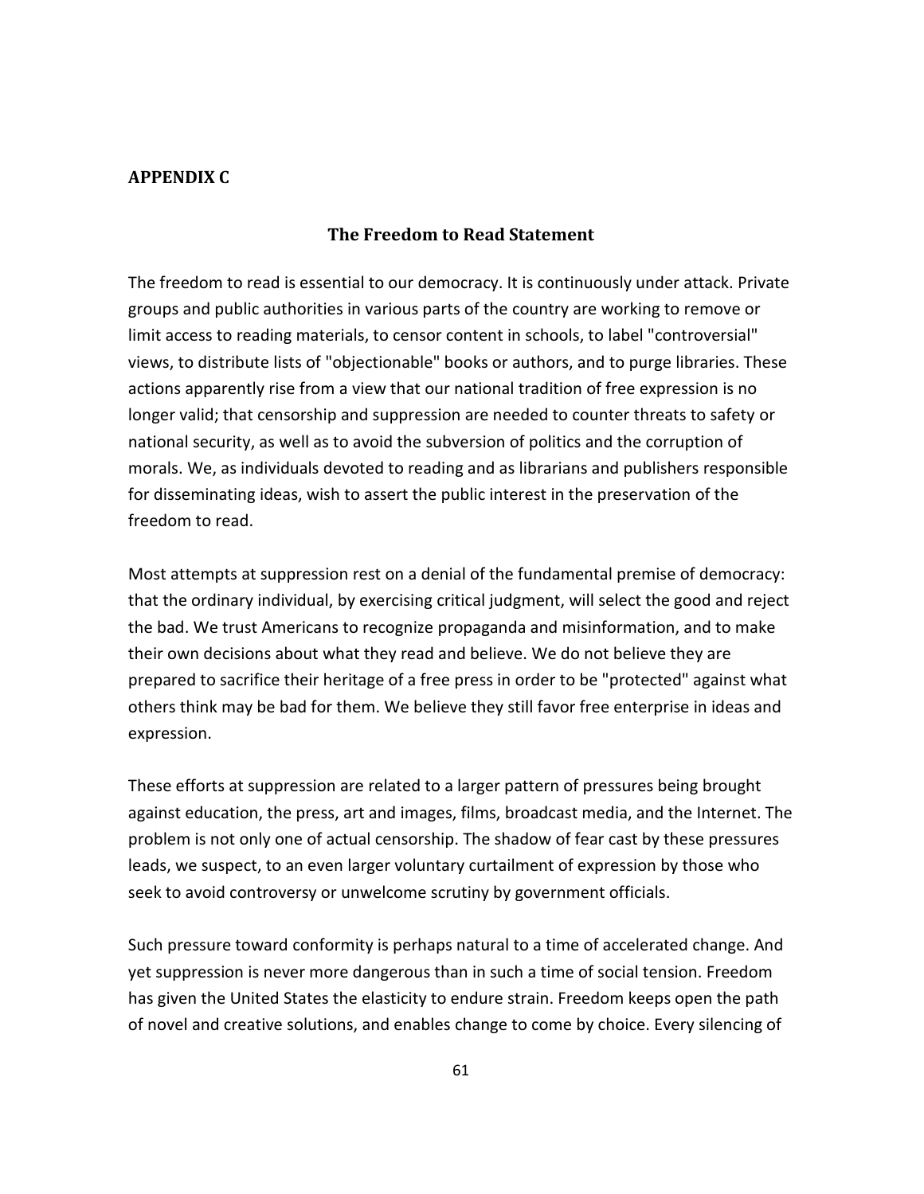#### **APPENDIX C**

## **The Freedom to Read Statement**

The freedom to read is essential to our democracy. It is continuously under attack. Private groups and public authorities in various parts of the country are working to remove or limit access to reading materials, to censor content in schools, to label "controversial" views, to distribute lists of "objectionable" books or authors, and to purge libraries. These actions apparently rise from a view that our national tradition of free expression is no longer valid; that censorship and suppression are needed to counter threats to safety or national security, as well as to avoid the subversion of politics and the corruption of morals. We, as individuals devoted to reading and as librarians and publishers responsible for disseminating ideas, wish to assert the public interest in the preservation of the freedom to read.

Most attempts at suppression rest on a denial of the fundamental premise of democracy: that the ordinary individual, by exercising critical judgment, will select the good and reject the bad. We trust Americans to recognize propaganda and misinformation, and to make their own decisions about what they read and believe. We do not believe they are prepared to sacrifice their heritage of a free press in order to be "protected" against what others think may be bad for them. We believe they still favor free enterprise in ideas and expression.

These efforts at suppression are related to a larger pattern of pressures being brought against education, the press, art and images, films, broadcast media, and the Internet. The problem is not only one of actual censorship. The shadow of fear cast by these pressures leads, we suspect, to an even larger voluntary curtailment of expression by those who seek to avoid controversy or unwelcome scrutiny by government officials.

Such pressure toward conformity is perhaps natural to a time of accelerated change. And yet suppression is never more dangerous than in such a time of social tension. Freedom has given the United States the elasticity to endure strain. Freedom keeps open the path of novel and creative solutions, and enables change to come by choice. Every silencing of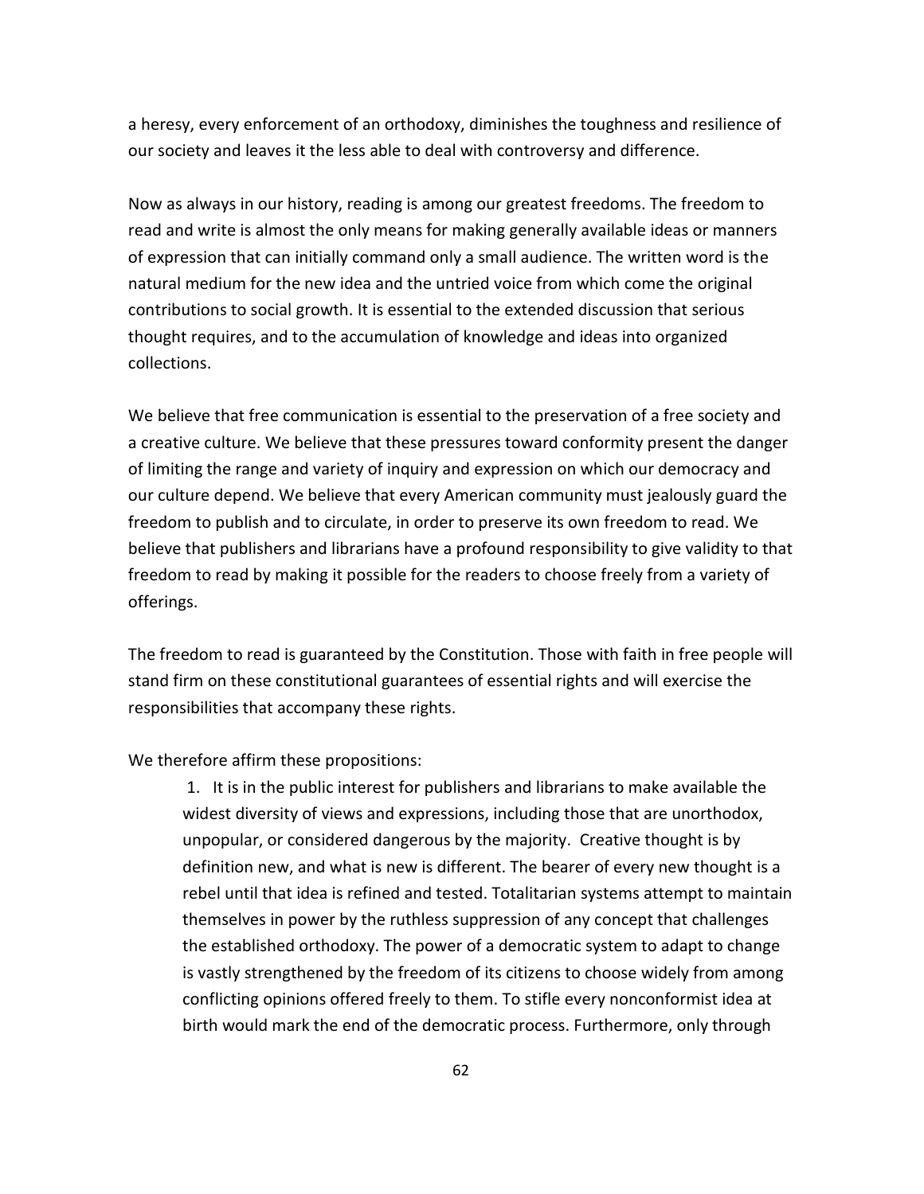a heresy, every enforcement of an orthodoxy, diminishes the toughness and resilience of our society and leaves it the less able to deal with controversy and difference.

Now as always in our history, reading is among our greatest freedoms. The freedom to read and write is almost the only means for making generally available ideas or manners of expression that can initially command only a small audience. The written word is the natural medium for the new idea and the untried voice from which come the original contributions to social growth. It is essential to the extended discussion that serious thought requires, and to the accumulation of knowledge and ideas into organized collections.

We believe that free communication is essential to the preservation of a free society and a creative culture. We believe that these pressures toward conformity present the danger of limiting the range and variety of inquiry and expression on which our democracy and our culture depend. We believe that every American community must jealously guard the freedom to publish and to circulate, in order to preserve its own freedom to read. We believe that publishers and librarians have a profound responsibility to give validity to that freedom to read by making it possible for the readers to choose freely from a variety of offerings.

The freedom to read is guaranteed by the Constitution. Those with faith in free people will stand firm on these constitutional guarantees of essential rights and will exercise the responsibilities that accompany these rights.

We therefore affirm these propositions:

1. It is in the public interest for publishers and librarians to make available the widest diversity of views and expressions, including those that are unorthodox, unpopular, or considered dangerous by the majority. Creative thought is by definition new, and what is new is different. The bearer of every new thought is a rebel until that idea is refined and tested. Totalitarian systems attempt to maintain themselves in power by the ruthless suppression of any concept that challenges the established orthodoxy. The power of a democratic system to adapt to change is vastly strengthened by the freedom of its citizens to choose widely from among conflicting opinions offered freely to them. To stifle every nonconformist idea at birth would mark the end of the democratic process. Furthermore, only through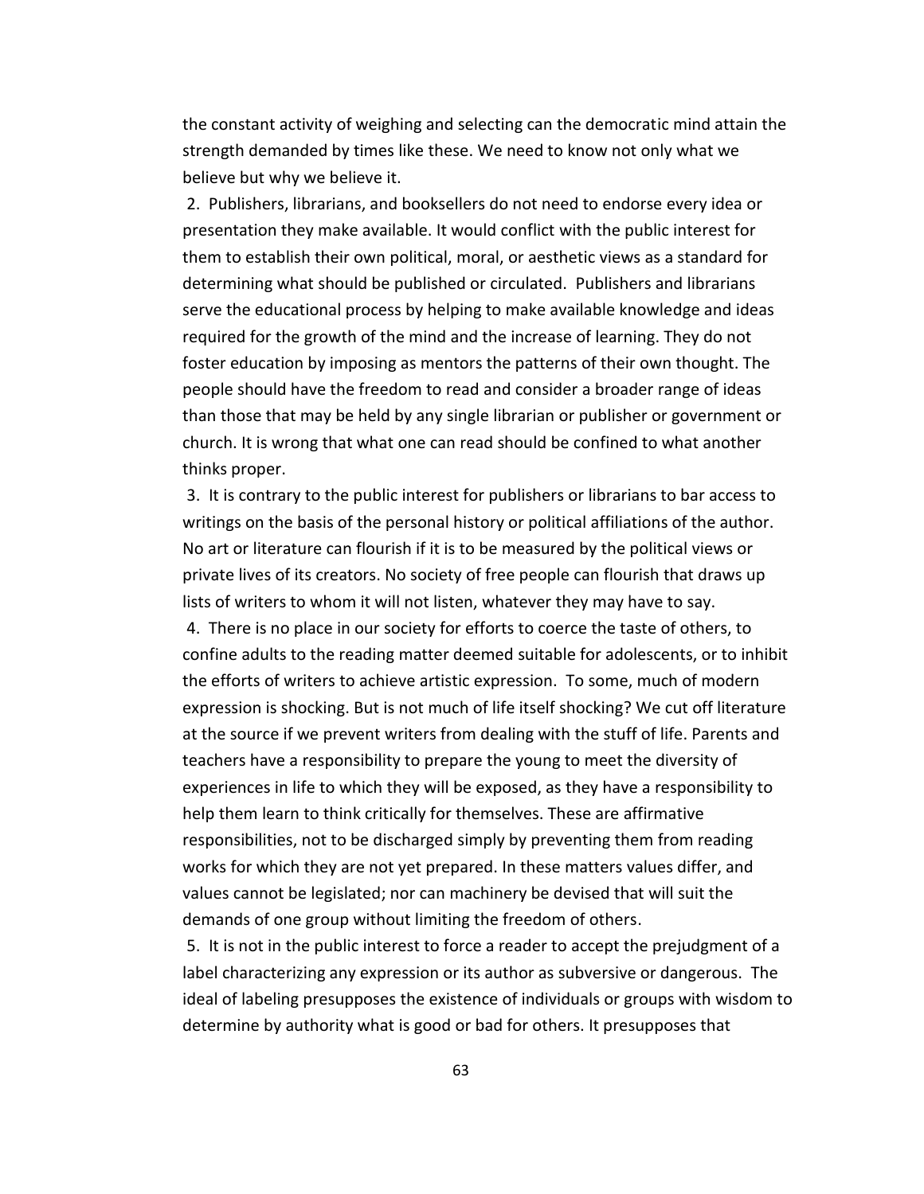the constant activity of weighing and selecting can the democratic mind attain the strength demanded by times like these. We need to know not only what we believe but why we believe it.

2. Publishers, librarians, and booksellers do not need to endorse every idea or presentation they make available. It would conflict with the public interest for them to establish their own political, moral, or aesthetic views as a standard for determining what should be published or circulated. Publishers and librarians serve the educational process by helping to make available knowledge and ideas required for the growth of the mind and the increase of learning. They do not foster education by imposing as mentors the patterns of their own thought. The people should have the freedom to read and consider a broader range of ideas than those that may be held by any single librarian or publisher or government or church. It is wrong that what one can read should be confined to what another thinks proper.

3. It is contrary to the public interest for publishers or librarians to bar access to writings on the basis of the personal history or political affiliations of the author. No art or literature can flourish if it is to be measured by the political views or private lives of its creators. No society of free people can flourish that draws up lists of writers to whom it will not listen, whatever they may have to say.

4. There is no place in our society for efforts to coerce the taste of others, to confine adults to the reading matter deemed suitable for adolescents, or to inhibit the efforts of writers to achieve artistic expression. To some, much of modern expression is shocking. But is not much of life itself shocking? We cut off literature at the source if we prevent writers from dealing with the stuff of life. Parents and teachers have a responsibility to prepare the young to meet the diversity of experiences in life to which they will be exposed, as they have a responsibility to help them learn to think critically for themselves. These are affirmative responsibilities, not to be discharged simply by preventing them from reading works for which they are not yet prepared. In these matters values differ, and values cannot be legislated; nor can machinery be devised that will suit the demands of one group without limiting the freedom of others.

5. It is not in the public interest to force a reader to accept the prejudgment of a label characterizing any expression or its author as subversive or dangerous. The ideal of labeling presupposes the existence of individuals or groups with wisdom to determine by authority what is good or bad for others. It presupposes that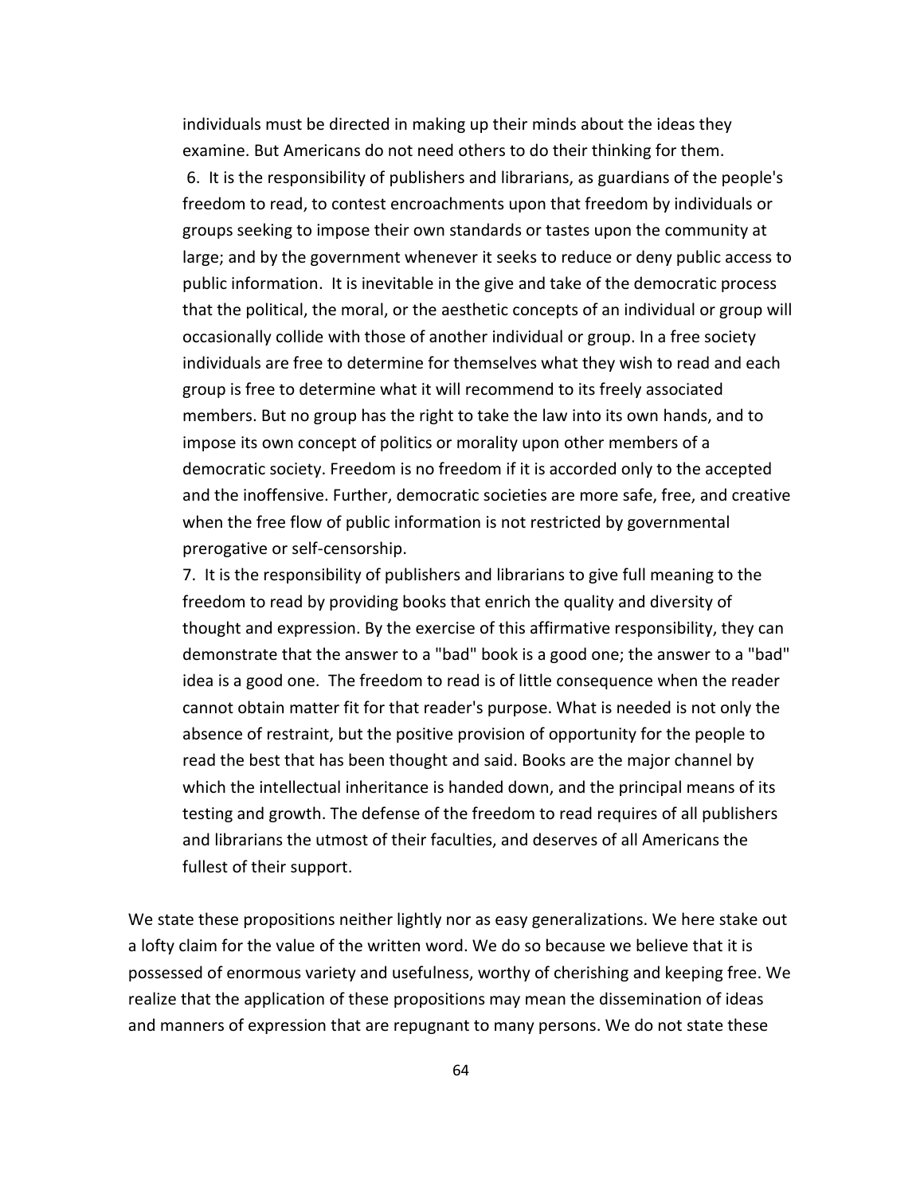individuals must be directed in making up their minds about the ideas they examine. But Americans do not need others to do their thinking for them. 6. It is the responsibility of publishers and librarians, as guardians of the people's freedom to read, to contest encroachments upon that freedom by individuals or groups seeking to impose their own standards or tastes upon the community at large; and by the government whenever it seeks to reduce or deny public access to public information. It is inevitable in the give and take of the democratic process that the political, the moral, or the aesthetic concepts of an individual or group will occasionally collide with those of another individual or group. In a free society individuals are free to determine for themselves what they wish to read and each group is free to determine what it will recommend to its freely associated members. But no group has the right to take the law into its own hands, and to impose its own concept of politics or morality upon other members of a democratic society. Freedom is no freedom if it is accorded only to the accepted and the inoffensive. Further, democratic societies are more safe, free, and creative when the free flow of public information is not restricted by governmental prerogative or self-censorship.

7. It is the responsibility of publishers and librarians to give full meaning to the freedom to read by providing books that enrich the quality and diversity of thought and expression. By the exercise of this affirmative responsibility, they can demonstrate that the answer to a "bad" book is a good one; the answer to a "bad" idea is a good one. The freedom to read is of little consequence when the reader cannot obtain matter fit for that reader's purpose. What is needed is not only the absence of restraint, but the positive provision of opportunity for the people to read the best that has been thought and said. Books are the major channel by which the intellectual inheritance is handed down, and the principal means of its testing and growth. The defense of the freedom to read requires of all publishers and librarians the utmost of their faculties, and deserves of all Americans the fullest of their support.

We state these propositions neither lightly nor as easy generalizations. We here stake out a lofty claim for the value of the written word. We do so because we believe that it is possessed of enormous variety and usefulness, worthy of cherishing and keeping free. We realize that the application of these propositions may mean the dissemination of ideas and manners of expression that are repugnant to many persons. We do not state these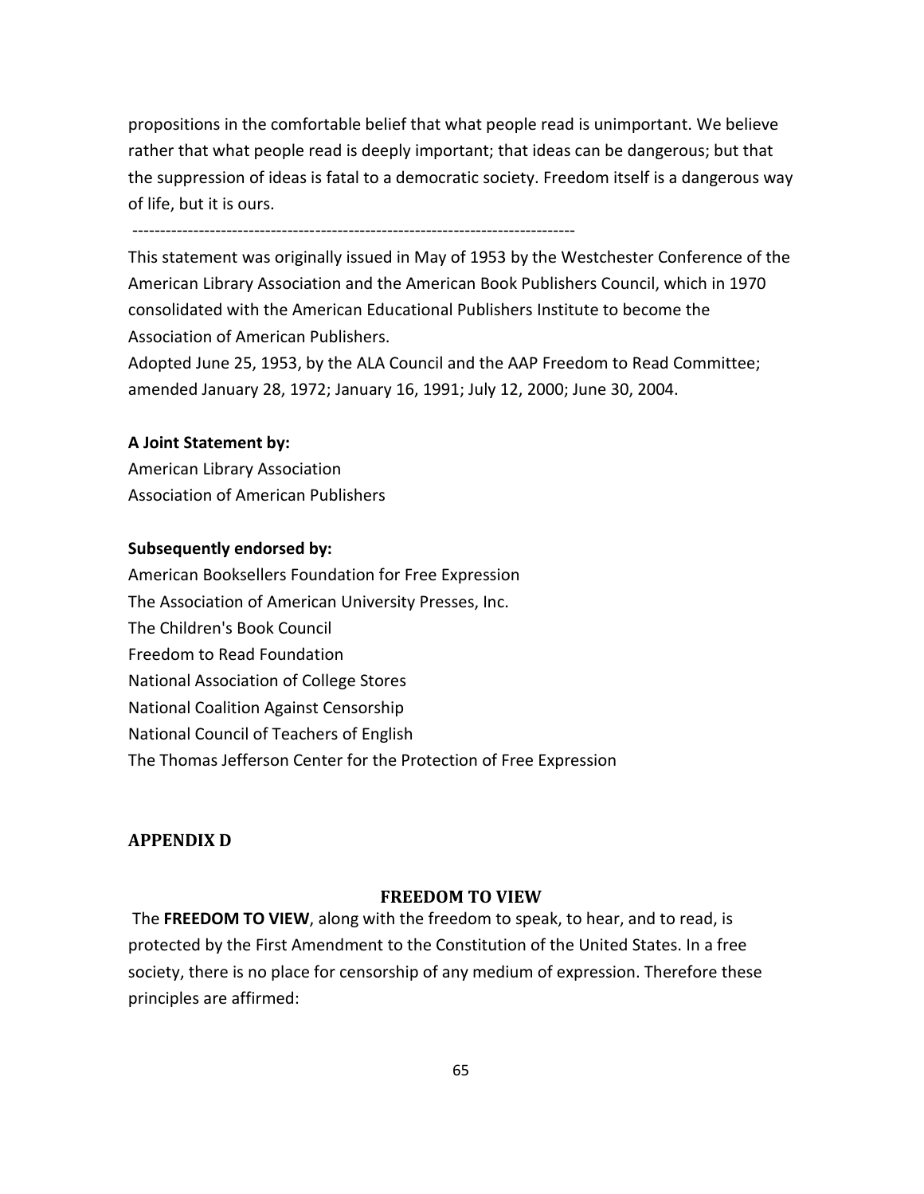propositions in the comfortable belief that what people read is unimportant. We believe rather that what people read is deeply important; that ideas can be dangerous; but that the suppression of ideas is fatal to a democratic society. Freedom itself is a dangerous way of life, but it is ours.

--------------------------------------------------------------------------------

This statement was originally issued in May of 1953 by the Westchester Conference of the American Library Association and the American Book Publishers Council, which in 1970 consolidated with the American Educational Publishers Institute to become the Association of American Publishers.

Adopted June 25, 1953, by the ALA Council and the AAP Freedom to Read Committee; amended January 28, 1972; January 16, 1991; July 12, 2000; June 30, 2004.

#### **A Joint Statement by:**

American Library Association Association of American Publishers

#### **Subsequently endorsed by:**

American Booksellers Foundation for Free Expression The Association of American University Presses, Inc. The Children's Book Council Freedom to Read Foundation National Association of College Stores National Coalition Against Censorship National Council of Teachers of English The Thomas Jefferson Center for the Protection of Free Expression

#### **APPENDIX D**

#### **FREEDOM TO VIEW**

The **FREEDOM TO VIEW**, along with the freedom to speak, to hear, and to read, is protected by the First Amendment to the Constitution of the United States. In a free society, there is no place for censorship of any medium of expression. Therefore these principles are affirmed: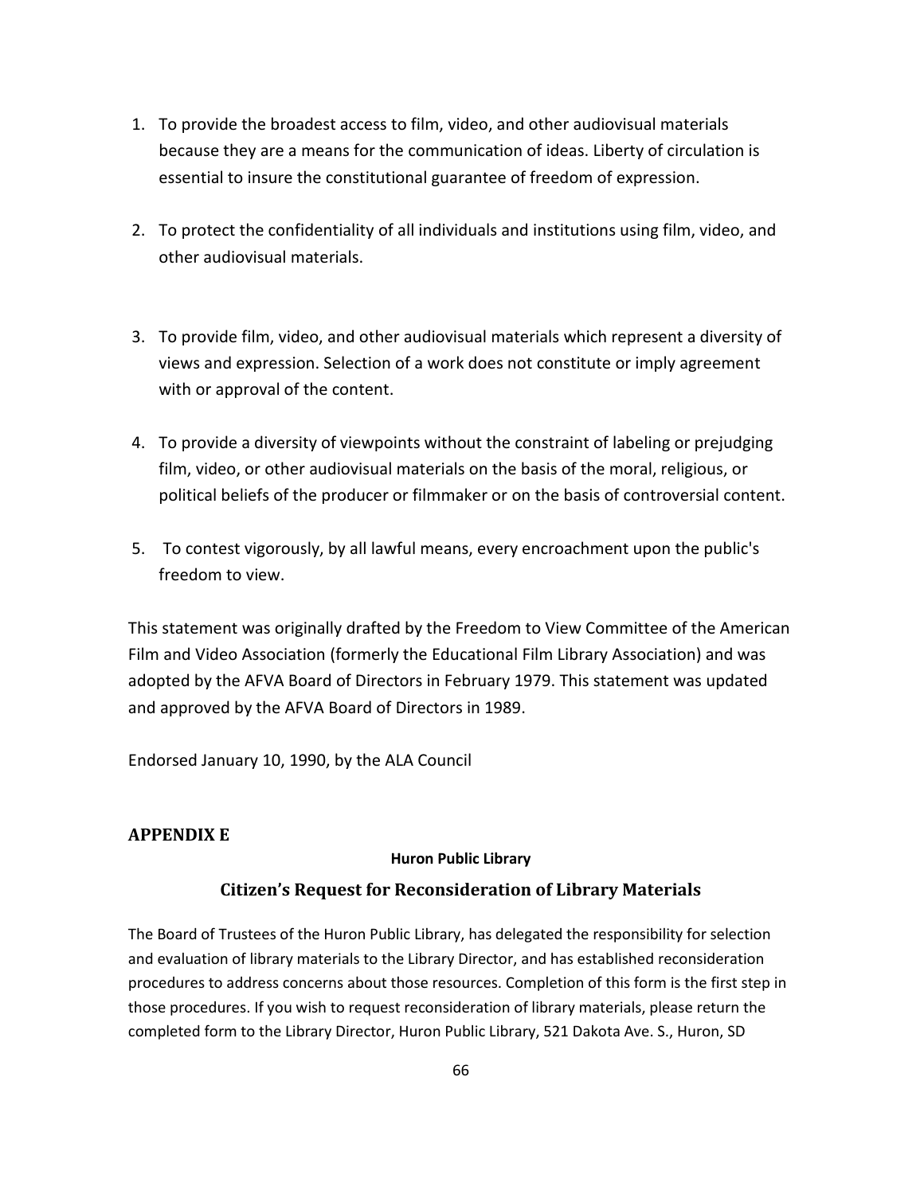- 1. To provide the broadest access to film, video, and other audiovisual materials because they are a means for the communication of ideas. Liberty of circulation is essential to insure the constitutional guarantee of freedom of expression.
- 2. To protect the confidentiality of all individuals and institutions using film, video, and other audiovisual materials.
- 3. To provide film, video, and other audiovisual materials which represent a diversity of views and expression. Selection of a work does not constitute or imply agreement with or approval of the content.
- 4. To provide a diversity of viewpoints without the constraint of labeling or prejudging film, video, or other audiovisual materials on the basis of the moral, religious, or political beliefs of the producer or filmmaker or on the basis of controversial content.
- 5. To contest vigorously, by all lawful means, every encroachment upon the public's freedom to view.

This statement was originally drafted by the Freedom to View Committee of the American Film and Video Association (formerly the Educational Film Library Association) and was adopted by the AFVA Board of Directors in February 1979. This statement was updated and approved by the AFVA Board of Directors in 1989.

Endorsed January 10, 1990, by the ALA Council

## **APPENDIX E**

#### **Huron Public Library**

#### **Citizen's Request for Reconsideration of Library Materials**

The Board of Trustees of the Huron Public Library, has delegated the responsibility for selection and evaluation of library materials to the Library Director, and has established reconsideration procedures to address concerns about those resources. Completion of this form is the first step in those procedures. If you wish to request reconsideration of library materials, please return the completed form to the Library Director, Huron Public Library, 521 Dakota Ave. S., Huron, SD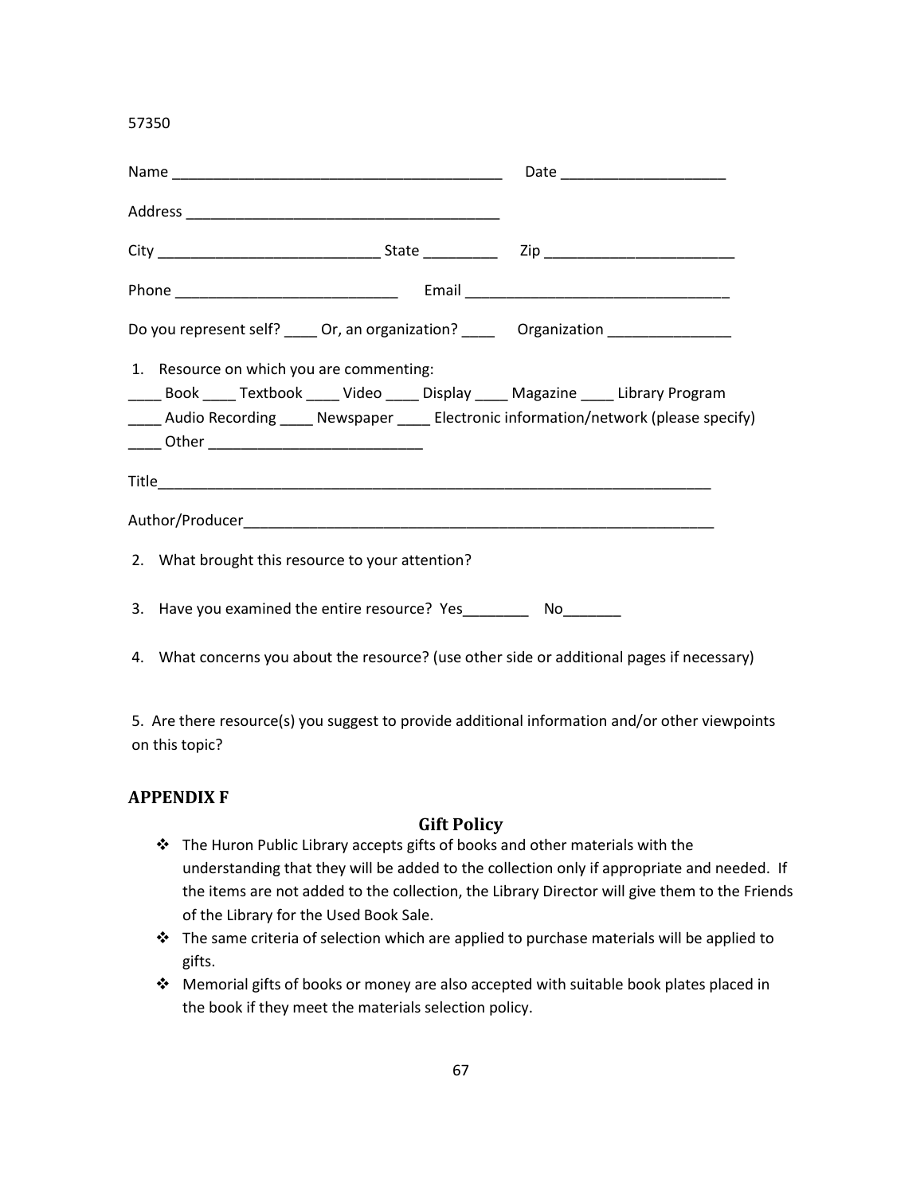57350

| Do you represent self? _____ Or, an organization? ______ Organization ___________                                                                                                                                          |  |
|----------------------------------------------------------------------------------------------------------------------------------------------------------------------------------------------------------------------------|--|
| 1. Resource on which you are commenting:<br>____ Book ____ Textbook ____ Video ____ Display ____ Magazine ____ Library Program<br>____ Audio Recording ____ Newspaper ____ Electronic information/network (please specify) |  |
|                                                                                                                                                                                                                            |  |
| 2. What brought this resource to your attention?                                                                                                                                                                           |  |
| 3. Have you examined the entire resource? Yes__________ No________                                                                                                                                                         |  |
| 4. What concerns you about the resource? (use other side or additional pages if necessary)                                                                                                                                 |  |

5. Are there resource(s) you suggest to provide additional information and/or other viewpoints on this topic?

# **APPENDIX F**

# **Gift Policy**

- ❖ The Huron Public Library accepts gifts of books and other materials with the understanding that they will be added to the collection only if appropriate and needed. If the items are not added to the collection, the Library Director will give them to the Friends of the Library for the Used Book Sale.
- ❖ The same criteria of selection which are applied to purchase materials will be applied to gifts.
- ❖ Memorial gifts of books or money are also accepted with suitable book plates placed in the book if they meet the materials selection policy.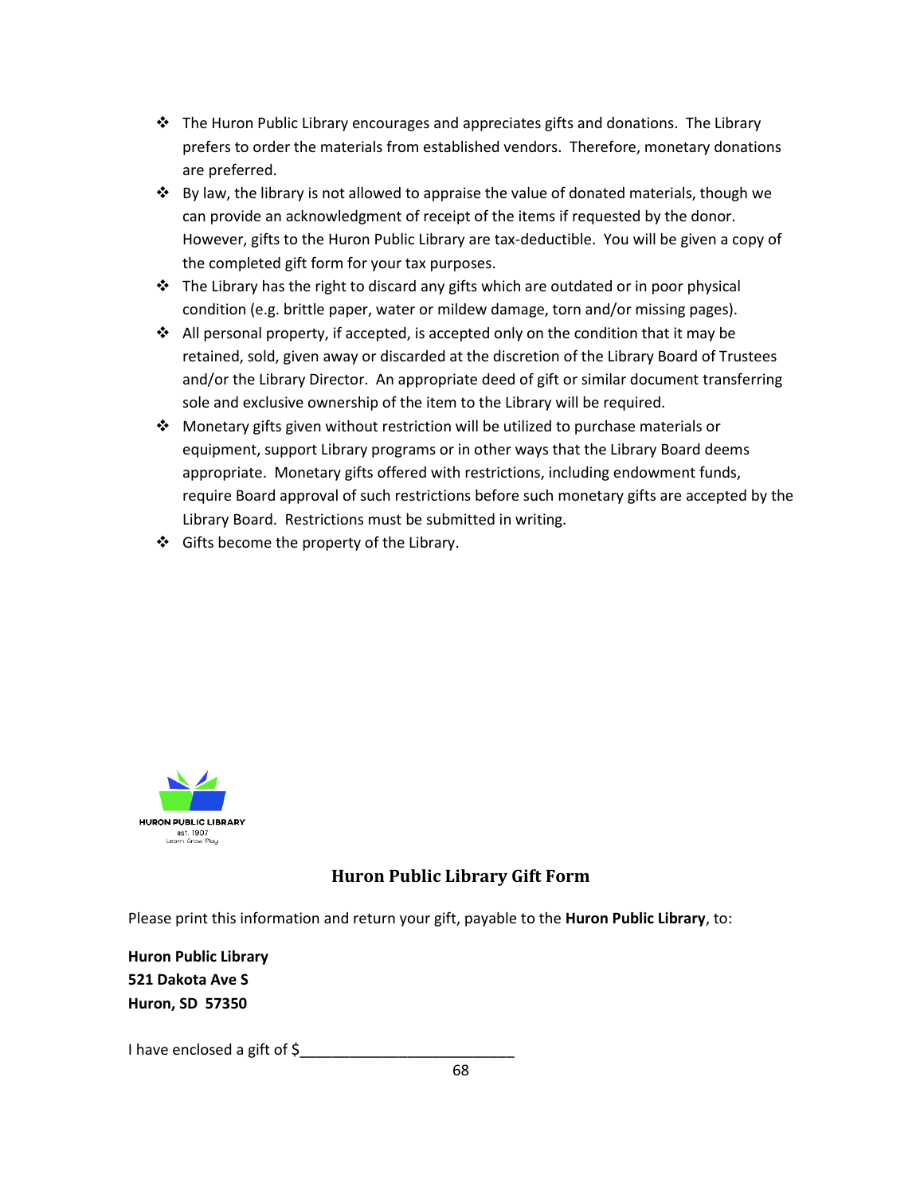- ❖ The Huron Public Library encourages and appreciates gifts and donations. The Library prefers to order the materials from established vendors. Therefore, monetary donations are preferred.
- $\dots$  By law, the library is not allowed to appraise the value of donated materials, though we can provide an acknowledgment of receipt of the items if requested by the donor. However, gifts to the Huron Public Library are tax-deductible. You will be given a copy of the completed gift form for your tax purposes.
- $\div$  The Library has the right to discard any gifts which are outdated or in poor physical condition (e.g. brittle paper, water or mildew damage, torn and/or missing pages).
- $\div$  All personal property, if accepted, is accepted only on the condition that it may be retained, sold, given away or discarded at the discretion of the Library Board of Trustees and/or the Library Director. An appropriate deed of gift or similar document transferring sole and exclusive ownership of the item to the Library will be required.
- ❖ Monetary gifts given without restriction will be utilized to purchase materials or equipment, support Library programs or in other ways that the Library Board deems appropriate. Monetary gifts offered with restrictions, including endowment funds, require Board approval of such restrictions before such monetary gifts are accepted by the Library Board. Restrictions must be submitted in writing.
- ❖ Gifts become the property of the Library.



# **Huron Public Library Gift Form**

Please print this information and return your gift, payable to the **Huron Public Library**, to:

**Huron Public Library 521 Dakota Ave S Huron, SD 57350**

I have enclosed a gift of  $\frac{1}{2}$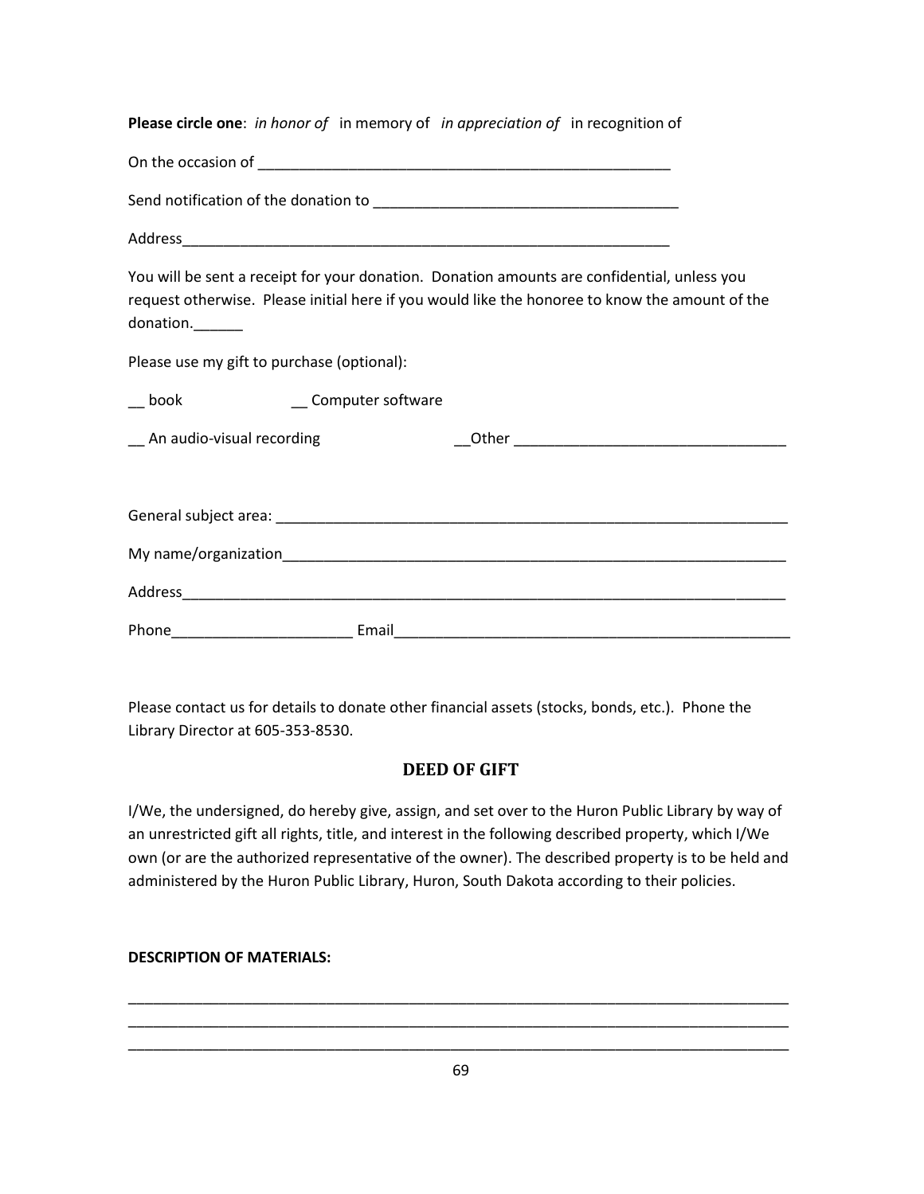| Please circle one: in honor of in memory of in appreciation of in recognition of                                                                                                                           |
|------------------------------------------------------------------------------------------------------------------------------------------------------------------------------------------------------------|
|                                                                                                                                                                                                            |
|                                                                                                                                                                                                            |
|                                                                                                                                                                                                            |
| You will be sent a receipt for your donation. Donation amounts are confidential, unless you<br>request otherwise. Please initial here if you would like the honoree to know the amount of the<br>donation. |
| Please use my gift to purchase (optional):                                                                                                                                                                 |
| __ Computer software<br>$\overline{\phantom{a}}$ book                                                                                                                                                      |
| _ An audio-visual recording                                                                                                                                                                                |
|                                                                                                                                                                                                            |
|                                                                                                                                                                                                            |
|                                                                                                                                                                                                            |
|                                                                                                                                                                                                            |

Please contact us for details to donate other financial assets (stocks, bonds, etc.). Phone the Library Director at 605-353-8530.

## **DEED OF GIFT**

I/We, the undersigned, do hereby give, assign, and set over to the Huron Public Library by way of an unrestricted gift all rights, title, and interest in the following described property, which I/We own (or are the authorized representative of the owner). The described property is to be held and administered by the Huron Public Library, Huron, South Dakota according to their policies.

#### **DESCRIPTION OF MATERIALS:**

\_\_\_\_\_\_\_\_\_\_\_\_\_\_\_\_\_\_\_\_\_\_\_\_\_\_\_\_\_\_\_\_\_\_\_\_\_\_\_\_\_\_\_\_\_\_\_\_\_\_\_\_\_\_\_\_\_\_\_\_\_\_\_\_\_\_\_\_\_\_\_\_\_\_\_\_\_\_\_\_ \_\_\_\_\_\_\_\_\_\_\_\_\_\_\_\_\_\_\_\_\_\_\_\_\_\_\_\_\_\_\_\_\_\_\_\_\_\_\_\_\_\_\_\_\_\_\_\_\_\_\_\_\_\_\_\_\_\_\_\_\_\_\_\_\_\_\_\_\_\_\_\_\_\_\_\_\_\_\_\_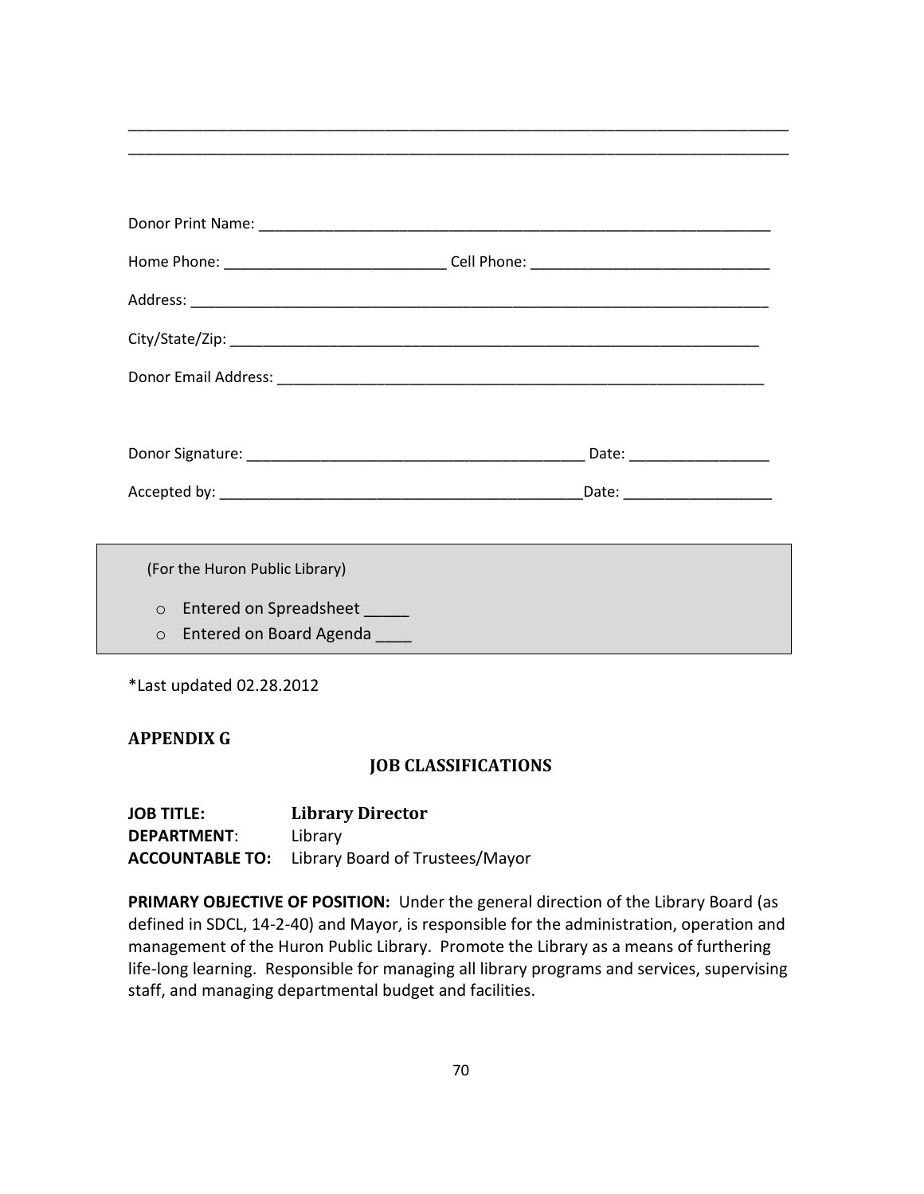| Date: ___________________              |
|----------------------------------------|
| Date: <u>Date: Electronic Property</u> |
|                                        |

\_\_\_\_\_\_\_\_\_\_\_\_\_\_\_\_\_\_\_\_\_\_\_\_\_\_\_\_\_\_\_\_\_\_\_\_\_\_\_\_\_\_\_\_\_\_\_\_\_\_\_\_\_\_\_\_\_\_\_\_\_\_\_\_\_\_\_\_\_\_\_\_\_\_\_\_\_\_\_\_ \_\_\_\_\_\_\_\_\_\_\_\_\_\_\_\_\_\_\_\_\_\_\_\_\_\_\_\_\_\_\_\_\_\_\_\_\_\_\_\_\_\_\_\_\_\_\_\_\_\_\_\_\_\_\_\_\_\_\_\_\_\_\_\_\_\_\_\_\_\_\_\_\_\_\_\_\_\_\_\_

(For the Huron Public Library)

- o Entered on Spreadsheet
- o Entered on Board Agenda \_\_\_\_

\*Last updated 02.28.2012

# **APPENDIX G**

## **JOB CLASSIFICATIONS**

**JOB TITLE: Library Director DEPARTMENT**: Library **ACCOUNTABLE TO:** Library Board of Trustees/Mayor

**PRIMARY OBJECTIVE OF POSITION:** Under the general direction of the Library Board (as defined in SDCL, 14-2-40) and Mayor, is responsible for the administration, operation and management of the Huron Public Library. Promote the Library as a means of furthering life-long learning. Responsible for managing all library programs and services, supervising staff, and managing departmental budget and facilities.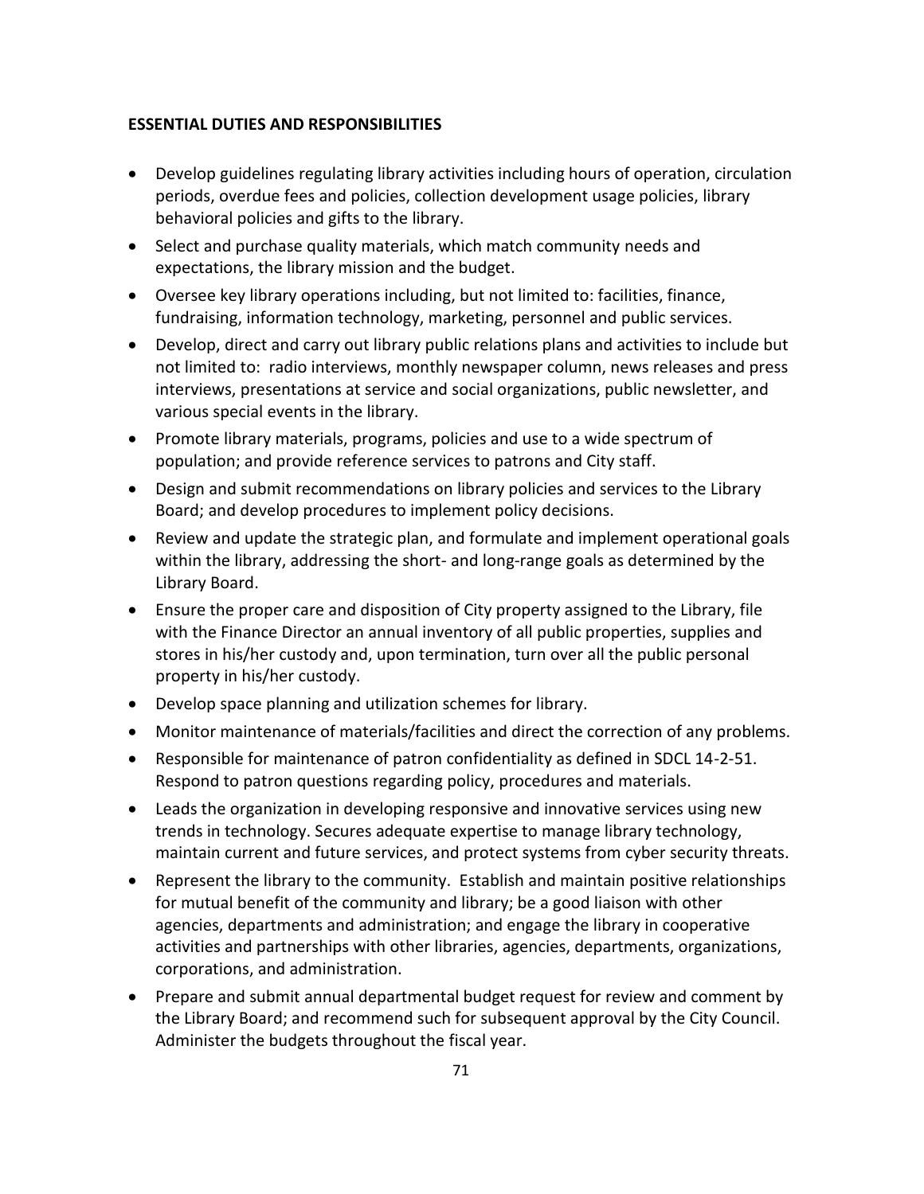#### **ESSENTIAL DUTIES AND RESPONSIBILITIES**

- Develop guidelines regulating library activities including hours of operation, circulation periods, overdue fees and policies, collection development usage policies, library behavioral policies and gifts to the library.
- Select and purchase quality materials, which match community needs and expectations, the library mission and the budget.
- Oversee key library operations including, but not limited to: facilities, finance, fundraising, information technology, marketing, personnel and public services.
- Develop, direct and carry out library public relations plans and activities to include but not limited to: radio interviews, monthly newspaper column, news releases and press interviews, presentations at service and social organizations, public newsletter, and various special events in the library.
- Promote library materials, programs, policies and use to a wide spectrum of population; and provide reference services to patrons and City staff.
- Design and submit recommendations on library policies and services to the Library Board; and develop procedures to implement policy decisions.
- Review and update the strategic plan, and formulate and implement operational goals within the library, addressing the short- and long-range goals as determined by the Library Board.
- Ensure the proper care and disposition of City property assigned to the Library, file with the Finance Director an annual inventory of all public properties, supplies and stores in his/her custody and, upon termination, turn over all the public personal property in his/her custody.
- Develop space planning and utilization schemes for library.
- Monitor maintenance of materials/facilities and direct the correction of any problems.
- Responsible for maintenance of patron confidentiality as defined in SDCL 14-2-51. Respond to patron questions regarding policy, procedures and materials.
- Leads the organization in developing responsive and innovative services using new trends in technology. Secures adequate expertise to manage library technology, maintain current and future services, and protect systems from cyber security threats.
- Represent the library to the community. Establish and maintain positive relationships for mutual benefit of the community and library; be a good liaison with other agencies, departments and administration; and engage the library in cooperative activities and partnerships with other libraries, agencies, departments, organizations, corporations, and administration.
- Prepare and submit annual departmental budget request for review and comment by the Library Board; and recommend such for subsequent approval by the City Council. Administer the budgets throughout the fiscal year.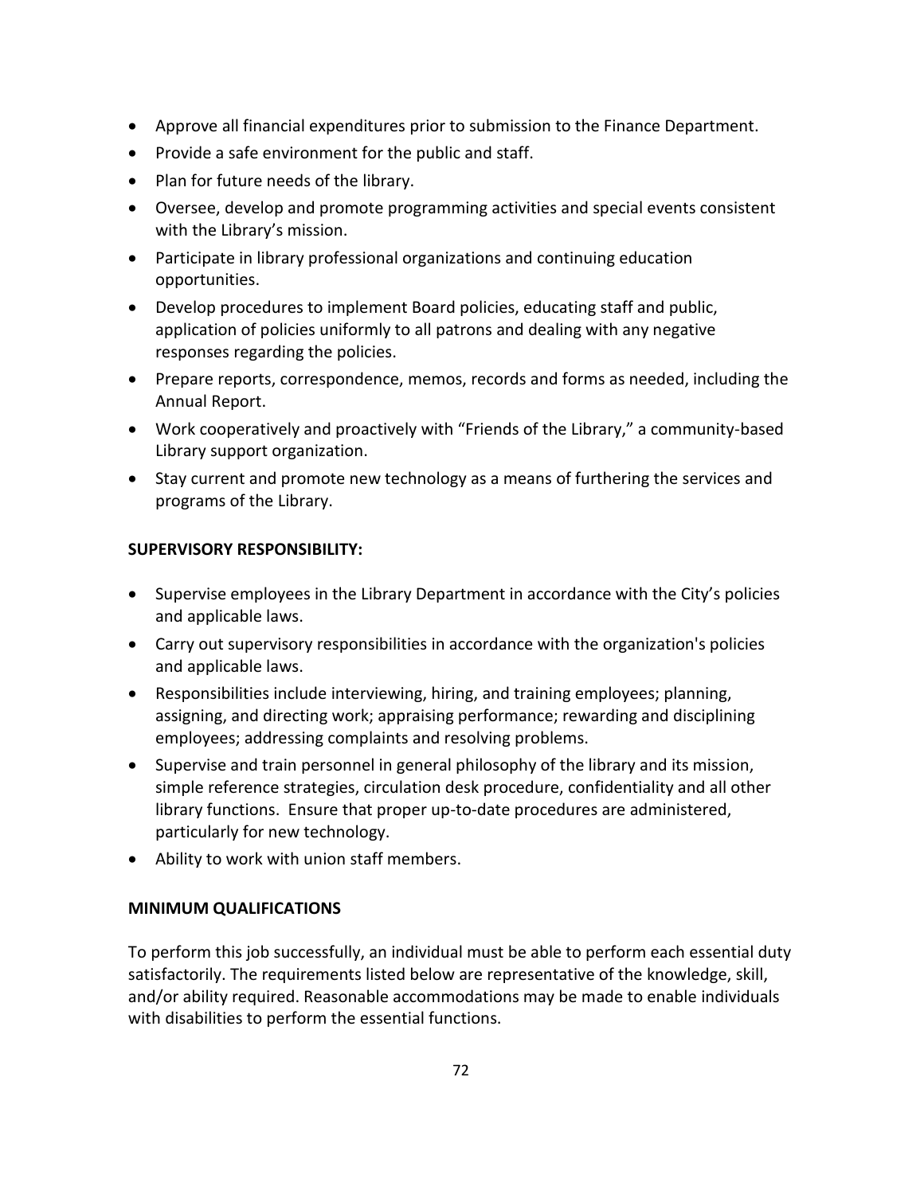- Approve all financial expenditures prior to submission to the Finance Department.
- Provide a safe environment for the public and staff.
- Plan for future needs of the library.
- Oversee, develop and promote programming activities and special events consistent with the Library's mission.
- Participate in library professional organizations and continuing education opportunities.
- Develop procedures to implement Board policies, educating staff and public, application of policies uniformly to all patrons and dealing with any negative responses regarding the policies.
- Prepare reports, correspondence, memos, records and forms as needed, including the Annual Report.
- Work cooperatively and proactively with "Friends of the Library," a community-based Library support organization.
- Stay current and promote new technology as a means of furthering the services and programs of the Library.

## **SUPERVISORY RESPONSIBILITY:**

- Supervise employees in the Library Department in accordance with the City's policies and applicable laws.
- Carry out supervisory responsibilities in accordance with the organization's policies and applicable laws.
- Responsibilities include interviewing, hiring, and training employees; planning, assigning, and directing work; appraising performance; rewarding and disciplining employees; addressing complaints and resolving problems.
- Supervise and train personnel in general philosophy of the library and its mission, simple reference strategies, circulation desk procedure, confidentiality and all other library functions. Ensure that proper up-to-date procedures are administered, particularly for new technology.
- Ability to work with union staff members.

# **MINIMUM QUALIFICATIONS**

To perform this job successfully, an individual must be able to perform each essential duty satisfactorily. The requirements listed below are representative of the knowledge, skill, and/or ability required. Reasonable accommodations may be made to enable individuals with disabilities to perform the essential functions.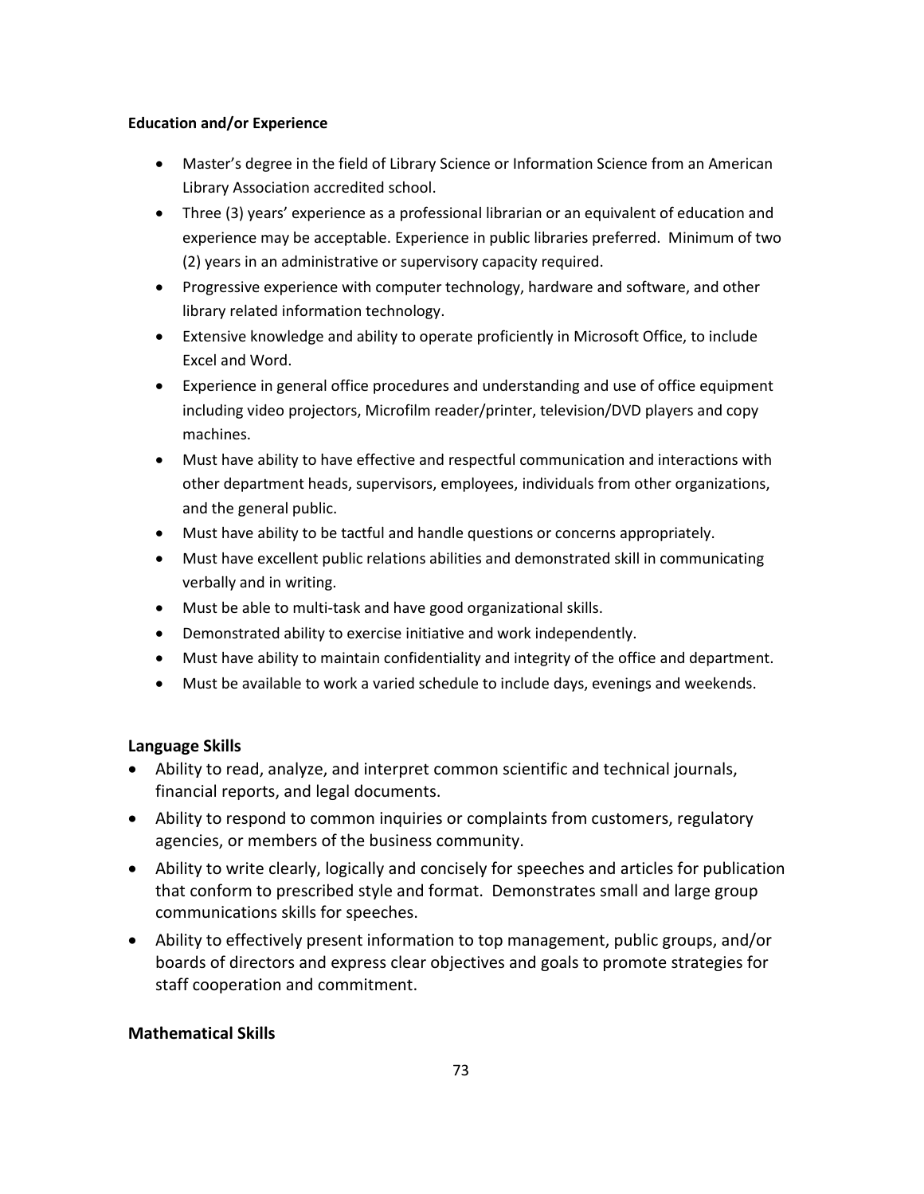#### **Education and/or Experience**

- Master's degree in the field of Library Science or Information Science from an American Library Association accredited school.
- Three (3) years' experience as a professional librarian or an equivalent of education and experience may be acceptable. Experience in public libraries preferred. Minimum of two (2) years in an administrative or supervisory capacity required.
- Progressive experience with computer technology, hardware and software, and other library related information technology.
- Extensive knowledge and ability to operate proficiently in Microsoft Office, to include Excel and Word.
- Experience in general office procedures and understanding and use of office equipment including video projectors, Microfilm reader/printer, television/DVD players and copy machines.
- Must have ability to have effective and respectful communication and interactions with other department heads, supervisors, employees, individuals from other organizations, and the general public.
- Must have ability to be tactful and handle questions or concerns appropriately.
- Must have excellent public relations abilities and demonstrated skill in communicating verbally and in writing.
- Must be able to multi-task and have good organizational skills.
- Demonstrated ability to exercise initiative and work independently.
- Must have ability to maintain confidentiality and integrity of the office and department.
- Must be available to work a varied schedule to include days, evenings and weekends.

#### **Language Skills**

- Ability to read, analyze, and interpret common scientific and technical journals, financial reports, and legal documents.
- Ability to respond to common inquiries or complaints from customers, regulatory agencies, or members of the business community.
- Ability to write clearly, logically and concisely for speeches and articles for publication that conform to prescribed style and format. Demonstrates small and large group communications skills for speeches.
- Ability to effectively present information to top management, public groups, and/or boards of directors and express clear objectives and goals to promote strategies for staff cooperation and commitment.

#### **Mathematical Skills**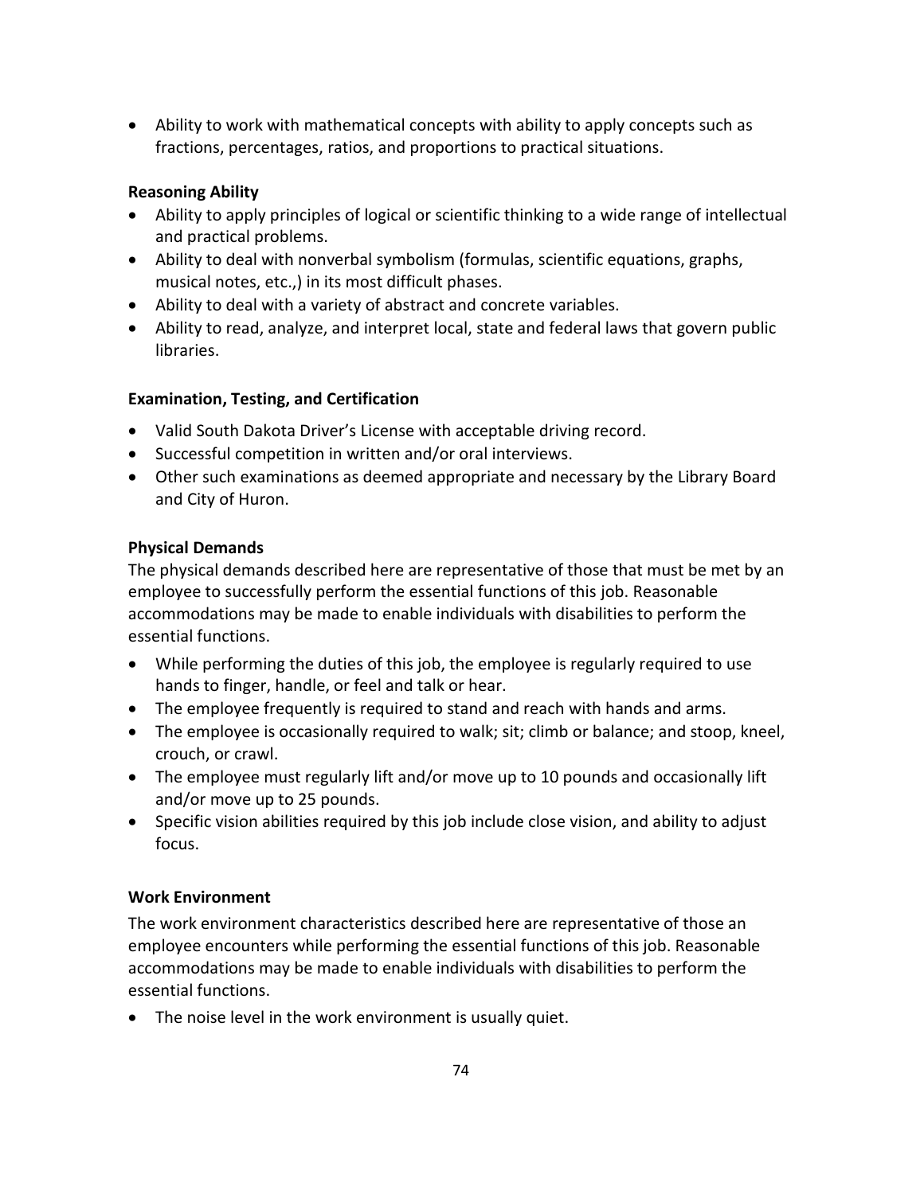• Ability to work with mathematical concepts with ability to apply concepts such as fractions, percentages, ratios, and proportions to practical situations.

#### **Reasoning Ability**

- Ability to apply principles of logical or scientific thinking to a wide range of intellectual and practical problems.
- Ability to deal with nonverbal symbolism (formulas, scientific equations, graphs, musical notes, etc.,) in its most difficult phases.
- Ability to deal with a variety of abstract and concrete variables.
- Ability to read, analyze, and interpret local, state and federal laws that govern public libraries.

#### **Examination, Testing, and Certification**

- Valid South Dakota Driver's License with acceptable driving record.
- Successful competition in written and/or oral interviews.
- Other such examinations as deemed appropriate and necessary by the Library Board and City of Huron.

#### **Physical Demands**

The physical demands described here are representative of those that must be met by an employee to successfully perform the essential functions of this job. Reasonable accommodations may be made to enable individuals with disabilities to perform the essential functions.

- While performing the duties of this job, the employee is regularly required to use hands to finger, handle, or feel and talk or hear.
- The employee frequently is required to stand and reach with hands and arms.
- The employee is occasionally required to walk; sit; climb or balance; and stoop, kneel, crouch, or crawl.
- The employee must regularly lift and/or move up to 10 pounds and occasionally lift and/or move up to 25 pounds.
- Specific vision abilities required by this job include close vision, and ability to adjust focus.

#### **Work Environment**

The work environment characteristics described here are representative of those an employee encounters while performing the essential functions of this job. Reasonable accommodations may be made to enable individuals with disabilities to perform the essential functions.

• The noise level in the work environment is usually quiet.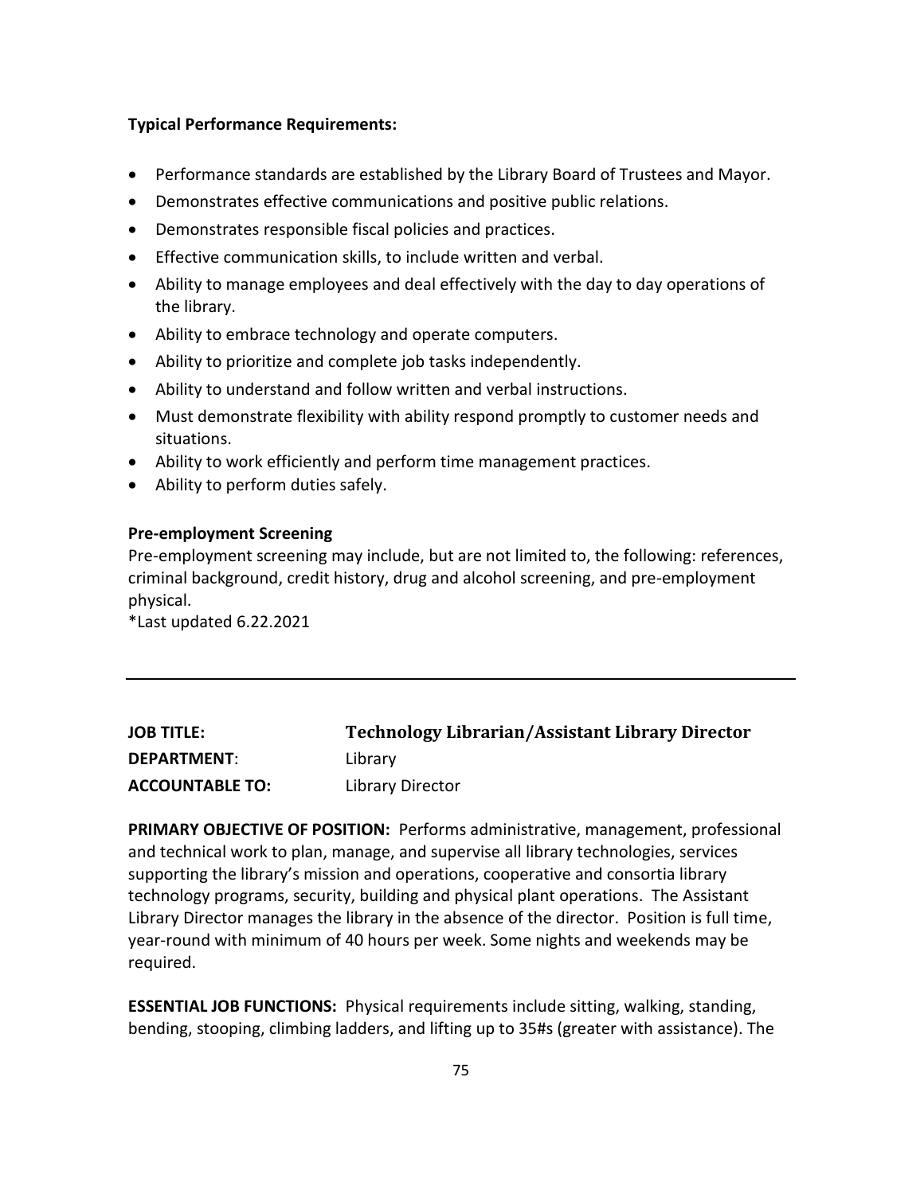#### **Typical Performance Requirements:**

- Performance standards are established by the Library Board of Trustees and Mayor.
- Demonstrates effective communications and positive public relations.
- Demonstrates responsible fiscal policies and practices.
- Effective communication skills, to include written and verbal.
- Ability to manage employees and deal effectively with the day to day operations of the library.
- Ability to embrace technology and operate computers.
- Ability to prioritize and complete job tasks independently.
- Ability to understand and follow written and verbal instructions.
- Must demonstrate flexibility with ability respond promptly to customer needs and situations.
- Ability to work efficiently and perform time management practices.
- Ability to perform duties safely.

#### **Pre-employment Screening**

Pre-employment screening may include, but are not limited to, the following: references, criminal background, credit history, drug and alcohol screening, and pre-employment physical.

\*Last updated 6.22.2021

| <b>JOB TITLE:</b>      | <b>Technology Librarian/Assistant Library Director</b> |
|------------------------|--------------------------------------------------------|
| <b>DEPARTMENT:</b>     | Library                                                |
| <b>ACCOUNTABLE TO:</b> | Library Director                                       |

**PRIMARY OBJECTIVE OF POSITION:** Performs administrative, management, professional and technical work to plan, manage, and supervise all library technologies, services supporting the library's mission and operations, cooperative and consortia library technology programs, security, building and physical plant operations. The Assistant Library Director manages the library in the absence of the director. Position is full time, year-round with minimum of 40 hours per week. Some nights and weekends may be required.

**ESSENTIAL JOB FUNCTIONS:** Physical requirements include sitting, walking, standing, bending, stooping, climbing ladders, and lifting up to 35#s (greater with assistance). The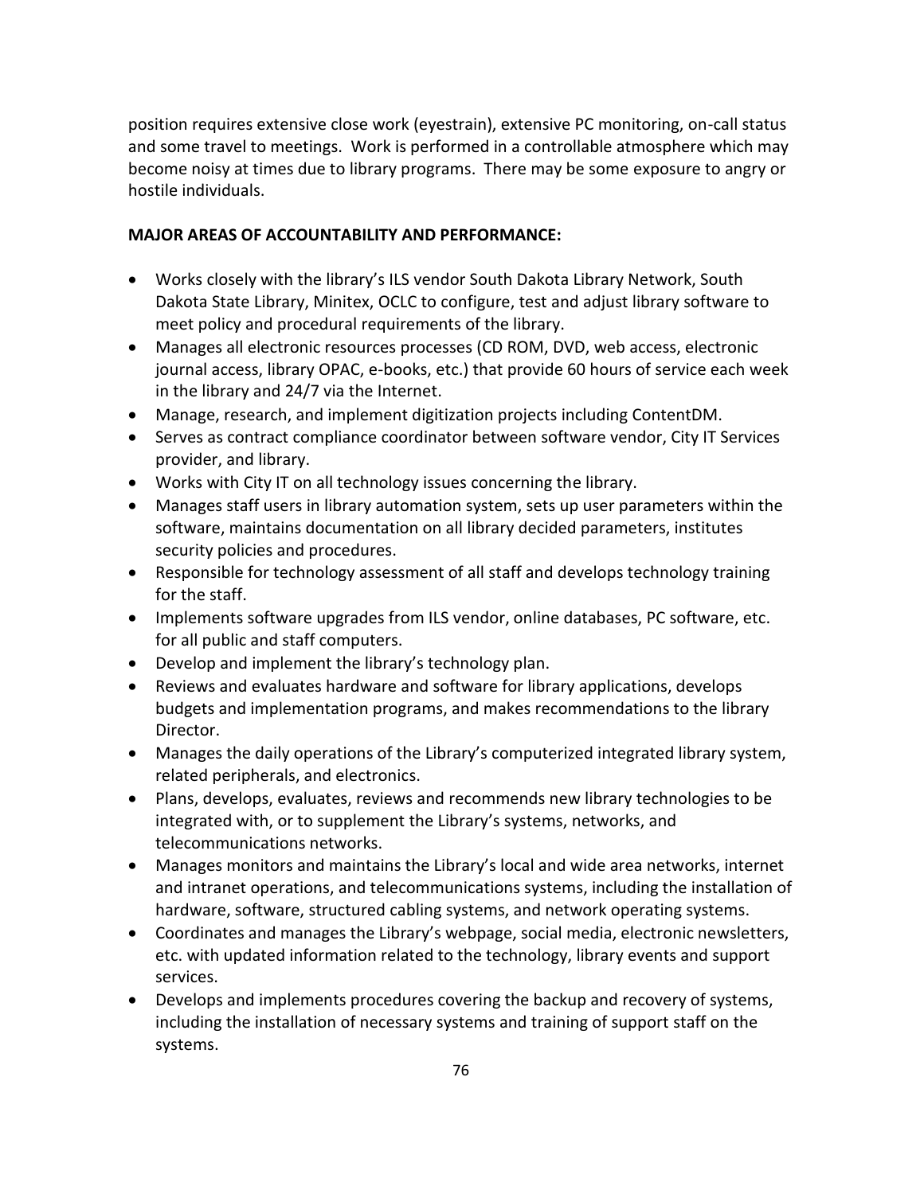position requires extensive close work (eyestrain), extensive PC monitoring, on-call status and some travel to meetings. Work is performed in a controllable atmosphere which may become noisy at times due to library programs. There may be some exposure to angry or hostile individuals.

- Works closely with the library's ILS vendor South Dakota Library Network, South Dakota State Library, Minitex, OCLC to configure, test and adjust library software to meet policy and procedural requirements of the library.
- Manages all electronic resources processes (CD ROM, DVD, web access, electronic journal access, library OPAC, e-books, etc.) that provide 60 hours of service each week in the library and 24/7 via the Internet.
- Manage, research, and implement digitization projects including ContentDM.
- Serves as contract compliance coordinator between software vendor, City IT Services provider, and library.
- Works with City IT on all technology issues concerning the library.
- Manages staff users in library automation system, sets up user parameters within the software, maintains documentation on all library decided parameters, institutes security policies and procedures.
- Responsible for technology assessment of all staff and develops technology training for the staff.
- Implements software upgrades from ILS vendor, online databases, PC software, etc. for all public and staff computers.
- Develop and implement the library's technology plan.
- Reviews and evaluates hardware and software for library applications, develops budgets and implementation programs, and makes recommendations to the library Director.
- Manages the daily operations of the Library's computerized integrated library system, related peripherals, and electronics.
- Plans, develops, evaluates, reviews and recommends new library technologies to be integrated with, or to supplement the Library's systems, networks, and telecommunications networks.
- Manages monitors and maintains the Library's local and wide area networks, internet and intranet operations, and telecommunications systems, including the installation of hardware, software, structured cabling systems, and network operating systems.
- Coordinates and manages the Library's webpage, social media, electronic newsletters, etc. with updated information related to the technology, library events and support services.
- Develops and implements procedures covering the backup and recovery of systems, including the installation of necessary systems and training of support staff on the systems.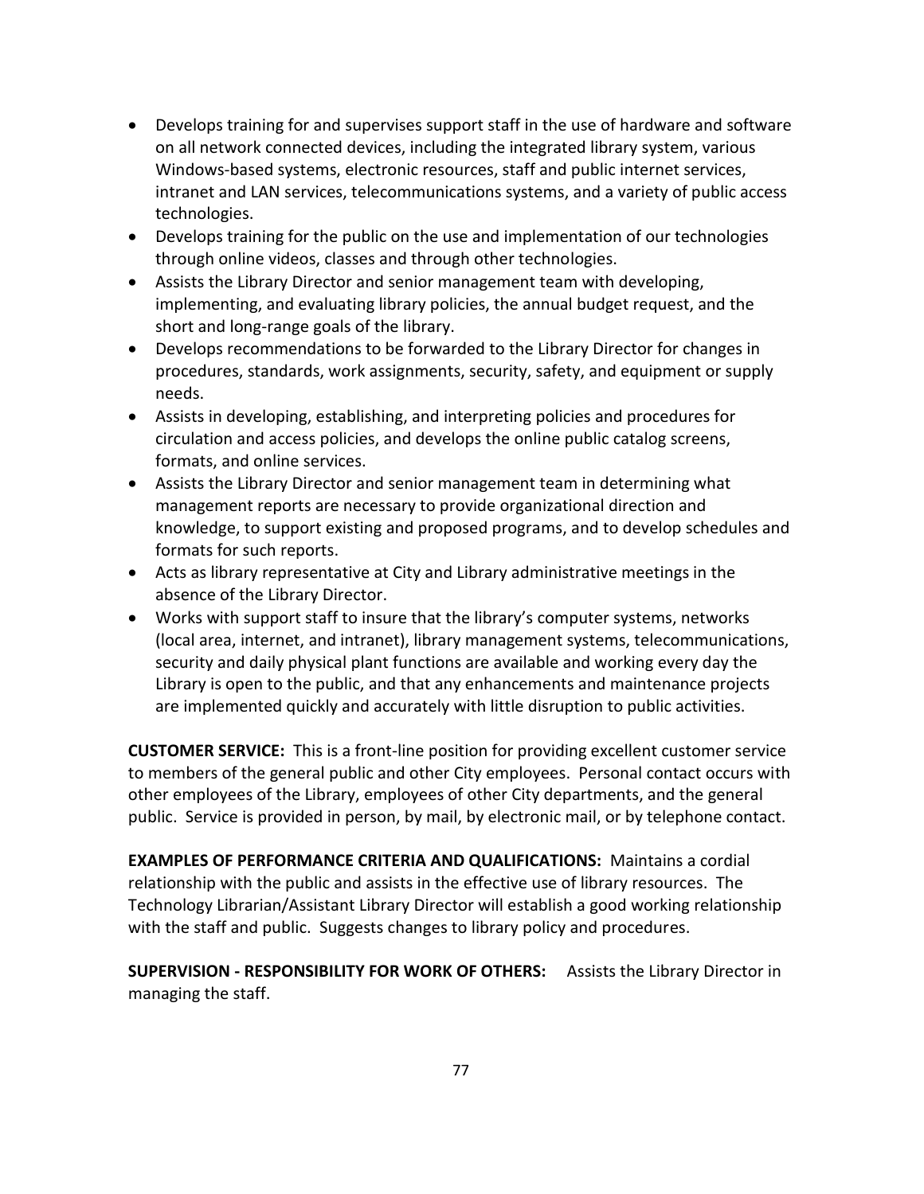- Develops training for and supervises support staff in the use of hardware and software on all network connected devices, including the integrated library system, various Windows-based systems, electronic resources, staff and public internet services, intranet and LAN services, telecommunications systems, and a variety of public access technologies.
- Develops training for the public on the use and implementation of our technologies through online videos, classes and through other technologies.
- Assists the Library Director and senior management team with developing, implementing, and evaluating library policies, the annual budget request, and the short and long-range goals of the library.
- Develops recommendations to be forwarded to the Library Director for changes in procedures, standards, work assignments, security, safety, and equipment or supply needs.
- Assists in developing, establishing, and interpreting policies and procedures for circulation and access policies, and develops the online public catalog screens, formats, and online services.
- Assists the Library Director and senior management team in determining what management reports are necessary to provide organizational direction and knowledge, to support existing and proposed programs, and to develop schedules and formats for such reports.
- Acts as library representative at City and Library administrative meetings in the absence of the Library Director.
- Works with support staff to insure that the library's computer systems, networks (local area, internet, and intranet), library management systems, telecommunications, security and daily physical plant functions are available and working every day the Library is open to the public, and that any enhancements and maintenance projects are implemented quickly and accurately with little disruption to public activities.

**CUSTOMER SERVICE:** This is a front-line position for providing excellent customer service to members of the general public and other City employees. Personal contact occurs with other employees of the Library, employees of other City departments, and the general public. Service is provided in person, by mail, by electronic mail, or by telephone contact.

**EXAMPLES OF PERFORMANCE CRITERIA AND QUALIFICATIONS:** Maintains a cordial relationship with the public and assists in the effective use of library resources. The Technology Librarian/Assistant Library Director will establish a good working relationship with the staff and public. Suggests changes to library policy and procedures.

**SUPERVISION - RESPONSIBILITY FOR WORK OF OTHERS:** Assists the Library Director in managing the staff.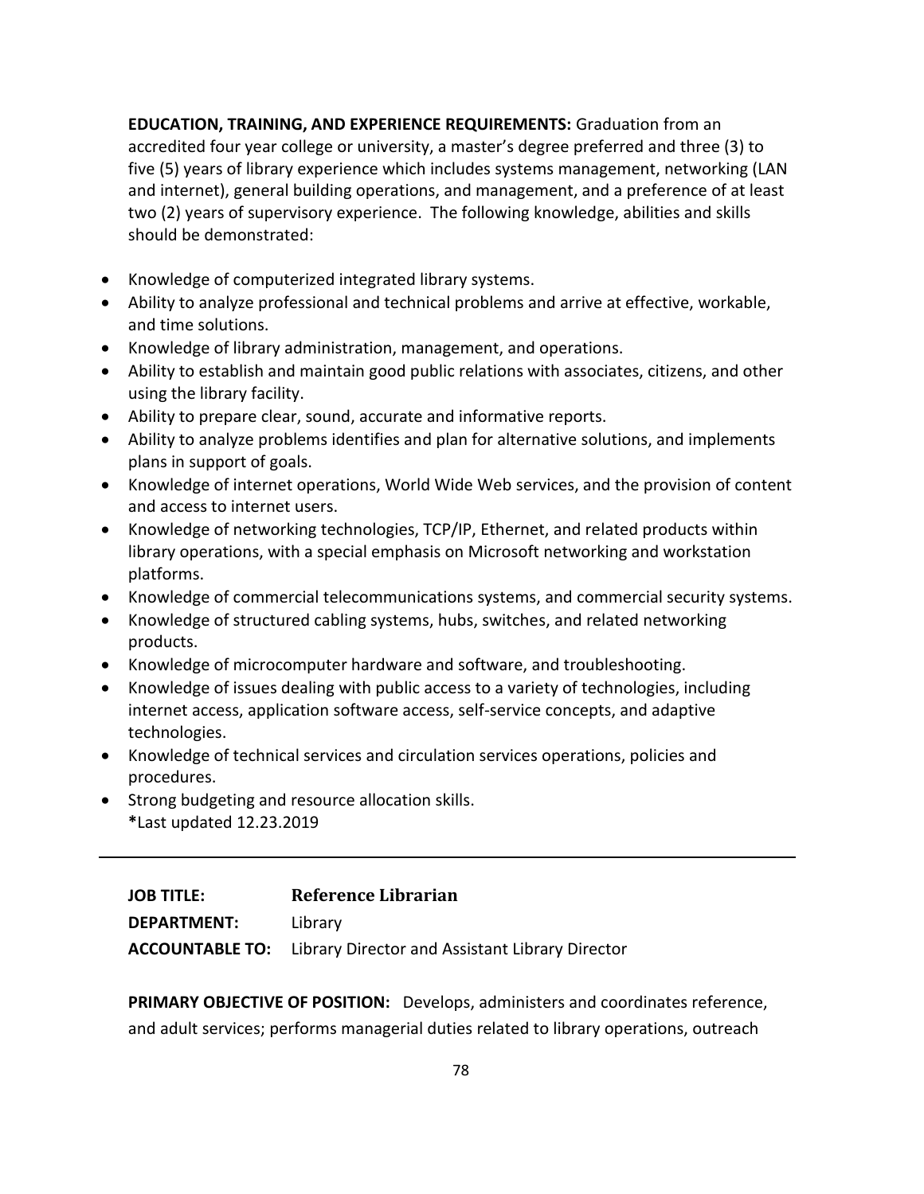**EDUCATION, TRAINING, AND EXPERIENCE REQUIREMENTS:** Graduation from an accredited four year college or university, a master's degree preferred and three (3) to five (5) years of library experience which includes systems management, networking (LAN and internet), general building operations, and management, and a preference of at least two (2) years of supervisory experience. The following knowledge, abilities and skills should be demonstrated:

- Knowledge of computerized integrated library systems.
- Ability to analyze professional and technical problems and arrive at effective, workable, and time solutions.
- Knowledge of library administration, management, and operations.
- Ability to establish and maintain good public relations with associates, citizens, and other using the library facility.
- Ability to prepare clear, sound, accurate and informative reports.
- Ability to analyze problems identifies and plan for alternative solutions, and implements plans in support of goals.
- Knowledge of internet operations, World Wide Web services, and the provision of content and access to internet users.
- Knowledge of networking technologies, TCP/IP, Ethernet, and related products within library operations, with a special emphasis on Microsoft networking and workstation platforms.
- Knowledge of commercial telecommunications systems, and commercial security systems.
- Knowledge of structured cabling systems, hubs, switches, and related networking products.
- Knowledge of microcomputer hardware and software, and troubleshooting.
- Knowledge of issues dealing with public access to a variety of technologies, including internet access, application software access, self-service concepts, and adaptive technologies.
- Knowledge of technical services and circulation services operations, policies and procedures.
- Strong budgeting and resource allocation skills. **\***Last updated 12.23.2019

**JOB TITLE: Reference Librarian DEPARTMENT:** Library **ACCOUNTABLE TO:** Library Director and Assistant Library Director

**PRIMARY OBJECTIVE OF POSITION:** Develops, administers and coordinates reference, and adult services; performs managerial duties related to library operations, outreach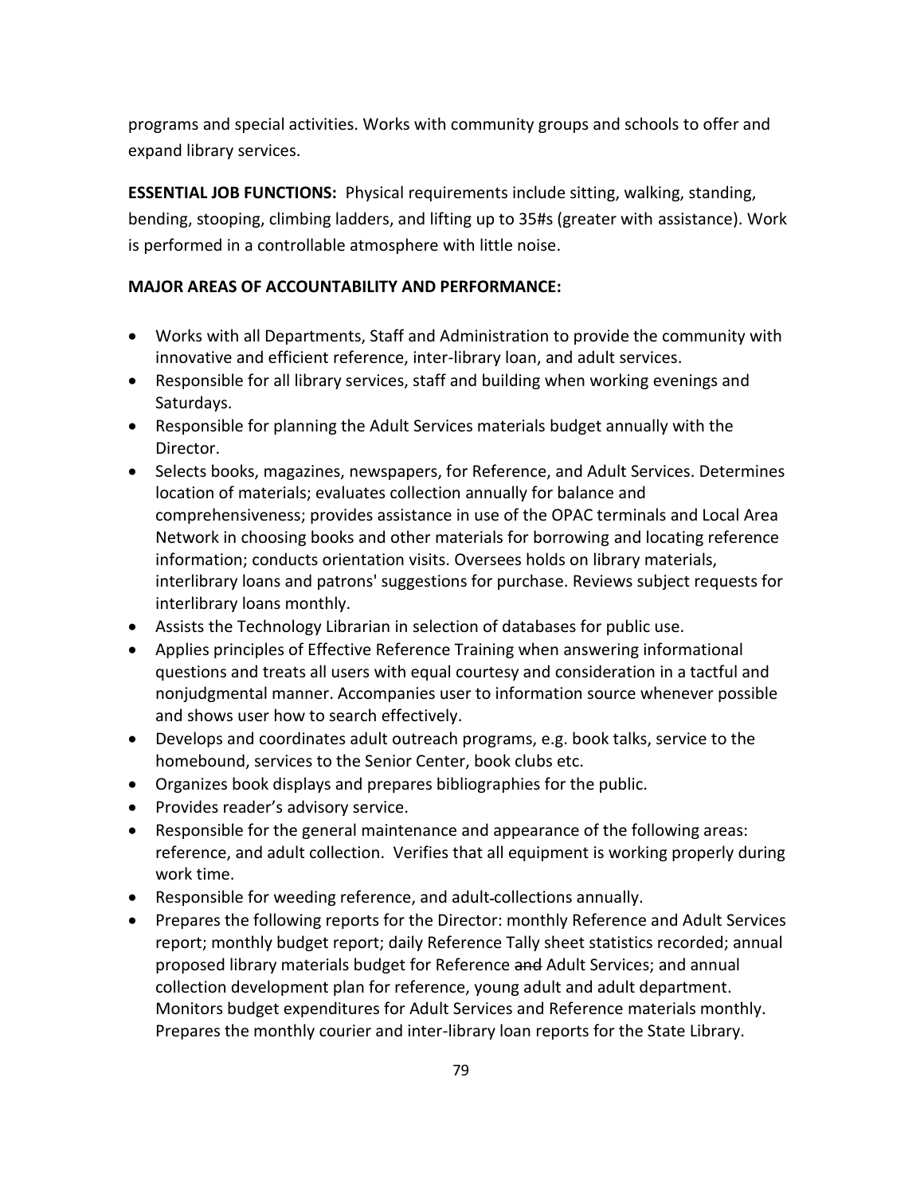programs and special activities. Works with community groups and schools to offer and expand library services.

**ESSENTIAL JOB FUNCTIONS:** Physical requirements include sitting, walking, standing, bending, stooping, climbing ladders, and lifting up to 35#s (greater with assistance). Work is performed in a controllable atmosphere with little noise.

- Works with all Departments, Staff and Administration to provide the community with innovative and efficient reference, inter-library loan, and adult services.
- Responsible for all library services, staff and building when working evenings and Saturdays.
- Responsible for planning the Adult Services materials budget annually with the Director.
- Selects books, magazines, newspapers, for Reference, and Adult Services. Determines location of materials; evaluates collection annually for balance and comprehensiveness; provides assistance in use of the OPAC terminals and Local Area Network in choosing books and other materials for borrowing and locating reference information; conducts orientation visits. Oversees holds on library materials, interlibrary loans and patrons' suggestions for purchase. Reviews subject requests for interlibrary loans monthly.
- Assists the Technology Librarian in selection of databases for public use.
- Applies principles of Effective Reference Training when answering informational questions and treats all users with equal courtesy and consideration in a tactful and nonjudgmental manner. Accompanies user to information source whenever possible and shows user how to search effectively.
- Develops and coordinates adult outreach programs, e.g. book talks, service to the homebound, services to the Senior Center, book clubs etc.
- Organizes book displays and prepares bibliographies for the public.
- Provides reader's advisory service.
- Responsible for the general maintenance and appearance of the following areas: reference, and adult collection. Verifies that all equipment is working properly during work time.
- Responsible for weeding reference, and adult collections annually.
- Prepares the following reports for the Director: monthly Reference and Adult Services report; monthly budget report; daily Reference Tally sheet statistics recorded; annual proposed library materials budget for Reference and Adult Services; and annual collection development plan for reference, young adult and adult department. Monitors budget expenditures for Adult Services and Reference materials monthly. Prepares the monthly courier and inter-library loan reports for the State Library.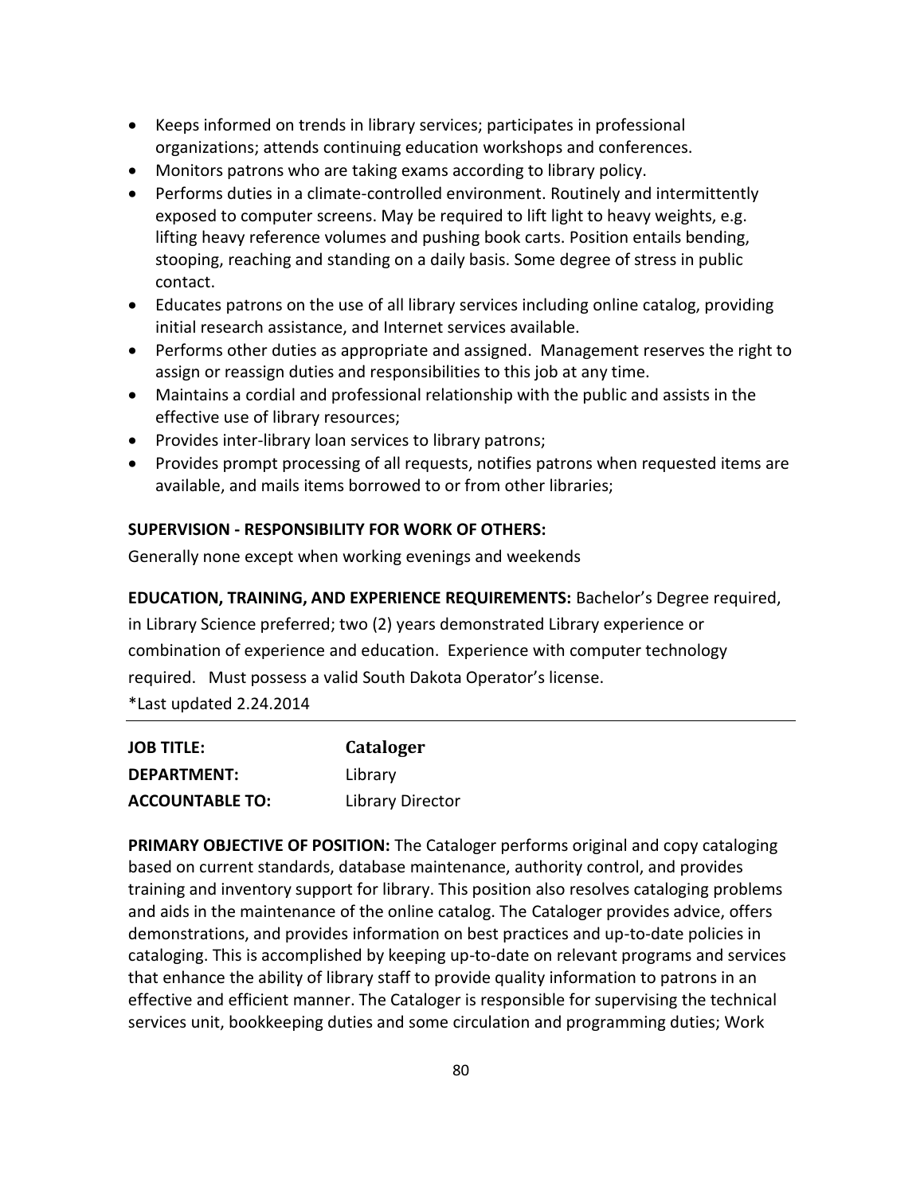- Keeps informed on trends in library services; participates in professional organizations; attends continuing education workshops and conferences.
- Monitors patrons who are taking exams according to library policy.
- Performs duties in a climate-controlled environment. Routinely and intermittently exposed to computer screens. May be required to lift light to heavy weights, e.g. lifting heavy reference volumes and pushing book carts. Position entails bending, stooping, reaching and standing on a daily basis. Some degree of stress in public contact.
- Educates patrons on the use of all library services including online catalog, providing initial research assistance, and Internet services available.
- Performs other duties as appropriate and assigned. Management reserves the right to assign or reassign duties and responsibilities to this job at any time.
- Maintains a cordial and professional relationship with the public and assists in the effective use of library resources;
- Provides inter-library loan services to library patrons;
- Provides prompt processing of all requests, notifies patrons when requested items are available, and mails items borrowed to or from other libraries;

#### **SUPERVISION - RESPONSIBILITY FOR WORK OF OTHERS:**

Generally none except when working evenings and weekends

**EDUCATION, TRAINING, AND EXPERIENCE REQUIREMENTS:** Bachelor's Degree required, in Library Science preferred; two (2) years demonstrated Library experience or combination of experience and education. Experience with computer technology required. Must possess a valid South Dakota Operator's license.

\*Last updated 2.24.2014

| <b>JOB TITLE:</b>      | Cataloger        |
|------------------------|------------------|
| DEPARTMENT:            | Library          |
| <b>ACCOUNTABLE TO:</b> | Library Director |

**PRIMARY OBJECTIVE OF POSITION:** The Cataloger performs original and copy cataloging based on current standards, database maintenance, authority control, and provides training and inventory support for library. This position also resolves cataloging problems and aids in the maintenance of the online catalog. The Cataloger provides advice, offers demonstrations, and provides information on best practices and up-to-date policies in cataloging. This is accomplished by keeping up-to-date on relevant programs and services that enhance the ability of library staff to provide quality information to patrons in an effective and efficient manner. The Cataloger is responsible for supervising the technical services unit, bookkeeping duties and some circulation and programming duties; Work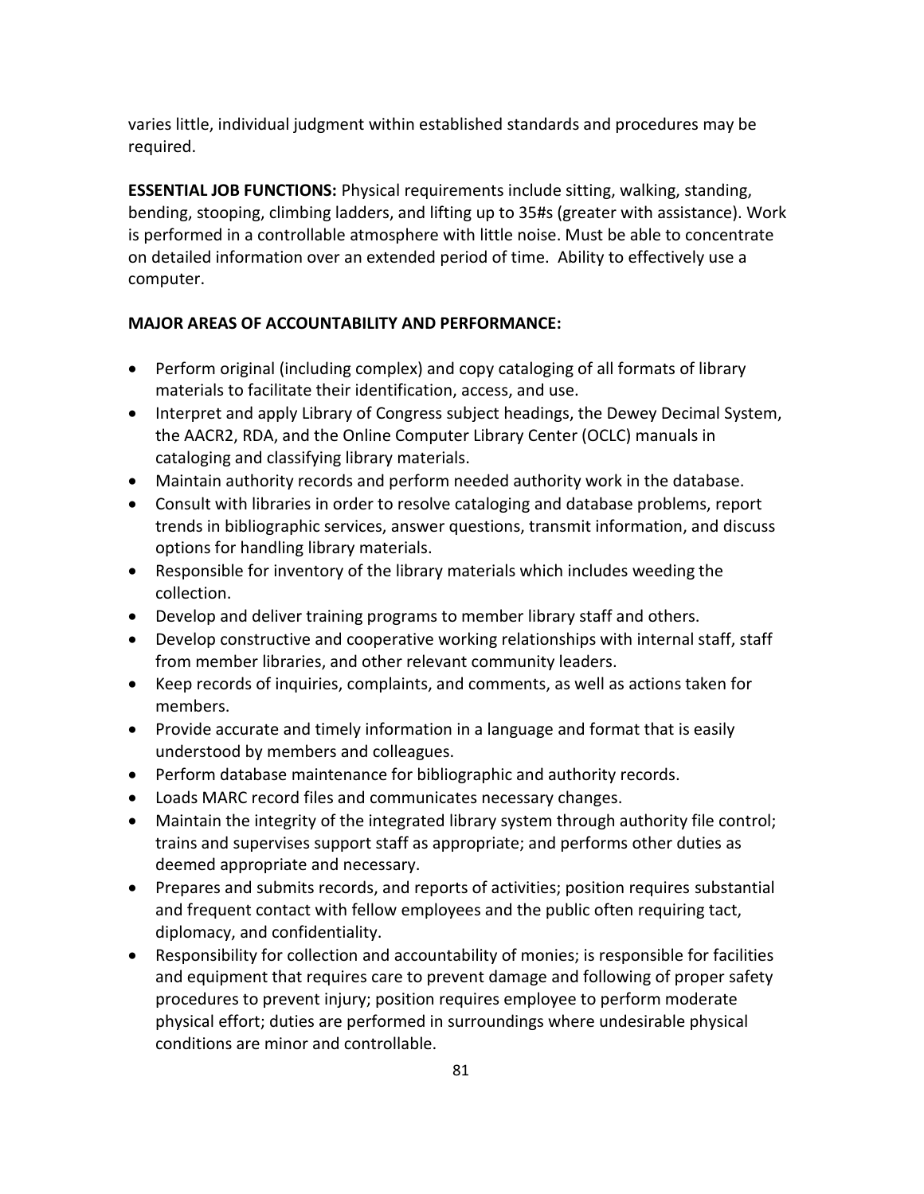varies little, individual judgment within established standards and procedures may be required.

**ESSENTIAL JOB FUNCTIONS:** Physical requirements include sitting, walking, standing, bending, stooping, climbing ladders, and lifting up to 35#s (greater with assistance). Work is performed in a controllable atmosphere with little noise. Must be able to concentrate on detailed information over an extended period of time. Ability to effectively use a computer.

- Perform original (including complex) and copy cataloging of all formats of library materials to facilitate their identification, access, and use.
- Interpret and apply Library of Congress subject headings, the Dewey Decimal System, the AACR2, RDA, and the Online Computer Library Center (OCLC) manuals in cataloging and classifying library materials.
- Maintain authority records and perform needed authority work in the database.
- Consult with libraries in order to resolve cataloging and database problems, report trends in bibliographic services, answer questions, transmit information, and discuss options for handling library materials.
- Responsible for inventory of the library materials which includes weeding the collection.
- Develop and deliver training programs to member library staff and others.
- Develop constructive and cooperative working relationships with internal staff, staff from member libraries, and other relevant community leaders.
- Keep records of inquiries, complaints, and comments, as well as actions taken for members.
- Provide accurate and timely information in a language and format that is easily understood by members and colleagues.
- Perform database maintenance for bibliographic and authority records.
- Loads MARC record files and communicates necessary changes.
- Maintain the integrity of the integrated library system through authority file control; trains and supervises support staff as appropriate; and performs other duties as deemed appropriate and necessary.
- Prepares and submits records, and reports of activities; position requires substantial and frequent contact with fellow employees and the public often requiring tact, diplomacy, and confidentiality.
- Responsibility for collection and accountability of monies; is responsible for facilities and equipment that requires care to prevent damage and following of proper safety procedures to prevent injury; position requires employee to perform moderate physical effort; duties are performed in surroundings where undesirable physical conditions are minor and controllable.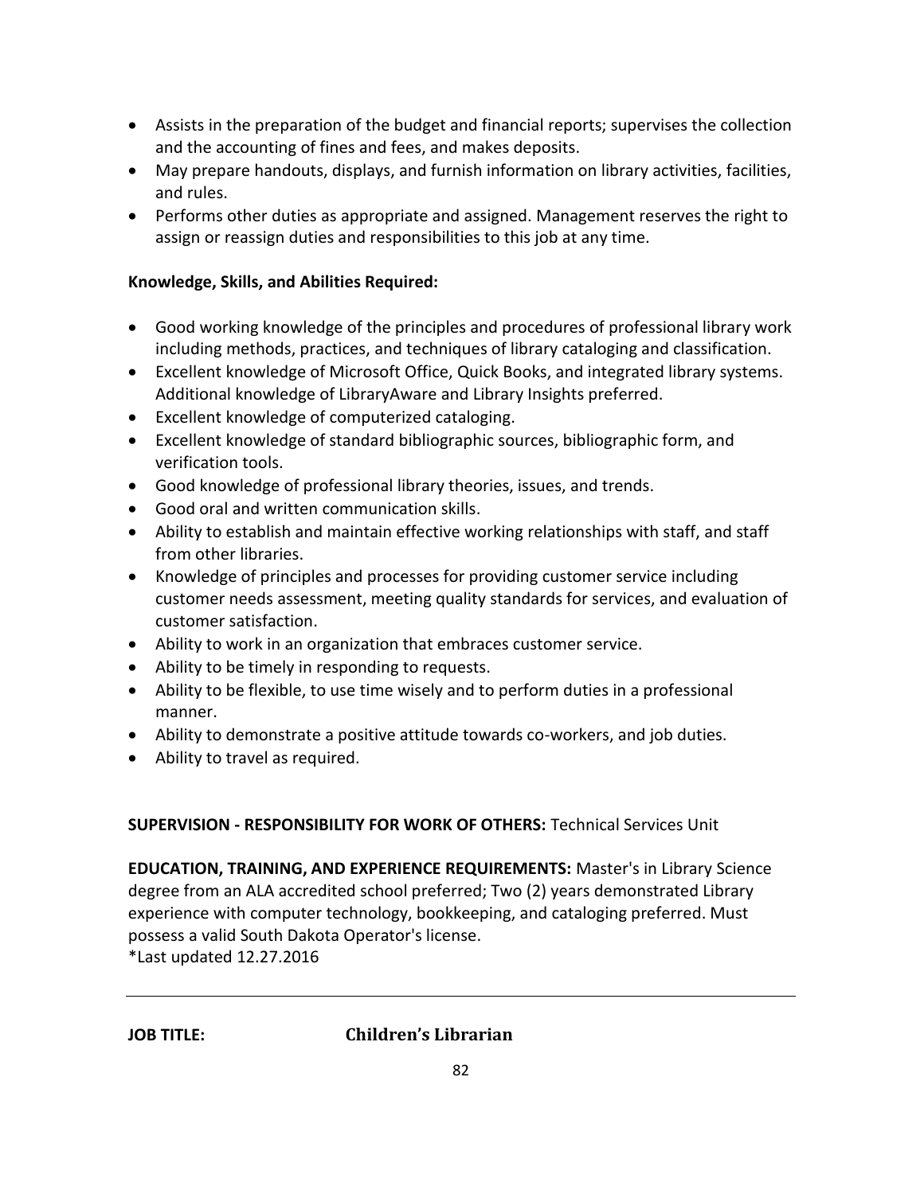- Assists in the preparation of the budget and financial reports; supervises the collection and the accounting of fines and fees, and makes deposits.
- May prepare handouts, displays, and furnish information on library activities, facilities, and rules.
- Performs other duties as appropriate and assigned. Management reserves the right to assign or reassign duties and responsibilities to this job at any time.

## **Knowledge, Skills, and Abilities Required:**

- Good working knowledge of the principles and procedures of professional library work including methods, practices, and techniques of library cataloging and classification.
- Excellent knowledge of Microsoft Office, Quick Books, and integrated library systems. Additional knowledge of LibraryAware and Library Insights preferred.
- Excellent knowledge of computerized cataloging.
- Excellent knowledge of standard bibliographic sources, bibliographic form, and verification tools.
- Good knowledge of professional library theories, issues, and trends.
- Good oral and written communication skills.
- Ability to establish and maintain effective working relationships with staff, and staff from other libraries.
- Knowledge of principles and processes for providing customer service including customer needs assessment, meeting quality standards for services, and evaluation of customer satisfaction.
- Ability to work in an organization that embraces customer service.
- Ability to be timely in responding to requests.
- Ability to be flexible, to use time wisely and to perform duties in a professional manner.
- Ability to demonstrate a positive attitude towards co-workers, and job duties.
- Ability to travel as required.

## **SUPERVISION - RESPONSIBILITY FOR WORK OF OTHERS:** Technical Services Unit

**EDUCATION, TRAINING, AND EXPERIENCE REQUIREMENTS:** Master's in Library Science degree from an ALA accredited school preferred; Two (2) years demonstrated Library experience with computer technology, bookkeeping, and cataloging preferred. Must possess a valid South Dakota Operator's license.

\*Last updated 12.27.2016

## **JOB TITLE: Children's Librarian**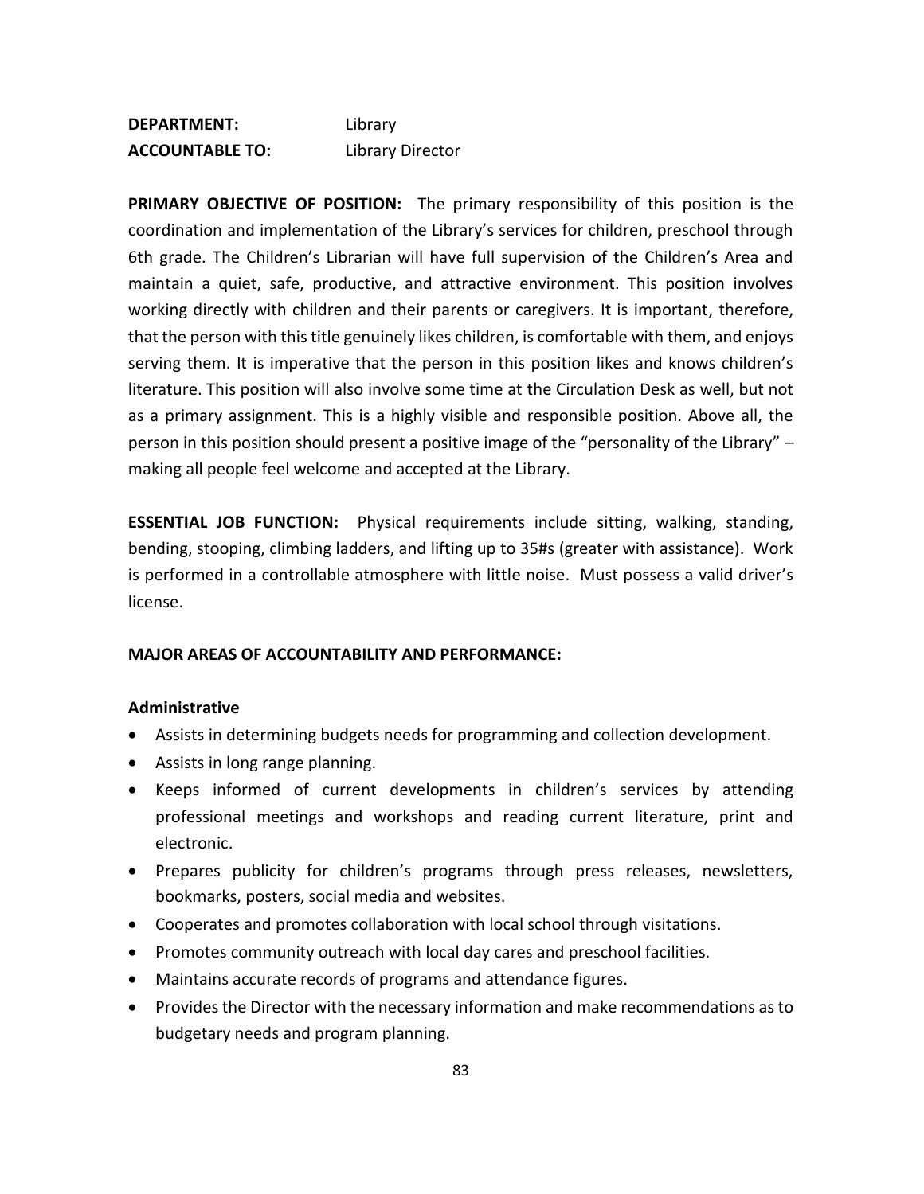**DEPARTMENT:** Library **ACCOUNTABLE TO:** Library Director

**PRIMARY OBJECTIVE OF POSITION:** The primary responsibility of this position is the coordination and implementation of the Library's services for children, preschool through 6th grade. The Children's Librarian will have full supervision of the Children's Area and maintain a quiet, safe, productive, and attractive environment. This position involves working directly with children and their parents or caregivers. It is important, therefore, that the person with this title genuinely likes children, is comfortable with them, and enjoys serving them. It is imperative that the person in this position likes and knows children's literature. This position will also involve some time at the Circulation Desk as well, but not as a primary assignment. This is a highly visible and responsible position. Above all, the person in this position should present a positive image of the "personality of the Library" – making all people feel welcome and accepted at the Library.

**ESSENTIAL JOB FUNCTION:** Physical requirements include sitting, walking, standing, bending, stooping, climbing ladders, and lifting up to 35#s (greater with assistance). Work is performed in a controllable atmosphere with little noise. Must possess a valid driver's license.

#### **MAJOR AREAS OF ACCOUNTABILITY AND PERFORMANCE:**

#### **Administrative**

- Assists in determining budgets needs for programming and collection development.
- Assists in long range planning.
- Keeps informed of current developments in children's services by attending professional meetings and workshops and reading current literature, print and electronic.
- Prepares publicity for children's programs through press releases, newsletters, bookmarks, posters, social media and websites.
- Cooperates and promotes collaboration with local school through visitations.
- Promotes community outreach with local day cares and preschool facilities.
- Maintains accurate records of programs and attendance figures.
- Provides the Director with the necessary information and make recommendations as to budgetary needs and program planning.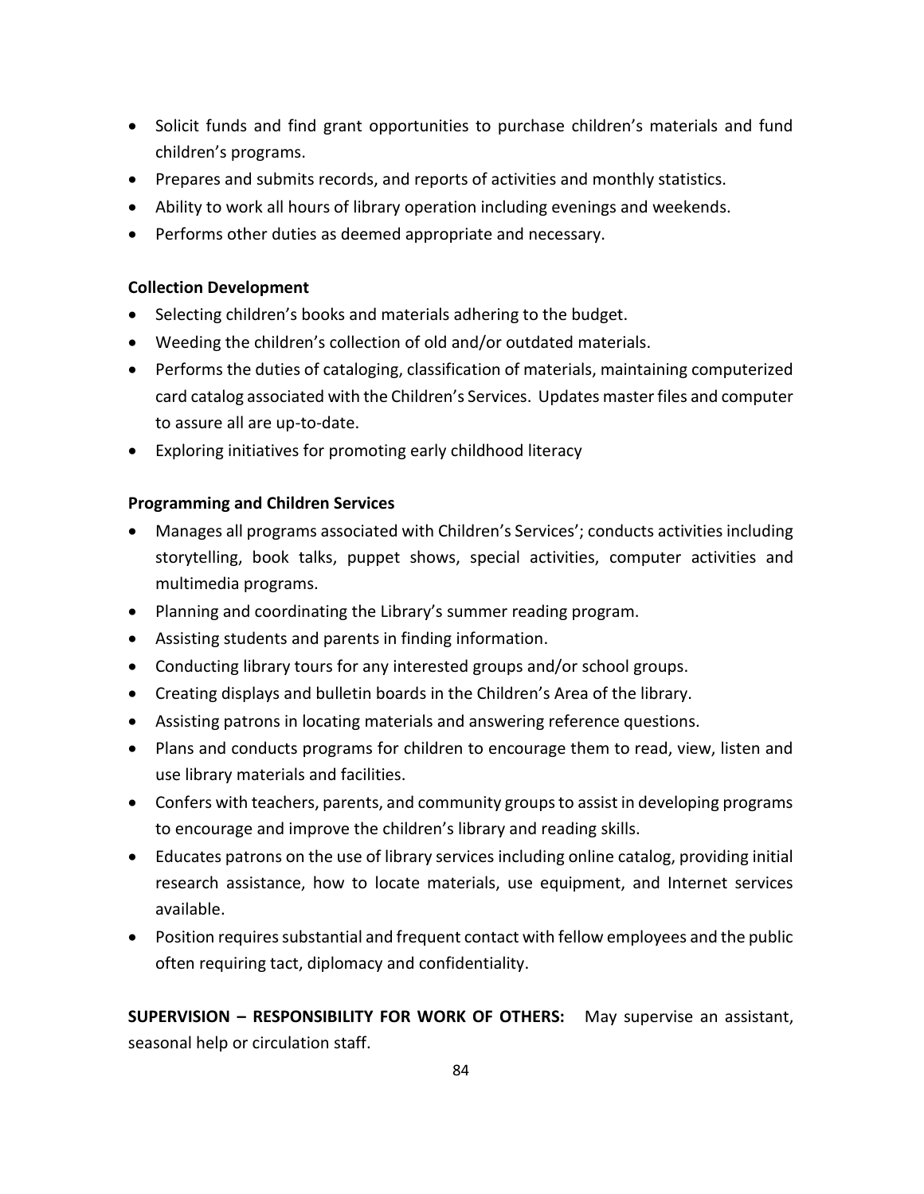- Solicit funds and find grant opportunities to purchase children's materials and fund children's programs.
- Prepares and submits records, and reports of activities and monthly statistics.
- Ability to work all hours of library operation including evenings and weekends.
- Performs other duties as deemed appropriate and necessary.

## **Collection Development**

- Selecting children's books and materials adhering to the budget.
- Weeding the children's collection of old and/or outdated materials.
- Performs the duties of cataloging, classification of materials, maintaining computerized card catalog associated with the Children's Services. Updates master files and computer to assure all are up-to-date.
- Exploring initiatives for promoting early childhood literacy

## **Programming and Children Services**

- Manages all programs associated with Children's Services'; conducts activities including storytelling, book talks, puppet shows, special activities, computer activities and multimedia programs.
- Planning and coordinating the Library's summer reading program.
- Assisting students and parents in finding information.
- Conducting library tours for any interested groups and/or school groups.
- Creating displays and bulletin boards in the Children's Area of the library.
- Assisting patrons in locating materials and answering reference questions.
- Plans and conducts programs for children to encourage them to read, view, listen and use library materials and facilities.
- Confers with teachers, parents, and community groups to assist in developing programs to encourage and improve the children's library and reading skills.
- Educates patrons on the use of library services including online catalog, providing initial research assistance, how to locate materials, use equipment, and Internet services available.
- Position requires substantial and frequent contact with fellow employees and the public often requiring tact, diplomacy and confidentiality.

**SUPERVISION – RESPONSIBILITY FOR WORK OF OTHERS:** May supervise an assistant, seasonal help or circulation staff.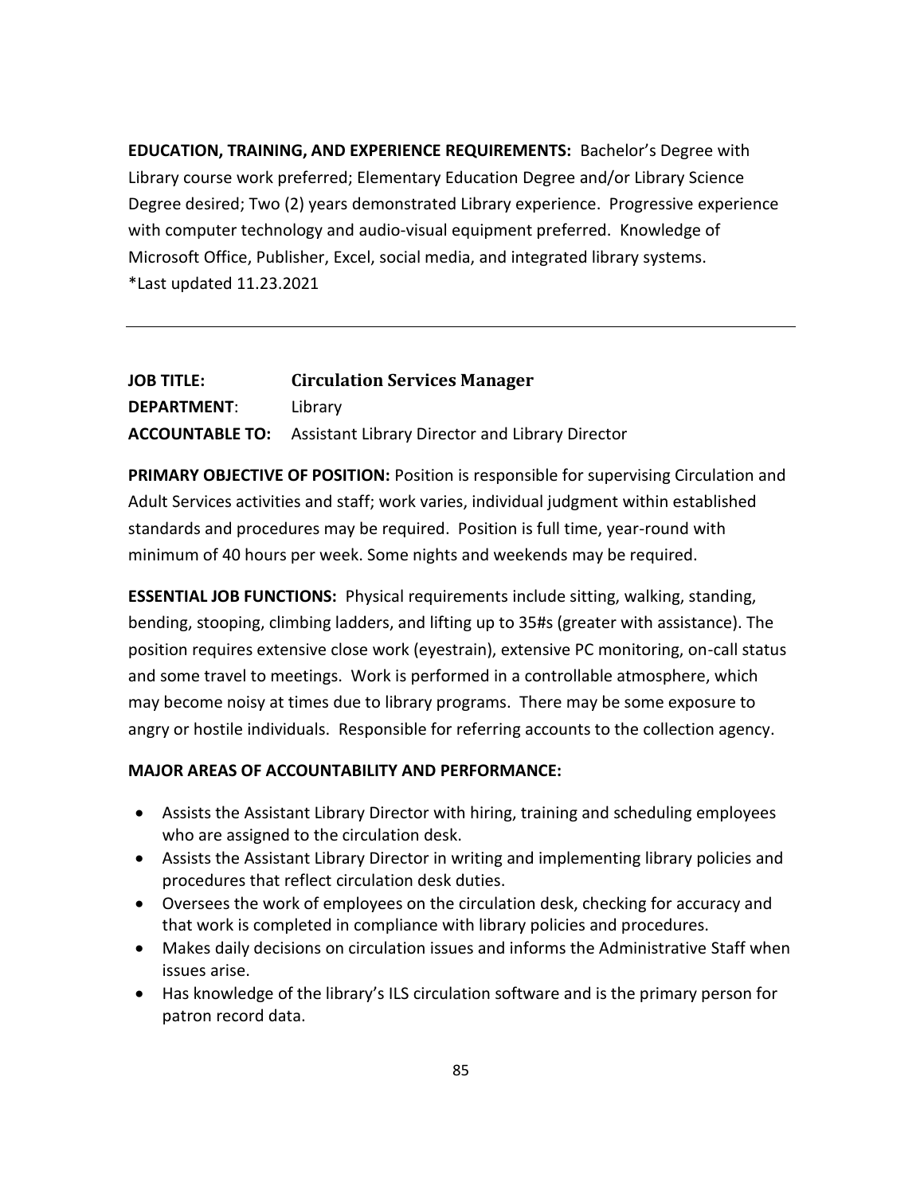**EDUCATION, TRAINING, AND EXPERIENCE REQUIREMENTS:** Bachelor's Degree with Library course work preferred; Elementary Education Degree and/or Library Science Degree desired; Two (2) years demonstrated Library experience. Progressive experience with computer technology and audio-visual equipment preferred. Knowledge of Microsoft Office, Publisher, Excel, social media, and integrated library systems. \*Last updated 11.23.2021

| <b>JOB TITLE:</b>  | <b>Circulation Services Manager</b>                                    |
|--------------------|------------------------------------------------------------------------|
| <b>DEPARTMENT:</b> | Library                                                                |
|                    | <b>ACCOUNTABLE TO:</b> Assistant Library Director and Library Director |

**PRIMARY OBJECTIVE OF POSITION:** Position is responsible for supervising Circulation and Adult Services activities and staff; work varies, individual judgment within established standards and procedures may be required. Position is full time, year-round with minimum of 40 hours per week. Some nights and weekends may be required.

**ESSENTIAL JOB FUNCTIONS:** Physical requirements include sitting, walking, standing, bending, stooping, climbing ladders, and lifting up to 35#s (greater with assistance). The position requires extensive close work (eyestrain), extensive PC monitoring, on-call status and some travel to meetings. Work is performed in a controllable atmosphere, which may become noisy at times due to library programs. There may be some exposure to angry or hostile individuals. Responsible for referring accounts to the collection agency.

- Assists the Assistant Library Director with hiring, training and scheduling employees who are assigned to the circulation desk.
- Assists the Assistant Library Director in writing and implementing library policies and procedures that reflect circulation desk duties.
- Oversees the work of employees on the circulation desk, checking for accuracy and that work is completed in compliance with library policies and procedures.
- Makes daily decisions on circulation issues and informs the Administrative Staff when issues arise.
- Has knowledge of the library's ILS circulation software and is the primary person for patron record data.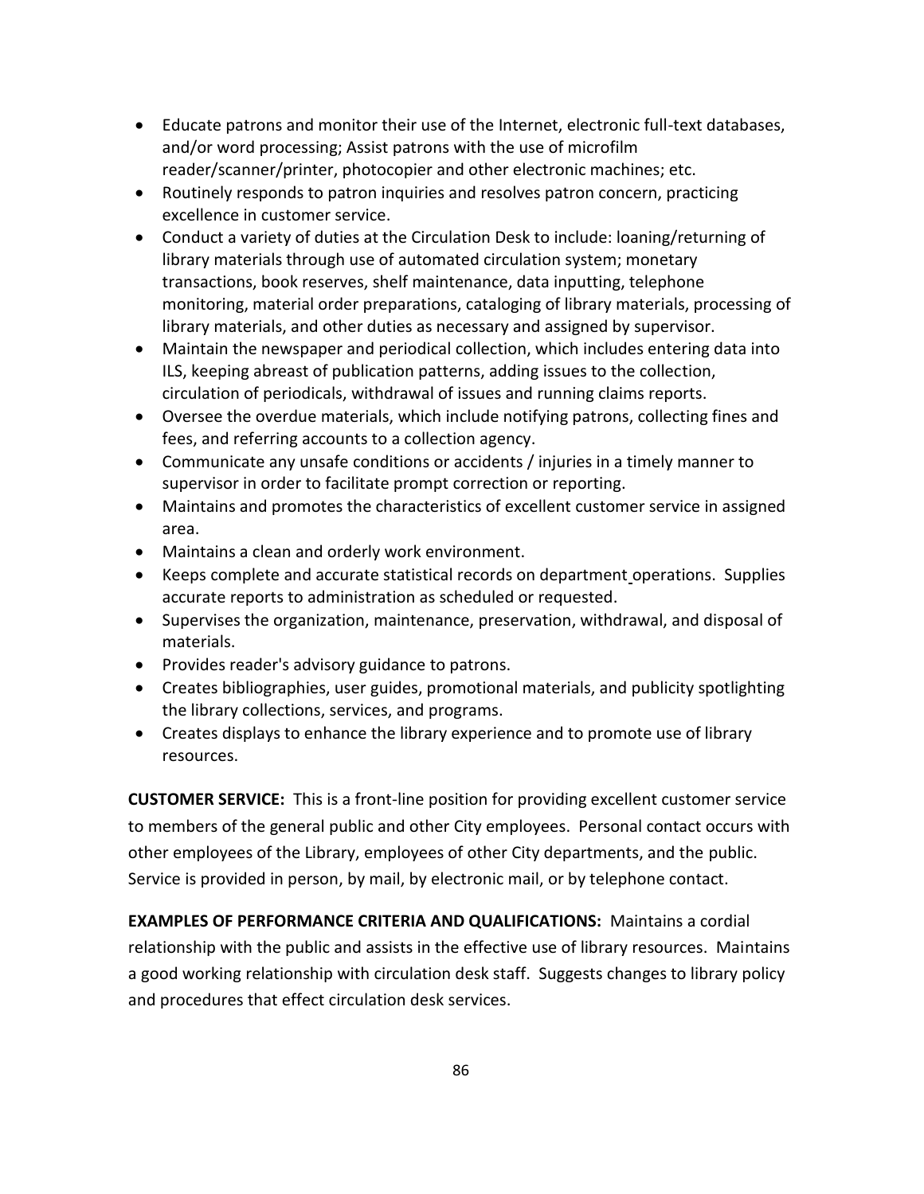- Educate patrons and monitor their use of the Internet, electronic full-text databases, and/or word processing; Assist patrons with the use of microfilm reader/scanner/printer, photocopier and other electronic machines; etc.
- Routinely responds to patron inquiries and resolves patron concern, practicing excellence in customer service.
- Conduct a variety of duties at the Circulation Desk to include: loaning/returning of library materials through use of automated circulation system; monetary transactions, book reserves, shelf maintenance, data inputting, telephone monitoring, material order preparations, cataloging of library materials, processing of library materials, and other duties as necessary and assigned by supervisor.
- Maintain the newspaper and periodical collection, which includes entering data into ILS, keeping abreast of publication patterns, adding issues to the collection, circulation of periodicals, withdrawal of issues and running claims reports.
- Oversee the overdue materials, which include notifying patrons, collecting fines and fees, and referring accounts to a collection agency.
- Communicate any unsafe conditions or accidents / injuries in a timely manner to supervisor in order to facilitate prompt correction or reporting.
- Maintains and promotes the characteristics of excellent customer service in assigned area.
- Maintains a clean and orderly work environment.
- Keeps complete and accurate statistical records on department operations. Supplies accurate reports to administration as scheduled or requested.
- Supervises the organization, maintenance, preservation, withdrawal, and disposal of materials.
- Provides reader's advisory guidance to patrons.
- Creates bibliographies, user guides, promotional materials, and publicity spotlighting the library collections, services, and programs.
- Creates displays to enhance the library experience and to promote use of library resources.

**CUSTOMER SERVICE:** This is a front-line position for providing excellent customer service to members of the general public and other City employees. Personal contact occurs with other employees of the Library, employees of other City departments, and the public. Service is provided in person, by mail, by electronic mail, or by telephone contact.

**EXAMPLES OF PERFORMANCE CRITERIA AND QUALIFICATIONS:** Maintains a cordial relationship with the public and assists in the effective use of library resources. Maintains a good working relationship with circulation desk staff. Suggests changes to library policy and procedures that effect circulation desk services.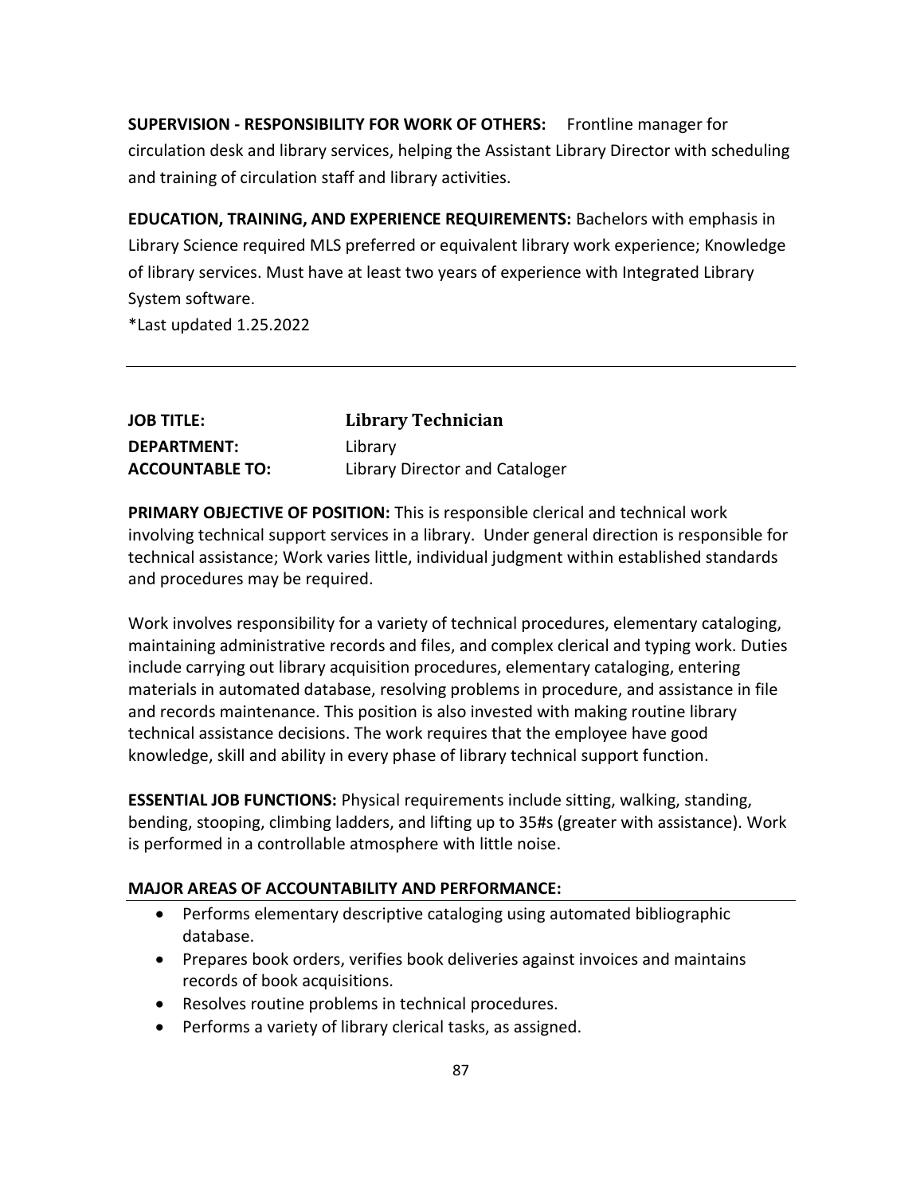**SUPERVISION - RESPONSIBILITY FOR WORK OF OTHERS:** Frontline manager for circulation desk and library services, helping the Assistant Library Director with scheduling and training of circulation staff and library activities.

**EDUCATION, TRAINING, AND EXPERIENCE REQUIREMENTS:** Bachelors with emphasis in Library Science required MLS preferred or equivalent library work experience; Knowledge of library services. Must have at least two years of experience with Integrated Library System software.

\*Last updated 1.25.2022

| <b>JOB TITLE:</b>      | Library Technician             |
|------------------------|--------------------------------|
| <b>DEPARTMENT:</b>     | Library                        |
| <b>ACCOUNTABLE TO:</b> | Library Director and Cataloger |

**PRIMARY OBJECTIVE OF POSITION:** This is responsible clerical and technical work involving technical support services in a library. Under general direction is responsible for technical assistance; Work varies little, individual judgment within established standards and procedures may be required.

Work involves responsibility for a variety of technical procedures, elementary cataloging, maintaining administrative records and files, and complex clerical and typing work. Duties include carrying out library acquisition procedures, elementary cataloging, entering materials in automated database, resolving problems in procedure, and assistance in file and records maintenance. This position is also invested with making routine library technical assistance decisions. The work requires that the employee have good knowledge, skill and ability in every phase of library technical support function.

**ESSENTIAL JOB FUNCTIONS:** Physical requirements include sitting, walking, standing, bending, stooping, climbing ladders, and lifting up to 35#s (greater with assistance). Work is performed in a controllable atmosphere with little noise.

- Performs elementary descriptive cataloging using automated bibliographic database.
- Prepares book orders, verifies book deliveries against invoices and maintains records of book acquisitions.
- Resolves routine problems in technical procedures.
- Performs a variety of library clerical tasks, as assigned.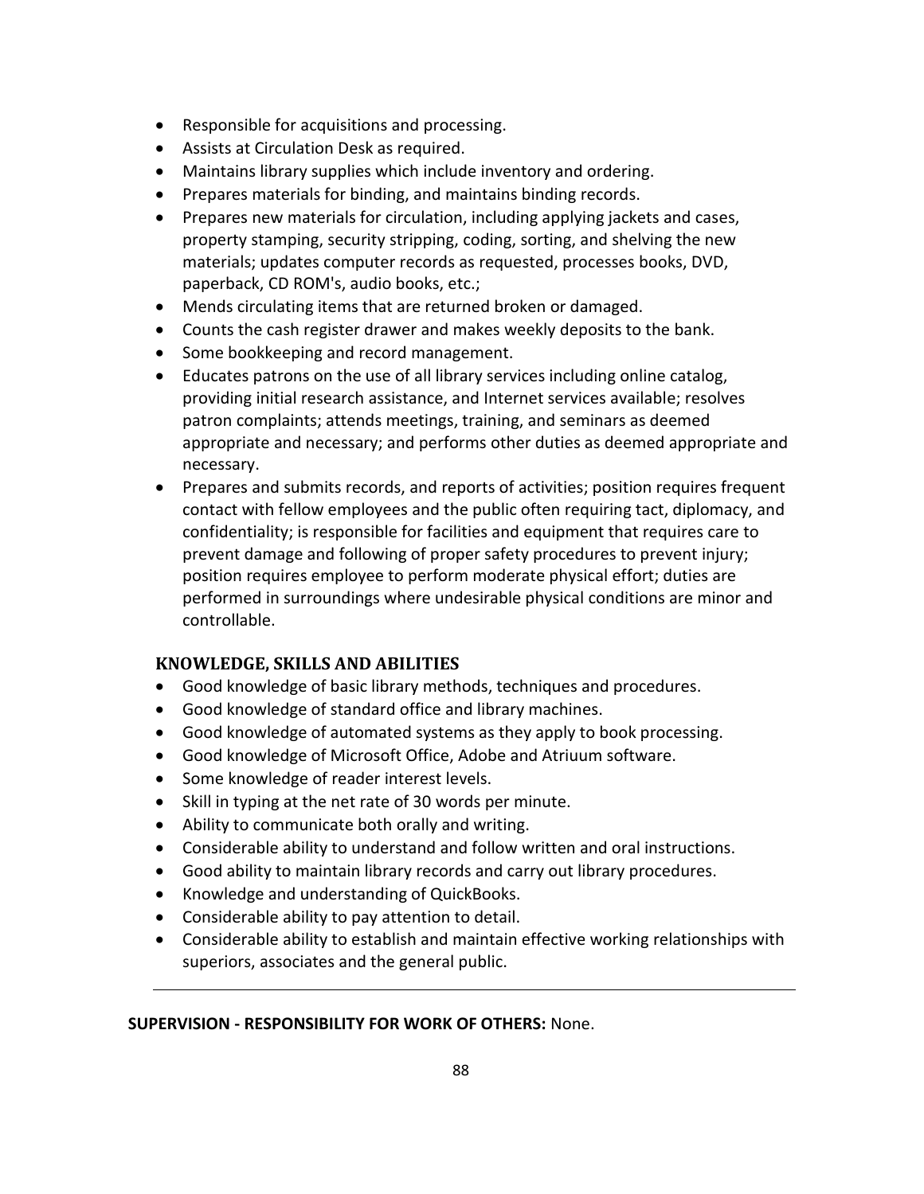- Responsible for acquisitions and processing.
- Assists at Circulation Desk as required.
- Maintains library supplies which include inventory and ordering.
- Prepares materials for binding, and maintains binding records.
- Prepares new materials for circulation, including applying jackets and cases, property stamping, security stripping, coding, sorting, and shelving the new materials; updates computer records as requested, processes books, DVD, paperback, CD ROM's, audio books, etc.;
- Mends circulating items that are returned broken or damaged.
- Counts the cash register drawer and makes weekly deposits to the bank.
- Some bookkeeping and record management.
- Educates patrons on the use of all library services including online catalog, providing initial research assistance, and Internet services available; resolves patron complaints; attends meetings, training, and seminars as deemed appropriate and necessary; and performs other duties as deemed appropriate and necessary.
- Prepares and submits records, and reports of activities; position requires frequent contact with fellow employees and the public often requiring tact, diplomacy, and confidentiality; is responsible for facilities and equipment that requires care to prevent damage and following of proper safety procedures to prevent injury; position requires employee to perform moderate physical effort; duties are performed in surroundings where undesirable physical conditions are minor and controllable.

#### **KNOWLEDGE, SKILLS AND ABILITIES**

- Good knowledge of basic library methods, techniques and procedures.
- Good knowledge of standard office and library machines.
- Good knowledge of automated systems as they apply to book processing.
- Good knowledge of Microsoft Office, Adobe and Atriuum software.
- Some knowledge of reader interest levels.
- Skill in typing at the net rate of 30 words per minute.
- Ability to communicate both orally and writing.
- Considerable ability to understand and follow written and oral instructions.
- Good ability to maintain library records and carry out library procedures.
- Knowledge and understanding of QuickBooks.
- Considerable ability to pay attention to detail.
- Considerable ability to establish and maintain effective working relationships with superiors, associates and the general public.

#### **SUPERVISION - RESPONSIBILITY FOR WORK OF OTHERS:** None.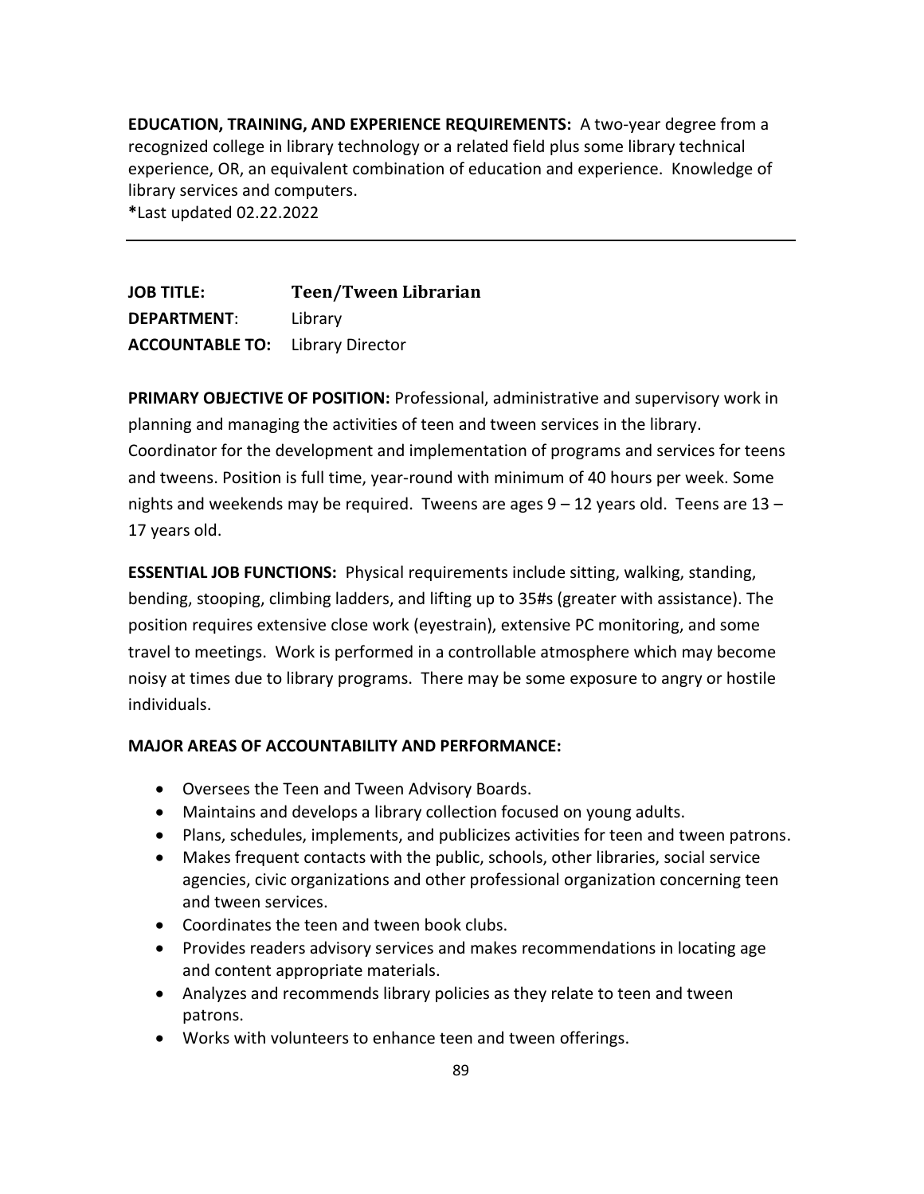**EDUCATION, TRAINING, AND EXPERIENCE REQUIREMENTS:** A two-year degree from a recognized college in library technology or a related field plus some library technical experience, OR, an equivalent combination of education and experience. Knowledge of library services and computers.

**\***Last updated 02.22.2022

**JOB TITLE: Teen/Tween Librarian DEPARTMENT**: Library **ACCOUNTABLE TO:** Library Director

**PRIMARY OBJECTIVE OF POSITION:** Professional, administrative and supervisory work in planning and managing the activities of teen and tween services in the library. Coordinator for the development and implementation of programs and services for teens and tweens. Position is full time, year-round with minimum of 40 hours per week. Some nights and weekends may be required. Tweens are ages 9 – 12 years old. Teens are 13 – 17 years old.

**ESSENTIAL JOB FUNCTIONS:** Physical requirements include sitting, walking, standing, bending, stooping, climbing ladders, and lifting up to 35#s (greater with assistance). The position requires extensive close work (eyestrain), extensive PC monitoring, and some travel to meetings. Work is performed in a controllable atmosphere which may become noisy at times due to library programs. There may be some exposure to angry or hostile individuals.

- Oversees the Teen and Tween Advisory Boards.
- Maintains and develops a library collection focused on young adults.
- Plans, schedules, implements, and publicizes activities for teen and tween patrons.
- Makes frequent contacts with the public, schools, other libraries, social service agencies, civic organizations and other professional organization concerning teen and tween services.
- Coordinates the teen and tween book clubs.
- Provides readers advisory services and makes recommendations in locating age and content appropriate materials.
- Analyzes and recommends library policies as they relate to teen and tween patrons.
- Works with volunteers to enhance teen and tween offerings.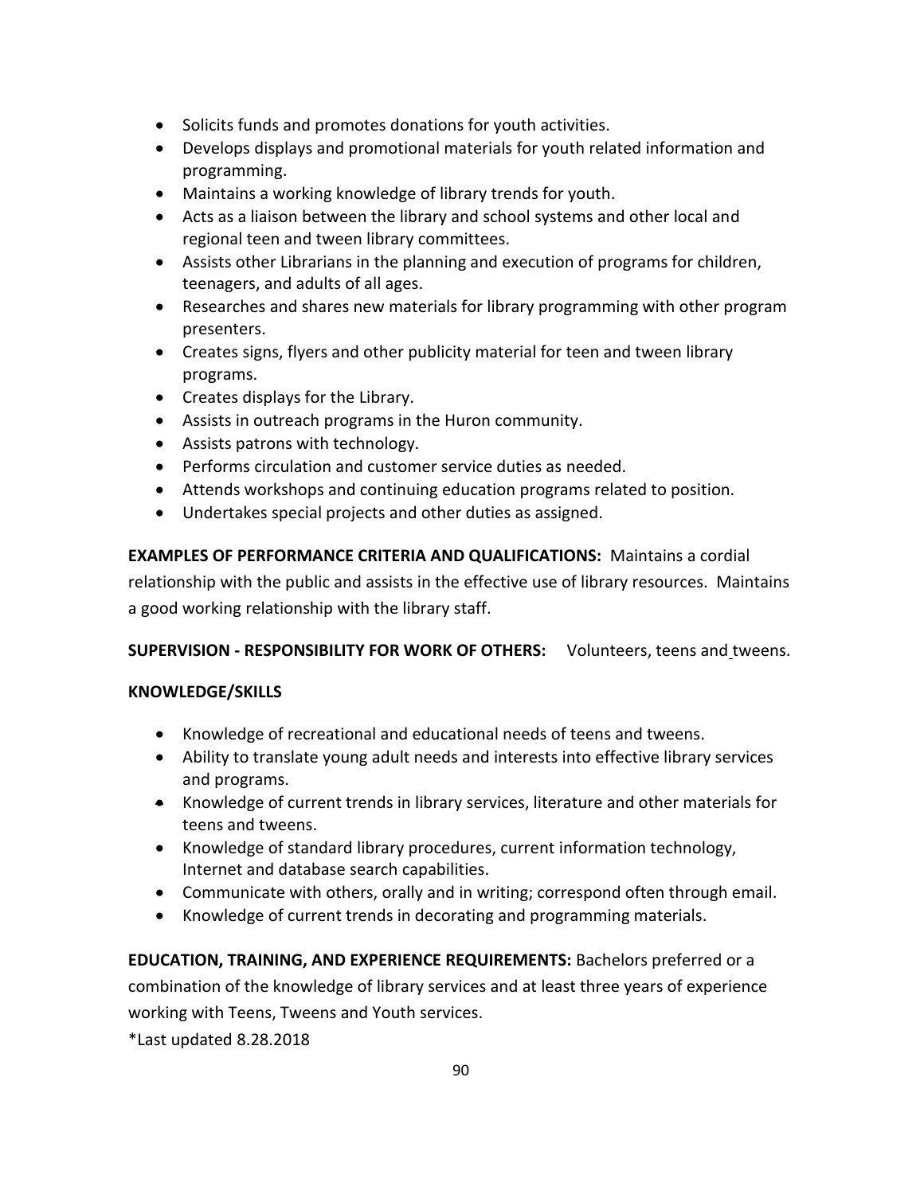- Solicits funds and promotes donations for youth activities.
- Develops displays and promotional materials for youth related information and programming.
- Maintains a working knowledge of library trends for youth.
- Acts as a liaison between the library and school systems and other local and regional teen and tween library committees.
- Assists other Librarians in the planning and execution of programs for children, teenagers, and adults of all ages.
- Researches and shares new materials for library programming with other program presenters.
- Creates signs, flyers and other publicity material for teen and tween library programs.
- Creates displays for the Library.
- Assists in outreach programs in the Huron community.
- Assists patrons with technology.
- Performs circulation and customer service duties as needed.
- Attends workshops and continuing education programs related to position.
- Undertakes special projects and other duties as assigned.

## **EXAMPLES OF PERFORMANCE CRITERIA AND QUALIFICATIONS:** Maintains a cordial

relationship with the public and assists in the effective use of library resources. Maintains a good working relationship with the library staff.

**SUPERVISION - RESPONSIBILITY FOR WORK OF OTHERS:** Volunteers, teens and tweens.

## **KNOWLEDGE/SKILLS**

- Knowledge of recreational and educational needs of teens and tweens.
- Ability to translate young adult needs and interests into effective library services and programs.
- Knowledge of current trends in library services, literature and other materials for teens and tweens.
- Knowledge of standard library procedures, current information technology, Internet and database search capabilities.
- Communicate with others, orally and in writing; correspond often through email.
- Knowledge of current trends in decorating and programming materials.

**EDUCATION, TRAINING, AND EXPERIENCE REQUIREMENTS:** Bachelors preferred or a combination of the knowledge of library services and at least three years of experience working with Teens, Tweens and Youth services.

\*Last updated 8.28.2018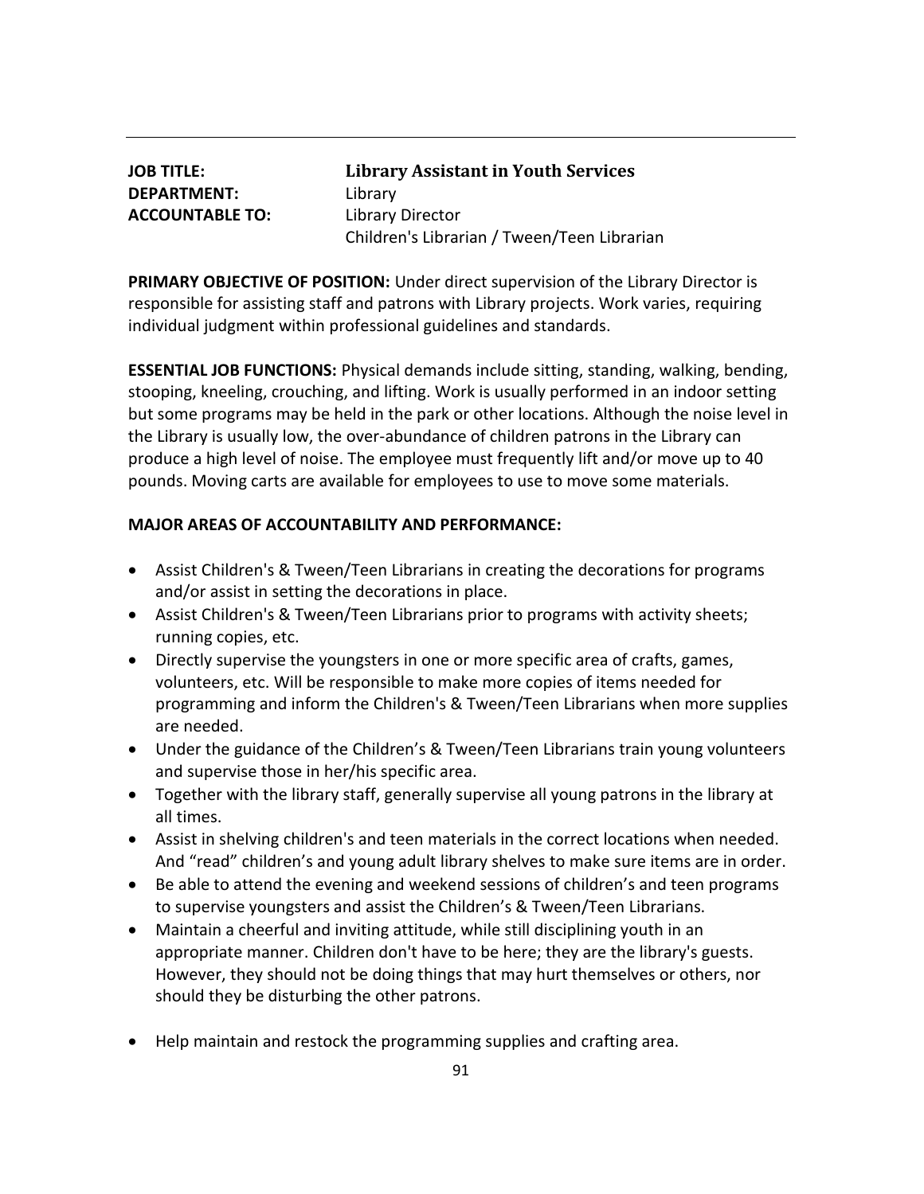## **DEPARTMENT:** Library **ACCOUNTABLE TO:** Library Director

# **JOB TITLE: Library Assistant in Youth Services** Children's Librarian / Tween/Teen Librarian

**PRIMARY OBJECTIVE OF POSITION:** Under direct supervision of the Library Director is responsible for assisting staff and patrons with Library projects. Work varies, requiring individual judgment within professional guidelines and standards.

**ESSENTIAL JOB FUNCTIONS:** Physical demands include sitting, standing, walking, bending, stooping, kneeling, crouching, and lifting. Work is usually performed in an indoor setting but some programs may be held in the park or other locations. Although the noise level in the Library is usually low, the over-abundance of children patrons in the Library can produce a high level of noise. The employee must frequently lift and/or move up to 40 pounds. Moving carts are available for employees to use to move some materials.

- Assist Children's & Tween/Teen Librarians in creating the decorations for programs and/or assist in setting the decorations in place.
- Assist Children's & Tween/Teen Librarians prior to programs with activity sheets; running copies, etc.
- Directly supervise the youngsters in one or more specific area of crafts, games, volunteers, etc. Will be responsible to make more copies of items needed for programming and inform the Children's & Tween/Teen Librarians when more supplies are needed.
- Under the guidance of the Children's & Tween/Teen Librarians train young volunteers and supervise those in her/his specific area.
- Together with the library staff, generally supervise all young patrons in the library at all times.
- Assist in shelving children's and teen materials in the correct locations when needed. And "read" children's and young adult library shelves to make sure items are in order.
- Be able to attend the evening and weekend sessions of children's and teen programs to supervise youngsters and assist the Children's & Tween/Teen Librarians.
- Maintain a cheerful and inviting attitude, while still disciplining youth in an appropriate manner. Children don't have to be here; they are the library's guests. However, they should not be doing things that may hurt themselves or others, nor should they be disturbing the other patrons.
- Help maintain and restock the programming supplies and crafting area.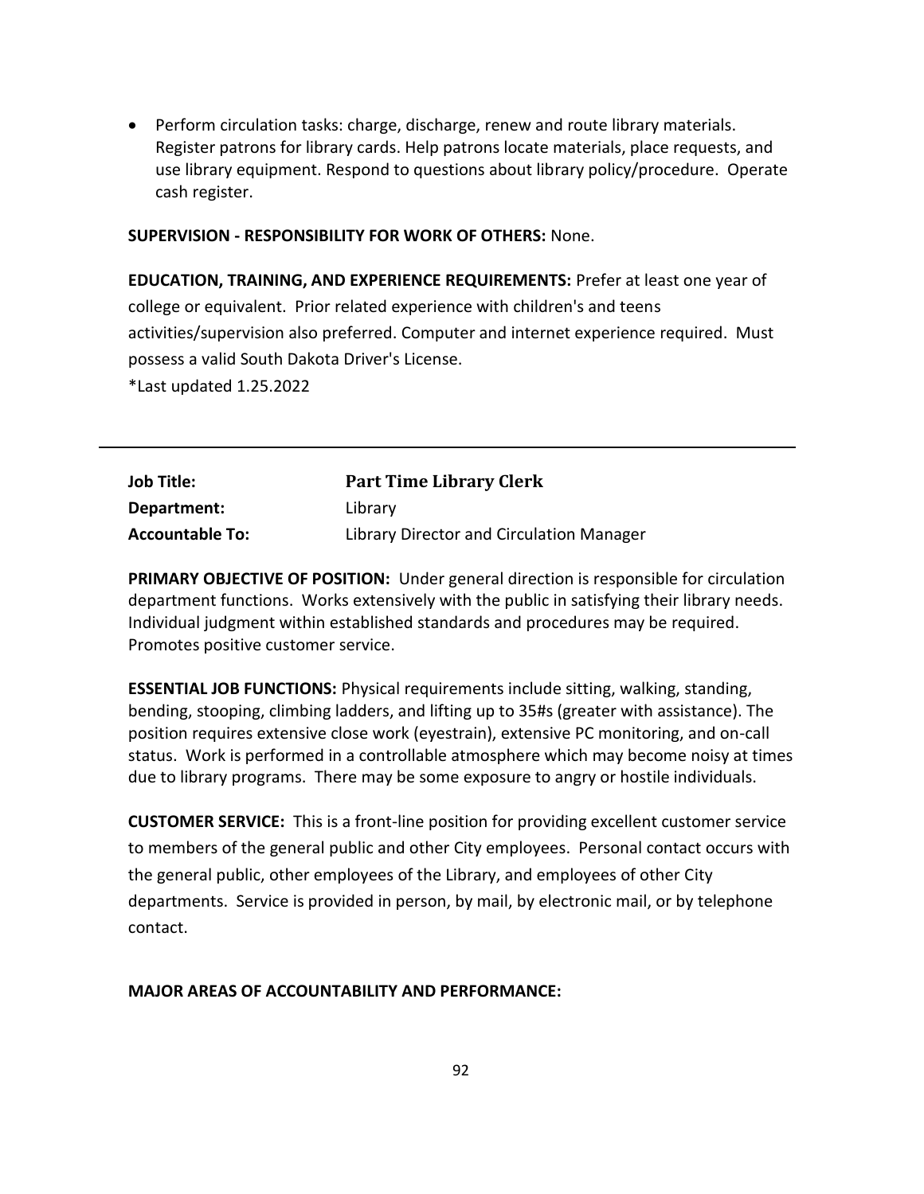• Perform circulation tasks: charge, discharge, renew and route library materials. Register patrons for library cards. Help patrons locate materials, place requests, and use library equipment. Respond to questions about library policy/procedure. Operate cash register.

#### **SUPERVISION - RESPONSIBILITY FOR WORK OF OTHERS:** None.

**EDUCATION, TRAINING, AND EXPERIENCE REQUIREMENTS:** Prefer at least one year of college or equivalent. Prior related experience with children's and teens activities/supervision also preferred. Computer and internet experience required. Must possess a valid South Dakota Driver's License.

\*Last updated 1.25.2022

| <b>Job Title:</b>      | <b>Part Time Library Clerk</b>           |
|------------------------|------------------------------------------|
| Department:            | Library                                  |
| <b>Accountable To:</b> | Library Director and Circulation Manager |

**PRIMARY OBJECTIVE OF POSITION:** Under general direction is responsible for circulation department functions. Works extensively with the public in satisfying their library needs. Individual judgment within established standards and procedures may be required. Promotes positive customer service.

**ESSENTIAL JOB FUNCTIONS:** Physical requirements include sitting, walking, standing, bending, stooping, climbing ladders, and lifting up to 35#s (greater with assistance). The position requires extensive close work (eyestrain), extensive PC monitoring, and on-call status. Work is performed in a controllable atmosphere which may become noisy at times due to library programs. There may be some exposure to angry or hostile individuals.

**CUSTOMER SERVICE:** This is a front-line position for providing excellent customer service to members of the general public and other City employees. Personal contact occurs with the general public, other employees of the Library, and employees of other City departments. Service is provided in person, by mail, by electronic mail, or by telephone contact.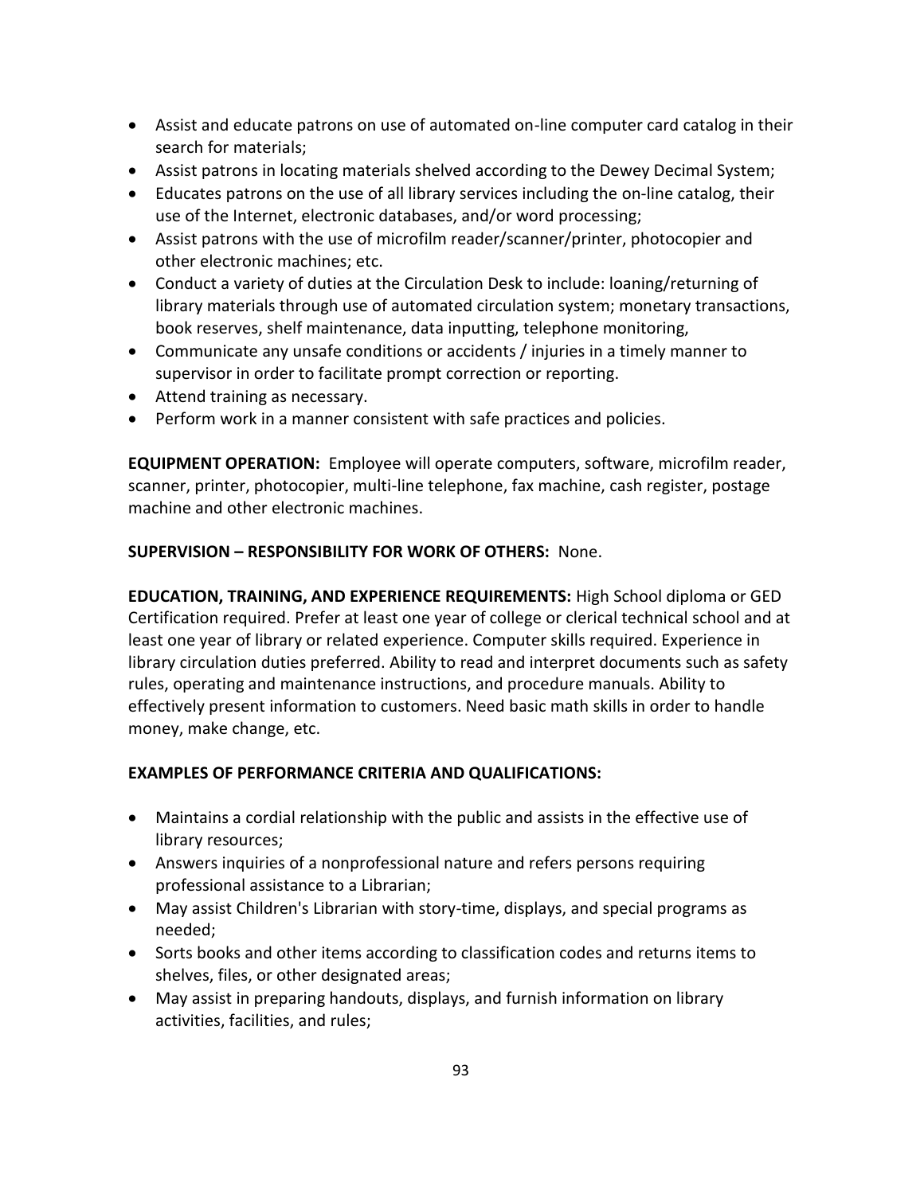- Assist and educate patrons on use of automated on-line computer card catalog in their search for materials;
- Assist patrons in locating materials shelved according to the Dewey Decimal System;
- Educates patrons on the use of all library services including the on-line catalog, their use of the Internet, electronic databases, and/or word processing;
- Assist patrons with the use of microfilm reader/scanner/printer, photocopier and other electronic machines; etc.
- Conduct a variety of duties at the Circulation Desk to include: loaning/returning of library materials through use of automated circulation system; monetary transactions, book reserves, shelf maintenance, data inputting, telephone monitoring,
- Communicate any unsafe conditions or accidents / injuries in a timely manner to supervisor in order to facilitate prompt correction or reporting.
- Attend training as necessary.
- Perform work in a manner consistent with safe practices and policies.

**EQUIPMENT OPERATION:** Employee will operate computers, software, microfilm reader, scanner, printer, photocopier, multi-line telephone, fax machine, cash register, postage machine and other electronic machines.

## **SUPERVISION – RESPONSIBILITY FOR WORK OF OTHERS:** None.

**EDUCATION, TRAINING, AND EXPERIENCE REQUIREMENTS:** High School diploma or GED Certification required. Prefer at least one year of college or clerical technical school and at least one year of library or related experience. Computer skills required. Experience in library circulation duties preferred. Ability to read and interpret documents such as safety rules, operating and maintenance instructions, and procedure manuals. Ability to effectively present information to customers. Need basic math skills in order to handle money, make change, etc.

## **EXAMPLES OF PERFORMANCE CRITERIA AND QUALIFICATIONS:**

- Maintains a cordial relationship with the public and assists in the effective use of library resources;
- Answers inquiries of a nonprofessional nature and refers persons requiring professional assistance to a Librarian;
- May assist Children's Librarian with story-time, displays, and special programs as needed;
- Sorts books and other items according to classification codes and returns items to shelves, files, or other designated areas;
- May assist in preparing handouts, displays, and furnish information on library activities, facilities, and rules;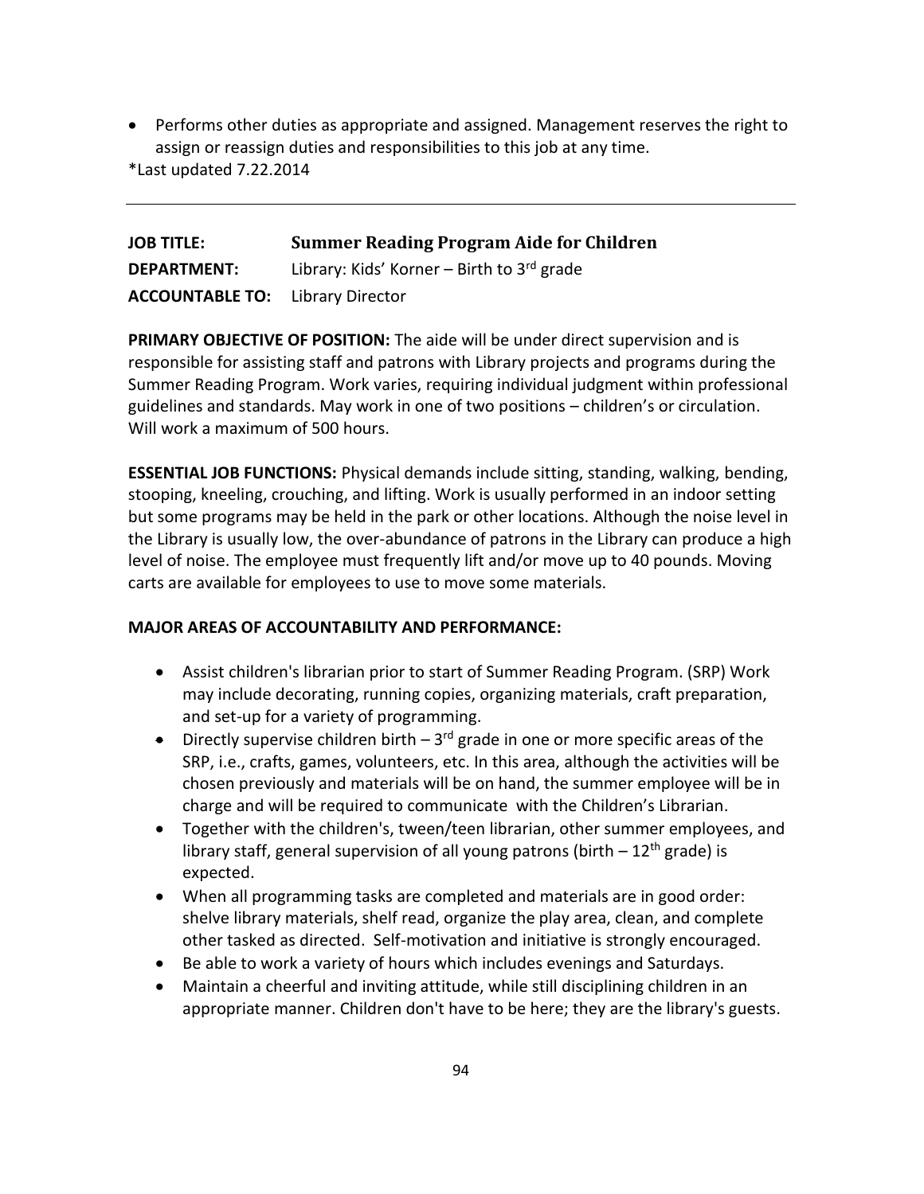• Performs other duties as appropriate and assigned. Management reserves the right to assign or reassign duties and responsibilities to this job at any time.

\*Last updated 7.22.2014

**JOB TITLE: Summer Reading Program Aide for Children DEPARTMENT:** Library: Kids' Korner – Birth to 3<sup>rd</sup> grade **ACCOUNTABLE TO:** Library Director

**PRIMARY OBJECTIVE OF POSITION:** The aide will be under direct supervision and is responsible for assisting staff and patrons with Library projects and programs during the Summer Reading Program. Work varies, requiring individual judgment within professional guidelines and standards. May work in one of two positions – children's or circulation. Will work a maximum of 500 hours.

**ESSENTIAL JOB FUNCTIONS:** Physical demands include sitting, standing, walking, bending, stooping, kneeling, crouching, and lifting. Work is usually performed in an indoor setting but some programs may be held in the park or other locations. Although the noise level in the Library is usually low, the over-abundance of patrons in the Library can produce a high level of noise. The employee must frequently lift and/or move up to 40 pounds. Moving carts are available for employees to use to move some materials.

- Assist children's librarian prior to start of Summer Reading Program. (SRP) Work may include decorating, running copies, organizing materials, craft preparation, and set-up for a variety of programming.
- $\bullet$  Directly supervise children birth  $-3^{rd}$  grade in one or more specific areas of the SRP, i.e., crafts, games, volunteers, etc. In this area, although the activities will be chosen previously and materials will be on hand, the summer employee will be in charge and will be required to communicate with the Children's Librarian.
- Together with the children's, tween/teen librarian, other summer employees, and library staff, general supervision of all young patrons (birth  $-12<sup>th</sup>$  grade) is expected.
- When all programming tasks are completed and materials are in good order: shelve library materials, shelf read, organize the play area, clean, and complete other tasked as directed. Self-motivation and initiative is strongly encouraged.
- Be able to work a variety of hours which includes evenings and Saturdays.
- Maintain a cheerful and inviting attitude, while still disciplining children in an appropriate manner. Children don't have to be here; they are the library's guests.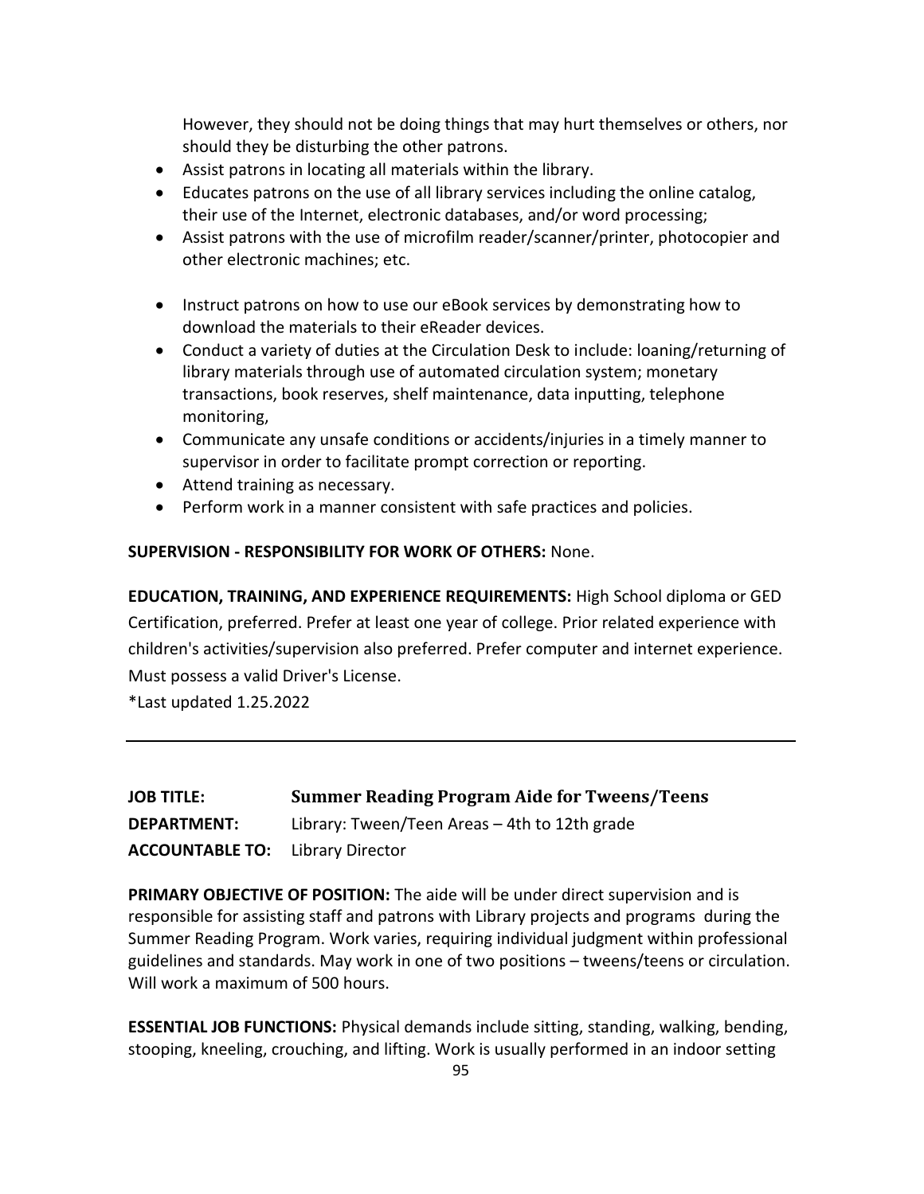However, they should not be doing things that may hurt themselves or others, nor should they be disturbing the other patrons.

- Assist patrons in locating all materials within the library.
- Educates patrons on the use of all library services including the online catalog, their use of the Internet, electronic databases, and/or word processing;
- Assist patrons with the use of microfilm reader/scanner/printer, photocopier and other electronic machines; etc.
- Instruct patrons on how to use our eBook services by demonstrating how to download the materials to their eReader devices.
- Conduct a variety of duties at the Circulation Desk to include: loaning/returning of library materials through use of automated circulation system; monetary transactions, book reserves, shelf maintenance, data inputting, telephone monitoring,
- Communicate any unsafe conditions or accidents/injuries in a timely manner to supervisor in order to facilitate prompt correction or reporting.
- Attend training as necessary.
- Perform work in a manner consistent with safe practices and policies.

#### **SUPERVISION - RESPONSIBILITY FOR WORK OF OTHERS:** None.

**EDUCATION, TRAINING, AND EXPERIENCE REQUIREMENTS:** High School diploma or GED Certification, preferred. Prefer at least one year of college. Prior related experience with children's activities/supervision also preferred. Prefer computer and internet experience. Must possess a valid Driver's License.

\*Last updated 1.25.2022

| <b>JOB TITLE:</b>                       | <b>Summer Reading Program Aide for Tweens/Teens</b> |
|-----------------------------------------|-----------------------------------------------------|
| <b>DEPARTMENT:</b>                      | Library: Tween/Teen Areas – 4th to 12th grade       |
| <b>ACCOUNTABLE TO:</b> Library Director |                                                     |

**PRIMARY OBJECTIVE OF POSITION:** The aide will be under direct supervision and is responsible for assisting staff and patrons with Library projects and programs during the Summer Reading Program. Work varies, requiring individual judgment within professional guidelines and standards. May work in one of two positions – tweens/teens or circulation. Will work a maximum of 500 hours.

**ESSENTIAL JOB FUNCTIONS:** Physical demands include sitting, standing, walking, bending, stooping, kneeling, crouching, and lifting. Work is usually performed in an indoor setting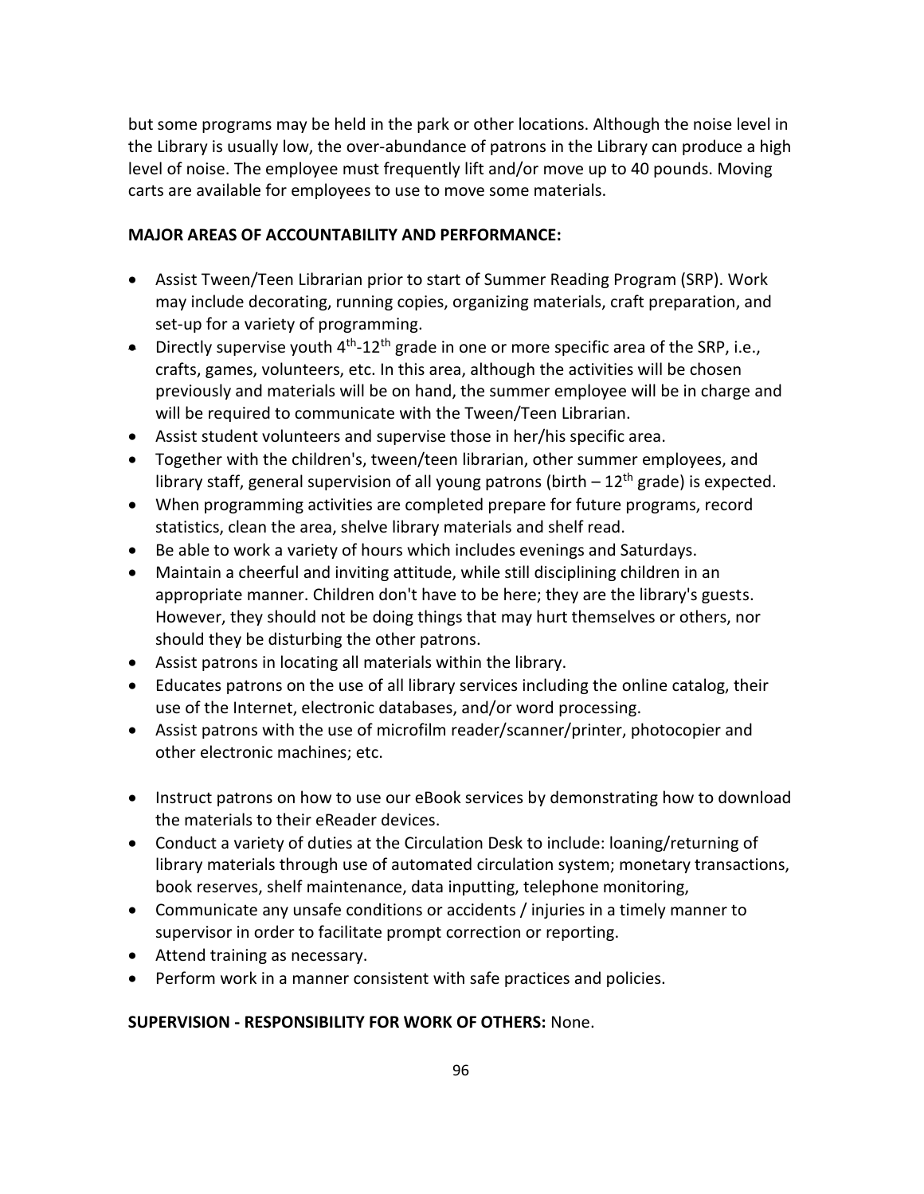but some programs may be held in the park or other locations. Although the noise level in the Library is usually low, the over-abundance of patrons in the Library can produce a high level of noise. The employee must frequently lift and/or move up to 40 pounds. Moving carts are available for employees to use to move some materials.

#### **MAJOR AREAS OF ACCOUNTABILITY AND PERFORMANCE:**

- Assist Tween/Teen Librarian prior to start of Summer Reading Program (SRP). Work may include decorating, running copies, organizing materials, craft preparation, and set-up for a variety of programming.
- $\bullet$  Directly supervise youth 4<sup>th</sup>-12<sup>th</sup> grade in one or more specific area of the SRP, i.e., crafts, games, volunteers, etc. In this area, although the activities will be chosen previously and materials will be on hand, the summer employee will be in charge and will be required to communicate with the Tween/Teen Librarian.
- Assist student volunteers and supervise those in her/his specific area.
- Together with the children's, tween/teen librarian, other summer employees, and library staff, general supervision of all young patrons (birth  $-12<sup>th</sup>$  grade) is expected.
- When programming activities are completed prepare for future programs, record statistics, clean the area, shelve library materials and shelf read.
- Be able to work a variety of hours which includes evenings and Saturdays.
- Maintain a cheerful and inviting attitude, while still disciplining children in an appropriate manner. Children don't have to be here; they are the library's guests. However, they should not be doing things that may hurt themselves or others, nor should they be disturbing the other patrons.
- Assist patrons in locating all materials within the library.
- Educates patrons on the use of all library services including the online catalog, their use of the Internet, electronic databases, and/or word processing.
- Assist patrons with the use of microfilm reader/scanner/printer, photocopier and other electronic machines; etc.
- Instruct patrons on how to use our eBook services by demonstrating how to download the materials to their eReader devices.
- Conduct a variety of duties at the Circulation Desk to include: loaning/returning of library materials through use of automated circulation system; monetary transactions, book reserves, shelf maintenance, data inputting, telephone monitoring,
- Communicate any unsafe conditions or accidents / injuries in a timely manner to supervisor in order to facilitate prompt correction or reporting.
- Attend training as necessary.
- Perform work in a manner consistent with safe practices and policies.

#### **SUPERVISION - RESPONSIBILITY FOR WORK OF OTHERS:** None.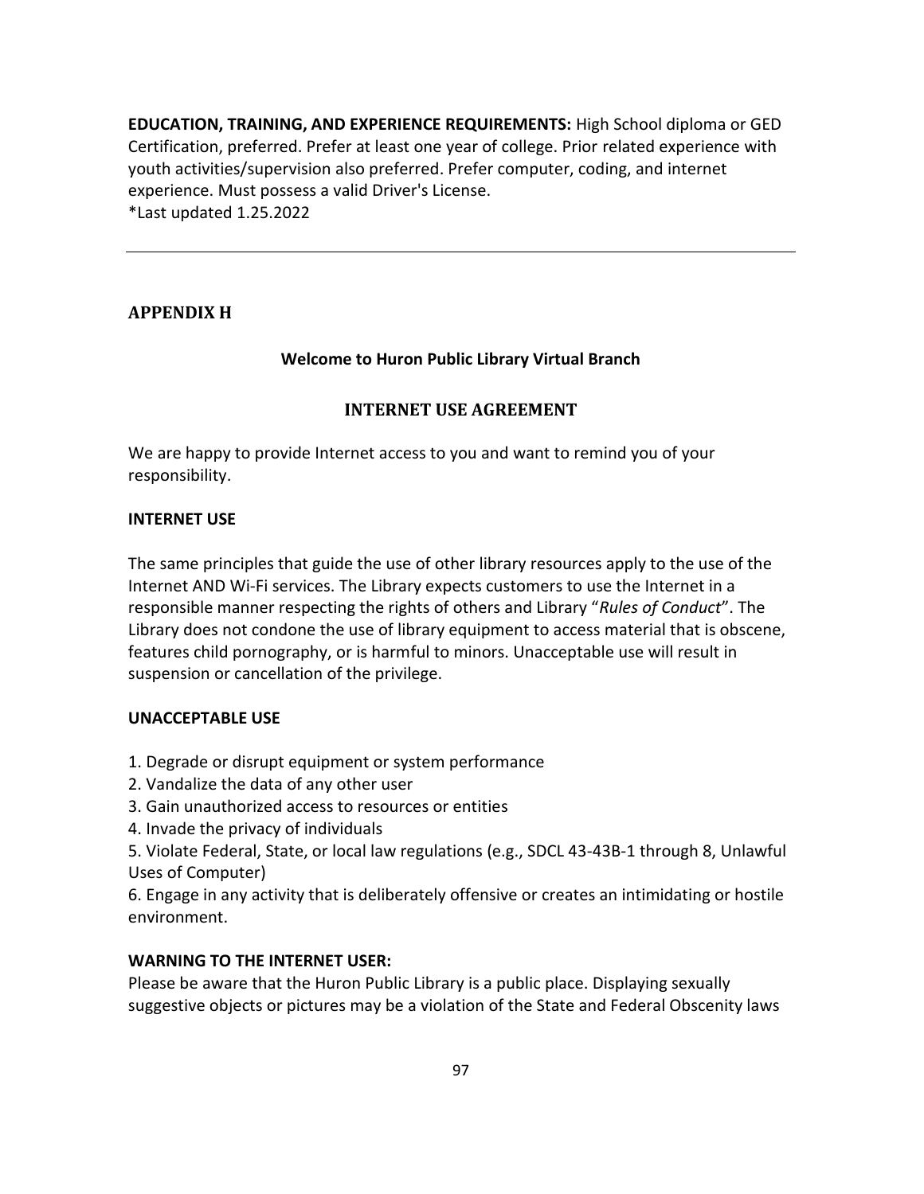**EDUCATION, TRAINING, AND EXPERIENCE REQUIREMENTS:** High School diploma or GED Certification, preferred. Prefer at least one year of college. Prior related experience with youth activities/supervision also preferred. Prefer computer, coding, and internet experience. Must possess a valid Driver's License.

\*Last updated 1.25.2022

## **APPENDIX H**

#### **Welcome to Huron Public Library Virtual Branch**

## **INTERNET USE AGREEMENT**

We are happy to provide Internet access to you and want to remind you of your responsibility.

#### **INTERNET USE**

The same principles that guide the use of other library resources apply to the use of the Internet AND Wi-Fi services. The Library expects customers to use the Internet in a responsible manner respecting the rights of others and Library "*Rules of Conduct*". The Library does not condone the use of library equipment to access material that is obscene, features child pornography, or is harmful to minors. Unacceptable use will result in suspension or cancellation of the privilege.

#### **UNACCEPTABLE USE**

- 1. Degrade or disrupt equipment or system performance
- 2. Vandalize the data of any other user
- 3. Gain unauthorized access to resources or entities
- 4. Invade the privacy of individuals

5. Violate Federal, State, or local law regulations (e.g., SDCL 43-43B-1 through 8, Unlawful Uses of Computer)

6. Engage in any activity that is deliberately offensive or creates an intimidating or hostile environment.

#### **WARNING TO THE INTERNET USER:**

Please be aware that the Huron Public Library is a public place. Displaying sexually suggestive objects or pictures may be a violation of the State and Federal Obscenity laws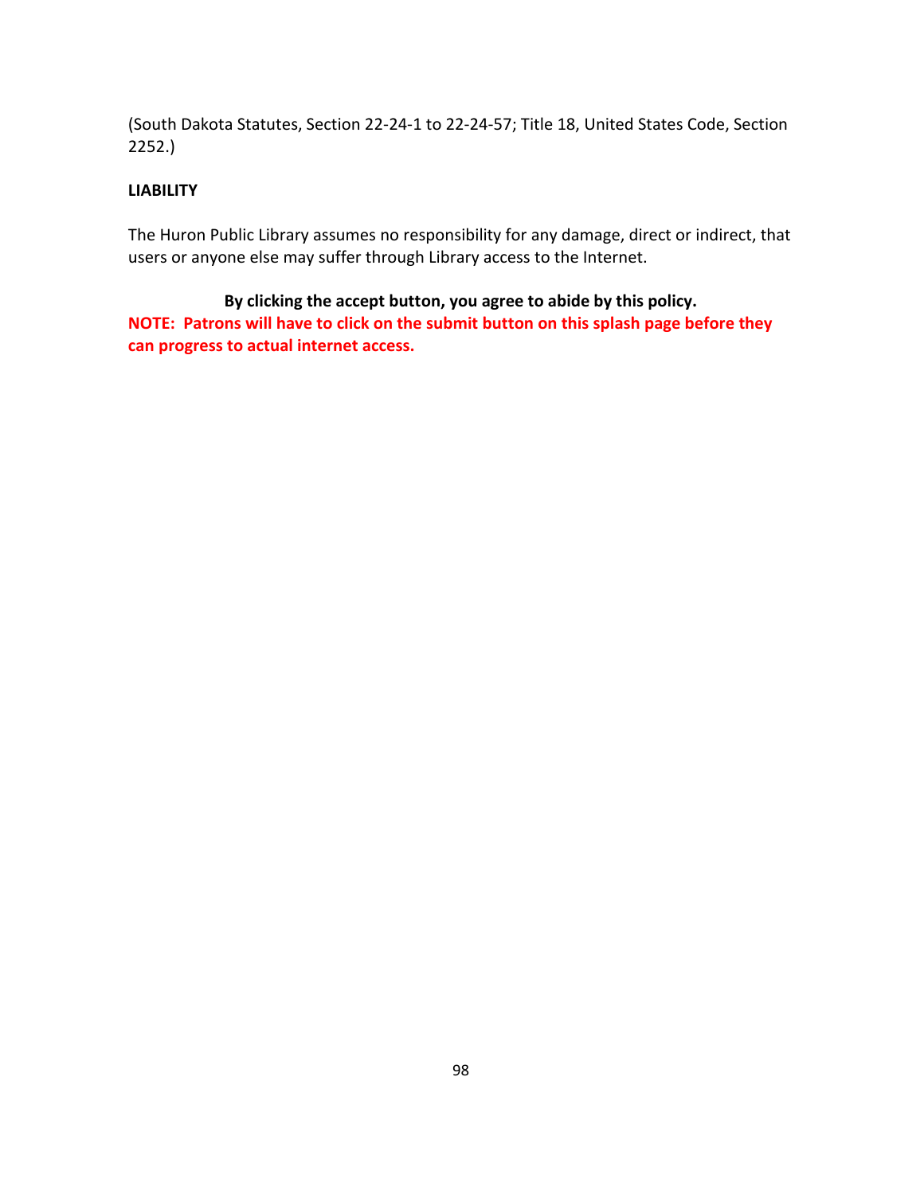(South Dakota Statutes, Section 22-24-1 to 22-24-57; Title 18, United States Code, Section 2252.)

#### **LIABILITY**

The Huron Public Library assumes no responsibility for any damage, direct or indirect, that users or anyone else may suffer through Library access to the Internet.

## **By clicking the accept button, you agree to abide by this policy.**

**NOTE: Patrons will have to click on the submit button on this splash page before they can progress to actual internet access.**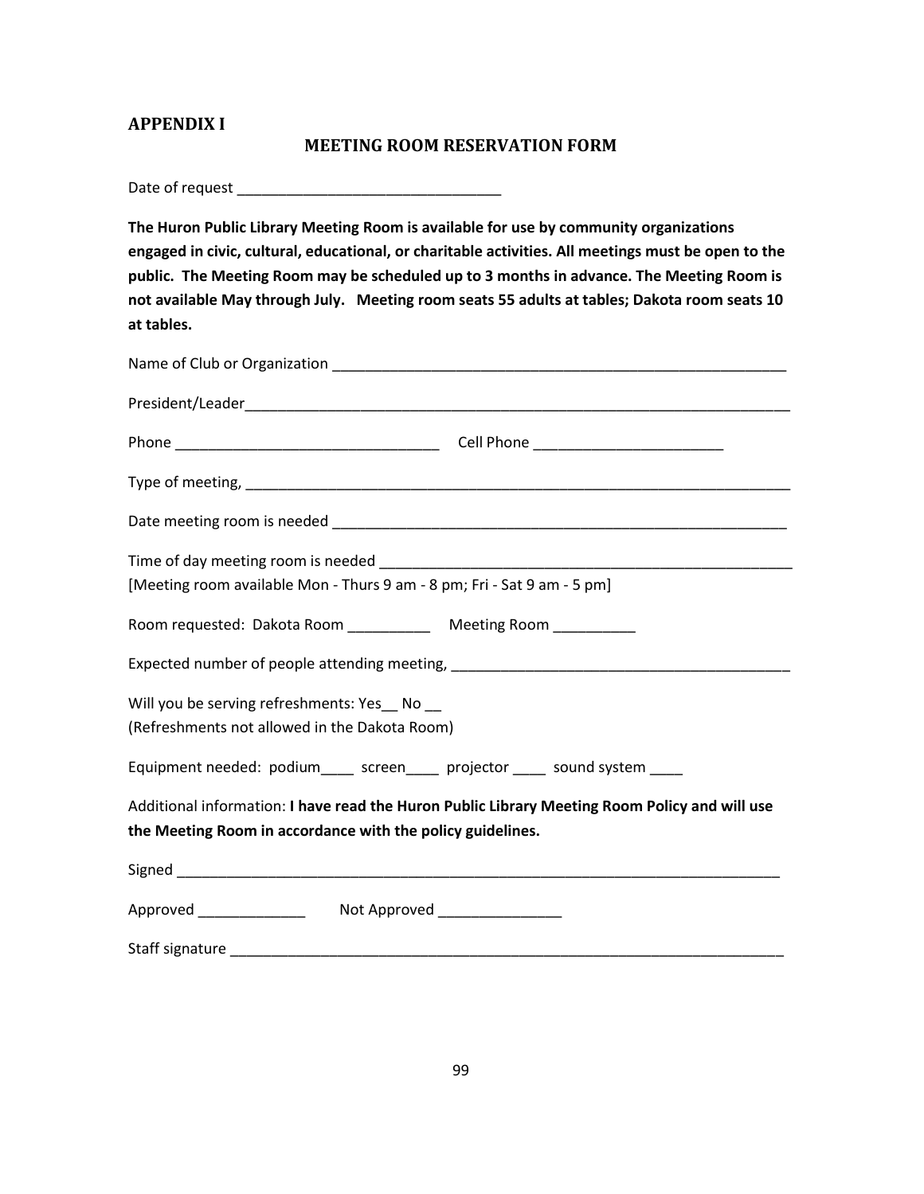#### **APPENDIX I**

#### **MEETING ROOM RESERVATION FORM**

Date of request \_\_\_\_\_\_\_\_\_\_\_\_\_\_\_\_\_\_\_\_\_\_\_\_\_\_\_\_\_\_\_\_

**The Huron Public Library Meeting Room is available for use by community organizations engaged in civic, cultural, educational, or charitable activities. All meetings must be open to the public. The Meeting Room may be scheduled up to 3 months in advance. The Meeting Room is not available May through July. Meeting room seats 55 adults at tables; Dakota room seats 10 at tables.**

| [Meeting room available Mon - Thurs 9 am - 8 pm; Fri - Sat 9 am - 5 pm]                       |
|-----------------------------------------------------------------------------------------------|
| Room requested: Dakota Room _____________ Meeting Room __________                             |
| Expected number of people attending meeting, ___________________________________              |
| Will you be serving refreshments: Yes __ No __                                                |
| (Refreshments not allowed in the Dakota Room)                                                 |
| Equipment needed: podium_____ screen_____ projector _____ sound system ____                   |
| Additional information: I have read the Huron Public Library Meeting Room Policy and will use |
| the Meeting Room in accordance with the policy guidelines.                                    |
|                                                                                               |
| Approved ___________________  Not Approved __________________                                 |
|                                                                                               |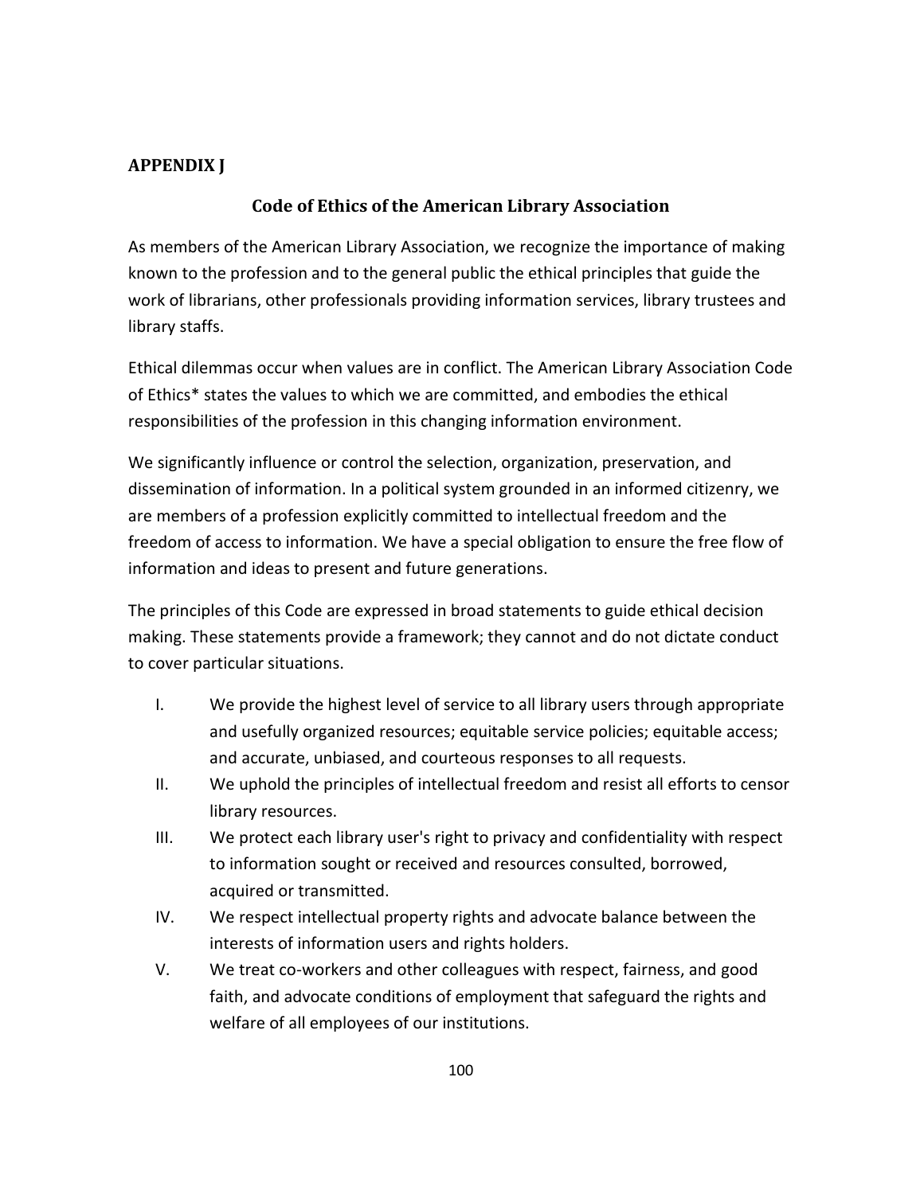## **APPENDIX J**

## **Code of Ethics of the American Library Association**

As members of the American Library Association, we recognize the importance of making known to the profession and to the general public the ethical principles that guide the work of librarians, other professionals providing information services, library trustees and library staffs.

Ethical dilemmas occur when values are in conflict. The American Library Association Code of Ethics\* states the values to which we are committed, and embodies the ethical responsibilities of the profession in this changing information environment.

We significantly influence or control the selection, organization, preservation, and dissemination of information. In a political system grounded in an informed citizenry, we are members of a profession explicitly committed to intellectual freedom and the freedom of access to information. We have a special obligation to ensure the free flow of information and ideas to present and future generations.

The principles of this Code are expressed in broad statements to guide ethical decision making. These statements provide a framework; they cannot and do not dictate conduct to cover particular situations.

- I. We provide the highest level of service to all library users through appropriate and usefully organized resources; equitable service policies; equitable access; and accurate, unbiased, and courteous responses to all requests.
- II. We uphold the principles of intellectual freedom and resist all efforts to censor library resources.
- III. We protect each library user's right to privacy and confidentiality with respect to information sought or received and resources consulted, borrowed, acquired or transmitted.
- IV. We respect intellectual property rights and advocate balance between the interests of information users and rights holders.
- V. We treat co-workers and other colleagues with respect, fairness, and good faith, and advocate conditions of employment that safeguard the rights and welfare of all employees of our institutions.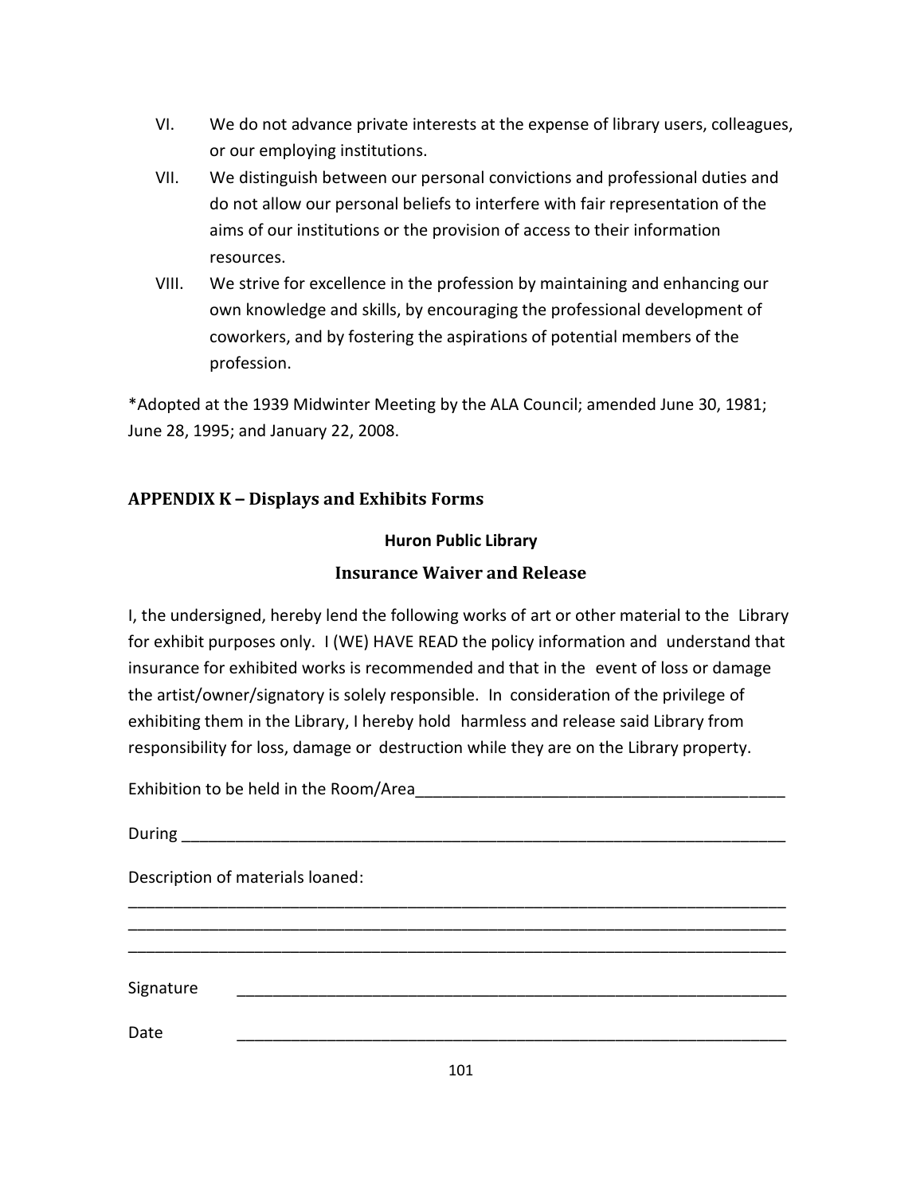- VI. We do not advance private interests at the expense of library users, colleagues, or our employing institutions.
- VII. We distinguish between our personal convictions and professional duties and do not allow our personal beliefs to interfere with fair representation of the aims of our institutions or the provision of access to their information resources.
- VIII. We strive for excellence in the profession by maintaining and enhancing our own knowledge and skills, by encouraging the professional development of coworkers, and by fostering the aspirations of potential members of the profession.

\*Adopted at the 1939 Midwinter Meeting by the ALA Council; amended June 30, 1981; June 28, 1995; and January 22, 2008.

## **APPENDIX K – Displays and Exhibits Forms**

## **Huron Public Library**

## **Insurance Waiver and Release**

I, the undersigned, hereby lend the following works of art or other material to the Library for exhibit purposes only. I (WE) HAVE READ the policy information and understand that insurance for exhibited works is recommended and that in the event of loss or damage the artist/owner/signatory is solely responsible. In consideration of the privilege of exhibiting them in the Library, I hereby hold harmless and release said Library from responsibility for loss, damage or destruction while they are on the Library property.

Exhibition to be held in the Room/Area

| - -<br>J<br>------- |  |  |  |
|---------------------|--|--|--|
|                     |  |  |  |

Description of materials loaned:

Signature \_\_\_\_\_\_\_\_\_\_\_\_\_\_\_\_\_\_\_\_\_\_\_\_\_\_\_\_\_\_\_\_\_\_\_\_\_\_\_\_\_\_\_\_\_\_\_\_\_\_\_\_\_\_\_\_\_\_\_\_\_

Date \_\_\_\_\_\_\_\_\_\_\_\_\_\_\_\_\_\_\_\_\_\_\_\_\_\_\_\_\_\_\_\_\_\_\_\_\_\_\_\_\_\_\_\_\_\_\_\_\_\_\_\_\_\_\_\_\_\_\_\_\_

\_\_\_\_\_\_\_\_\_\_\_\_\_\_\_\_\_\_\_\_\_\_\_\_\_\_\_\_\_\_\_\_\_\_\_\_\_\_\_\_\_\_\_\_\_\_\_\_\_\_\_\_\_\_\_\_\_\_\_\_\_\_\_\_\_\_\_\_\_\_\_\_\_ \_\_\_\_\_\_\_\_\_\_\_\_\_\_\_\_\_\_\_\_\_\_\_\_\_\_\_\_\_\_\_\_\_\_\_\_\_\_\_\_\_\_\_\_\_\_\_\_\_\_\_\_\_\_\_\_\_\_\_\_\_\_\_\_\_\_\_\_\_\_\_\_\_ \_\_\_\_\_\_\_\_\_\_\_\_\_\_\_\_\_\_\_\_\_\_\_\_\_\_\_\_\_\_\_\_\_\_\_\_\_\_\_\_\_\_\_\_\_\_\_\_\_\_\_\_\_\_\_\_\_\_\_\_\_\_\_\_\_\_\_\_\_\_\_\_\_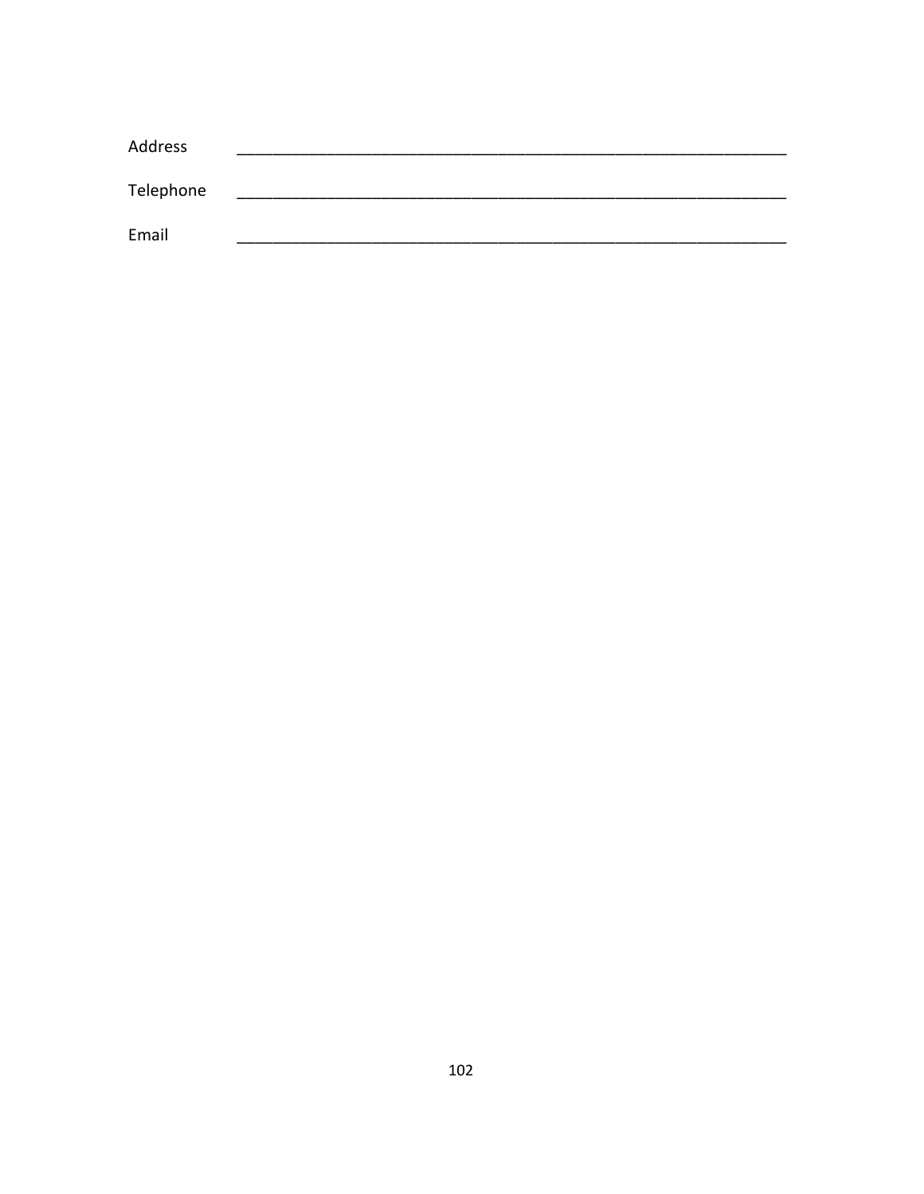| Address   |  |  |  |
|-----------|--|--|--|
| Telephone |  |  |  |
| Email     |  |  |  |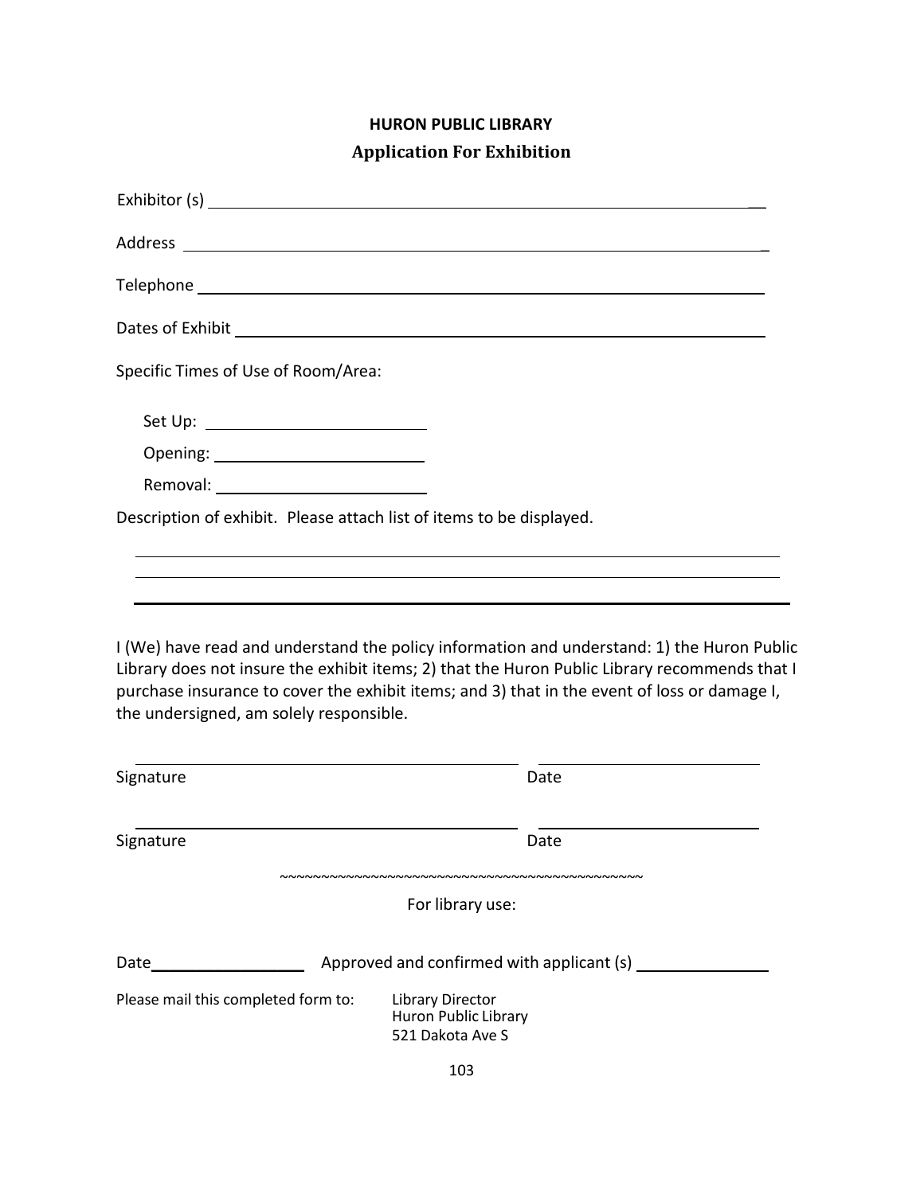## **HURON PUBLIC LIBRARY**

## **Application For Exhibition**

| Specific Times of Use of Room/Area:                                  |                                                                                                                                                                                                                                                                                             |
|----------------------------------------------------------------------|---------------------------------------------------------------------------------------------------------------------------------------------------------------------------------------------------------------------------------------------------------------------------------------------|
| Set Up: _____________________________                                |                                                                                                                                                                                                                                                                                             |
|                                                                      |                                                                                                                                                                                                                                                                                             |
|                                                                      |                                                                                                                                                                                                                                                                                             |
| Description of exhibit. Please attach list of items to be displayed. |                                                                                                                                                                                                                                                                                             |
| the undersigned, am solely responsible.                              | I (We) have read and understand the policy information and understand: 1) the Huron Public<br>Library does not insure the exhibit items; 2) that the Huron Public Library recommends that I<br>purchase insurance to cover the exhibit items; and 3) that in the event of loss or damage I, |
| Signature                                                            | Date                                                                                                                                                                                                                                                                                        |
| Signature                                                            | Date                                                                                                                                                                                                                                                                                        |
|                                                                      | For library use:                                                                                                                                                                                                                                                                            |
| Date                                                                 | Approved and confirmed with applicant (s)                                                                                                                                                                                                                                                   |
| Please mail this completed form to:                                  | <b>Library Director</b><br>Huron Public Library<br>521 Dakota Ave S                                                                                                                                                                                                                         |